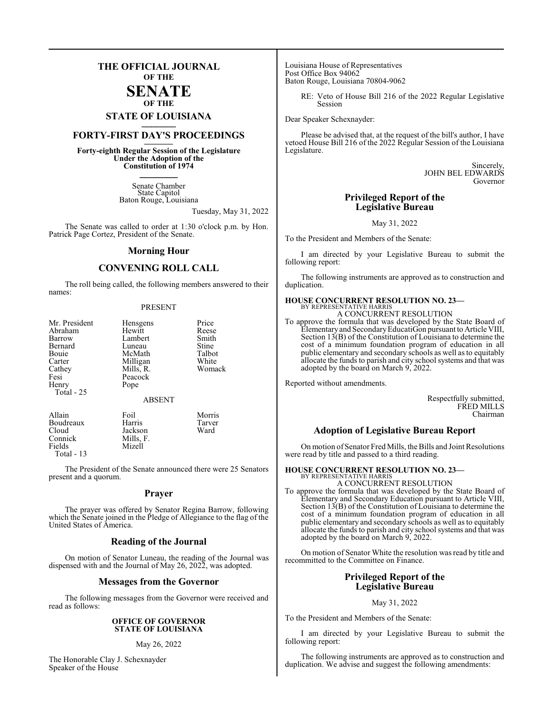### **THE OFFICIAL JOURNAL OF THE**

### **SENATE OF THE**

# **STATE OF LOUISIANA \_\_\_\_\_\_\_**

### **FORTY-FIRST DAY'S PROCEEDINGS \_\_\_\_\_\_\_**

**Forty-eighth Regular Session of the Legislature Under the Adoption of the Constitution of 1974 \_\_\_\_\_\_\_**

> Senate Chamber State Capitol Baton Rouge, Louisiana

> > Tuesday, May 31, 2022

The Senate was called to order at 1:30 o'clock p.m. by Hon. Patrick Page Cortez, President of the Senate.

### **Morning Hour**

### **CONVENING ROLL CALL**

The roll being called, the following members answered to their names:

#### PRESENT

| Mr. President<br>Abraham<br>Barrow<br>Bernard<br>Bouie<br>Carter<br>Cathey<br>Fesi<br>Henry<br>Total - 25 | Hensgens<br>Hewitt<br>Lambert<br>Luneau<br>McMath<br>Milligan<br>Mills, R.<br>Peacock<br>Pope<br><b>ABSENT</b> | Price<br>Reese<br>Smith<br>Stine<br>Talbot<br>White<br>Womack |
|-----------------------------------------------------------------------------------------------------------|----------------------------------------------------------------------------------------------------------------|---------------------------------------------------------------|
| Allain                                                                                                    | Foil                                                                                                           | Morris                                                        |

Mizell

Boudreaux Harris Tarver Cloud Jackson<br>Connick Mills, F. Connick Mills, F. Total - 13

The President of the Senate announced there were 25 Senators present and a quorum.

### **Prayer**

The prayer was offered by Senator Regina Barrow, following which the Senate joined in the Pledge of Allegiance to the flag of the United States of America.

### **Reading of the Journal**

On motion of Senator Luneau, the reading of the Journal was dispensed with and the Journal of May 26, 2022, was adopted.

### **Messages from the Governor**

The following messages from the Governor were received and read as follows:

### **OFFICE OF GOVERNOR STATE OF LOUISIANA**

### May 26, 2022

The Honorable Clay J. Schexnayder Speaker of the House

Louisiana House of Representatives Post Office Box 94062 Baton Rouge, Louisiana 70804-9062

> RE: Veto of House Bill 216 of the 2022 Regular Legislative Session

Dear Speaker Schexnayder:

Please be advised that, at the request of the bill's author, I have vetoed House Bill 216 of the 2022 Regular Session of the Louisiana Legislature.

> Sincerely, JOHN BEL EDWARDS Governor

### **Privileged Report of the Legislative Bureau**

May 31, 2022

To the President and Members of the Senate:

I am directed by your Legislative Bureau to submit the following report:

The following instruments are approved as to construction and duplication.

### **HOUSE CONCURRENT RESOLUTION NO. 23—**

BY REPRESENTATIVE HARRIS A CONCURRENT RESOLUTION

To approve the formula that was developed by the State Board of Elementaryand SecondaryEducatiGon pursuant to Article VIII, Section 13(B) of the Constitution of Louisiana to determine the cost of a minimum foundation program of education in all public elementary and secondary schools as well as to equitably allocate the funds to parish and city school systems and that was adopted by the board on March 9, 2022.

Reported without amendments.

Respectfully submitted, FRED MILLS Chairman

### **Adoption of Legislative Bureau Report**

On motion of Senator Fred Mills, the Bills and Joint Resolutions were read by title and passed to a third reading.

### **HOUSE CONCURRENT RESOLUTION NO. 23—**

BY REPRESENTATIVE HARRIS A CONCURRENT RESOLUTION

To approve the formula that was developed by the State Board of Elementary and Secondary Education pursuant to Article VIII, Section 13(B) of the Constitution of Louisiana to determine the cost of a minimum foundation program of education in all public elementary and secondary schools as well as to equitably allocate the funds to parish and city school systems and that was adopted by the board on March 9, 2022.

On motion of Senator White the resolution was read by title and recommitted to the Committee on Finance.

### **Privileged Report of the Legislative Bureau**

May 31, 2022

To the President and Members of the Senate:

I am directed by your Legislative Bureau to submit the following report:

The following instruments are approved as to construction and duplication. We advise and suggest the following amendments: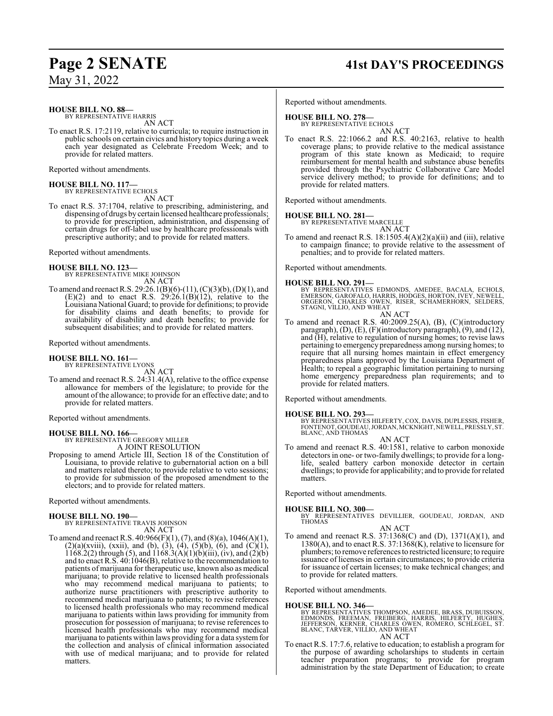# **Page 2 SENATE 41st DAY'S PROCEEDINGS**

May 31, 2022

#### **HOUSE BILL NO. 88—** BY REPRESENTATIVE HARRIS

AN ACT

To enact R.S. 17:2119, relative to curricula; to require instruction in public schools on certain civics and history topics during a week each year designated as Celebrate Freedom Week; and to provide for related matters.

Reported without amendments.

### **HOUSE BILL NO. 117—** BY REPRESENTATIVE ECHOLS

AN ACT

To enact R.S. 37:1704, relative to prescribing, administering, and dispensing of drugs by certain licensed healthcare professionals; to provide for prescription, administration, and dispensing of certain drugs for off-label use by healthcare professionals with prescriptive authority; and to provide for related matters.

Reported without amendments.

### **HOUSE BILL NO. 123—**

BY REPRESENTATIVE MIKE JOHNSON AN ACT

To amend and reenact R.S. 29:26.1(B)(6)-(11), (C)(3)(b), (D)(1), and  $(E)(2)$  and to enact R.S. 29:26.1 $(B)(12)$ , relative to the Louisiana National Guard; to provide for definitions; to provide for disability claims and death benefits; to provide for availability of disability and death benefits; to provide for subsequent disabilities; and to provide for related matters.

Reported without amendments.

### **HOUSE BILL NO. 161—**

BY REPRESENTATIVE LYONS AN ACT

To amend and reenact R.S. 24:31.4(A), relative to the office expense allowance for members of the legislature; to provide for the amount of the allowance; to provide for an effective date; and to provide for related matters.

Reported without amendments.

**HOUSE BILL NO. 166—** BY REPRESENTATIVE GREGORY MILLER A JOINT RESOLUTION

Proposing to amend Article III, Section 18 of the Constitution of Louisiana, to provide relative to gubernatorial action on a bill and matters related thereto; to provide relative to veto sessions; to provide for submission of the proposed amendment to the electors; and to provide for related matters.

Reported without amendments.

**HOUSE BILL NO. 190—** BY REPRESENTATIVE TRAVIS JOHNSON AN ACT

To amend and reenact R.S.  $40:966(F)(1)$ ,  $(7)$ , and  $(8)(a)$ ,  $1046(A)(1)$ ,  $(2)(a)(xviii)$ ,  $(xxii)$ , and  $(b)$ ,  $(3)$ ,  $(4)$ ,  $(5)(b)$ ,  $(6)$ , and  $(C)(1)$ , 1168.2(2) through (5), and  $1168.3(A)(1)(b)(iii)$ , (iv), and (2)(b) and to enact R.S. 40:1046(B), relative to the recommendation to patients of marijuana for therapeutic use, known also as medical marijuana; to provide relative to licensed health professionals who may recommend medical marijuana to patients; to authorize nurse practitioners with prescriptive authority to recommend medical marijuana to patients; to revise references to licensed health professionals who may recommend medical marijuana to patients within laws providing for immunity from prosecution for possession of marijuana; to revise references to licensed health professionals who may recommend medical marijuana to patients within laws providing for a data systemfor the collection and analysis of clinical information associated with use of medical marijuana; and to provide for related matters.

Reported without amendments.

### **HOUSE BILL NO. 278—**

BY REPRESENTATIVE ECHOLS AN ACT

To enact R.S. 22:1066.2 and R.S. 40:2163, relative to health coverage plans; to provide relative to the medical assistance program of this state known as Medicaid; to require reimbursement for mental health and substance abuse benefits provided through the Psychiatric Collaborative Care Model service delivery method; to provide for definitions; and to provide for related matters.

Reported without amendments.

# **HOUSE BILL NO. 281—** BY REPRESENTATIVE MARCELLE

AN ACT To amend and reenact R.S.  $18:1505.4(A)(2)(a)(ii)$  and (iii), relative to campaign finance; to provide relative to the assessment of penalties; and to provide for related matters.

Reported without amendments.

### **HOUSE BILL NO. 291—**

BY REPRESENTATIVES EDMONDS, AMEDEE, BACALA, ECHOLS,<br>EMERSON, GAROFALO, HARRIS, HODGES, HORTON,IVEY, NEWELL,<br>ORGERON, CHARLES OWEN, RISER, SCHAMERHORN, SELDERS, STAGNI, VILLIO, AND WHEAT AN ACT

To amend and reenact R.S. 40:2009.25(A), (B), (C)(introductory paragraph), (D), (E), (F)(introductory paragraph), (9), and (12), and (H), relative to regulation of nursing homes; to revise laws pertaining to emergency preparedness among nursing homes; to require that all nursing homes maintain in effect emergency preparedness plans approved by the Louisiana Department of Health; to repeal a geographic limitation pertaining to nursing home emergency preparedness plan requirements; and to provide for related matters.

Reported without amendments.

**HOUSE BILL NO. 293—** BY REPRESENTATIVES HILFERTY, COX, DAVIS, DUPLESSIS, FISHER, FONTENOT, GOUDEAU, JORDAN, MCKNIGHT, NEWELL, PRESSLY, ST. BLANC, AND THOMAS AN ACT

To amend and reenact R.S. 40:1581, relative to carbon monoxide detectors in one- or two-family dwellings; to provide for a longlife, sealed battery carbon monoxide detector in certain dwellings; to provide for applicability; and to provide for related matters.

Reported without amendments.

- **HOUSE BILL NO. 300—** BY REPRESENTATIVES DEVILLIER, GOUDEAU, JORDAN, AND THOMAS AN ACT
- To amend and reenact R.S. 37:1368(C) and (D), 1371(A)(1), and 1380(A), and to enact R.S. 37:1368(K), relative to licensure for plumbers; to remove references to restricted licensure; to require issuance of licenses in certain circumstances; to provide criteria for issuance of certain licenses; to make technical changes; and to provide for related matters.

Reported without amendments.

### **HOUSE BILL NO. 346—**

BY REPRESENTATIVES THOMPSON, AMEDEE, BRASS, DUBUISSON,<br>EDMONDS, FREEMAN, FREIBERG, HARRIS, HILFERTY, HUGHES,<br>JEFFERSON, KERNER, CHARLES OWEN, ROMERO, SCHLEGEL, ST. BLANC, TARVER, VILLIO, AND WHEAT AN ACT

To enact R.S. 17:7.6, relative to education; to establish a program for the purpose of awarding scholarships to students in certain teacher preparation programs; to provide for program administration by the state Department of Education; to create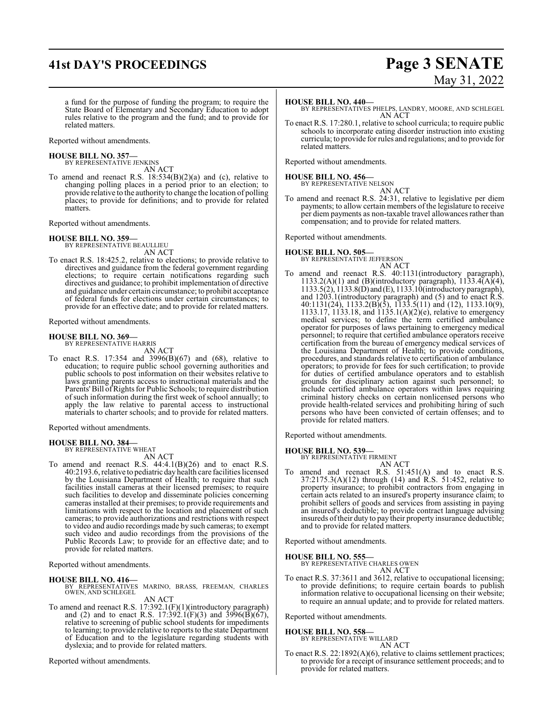# **41st DAY'S PROCEEDINGS Page 3 SENATE**

# May 31, 2022

a fund for the purpose of funding the program; to require the State Board of Elementary and Secondary Education to adopt rules relative to the program and the fund; and to provide for related matters.

Reported without amendments.

### **HOUSE BILL NO. 357—**

BY REPRESENTATIVE JENKINS AN ACT

To amend and reenact R.S.  $18:534(B)(2)(a)$  and (c), relative to changing polling places in a period prior to an election; to provide relative to the authority to change the location of polling places; to provide for definitions; and to provide for related matters.

Reported without amendments.

### **HOUSE BILL NO. 359—**

BY REPRESENTATIVE BEAULLIEU AN ACT

To enact R.S. 18:425.2, relative to elections; to provide relative to directives and guidance from the federal government regarding elections; to require certain notifications regarding such directives and guidance; to prohibit implementation of directive and guidance under certain circumstance; to prohibit acceptance of federal funds for elections under certain circumstances; to provide for an effective date; and to provide for related matters.

Reported without amendments.

### **HOUSE BILL NO. 369—** BY REPRESENTATIVE HARRIS

AN ACT

To enact R.S. 17:354 and 3996(B)(67) and (68), relative to education; to require public school governing authorities and public schools to post information on their websites relative to laws granting parents access to instructional materials and the Parents'Bill ofRights for Public Schools; to require distribution of such information during the first week of school annually; to apply the law relative to parental access to instructional materials to charter schools; and to provide for related matters.

Reported without amendments.

### **HOUSE BILL NO. 384—**

BY REPRESENTATIVE WHEAT AN ACT

To amend and reenact R.S. 44:4.1(B)(26) and to enact R.S. 40:2193.6, relative to pediatric day health care facilities licensed by the Louisiana Department of Health; to require that such facilities install cameras at their licensed premises; to require such facilities to develop and disseminate policies concerning cameras installed at their premises; to provide requirements and limitations with respect to the location and placement of such cameras; to provide authorizations and restrictions with respect to video and audio recordings made by such cameras; to exempt such video and audio recordings from the provisions of the Public Records Law; to provide for an effective date; and to provide for related matters.

Reported without amendments.

### **HOUSE BILL NO. 416—**

BY REPRESENTATIVES MARINO, BRASS, FREEMAN, CHARLES OWEN, AND SCHLEGEL

AN ACT

To amend and reenact R.S. 17:392.1(F)(1)(introductory paragraph) and (2) and to enact R.S. 17:392.1(F)(3) and 3996(B)(67), relative to screening of public school students for impediments to learning; to provide relative to reports to the state Department of Education and to the legislature regarding students with dyslexia; and to provide for related matters.

Reported without amendments.

### **HOUSE BILL NO. 440—**

BY REPRESENTATIVES PHELPS, LANDRY, MOORE, AND SCHLEGEL AN ACT

To enact R.S. 17:280.1, relative to school curricula; to require public schools to incorporate eating disorder instruction into existing curricula; to provide for rules and regulations; and to provide for related matters.

Reported without amendments.

### **HOUSE BILL NO. 456—**

BY REPRESENTATIVE NELSON AN ACT

To amend and reenact R.S. 24:31, relative to legislative per diem payments; to allow certain members of the legislature to receive per diem payments as non-taxable travel allowances rather than compensation; and to provide for related matters.

Reported without amendments.

### **HOUSE BILL NO. 505—** BY REPRESENTATIVE JEFFERSON

AN ACT

To amend and reenact R.S. 40:1131(introductory paragraph), 1133.2(A)(1) and (B)(introductory paragraph),  $1133.4(A)(4)$ , 1133.5(2), 1133.8(D) and (E), 1133.10(introductory paragraph), and 1203.1(introductory paragraph) and (5) and to enact R.S. 40:1131(24), 1133.2(B)(5), 1133.5(11) and (12), 1133.10(9), 1133.17, 1133.18, and 1135.1(A)(2)(e), relative to emergency medical services; to define the term certified ambulance operator for purposes of laws pertaining to emergency medical personnel; to require that certified ambulance operators receive certification from the bureau of emergency medical services of the Louisiana Department of Health; to provide conditions, procedures, and standards relative to certification of ambulance operators; to provide for fees for such certification; to provide for duties of certified ambulance operators and to establish grounds for disciplinary action against such personnel; to include certified ambulance operators within laws requiring criminal history checks on certain nonlicensed persons who provide health-related services and prohibiting hiring of such persons who have been convicted of certain offenses; and to provide for related matters.

Reported without amendments.

**HOUSE BILL NO. 539—**

BY REPRESENTATIVE FIRMENT AN ACT

To amend and reenact R.S. 51:451(A) and to enact R.S.  $37:2175.3(A)(12)$  through  $(14)$  and  $R.S. 51:452$ , relative to property insurance; to prohibit contractors from engaging in certain acts related to an insured's property insurance claim; to prohibit sellers of goods and services from assisting in paying an insured's deductible; to provide contract language advising insureds oftheir duty to pay their property insurance deductible; and to provide for related matters.

Reported without amendments.

### **HOUSE BILL NO. 555—**

BY REPRESENTATIVE CHARLES OWEN

AN ACT

To enact R.S. 37:3611 and 3612, relative to occupational licensing; to provide definitions; to require certain boards to publish information relative to occupational licensing on their website; to require an annual update; and to provide for related matters.

Reported without amendments.

### **HOUSE BILL NO. 558—**

BY REPRESENTATIVE WILLARD AN ACT

To enact R.S. 22:1892(A)(6), relative to claims settlement practices; to provide for a receipt of insurance settlement proceeds; and to provide for related matters.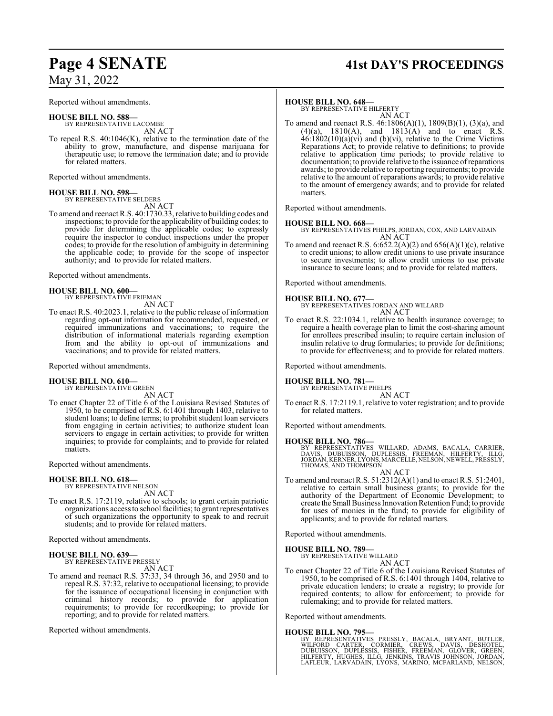### May 31, 2022

Reported without amendments.

**HOUSE BILL NO. 588—** BY REPRESENTATIVE LACOMBE AN ACT

To repeal R.S. 40:1046(K), relative to the termination date of the ability to grow, manufacture, and dispense marijuana for therapeutic use; to remove the termination date; and to provide for related matters.

Reported without amendments.

### **HOUSE BILL NO. 598—** BY REPRESENTATIVE SELDERS

AN ACT

To amend and reenact R.S. 40:1730.33, relative to building codes and inspections; to provide for the applicability of building codes; to provide for determining the applicable codes; to expressly require the inspector to conduct inspections under the proper codes; to provide for the resolution of ambiguity in determining the applicable code; to provide for the scope of inspector authority; and to provide for related matters.

Reported without amendments.

### **HOUSE BILL NO. 600—** BY REPRESENTATIVE FRIEMAN

AN ACT

To enact R.S. 40:2023.1, relative to the public release of information regarding opt-out information for recommended, requested, or required immunizations and vaccinations; to require the distribution of informational materials regarding exemption from and the ability to opt-out of immunizations and vaccinations; and to provide for related matters.

Reported without amendments.

### **HOUSE BILL NO. 610—** BY REPRESENTATIVE GREEN

AN ACT

To enact Chapter 22 of Title 6 of the Louisiana Revised Statutes of 1950, to be comprised of R.S. 6:1401 through 1403, relative to student loans; to define terms; to prohibit student loan servicers from engaging in certain activities; to authorize student loan servicers to engage in certain activities; to provide for written inquiries; to provide for complaints; and to provide for related matters.

Reported without amendments.

### **HOUSE BILL NO. 618—**

BY REPRESENTATIVE NELSON AN ACT

To enact R.S. 17:2119, relative to schools; to grant certain patriotic organizations access to school facilities; to grant representatives of such organizations the opportunity to speak to and recruit students; and to provide for related matters.

Reported without amendments.

### **HOUSE BILL NO. 639—**

BY REPRESENTATIVE PRESSLY AN ACT

To amend and reenact R.S. 37:33, 34 through 36, and 2950 and to repeal R.S. 37:32, relative to occupational licensing; to provide for the issuance of occupational licensing in conjunction with criminal history records; to provide for application requirements; to provide for recordkeeping; to provide for reporting; and to provide for related matters.

Reported without amendments.

# **Page 4 SENATE 41st DAY'S PROCEEDINGS**

### **HOUSE BILL NO. 648—**

BY REPRESENTATIVE HILFERTY AN ACT

To amend and reenact R.S. 46:1806(A)(1), 1809(B)(1), (3)(a), and  $(4)(a)$ ,  $1810(A)$ , and  $1813(A)$  and to enact R.S.  $46:1802(10)(a)(vi)$  and (b)(vi), relative to the Crime Victims Reparations Act; to provide relative to definitions; to provide relative to application time periods; to provide relative to documentation; to provide relative to the issuance ofreparations awards; to provide relative to reporting requirements; to provide relative to the amount of reparations awards; to provide relative to the amount of emergency awards; and to provide for related matters.

Reported without amendments.

### **HOUSE BILL NO. 668—**

BY REPRESENTATIVES PHELPS, JORDAN, COX, AND LARVADAIN AN ACT

To amend and reenact R.S.  $6.652.2(A)(2)$  and  $656(A)(1)(c)$ , relative to credit unions; to allow credit unions to use private insurance to secure investments; to allow credit unions to use private insurance to secure loans; and to provide for related matters.

Reported without amendments.

**HOUSE BILL NO. 677—**

BY REPRESENTATIVES JORDAN AND WILLARD AN ACT

To enact R.S. 22:1034.1, relative to health insurance coverage; to require a health coverage plan to limit the cost-sharing amount for enrollees prescribed insulin; to require certain inclusion of insulin relative to drug formularies; to provide for definitions; to provide for effectiveness; and to provide for related matters.

Reported without amendments.

### **HOUSE BILL NO. 781—**

BY REPRESENTATIVE PHELPS AN ACT

To enact R.S. 17:2119.1, relative to voter registration; and to provide for related matters.

Reported without amendments.

### **HOUSE BILL NO. 786—**

BY REPRESENTATIVES WILLARD, ADAMS, BACALA, CARRIER,<br>DAVIS, DUBUISSON, DUPLESSIS, FREEMAN, HILFERTY, ILLG,<br>JORDAN,KERNER,LYONS,MARCELLE,NELSON,NEWELL,PRESSLY,<br>THOMAS,AND THOMPSON

AN ACT To amend and reenact R.S. 51:2312(A)(1) and to enact R.S. 51:2401, relative to certain small business grants; to provide for the authority of the Department of Economic Development; to create theSmall Business InnovationRetention Fund; to provide for uses of monies in the fund; to provide for eligibility of applicants; and to provide for related matters.

Reported without amendments.

### **HOUSE BILL NO. 789—**

BY REPRESENTATIVE WILLARD AN ACT

To enact Chapter 22 of Title 6 of the Louisiana Revised Statutes of 1950, to be comprised of R.S. 6:1401 through 1404, relative to private education lenders; to create a registry; to provide for required contents; to allow for enforcement; to provide for rulemaking; and to provide for related matters.

Reported without amendments.

### **HOUSE BILL NO. 795—**

BY REPRESENTATIVES PRESSLY, BACALA, BRYANT, BUTLER,<br>WILFORD CARTER, CORMIER, CREWS, DAVIS, DESHOTEL,<br>DUBUISSON, DUPLESSIS, FISHER, FREEMAN, GLOVER, GREEN,<br>HILFERTY, HUGHES, ILLG, JENKINS, TRAVIS JOHNSON, JORDAN,<br>LAFLEUR, L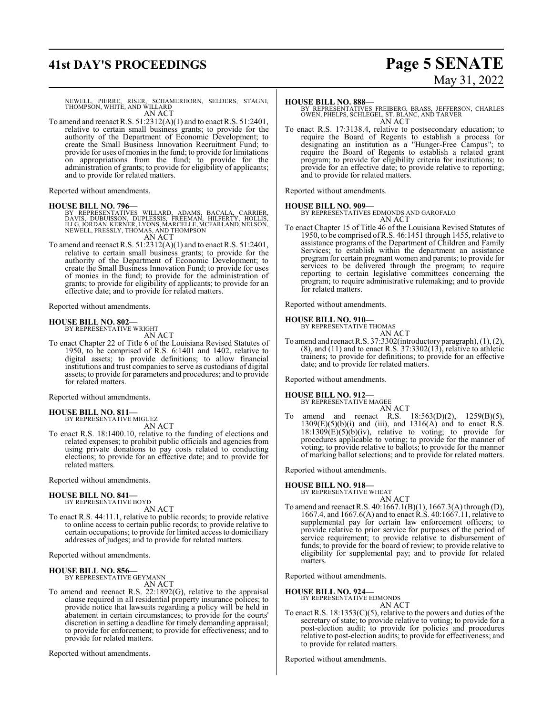# **41st DAY'S PROCEEDINGS Page 5 SENATE**

# May 31, 2022

NEWELL, PIERRE, RISER, SCHAMERHORN, SELDERS, STAGNI, THOMPSON, WHITE, AND WILLARD AN ACT

To amend and reenact R.S. 51:2312(A)(1) and to enact R.S. 51:2401, relative to certain small business grants; to provide for the authority of the Department of Economic Development; to create the Small Business Innovation Recruitment Fund; to provide for uses of monies in the fund; to provide for limitations on appropriations from the fund; to provide for the administration of grants; to provide for eligibility of applicants; and to provide for related matters.

Reported without amendments.

### **HOUSE BILL NO. 796—**

BY REPRESENTATIVES WILLARD, ADAMS, BACALA, CARRIER,<br>DAVIS, DUBUISSON, DUPLESSIS, FREEMAN, HILFERTY, HOLLIS,<br>ILLG,JORDAN,KERNER,LYONS,MARCELLE,MCFARLAND,NELSON, NEWELL, PRESSLY, THOMAS, AND THOMPSON AN ACT

To amend and reenact R.S. 51:2312(A)(1) and to enact R.S. 51:2401, relative to certain small business grants; to provide for the authority of the Department of Economic Development; to create the Small Business Innovation Fund; to provide for uses of monies in the fund; to provide for the administration of grants; to provide for eligibility of applicants; to provide for an effective date; and to provide for related matters.

Reported without amendments.

#### **HOUSE BILL NO. 802—** BY REPRESENTATIVE WRIGHT

AN ACT

To enact Chapter 22 of Title 6 of the Louisiana Revised Statutes of 1950, to be comprised of R.S. 6:1401 and 1402, relative to digital assets; to provide definitions; to allow financial institutions and trust companies to serve as custodians of digital assets; to provide for parameters and procedures; and to provide for related matters.

Reported without amendments.

#### **HOUSE BILL NO. 811—** BY REPRESENTATIVE MIGUEZ AN ACT

To enact R.S. 18:1400.10, relative to the funding of elections and related expenses; to prohibit public officials and agencies from using private donations to pay costs related to conducting elections; to provide for an effective date; and to provide for related matters.

Reported without amendments.

### **HOUSE BILL NO. 841—** BY REPRESENTATIVE BOYD

AN ACT

To enact R.S. 44:11.1, relative to public records; to provide relative to online access to certain public records; to provide relative to certain occupations; to provide for limited access to domiciliary addresses of judges; and to provide for related matters.

Reported without amendments.

### **HOUSE BILL NO. 856—**

BY REPRESENTATIVE GEYMANN AN ACT

To amend and reenact R.S. 22:1892(G), relative to the appraisal clause required in all residential property insurance polices; to provide notice that lawsuits regarding a policy will be held in abatement in certain circumstances; to provide for the courts' discretion in setting a deadline for timely demanding appraisal; to provide for enforcement; to provide for effectiveness; and to provide for related matters.

Reported without amendments.

### **HOUSE BILL NO. 888—**

BY REPRESENTATIVES FREIBERG, BRASS, JEFFERSON, CHARLES OWEN, PHELPS, SCHLEGEL, ST. BLANC, AND TARVER AN ACT

To enact R.S. 17:3138.4, relative to postsecondary education; to require the Board of Regents to establish a process for designating an institution as a "Hunger-Free Campus"; to require the Board of Regents to establish a related grant program; to provide for eligibility criteria for institutions; to provide for an effective date; to provide relative to reporting; and to provide for related matters.

Reported without amendments.

**HOUSE BILL NO. 909—** BY REPRESENTATIVES EDMONDS AND GAROFALO AN ACT

To enact Chapter 15 of Title 46 of the Louisiana Revised Statutes of 1950, to be comprised ofR.S. 46:1451 through 1455, relative to assistance programs of the Department of Children and Family Services; to establish within the department an assistance program for certain pregnant women and parents; to provide for services to be delivered through the program; to require reporting to certain legislative committees concerning the program; to require administrative rulemaking; and to provide for related matters.

Reported without amendments.

### **HOUSE BILL NO. 910—**

BY REPRESENTATIVE THOMAS

AN ACT To amend and reenact R.S. 37:3302(introductory paragraph), (1), (2),  $(8)$ , and  $(11)$  and to enact R.S.  $37:3302(13)$ , relative to athletic trainers; to provide for definitions; to provide for an effective date; and to provide for related matters.

Reported without amendments.

#### **HOUSE BILL NO. 912—** BY REPRESENTATIVE MAGEE

AN ACT To amend and reenact R.S. 18:563(D)(2), 1259(B)(5),  $1309(E)(5)(b)(i)$  and (iii), and  $1316(A)$  and to enact R.S.  $18:1309(E)(5)(b)(iv)$ , relative to voting; to provide for procedures applicable to voting; to provide for the manner of voting; to provide relative to ballots; to provide for the manner of marking ballot selections; and to provide for related matters.

Reported without amendments.

### **HOUSE BILL NO. 918—** BY REPRESENTATIVE WHEAT

To amend and reenact R.S. 40:1667.1(B)(1), 1667.3(A) through (D), 1667.4, and 1667.6(A) and to enact R.S. 40:1667.11, relative to supplemental pay for certain law enforcement officers; to provide relative to prior service for purposes of the period of service requirement; to provide relative to disbursement of funds; to provide for the board of review; to provide relative to eligibility for supplemental pay; and to provide for related matters.

AN ACT

Reported without amendments.

### **HOUSE BILL NO. 924—**

BY REPRESENTATIVE EDMONDS AN ACT

To enact R.S.  $18:1353(C)(5)$ , relative to the powers and duties of the secretary of state; to provide relative to voting; to provide for a post-election audit; to provide for policies and procedures relative to post-election audits; to provide for effectiveness; and to provide for related matters.

Reported without amendments.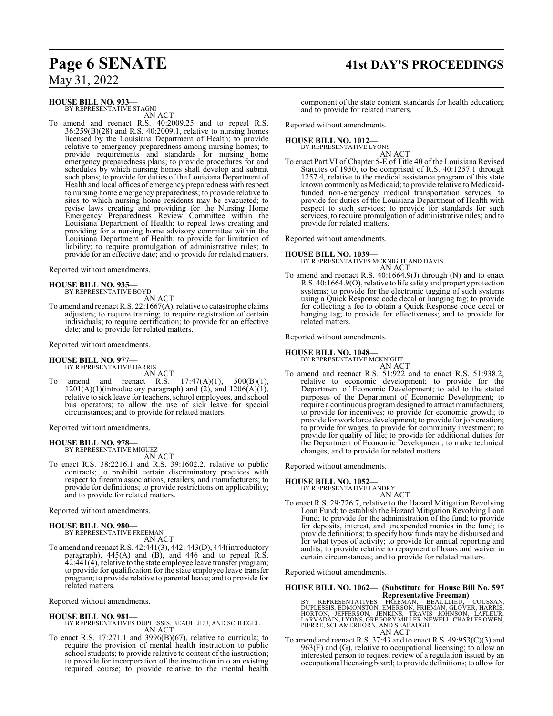# **Page 6 SENATE 41st DAY'S PROCEEDINGS**

May 31, 2022

### **HOUSE BILL NO. 933—**

BY REPRESENTATIVE STAGNI AN ACT

To amend and reenact R.S. 40:2009.25 and to repeal R.S. 36:259(B)(28) and R.S. 40:2009.1, relative to nursing homes licensed by the Louisiana Department of Health; to provide relative to emergency preparedness among nursing homes; to provide requirements and standards for nursing home emergency preparedness plans; to provide procedures for and schedules by which nursing homes shall develop and submit such plans; to provide for duties of the Louisiana Department of Health and local offices of emergency preparedness with respect to nursing home emergency preparedness; to provide relative to sites to which nursing home residents may be evacuated; to revise laws creating and providing for the Nursing Home Emergency Preparedness Review Committee within the Louisiana Department of Health; to repeal laws creating and providing for a nursing home advisory committee within the Louisiana Department of Health; to provide for limitation of liability; to require promulgation of administrative rules; to provide for an effective date; and to provide for related matters.

Reported without amendments.

### **HOUSE BILL NO. 935—**

BY REPRESENTATIVE BOYD

AN ACT To amend and reenact R.S. 22:1667(A), relative to catastrophe claims adjusters; to require training; to require registration of certain individuals; to require certification; to provide for an effective date; and to provide for related matters.

Reported without amendments.

### **HOUSE BILL NO. 977—**

BY REPRESENTATIVE HARRIS

AN ACT To amend and reenact R.S. 17:47(A)(1), 500(B)(1),  $1201(A)(1)$ (introductory paragraph) and  $(2)$ , and  $1206(A)(1)$ , relative to sick leave for teachers, school employees, and school bus operators; to allow the use of sick leave for special circumstances; and to provide for related matters.

Reported without amendments.

### **HOUSE BILL NO. 978—**

BY REPRESENTATIVE MIGUEZ AN ACT

To enact R.S. 38:2216.1 and R.S. 39:1602.2, relative to public contracts; to prohibit certain discriminatory practices with respect to firearm associations, retailers, and manufacturers; to provide for definitions; to provide restrictions on applicability; and to provide for related matters.

Reported without amendments.

**HOUSE BILL NO. 980—** BY REPRESENTATIVE FREEMAN AN ACT

To amend and reenact R.S. 42:441(3), 442, 443(D), 444(introductory paragraph), 445(A) and (B), and 446 and to repeal R.S. 42:441(4), relative to the state employee leave transfer program; to provide for qualification for the state employee leave transfer program; to provide relative to parental leave; and to provide for related matters.

Reported without amendments.

### **HOUSE BILL NO. 981—**

- BY REPRESENTATIVES DUPLESSIS, BEAULLIEU, AND SCHLEGEL AN ACT
- To enact R.S. 17:271.1 and 3996(B)(67), relative to curricula; to require the provision of mental health instruction to public school students; to provide relative to content of the instruction; to provide for incorporation of the instruction into an existing required course; to provide relative to the mental health

component of the state content standards for health education; and to provide for related matters.

Reported without amendments.

### **HOUSE BILL NO. 1012—**

BY REPRESENTATIVE LYONS AN ACT

To enact Part VI of Chapter 5-E of Title 40 of the Louisiana Revised Statutes of 1950, to be comprised of R.S. 40:1257.1 through 1257.4, relative to the medical assistance program of this state known commonly as Medicaid; to provide relative to Medicaidfunded non-emergency medical transportation services; to provide for duties of the Louisiana Department of Health with respect to such services; to provide for standards for such services; to require promulgation of administrative rules; and to provide for related matters.

Reported without amendments.

### **HOUSE BILL NO. 1039—**

BY REPRESENTATIVES MCKNIGHT AND DAVIS AN ACT

To amend and reenact R.S. 40:1664.9(J) through (N) and to enact R.S. 40:1664.9(O), relative to life safety and property protection systems; to provide for the electronic tagging of such systems using a Quick Response code decal or hanging tag; to provide for collecting a fee to obtain a Quick Response code decal or hanging tag; to provide for effectiveness; and to provide for related matters.

Reported without amendments.

### **HOUSE BILL NO. 1048—**

BY REPRESENTATIVE MCKNIGHT AN ACT

To amend and reenact R.S. 51:922 and to enact R.S. 51:938.2, relative to economic development; to provide for the Department of Economic Development; to add to the stated purposes of the Department of Economic Development; to require a continuous programdesigned to attract manufacturers; to provide for incentives; to provide for economic growth; to provide for workforce development; to provide for job creation; to provide for wages; to provide for community investment; to provide for quality of life; to provide for additional duties for the Department of Economic Development; to make technical changes; and to provide for related matters.

Reported without amendments.

### **HOUSE BILL NO. 1052—**

BY REPRESENTATIVE LANDRY

- AN ACT
- To enact R.S. 29:726.7, relative to the Hazard Mitigation Revolving Loan Fund; to establish the Hazard Mitigation Revolving Loan Fund; to provide for the administration of the fund; to provide for deposits, interest, and unexpended monies in the fund; to provide definitions; to specify how funds may be disbursed and for what types of activity; to provide for annual reporting and audits; to provide relative to repayment of loans and waiver in certain circumstances; and to provide for related matters.

Reported without amendments.

# **HOUSE BILL NO. 1062— (Substitute for House Bill No. 597**

**Representative Freeman)**<br> **REPRESENTATIVES** FREEMAN, BEAULLIEU, COUSSAN,<br>
DUPLESSIS, EDMONSTON, EMERSON, FRIEMAN, GLOVER, HARRIS,<br>
HORTON, JEFFERSON, JENKINS, TRAVIS JOHNSON, LAFLEUR,<br>
LARVADAIN, LYONS, GREGORY MILLER, NE

To amend and reenact R.S. 37:43 and to enact R.S. 49:953(C)(3) and 963(F) and (G), relative to occupational licensing; to allow an interested person to request review of a regulation issued by an occupational licensing board; to provide definitions; to allowfor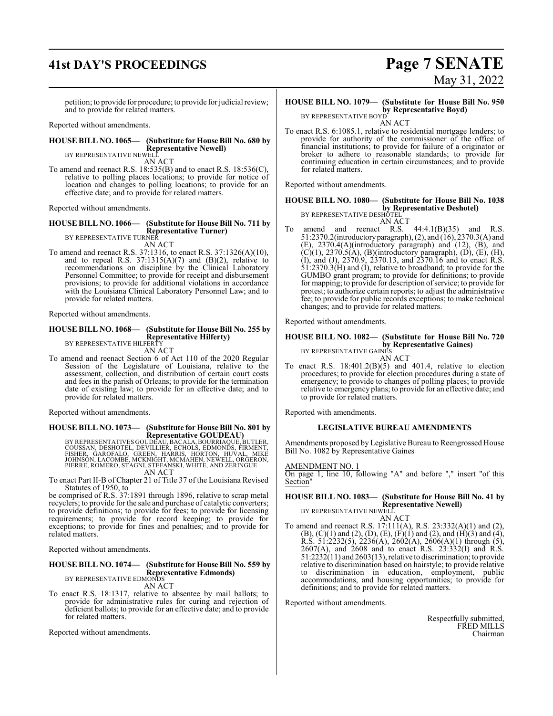# **41st DAY'S PROCEEDINGS Page 7 SENATE**

petition; to provide for procedure; to provide for judicial review; and to provide for related matters.

Reported without amendments.

### **HOUSE BILL NO. 1065— (Substitute for House Bill No. 680 by Representative Newell)** BY REPRESENTATIVE NEWELL

AN ACT

To amend and reenact R.S. 18:535(B) and to enact R.S. 18:536(C), relative to polling places locations; to provide for notice of location and changes to polling locations; to provide for an effective date; and to provide for related matters.

Reported without amendments.

### **HOUSE BILL NO. 1066— (Substitute for House Bill No. 711 by Representative Turner)** BY REPRESENTATIVE TURNER

AN ACT

To amend and reenact R.S. 37:1316, to enact R.S. 37:1326(A)(10), and to repeal R.S.  $37:1315(A)(7)$  and  $(B)(2)$ , relative to recommendations on discipline by the Clinical Laboratory Personnel Committee; to provide for receipt and disbursement provisions; to provide for additional violations in accordance with the Louisiana Clinical Laboratory Personnel Law; and to provide for related matters.

Reported without amendments.

### **HOUSE BILL NO. 1068— (Substitute for House Bill No. 255 by Representative Hilferty)**<br>BY REPRESENTATIVE HILFERTY AN ACT

To amend and reenact Section 6 of Act 110 of the 2020 Regular Session of the Legislature of Louisiana, relative to the assessment, collection, and distribution of certain court costs and fees in the parish of Orleans; to provide for the termination date of existing law; to provide for an effective date; and to provide for related matters.

Reported without amendments.

# **HOUSE BILL NO. 1073— (Substitute for House Bill No. 801 by**

**Representative GOUDEAU)**<br>EQUISSAN, DESHOTEL, DEVILLIER, ECALA, BOURRIAQUE, BUTLER,<br>COUSSAN, DESHOTEL, DEVILLIER, ECHOLS, EDMONDS, FIRMENT,<br>JOHNSON, LACOMBE, MCKNIGHT, MCMAHEN, NEWELL, ORGERON,<br>PIERRE, ROMERO, STAGNI, STEF AN ACT

To enact Part II-B of Chapter 21 of Title 37 of the Louisiana Revised Statutes of 1950, to

be comprised of R.S. 37:1891 through 1896, relative to scrap metal recyclers; to provide for the sale and purchase of catalytic converters; to provide definitions; to provide for fees; to provide for licensing requirements; to provide for record keeping; to provide for exceptions; to provide for fines and penalties; and to provide for related matters.

Reported without amendments.

#### **HOUSE BILL NO. 1074— (Substitute for House Bill No. 559 by Representative Edmonds)** BY REPRESENTATIVE EDMONDS

AN ACT

To enact R.S. 18:1317, relative to absentee by mail ballots; to provide for administrative rules for curing and rejection of deficient ballots; to provide for an effective date; and to provide for related matters.

Reported without amendments.

# May 31, 2022

### **HOUSE BILL NO. 1079— (Substitute for House Bill No. 950 by Representative Boyd)**

BY REPRESENTATIVE BOYD AN ACT

To enact R.S. 6:1085.1, relative to residential mortgage lenders; to provide for authority of the commissioner of the office of financial institutions; to provide for failure of a originator or broker to adhere to reasonable standards; to provide for continuing education in certain circumstances; and to provide for related matters.

Reported without amendments.

### **HOUSE BILL NO. 1080— (Substitute for House Bill No. 1038 by Representative Deshotel)**

BY REPRESENTATIVE DESHOTEL AN ACT

To amend and reenact R.S. 44:4.1(B)(35) and R.S. 51:2370.2(introductoryparagraph), (2), and (16), 2370.3(A) and (E), 2370.4(A)(introductory paragraph) and (12), (B), and  $(C)(1)$ , 2370.5(A), (B)(introductory paragraph), (D), (E), (H), (I), and (J), 2370.9, 2370.13, and 2370.16 and to enact R.S. 51:2370.3(H) and (I), relative to broadband; to provide for the GUMBO grant program; to provide for definitions; to provide for mapping; to provide for description of service; to provide for protest; to authorize certain reports; to adjust the administrative fee; to provide for public records exceptions; to make technical changes; and to provide for related matters.

Reported without amendments.

### **HOUSE BILL NO. 1082— (Substitute for House Bill No. 720 by Representative Gaines)**

BY REPRESENTATIVE GAINES AN ACT

To enact R.S.  $18:401.2(B)(5)$  and  $401.4$ , relative to election procedures; to provide for election procedures during a state of emergency; to provide to changes of polling places; to provide relative to emergency plans; to provide for an effective date; and to provide for related matters.

Reported with amendments.

### **LEGISLATIVE BUREAU AMENDMENTS**

Amendments proposed by Legislative Bureau to Reengrossed House Bill No. 1082 by Representative Gaines

### AMENDMENT NO. 1

On page 1, line 10, following "A" and before "," insert "of this Section<sup>1</sup>

#### **HOUSE BILL NO. 1083— (Substitute for House Bill No. 41 by Representative Newell)** BY REPRESENTATIVE NEWELL

AN ACT To amend and reenact R.S. 17:111(A), R.S. 23:332(A)(1) and (2),  $(B)$ ,  $(C)(1)$  and  $(2)$ ,  $(D)$ ,  $(E)$ ,  $(F)(1)$  and  $(2)$ , and  $(H)(3)$  and  $(4)$ , R.S. 51:2232(5), 2236(A), 2602(A), 2606(A)(1) through (5), 2607(A), and 2608 and to enact R.S. 23:332(I) and R.S. 51:2232(11) and 2603(13), relative to discrimination; to provide relative to discrimination based on hairstyle; to provide relative to discrimination in education, employment, public accommodations, and housing opportunities; to provide for definitions; and to provide for related matters.

Reported without amendments.

Respectfully submitted, FRED MILLS Chairman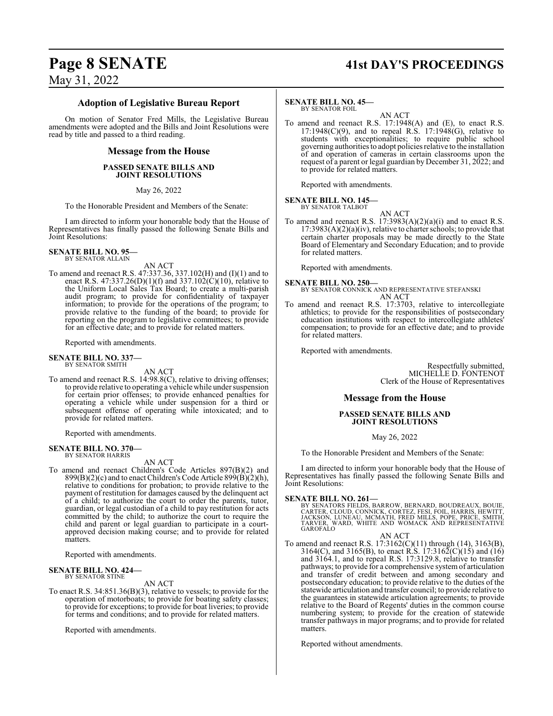# **Page 8 SENATE 41st DAY'S PROCEEDINGS**

May 31, 2022

### **Adoption of Legislative Bureau Report**

On motion of Senator Fred Mills, the Legislative Bureau amendments were adopted and the Bills and Joint Resolutions were read by title and passed to a third reading.

### **Message from the House**

### **PASSED SENATE BILLS AND JOINT RESOLUTIONS**

May 26, 2022

To the Honorable President and Members of the Senate:

I am directed to inform your honorable body that the House of Representatives has finally passed the following Senate Bills and Joint Resolutions:

**SENATE BILL NO. 95—** BY SENATOR ALLAIN

- AN ACT
- To amend and reenact R.S. 47:337.36, 337.102(H) and (I)(1) and to enact R.S. 47:337.26(D)(1)(f) and 337.102(C)(10), relative to the Uniform Local Sales Tax Board; to create a multi-parish audit program; to provide for confidentiality of taxpayer information; to provide for the operations of the program; to provide relative to the funding of the board; to provide for reporting on the program to legislative committees; to provide for an effective date; and to provide for related matters.

Reported with amendments.

### **SENATE BILL NO. 337—** BY SENATOR SMITH

AN ACT

To amend and reenact R.S. 14:98.8(C), relative to driving offenses; to provide relative to operating a vehicle while under suspension for certain prior offenses; to provide enhanced penalties for operating a vehicle while under suspension for a third or subsequent offense of operating while intoxicated; and to provide for related matters.

Reported with amendments.

#### **SENATE BILL NO. 370—** BY SENATOR HARRIS

AN ACT

To amend and reenact Children's Code Articles 897(B)(2) and  $899(B)(2)(c)$  and to enact Children's Code Article  $899(B)(2)(h)$ , relative to conditions for probation; to provide relative to the payment of restitution for damages caused by the delinquent act of a child; to authorize the court to order the parents, tutor, guardian, or legal custodian of a child to pay restitution for acts committed by the child; to authorize the court to require the child and parent or legal guardian to participate in a courtapproved decision making course; and to provide for related matters.

Reported with amendments.

### **SENATE BILL NO. 424—** BY SENATOR STINE

### AN ACT

To enact R.S. 34:851.36(B)(3), relative to vessels; to provide for the operation of motorboats; to provide for boating safety classes; to provide for exceptions; to provide for boat liveries; to provide for terms and conditions; and to provide for related matters.

Reported with amendments.

### **SENATE BILL NO. 45—**

BY SENATOR FOIL

AN ACT To amend and reenact R.S. 17:1948(A) and (E), to enact R.S.  $17:1948(C)(9)$ , and to repeal R.S.  $17:1948(G)$ , relative to students with exceptionalities; to require public school governing authorities to adopt policies relative to the installation of and operation of cameras in certain classrooms upon the request of a parent or legal guardian by December 31, 2022; and to provide for related matters.

Reported with amendments.

**SENATE BILL NO. 145—** BY SENATOR TALBOT

AN ACT

To amend and reenact R.S.  $17:3983(A)(2)(a)(i)$  and to enact R.S.  $17:3983(A)(2)(a)(iv)$ , relative to charter schools; to provide that certain charter proposals may be made directly to the State Board of Elementary and Secondary Education; and to provide for related matters.

Reported with amendments.

### **SENATE BILL NO. 250—**

BY SENATOR CONNICK AND REPRESENTATIVE STEFANSKI AN ACT

To amend and reenact R.S. 17:3703, relative to intercollegiate athletics; to provide for the responsibilities of postsecondary education institutions with respect to intercollegiate athletes' compensation; to provide for an effective date; and to provide for related matters.

Reported with amendments.

Respectfully submitted, MICHELLE D. FONTENOT Clerk of the House of Representatives

### **Message from the House**

### **PASSED SENATE BILLS AND JOINT RESOLUTIONS**

May 26, 2022

To the Honorable President and Members of the Senate:

I am directed to inform your honorable body that the House of Representatives has finally passed the following Senate Bills and Joint Resolutions:

### **SENATE BILL NO. 261—**

BY SENATORS FIELDS, BARROW, BERNARD, BOUDREAUX, BOUIE,<br>CARTER, CLOUD, CONNICK, CORTEZ, FESI, FOIL, HARRIS, HEWITT,<br>JACKSON, LUNEAU, MCMATH, FRED MILLS, POPE, PRICE, SMITH,<br>TARVER, WARD, WHITE AND WOMACK AND REPRESENTATIVE GAROFALO

AN ACT

To amend and reenact R.S. 17:3162(C)(11) through (14), 3163(B), 3164(C), and 3165(B), to enact R.S. 17:3162(C)(15) and (16) and 3164.1, and to repeal R.S. 17:3129.8, relative to transfer pathways; to provide for a comprehensive systemof articulation and transfer of credit between and among secondary and postsecondary education; to provide relative to the duties of the statewide articulation and transfer council; to provide relative to the guarantees in statewide articulation agreements; to provide relative to the Board of Regents' duties in the common course numbering system; to provide for the creation of statewide transfer pathways in major programs; and to provide for related matters.

Reported without amendments.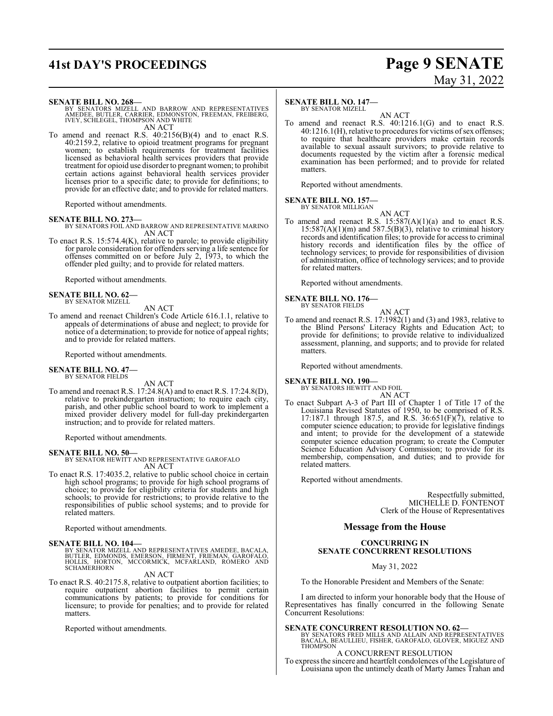# **41st DAY'S PROCEEDINGS Page 9 SENATE**

# May 31, 2022

### **SENATE BILL NO. 268—**

BY SENATORS MIZELL AND BARROW AND REPRESENTATIVES<br>AMEDEE, BUTLER, CARRIER, EDMONSTON, FREEMAN, FREIBERG,<br>IVEY, SCHLEGEL, THOMPSON AND WHITE AN ACT

To amend and reenact R.S. 40:2156(B)(4) and to enact R.S. 40:2159.2, relative to opioid treatment programs for pregnant women; to establish requirements for treatment facilities licensed as behavioral health services providers that provide treatment for opioid use disorder to pregnant women; to prohibit certain actions against behavioral health services provider licenses prior to a specific date; to provide for definitions; to provide for an effective date; and to provide for related matters.

Reported without amendments.

### **SENATE BILL NO. 273—**

BY SENATORS FOIL AND BARROW AND REPRESENTATIVE MARINO AN ACT

To enact R.S. 15:574.4(K), relative to parole; to provide eligibility for parole consideration for offenders serving a life sentence for offenses committed on or before July 2, 1973, to which the offender pled guilty; and to provide for related matters.

Reported without amendments.

#### **SENATE BILL NO. 62—** BY SENATOR MIZELL

AN ACT

To amend and reenact Children's Code Article 616.1.1, relative to appeals of determinations of abuse and neglect; to provide for notice of a determination; to provide for notice of appeal rights; and to provide for related matters.

Reported without amendments.

#### **SENATE BILL NO. 47—** BY SENATOR FIELDS

AN ACT

To amend and reenact R.S. 17:24.8(A) and to enact R.S. 17:24.8(D), relative to prekindergarten instruction; to require each city, parish, and other public school board to work to implement a mixed provider delivery model for full-day prekindergarten instruction; and to provide for related matters.

Reported without amendments.

**SENATE BILL NO. 50—** BY SENATOR HEWITT AND REPRESENTATIVE GAROFALO AN ACT

To enact R.S. 17:4035.2, relative to public school choice in certain high school programs; to provide for high school programs of choice; to provide for eligibility criteria for students and high schools; to provide for restrictions; to provide relative to the responsibilities of public school systems; and to provide for related matters.

Reported without amendments.

### **SENATE BILL NO. 104—**

BY SENATOR MIZELL AND REPRESENTATIVES AMEDEE, BACALA,<br>BUTLER, EDMONDS, EMERSON, FIRMENT, FRIEMAN, GAROFALO,<br>HOLLIS, HORTON, MCCORMICK, MCFARLAND, ROMERO AND SCHAMERHORN

### AN ACT

To enact R.S. 40:2175.8, relative to outpatient abortion facilities; to require outpatient abortion facilities to permit certain communications by patients; to provide for conditions for licensure; to provide for penalties; and to provide for related matters.

Reported without amendments.

### **SENATE BILL NO. 147—**

BY SENATOR MIZELL AN ACT

To amend and reenact R.S. 40:1216.1(G) and to enact R.S. 40:1216.1(H), relative to procedures for victims of sex offenses; to require that healthcare providers make certain records available to sexual assault survivors; to provide relative to documents requested by the victim after a forensic medical examination has been performed; and to provide for related matters.

Reported without amendments.

#### **SENATE BILL NO. 157** BY SENATOR MILLIGAN

AN ACT

To amend and reenact R.S.  $15:587(A)(1)(a)$  and to enact R.S.  $15:587(A)(1)(m)$  and  $587.5(B)(3)$ , relative to criminal history records and identification files; to provide for access to criminal history records and identification files by the office of technology services; to provide for responsibilities of division of administration, office of technology services; and to provide for related matters.

Reported without amendments.

### **SENATE BILL NO. 176—**

BY SENATOR FIELDS AN ACT

To amend and reenact R.S. 17:1982(1) and (3) and 1983, relative to the Blind Persons' Literacy Rights and Education Act; to provide for definitions; to provide relative to individualized assessment, planning, and supports; and to provide for related matters.

Reported without amendments.

### **SENATE BILL NO. 190—**

BY SENATORS HEWITT AND FOIL AN ACT

To enact Subpart A-3 of Part III of Chapter 1 of Title 17 of the Louisiana Revised Statutes of 1950, to be comprised of R.S. 17:187.1 through 187.5, and R.S.  $36:651(F)(7)$ , relative to computer science education; to provide for legislative findings and intent; to provide for the development of a statewide computer science education program; to create the Computer Science Education Advisory Commission; to provide for its membership, compensation, and duties; and to provide for related matters.

Reported without amendments.

Respectfully submitted, MICHELLE D. FONTENOT Clerk of the House of Representatives

### **Message from the House**

### **CONCURRING IN SENATE CONCURRENT RESOLUTIONS**

May 31, 2022

To the Honorable President and Members of the Senate:

I am directed to inform your honorable body that the House of Representatives has finally concurred in the following Senate Concurrent Resolutions:

### **SENATE CONCURRENT RESOLUTION NO. 62—**

BY SENATORS FRED MILLS AND ALLAIN AND REPRESENTATIVES BACALA, BEAULLIEU, FISHER, GAROFALO, GLOVER, MIGUEZ AND THOMPSON

A CONCURRENT RESOLUTION

To express the sincere and heartfelt condolences of the Legislature of Louisiana upon the untimely death of Marty James Trahan and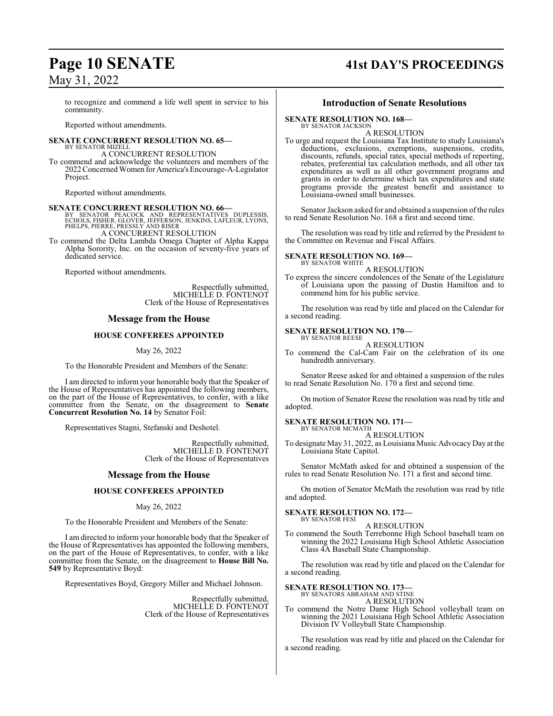### May 31, 2022

to recognize and commend a life well spent in service to his community.

Reported without amendments.

#### **SENATE CONCURRENT RESOLUTION NO. 65—** BY SENATOR MIZELL

### A CONCURRENT RESOLUTION

To commend and acknowledge the volunteers and members of the 2022 Concerned Women for America'sEncourage-A-Legislator Project.

Reported without amendments.

**SENATE CONCURRENT RESOLUTION NO. 66—**<br>
BY SENATOR PEACOCK AND REPRESENTATIVES DUPLESSIS,<br>
ECHOLS, FISHER, GLOVER, JEFFERSON, JENKINS, LAFLEUR, LYONS,<br>
PHELPS, PIERRE, PRESSLY AND RISER A CONCURRENT RESOLUTION

To commend the Delta Lambda Omega Chapter of Alpha Kappa Alpha Sorority, Inc. on the occasion of seventy-five years of dedicated service.

Reported without amendments.

Respectfully submitted, MICHELLE D. FONTENOT Clerk of the House of Representatives

### **Message from the House**

### **HOUSE CONFEREES APPOINTED**

### May 26, 2022

To the Honorable President and Members of the Senate:

I am directed to inform your honorable body that the Speaker of the House of Representatives has appointed the following members, on the part of the House of Representatives, to confer, with a like committee from the Senate, on the disagreement to **Senate Concurrent Resolution No. 14** by Senator Foil:

Representatives Stagni, Stefanski and Deshotel.

Respectfully submitted, MICHELLE D. FONTENOT Clerk of the House of Representatives

### **Message from the House**

### **HOUSE CONFEREES APPOINTED**

### May 26, 2022

To the Honorable President and Members of the Senate:

I am directed to inform your honorable body that the Speaker of the House of Representatives has appointed the following members, on the part of the House of Representatives, to confer, with a like committee from the Senate, on the disagreement to **House Bill No. 549** by Representative Boyd:

Representatives Boyd, Gregory Miller and Michael Johnson.

Respectfully submitted, MICHELLE D. FONTENOT Clerk of the House of Representatives

## **Page 10 SENATE 41st DAY'S PROCEEDINGS**

### **Introduction of Senate Resolutions**

**SENATE RESOLUTION NO. 168—** BY SENATOR JACKSON

A RESOLUTION

To urge and request the Louisiana Tax Institute to study Louisiana's deductions, exclusions, exemptions, suspensions, credits, discounts, refunds, special rates, special methods of reporting, rebates, preferential tax calculation methods, and all other tax expenditures as well as all other government programs and grants in order to determine which tax expenditures and state programs provide the greatest benefit and assistance to Louisiana-owned small businesses.

Senator Jackson asked for and obtained a suspension of the rules to read Senate Resolution No. 168 a first and second time.

The resolution was read by title and referred by the President to the Committee on Revenue and Fiscal Affairs.

### **SENATE RESOLUTION NO. 169—** BY SENATOR WHITE

A RESOLUTION

To express the sincere condolences of the Senate of the Legislature of Louisiana upon the passing of Dustin Hamilton and to commend him for his public service.

The resolution was read by title and placed on the Calendar for a second reading.

### **SENATE RESOLUTION NO. 170—** BY SENATOR REESE

### A RESOLUTION

To commend the Cal-Cam Fair on the celebration of its one hundredth anniversary.

Senator Reese asked for and obtained a suspension of the rules to read Senate Resolution No. 170 a first and second time.

On motion of Senator Reese the resolution was read by title and adopted.

### **SENATE RESOLUTION NO. 171—**

BY SENATOR MCMATH A RESOLUTION

To designate May 31, 2022, as Louisiana Music Advocacy Day at the Louisiana State Capitol.

Senator McMath asked for and obtained a suspension of the rules to read Senate Resolution No. 171 a first and second time.

On motion of Senator McMath the resolution was read by title and adopted.

### **SENATE RESOLUTION NO. 172—**

BY SENATOR FESI A RESOLUTION

To commend the South Terrebonne High School baseball team on winning the 2022 Louisiana High School Athletic Association Class 4A Baseball State Championship.

The resolution was read by title and placed on the Calendar for a second reading.

### **SENATE RESOLUTION NO. 173—** BY SENATORS ABRAHAM AND STINE

### A RESOLUTION

To commend the Notre Dame High School volleyball team on winning the 2021 Louisiana High School Athletic Association Division IV Volleyball State Championship.

The resolution was read by title and placed on the Calendar for a second reading.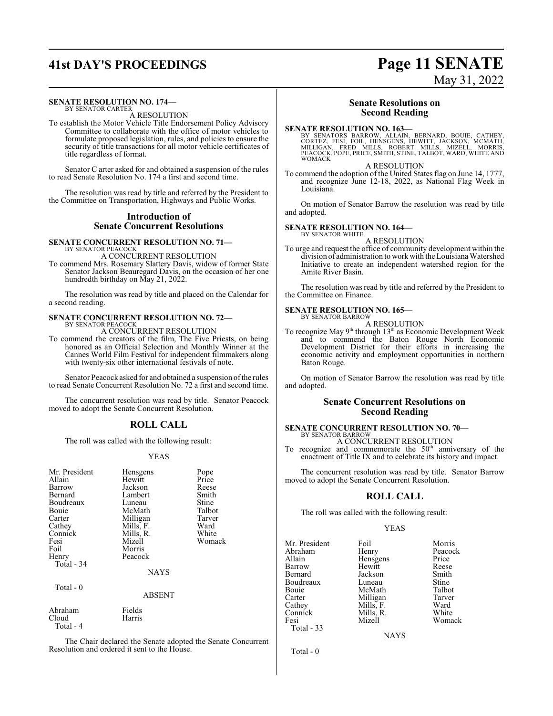# **41st DAY'S PROCEEDINGS Page 11 SENATE**

### **SENATE RESOLUTION NO. 174—**

BY SENATOR CARTER A RESOLUTION

To establish the Motor Vehicle Title Endorsement Policy Advisory Committee to collaborate with the office of motor vehicles to formulate proposed legislation, rules, and policies to ensure the security of title transactions for all motor vehicle certificates of title regardless of format.

Senator C arter asked for and obtained a suspension of the rules to read Senate Resolution No. 174 a first and second time.

The resolution was read by title and referred by the President to the Committee on Transportation, Highways and Public Works.

### **Introduction of Senate Concurrent Resolutions**

### **SENATE CONCURRENT RESOLUTION NO. 71—** BY SENATOR PEACOCK A CONCURRENT RESOLUTION

To commend Mrs. Rosemary Slattery Davis, widow of former State Senator Jackson Beauregard Davis, on the occasion of her one hundredth birthday on May 21, 2022.

The resolution was read by title and placed on the Calendar for a second reading.

## **SENATE CONCURRENT RESOLUTION NO. 72—** BY SENATOR PEACOCK

A CONCURRENT RESOLUTION

To commend the creators of the film, The Five Priests, on being honored as an Official Selection and Monthly Winner at the Cannes World Film Festival for independent filmmakers along with twenty-six other international festivals of note.

Senator Peacock asked for and obtained a suspension ofthe rules to read Senate Concurrent Resolution No. 72 a first and second time.

The concurrent resolution was read by title. Senator Peacock moved to adopt the Senate Concurrent Resolution.

### **ROLL CALL**

The roll was called with the following result:

### YEAS

| Mr. President<br>Allain<br>Barrow<br>Bernard<br>Boudreaux<br>Bouie<br>Carter<br>Cathey<br>Connick<br>Fesi<br>Foil<br>Henry | Hensgens<br>Hewitt<br>Jackson<br>Lambert<br>Luneau<br>McMath<br>Milligan<br>Mills, F.<br>Mills, R.<br>Mizell<br>Morris<br>Peacock | Pope<br>Price<br>Reese<br>Smith<br>Stine<br>Talbot<br>Tarver<br>Ward<br>White<br>Womack |
|----------------------------------------------------------------------------------------------------------------------------|-----------------------------------------------------------------------------------------------------------------------------------|-----------------------------------------------------------------------------------------|
| Total - 34                                                                                                                 | <b>NAYS</b>                                                                                                                       |                                                                                         |
| Total - 0                                                                                                                  | ABSENT                                                                                                                            |                                                                                         |
| Abraham<br>Cloud<br>Total - 4                                                                                              | Fields<br>Harris                                                                                                                  |                                                                                         |

The Chair declared the Senate adopted the Senate Concurrent Resolution and ordered it sent to the House.

# May 31, 2022

### **Senate Resolutions on Second Reading**

**SENATE RESOLUTION NO. 163—**<br>BY SENATORS BARROW, ALLAIN, BERNARD, BOUIE, CATHEY, CORTEZ, FESI, FOIL, HENSGENS, HEWITT, JACKSON, MCMATH,<br>MILLIGAN, FRED MILLS, ROBERT MILLS, MIZELL, MORRIS,<br>PEACOCK, POPE, PRICE, SMITH, STINE WOMACK

A RESOLUTION

To commend the adoption of the United States flag on June 14, 1777, and recognize June 12-18, 2022, as National Flag Week in Louisiana.

On motion of Senator Barrow the resolution was read by title and adopted.

#### **SENATE RESOLUTION NO. 164—** BY SENATOR WHITE

A RESOLUTION

To urge and request the office of community development within the division of administration to workwith the Louisiana Watershed Initiative to create an independent watershed region for the Amite River Basin.

The resolution was read by title and referred by the President to the Committee on Finance.

#### **SENATE RESOLUTION NO. 165—** BY SENATOR BARROW

A RESOLUTION

To recognize May 9<sup>th</sup> through 13<sup>th</sup> as Economic Development Week and to commend the Baton Rouge North Economic Development District for their efforts in increasing the economic activity and employment opportunities in northern Baton Rouge.

On motion of Senator Barrow the resolution was read by title and adopted.

### **Senate Concurrent Resolutions on Second Reading**

### **SENATE CONCURRENT RESOLUTION NO. 70—** BY SENATOR BARROW

A CONCURRENT RESOLUTION

To recognize and commemorate the  $50<sup>th</sup>$  anniversary of the enactment of Title IX and to celebrate its history and impact.

The concurrent resolution was read by title. Senator Barrow moved to adopt the Senate Concurrent Resolution.

### **ROLL CALL**

The roll was called with the following result:

### YEAS

| Mr. President | Foil        | Morris  |
|---------------|-------------|---------|
| Abraham       | Henry       | Peacock |
| Allain        | Hensgens    | Price   |
| Barrow        | Hewitt      | Reese   |
| Bernard       | Jackson     | Smith   |
| Boudreaux     | Luneau      | Stine   |
| Bouie         | McMath      | Talbot  |
| Carter        | Milligan    | Tarver  |
| Cathey        | Mills, F.   | Ward    |
| Connick       | Mills, R.   | White   |
| Fesi          | Mizell      | Womack  |
| Total - 33    |             |         |
|               | <b>NAYS</b> |         |
|               |             |         |

Total - 0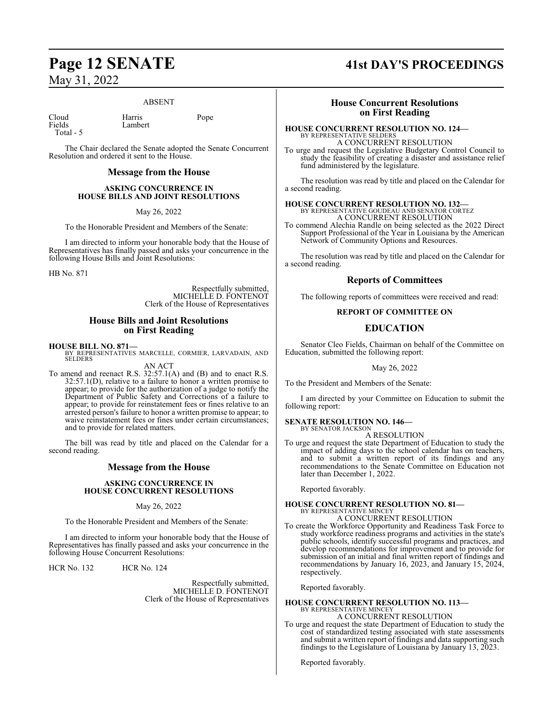### May 31, 2022

### ABSENT

Cloud Harris Pope Fields Lambert Total - 5

The Chair declared the Senate adopted the Senate Concurrent Resolution and ordered it sent to the House.

### **Message from the House**

### **ASKING CONCURRENCE IN HOUSE BILLS AND JOINT RESOLUTIONS**

May 26, 2022

To the Honorable President and Members of the Senate:

I am directed to inform your honorable body that the House of Representatives has finally passed and asks your concurrence in the following House Bills and Joint Resolutions:

HB No. 871

Respectfully submitted, MICHELLE D. FONTENOT Clerk of the House of Representatives

### **House Bills and Joint Resolutions on First Reading**

### **HOUSE BILL NO. 871—**

BY REPRESENTATIVES MARCELLE, CORMIER, LARVADAIN, AND SELDERS

AN ACT To amend and reenact R.S. 32:57.1(A) and (B) and to enact R.S. 32:57.1(D), relative to a failure to honor a written promise to appear; to provide for the authorization of a judge to notify the Department of Public Safety and Corrections of a failure to appear; to provide for reinstatement fees or fines relative to an arrested person's failure to honor a written promise to appear; to waive reinstatement fees or fines under certain circumstances; and to provide for related matters.

The bill was read by title and placed on the Calendar for a second reading.

### **Message from the House**

### **ASKING CONCURRENCE IN HOUSE CONCURRENT RESOLUTIONS**

May 26, 2022

To the Honorable President and Members of the Senate:

I am directed to inform your honorable body that the House of Representatives has finally passed and asks your concurrence in the following House Concurrent Resolutions:

HCR No. 132 HCR No. 124

Respectfully submitted, MICHELLE D. FONTENOT Clerk of the House of Representatives

# **Page 12 SENATE 41st DAY'S PROCEEDINGS**

### **House Concurrent Resolutions on First Reading**

### **HOUSE CONCURRENT RESOLUTION NO. 124—** BY REPRESENTATIVE SELDERS

A CONCURRENT RESOLUTION

To urge and request the Legislative Budgetary Control Council to study the feasibility of creating a disaster and assistance relief fund administered by the legislature.

The resolution was read by title and placed on the Calendar for a second reading.

### **HOUSE CONCURRENT RESOLUTION NO. 132—** BY REPRESENTATIVE GOUDEAU AND SENATOR CORTEZ

A CONCURRENT RESOLUTION

To commend Alechia Randle on being selected as the 2022 Direct Support Professional of the Year in Louisiana by the American Network of Community Options and Resources.

The resolution was read by title and placed on the Calendar for a second reading.

### **Reports of Committees**

The following reports of committees were received and read:

### **REPORT OF COMMITTEE ON**

### **EDUCATION**

Senator Cleo Fields, Chairman on behalf of the Committee on Education, submitted the following report:

### May 26, 2022

To the President and Members of the Senate:

I am directed by your Committee on Education to submit the following report:

#### **SENATE RESOLUTION NO. 146—** BY SENATOR JACKSON

A RESOLUTION

To urge and request the state Department of Education to study the impact of adding days to the school calendar has on teachers, and to submit a written report of its findings and any recommendations to the Senate Committee on Education not later than December 1, 2022.

Reported favorably.

# **HOUSE CONCURRENT RESOLUTION NO. 81—** BY REPRESENTATIVE MINCEY

A CONCURRENT RESOLUTION

To create the Workforce Opportunity and Readiness Task Force to study workforce readiness programs and activities in the state's public schools, identify successful programs and practices, and develop recommendations for improvement and to provide for submission of an initial and final written report of findings and recommendations by January 16, 2023, and January 15, 2024, respectively.

Reported favorably.

### **HOUSE CONCURRENT RESOLUTION NO. 113—** BY REPRESENTATIVE MINCEY A CONCURRENT RESOLUTION

To urge and request the state Department of Education to study the cost of standardized testing associated with state assessments and submit a written report of findings and data supporting such findings to the Legislature of Louisiana by January 13, 2023.

Reported favorably.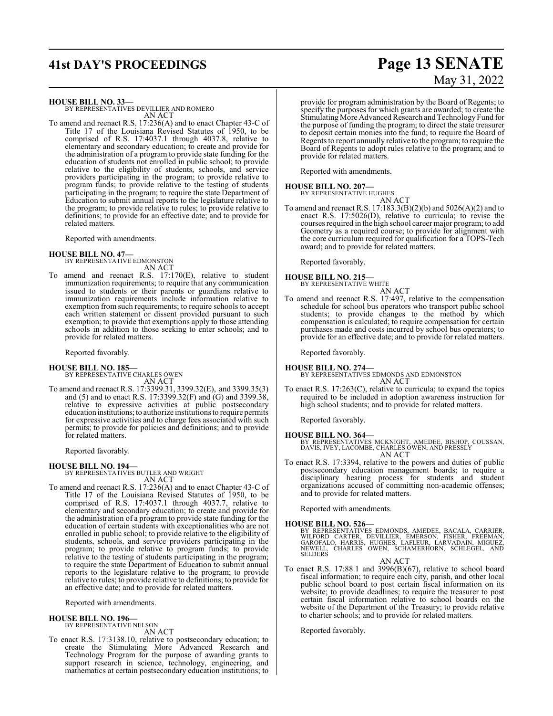# **41st DAY'S PROCEEDINGS Page 13 SENATE**

### **HOUSE BILL NO. 33—**

BY REPRESENTATIVES DEVILLIER AND ROMERO AN ACT

To amend and reenact R.S. 17:236(A) and to enact Chapter 43-C of Title 17 of the Louisiana Revised Statutes of 1950, to be comprised of R.S. 17:4037.1 through 4037.8, relative to elementary and secondary education; to create and provide for the administration of a program to provide state funding for the education of students not enrolled in public school; to provide relative to the eligibility of students, schools, and service providers participating in the program; to provide relative to program funds; to provide relative to the testing of students participating in the program; to require the state Department of Education to submit annual reports to the legislature relative to the program; to provide relative to rules; to provide relative to definitions; to provide for an effective date; and to provide for related matters.

Reported with amendments.

### **HOUSE BILL NO. 47—**

BY REPRESENTATIVE EDMONSTON AN ACT

To amend and reenact R.S. 17:170(E), relative to student immunization requirements; to require that any communication issued to students or their parents or guardians relative to immunization requirements include information relative to exemption from such requirements; to require schools to accept each written statement or dissent provided pursuant to such exemption; to provide that exemptions apply to those attending schools in addition to those seeking to enter schools; and to provide for related matters.

Reported favorably.

### **HOUSE BILL NO. 185—**

BY REPRESENTATIVE CHARLES OWEN AN ACT

To amend and reenact R.S. 17:3399.31, 3399.32(E), and 3399.35(3) and (5) and to enact R.S. 17:3399.32(F) and (G) and 3399.38, relative to expressive activities at public postsecondary education institutions;to authorize institutions to require permits for expressive activities and to charge fees associated with such permits; to provide for policies and definitions; and to provide for related matters.

Reported favorably.

**HOUSE BILL NO. 194—** BY REPRESENTATIVES BUTLER AND WRIGHT AN ACT

To amend and reenact R.S. 17:236(A) and to enact Chapter 43-C of Title 17 of the Louisiana Revised Statutes of 1950, to be comprised of R.S. 17:4037.1 through 4037.7, relative to elementary and secondary education; to create and provide for the administration of a program to provide state funding for the education of certain students with exceptionalities who are not enrolled in public school; to provide relative to the eligibility of students, schools, and service providers participating in the program; to provide relative to program funds; to provide relative to the testing of students participating in the program; to require the state Department of Education to submit annual reports to the legislature relative to the program; to provide relative to rules; to provide relative to definitions; to provide for an effective date; and to provide for related matters.

Reported with amendments.

### **HOUSE BILL NO. 196—**

BY REPRESENTATIVE NELSON

AN ACT To enact R.S. 17:3138.10, relative to postsecondary education; to create the Stimulating More Advanced Research and Technology Program for the purpose of awarding grants to support research in science, technology, engineering, and

mathematics at certain postsecondary education institutions; to

provide for program administration by the Board of Regents; to specify the purposes for which grants are awarded; to create the Stimulating More Advanced Research and Technology Fund for the purpose of funding the program; to direct the state treasurer to deposit certain monies into the fund; to require the Board of Regents to report annually relative to the program; to require the Board of Regents to adopt rules relative to the program; and to

provide for related matters. Reported with amendments.

### **HOUSE BILL NO. 207—**

BY REPRESENTATIVE HUGHES AN ACT

To amend and reenact R.S. 17:183.3(B)(2)(b) and 5026(A)(2) and to enact R.S. 17:5026(D), relative to curricula; to revise the courses required in the high school career major program; to add Geometry as a required course; to provide for alignment with the core curriculum required for qualification for a TOPS-Tech award; and to provide for related matters.

Reported favorably.

### **HOUSE BILL NO. 215—**

BY REPRESENTATIVE WHITE AN ACT

To amend and reenact R.S. 17:497, relative to the compensation schedule for school bus operators who transport public school students; to provide changes to the method by which compensation is calculated; to require compensation for certain purchases made and costs incurred by school bus operators; to provide for an effective date; and to provide for related matters.

Reported favorably.

**HOUSE BILL NO. 274—** BY REPRESENTATIVES EDMONDS AND EDMONSTON AN ACT

To enact R.S. 17:263(C), relative to curricula; to expand the topics required to be included in adoption awareness instruction for high school students; and to provide for related matters.

Reported favorably.

**HOUSE BILL NO. 364—** BY REPRESENTATIVES MCKNIGHT, AMEDEE, BISHOP, COUSSAN, DAVIS, IVEY, LACOMBE, CHARLES OWEN, AND PRESSLY AN ACT

To enact R.S. 17:3394, relative to the powers and duties of public postsecondary education management boards; to require a disciplinary hearing process for students and student organizations accused of committing non-academic offenses; and to provide for related matters.

Reported with amendments.

**HOUSE BILL NO. 526—**<br>BY REPRESENTATIVES EDMONDS, AMEDEE, BACALA, CARRIER,<br>WILFORD CARTER, DEVILLIER, EMERSON, FISHER, FREEMAN,<br>GAROFALO, HARRIS, HUGHES, LAFLEUR, LARVADAIN, MIGUEZ,<br>NEWELL, CHARLES OWEN, SCHAMERHORN, SCHLE

AN ACT

To enact R.S. 17:88.1 and 3996(B)(67), relative to school board fiscal information; to require each city, parish, and other local public school board to post certain fiscal information on its website; to provide deadlines; to require the treasurer to post certain fiscal information relative to school boards on the website of the Department of the Treasury; to provide relative to charter schools; and to provide for related matters.

Reported favorably.

# May 31, 2022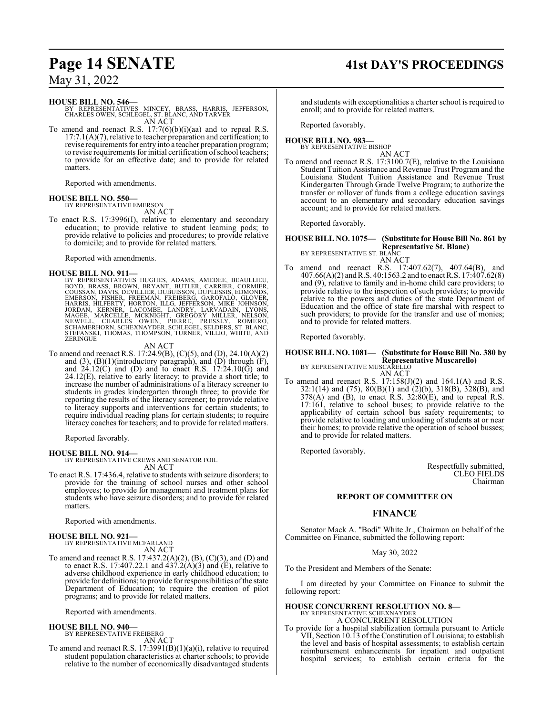# **Page 14 SENATE 41st DAY'S PROCEEDINGS**

### May 31, 2022

### **HOUSE BILL NO. 546—**

BY REPRESENTATIVES MINCEY, BRASS, HARRIS, JEFFERSON, CHARLES OWEN, SCHLEGEL, ST. BLANC, AND TARVER AN ACT

To amend and reenact R.S. 17:7(6)(b)(i)(aa) and to repeal R.S.  $17:7.1(A)(7)$ , relative to teacher preparation and certification; to revise requirements for entry into a teacher preparation program; to revise requirements for initial certification of school teachers; to provide for an effective date; and to provide for related matters.

Reported with amendments.

## **HOUSE BILL NO. 550—** BY REPRESENTATIVE EMERSON

AN ACT

To enact R.S. 17:3996(I), relative to elementary and secondary education; to provide relative to student learning pods; to provide relative to policies and procedures; to provide relative to domicile; and to provide for related matters.

Reported with amendments.

### **HOUSE BILL NO. 911—**

BY REPRESENTATIVES HUGHES, ADAMS, AMEDEE, BEAULLIEU,<br>BOYD, BRASS, BROWN, BRYANT, BUTLER, CARRIER, CORMIER,<br>COUSSAN, DAVIS, DEVILLIER, DUBUISSON, DUPLESSIS, EDMONDS,<br>EMERSON, FISHER, FREEMAN, FREIBERG, GAROFALO, GLOVER,<br>HAR **ZERINGUE** 

### AN ACT

To amend and reenact R.S. 17:24.9(B), (C)(5), and (D), 24.10(A)(2) and  $(3)$ ,  $(B)(1)$ (introductory paragraph), and  $(D)$  through  $(F)$ , and  $24.12(C)$  and (D) and to enact R.S.  $17:24.10(\overline{G})$  and  $24.12(E)$ , relative to early literacy; to provide a short title; to increase the number of administrations of a literacy screener to students in grades kindergarten through three; to provide for reporting the results of the literacy screener; to provide relative to literacy supports and interventions for certain students; to require individual reading plans for certain students; to require literacy coaches for teachers; and to provide for related matters.

Reported favorably.

### **HOUSE BILL NO. 914—**

BY REPRESENTATIVE CREWS AND SENATOR FOIL AN ACT

To enact R.S. 17:436.4, relative to students with seizure disorders; to provide for the training of school nurses and other school employees; to provide for management and treatment plans for students who have seizure disorders; and to provide for related matters.

Reported with amendments.

### **HOUSE BILL NO. 921—** BY REPRESENTATIVE MCFARLAND

AN ACT

To amend and reenact R.S. 17:437.2(A)(2), (B), (C)(3), and (D) and to enact R.S. 17:407.22.1 and  $437.2(A)(3)$  and (E), relative to adverse childhood experience in early childhood education; to provide for definitions; to provide for responsibilities ofthe state Department of Education; to require the creation of pilot programs; and to provide for related matters.

Reported with amendments.

### **HOUSE BILL NO. 940—**

BY REPRESENTATIVE FREIBERG AN ACT

To amend and reenact R.S. 17:3991(B)(1)(a)(i), relative to required student population characteristics at charter schools; to provide relative to the number of economically disadvantaged students

and students with exceptionalities a charter school is required to enroll; and to provide for related matters.

Reported favorably.

### **HOUSE BILL NO. 983—** BY REPRESENTATIVE BISHOP

AN ACT

To amend and reenact R.S. 17:3100.7(E), relative to the Louisiana Student Tuition Assistance and Revenue Trust Program and the Louisiana Student Tuition Assistance and Revenue Trust Kindergarten Through Grade Twelve Program; to authorize the transfer or rollover of funds from a college education savings account to an elementary and secondary education savings account; and to provide for related matters.

Reported favorably.

#### **HOUSE BILL NO. 1075— (Substitute for House Bill No. 861 by Representative St. Blanc)** BY REPRESENTATIVE ST. BLANC

AN ACT

To amend and reenact R.S. 17:407.62(7), 407.64(B), and 407.66(A)(2) and R.S. 40:1563.2 and to enact R.S. 17:407.62(8) and (9), relative to family and in-home child care providers; to provide relative to the inspection of such providers; to provide relative to the powers and duties of the state Department of Education and the office of state fire marshal with respect to such providers; to provide for the transfer and use of monies; and to provide for related matters.

Reported favorably.

### **HOUSE BILL NO. 1081— (Substitute for House Bill No. 380 by Representative Muscarello)** BY REPRESENTATIVE MUSCARELLO

AN ACT

To amend and reenact R.S.  $17:158(J)(2)$  and  $164.1(A)$  and R.S. 32:1(14) and (75), 80(B)(1) and (2)(b), 318(B), 328(B), and  $378(A)$  and (B), to enact R.S.  $32:80(E)$ , and to repeal R.S. 17:161, relative to school buses; to provide relative to the applicability of certain school bus safety requirements; to provide relative to loading and unloading of students at or near their homes; to provide relative the operation of school busses; and to provide for related matters.

Reported favorably.

Respectfully submitted, CLEO FIELDS Chairman

### **REPORT OF COMMITTEE ON**

### **FINANCE**

Senator Mack A. "Bodi" White Jr., Chairman on behalf of the Committee on Finance, submitted the following report:

May 30, 2022

To the President and Members of the Senate:

I am directed by your Committee on Finance to submit the following report:

### **HOUSE CONCURRENT RESOLUTION NO. 8—** BY REPRESENTATIVE SCHEXNAYDER A CONCURRENT RESOLUTION

To provide for a hospital stabilization formula pursuant to Article VII, Section 10.13 of the Constitution of Louisiana; to establish the level and basis of hospital assessments; to establish certain reimbursement enhancements for inpatient and outpatient hospital services; to establish certain criteria for the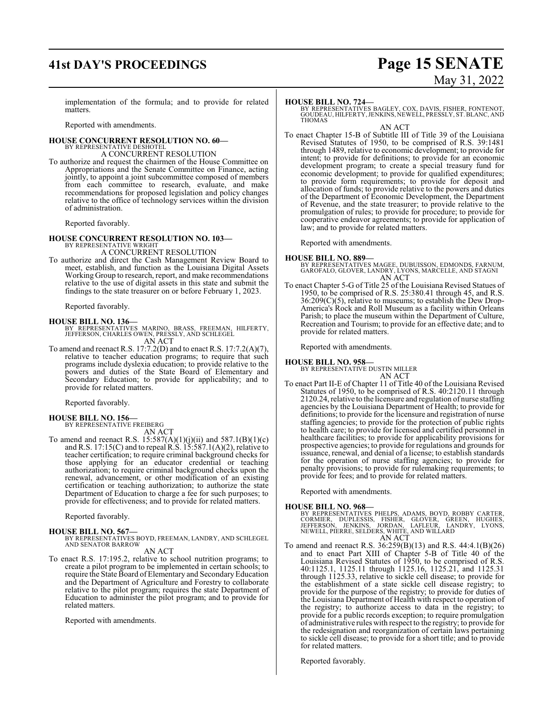# **41st DAY'S PROCEEDINGS Page 15 SENATE**

# May 31, 2022

implementation of the formula; and to provide for related matters.

Reported with amendments.

#### **HOUSE CONCURRENT RESOLUTION NO. 60—** BY REPRESENTATIVE DESHOTEL

A CONCURRENT RESOLUTION

To authorize and request the chairmen of the House Committee on Appropriations and the Senate Committee on Finance, acting jointly, to appoint a joint subcommittee composed of members from each committee to research, evaluate, and make recommendations for proposed legislation and policy changes relative to the office of technology services within the division of administration.

Reported favorably.

### **HOUSE CONCURRENT RESOLUTION NO. 103—**

BY REPRESENTATIVE WRIGHT A CONCURRENT RESOLUTION

To authorize and direct the Cash Management Review Board to meet, establish, and function as the Louisiana Digital Assets Working Group to research, report, and make recommendations relative to the use of digital assets in this state and submit the findings to the state treasurer on or before February 1, 2023.

Reported favorably.

### **HOUSE BILL NO. 136—**

BY REPRESENTATIVES MARINO, BRASS, FREEMAN, HILFERTY, JEFFERSON, CHARLES OWEN, PRESSLY, AND SCHLEGEL AN ACT

To amend and reenact R.S. 17:7.2(D) and to enact R.S. 17:7.2(A)(7), relative to teacher education programs; to require that such programs include dyslexia education; to provide relative to the powers and duties of the State Board of Elementary and Secondary Education; to provide for applicability; and to provide for related matters.

Reported favorably.

#### **HOUSE BILL NO. 156—** BY REPRESENTATIVE FREIBERG

AN ACT

To amend and reenact R.S.  $15:587(A)(1)(j)(ii)$  and  $587.1(B)(1)(c)$ and R.S. 17:15(C) and to repeal R.S. 15:587.1(A)(2), relative to teacher certification; to require criminal background checks for those applying for an educator credential or teaching authorization; to require criminal background checks upon the renewal, advancement, or other modification of an existing certification or teaching authorization; to authorize the state Department of Education to charge a fee for such purposes; to provide for effectiveness; and to provide for related matters.

Reported favorably.

### **HOUSE BILL NO. 567—**

BY REPRESENTATIVES BOYD, FREEMAN, LANDRY, AND SCHLEGEL AND SENATOR BARROW

AN ACT

To enact R.S. 17:195.2, relative to school nutrition programs; to create a pilot program to be implemented in certain schools; to require the State Board of Elementary and SecondaryEducation and the Department of Agriculture and Forestry to collaborate relative to the pilot program; requires the state Department of Education to administer the pilot program; and to provide for related matters.

Reported with amendments.

### **HOUSE BILL NO. 724—**

BY REPRESENTATIVES BAGLEY, COX, DAVIS, FISHER, FONTENOT, GOUDEAU, HILFERTY,JENKINS, NEWELL, PRESSLY, ST. BLANC, AND THOMAS

AN ACT

To enact Chapter 15-B of Subtitle III of Title 39 of the Louisiana Revised Statutes of 1950, to be comprised of R.S. 39:1481 through 1489, relative to economic development; to provide for intent; to provide for definitions; to provide for an economic development program; to create a special treasury fund for economic development; to provide for qualified expenditures; to provide form requirements; to provide for deposit and allocation of funds; to provide relative to the powers and duties of the Department of Economic Development, the Department of Revenue, and the state treasurer; to provide relative to the promulgation of rules; to provide for procedure; to provide for cooperative endeavor agreements; to provide for application of law; and to provide for related matters.

Reported with amendments.

- **HOUSE BILL NO. 889—** BY REPRESENTATIVES MAGEE, DUBUISSON, EDMONDS, FARNUM, GAROFALO, GLOVER, LANDRY, LYONS, MARCELLE, AND STAGNI AN ACT
- To enact Chapter 5-G of Title 25 of the Louisiana Revised Statues of 1950, to be comprised of R.S. 25:380.41 through 45, and R.S. 36:209(C)(5), relative to museums; to establish the Dew Drop-America's Rock and Roll Museum as a facility within Orleans Parish; to place the museum within the Department of Culture, Recreation and Tourism; to provide for an effective date; and to provide for related matters.

Reported with amendments.

### **HOUSE BILL NO. 958—**

BY REPRESENTATIVE DUSTIN MILLER AN ACT

To enact Part II-E of Chapter 11 of Title 40 of the Louisiana Revised Statutes of 1950, to be comprised of R.S. 40:2120.11 through 2120.24, relative to the licensure and regulation of nurse staffing agencies by the Louisiana Department of Health; to provide for definitions; to provide for the licensure and registration of nurse staffing agencies; to provide for the protection of public rights to health care; to provide for licensed and certified personnel in healthcare facilities; to provide for applicability provisions for prospective agencies; to provide for regulations and grounds for issuance, renewal, and denial of a license; to establish standards for the operation of nurse staffing agencies; to provide for penalty provisions; to provide for rulemaking requirements; to provide for fees; and to provide for related matters.

Reported with amendments.

**HOUSE BILL NO. 968—**<br>BY REPRESENTATIVES PHELPS, ADAMS, BOYD, ROBBY CARTER,<br>CORMIER, DUPLESSIS, FISHER, GLOVER, GREEN, HUGHES,<br>JEFFERSON, JENKINS, JORDAN, LAFLEUR, LANDRY, LYONS,<br>NEWELL, PIERRE, SELDERS, WHITE, AND WILLARD

To amend and reenact R.S. 36:259(B)(13) and R.S. 44:4.1(B)(26) To amend and reenact R.S.  $36:259(B)(13)$  and R.S.  $44:4.1(B)(26)$ <br>and to enact Part XIII of Chapter 5-B of Title 40 of the Louisiana Revised Statutes of 1950, to be comprised of R.S. 40:1125.1, 1125.11 through 1125.16, 1125.21, and 1125.31 through 1125.33, relative to sickle cell disease; to provide for the establishment of a state sickle cell disease registry; to provide for the purpose of the registry; to provide for duties of the Louisiana Department of Health with respect to operation of the registry; to authorize access to data in the registry; to provide for a public records exception; to require promulgation of administrative rules with respect to the registry; to provide for the redesignation and reorganization of certain laws pertaining to sickle cell disease; to provide for a short title; and to provide for related matters.

Reported favorably.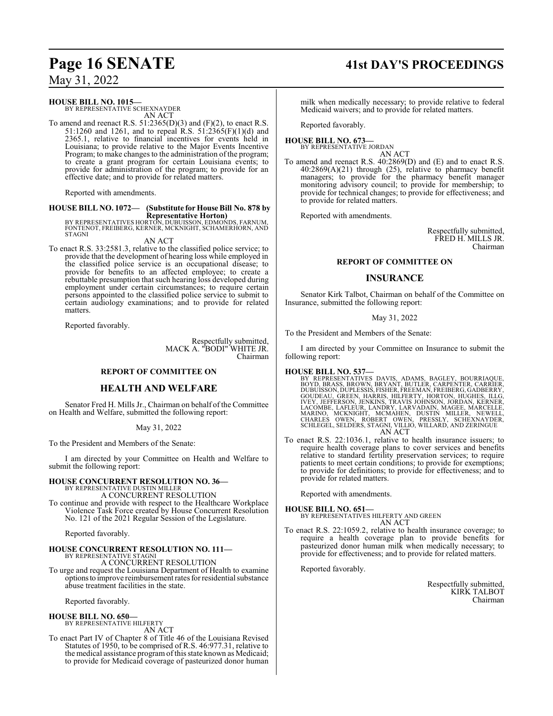### May 31, 2022

### **HOUSE BILL NO. 1015—**

BY REPRESENTATIVE SCHEXNAYDER AN ACT

To amend and reenact R.S.  $51:2365(D)(3)$  and  $(F)(2)$ , to enact R.S. 51:1260 and 1261, and to repeal R.S. 51:2365(F)(1)(d) and 2365.1, relative to financial incentives for events held in Louisiana; to provide relative to the Major Events Incentive Program; to make changes to the administration of the program; to create a grant program for certain Louisiana events; to provide for administration of the program; to provide for an effective date; and to provide for related matters.

Reported with amendments.

### **HOUSE BILL NO. 1072— (Substitute for House Bill No. 878 by**

**Representative Horton)** BY REPRESENTATIVES HORTON, DUBUISSON, EDMONDS, FARNUM, FONTENOT, FREIBERG, KERNER, MCKNIGHT, SCHAMERHORN, AND **STAGNI** 

AN ACT

To enact R.S. 33:2581.3, relative to the classified police service; to provide that the development of hearing loss while employed in the classified police service is an occupational disease; to provide for benefits to an affected employee; to create a rebuttable presumption that such hearing loss developed during employment under certain circumstances; to require certain persons appointed to the classified police service to submit to certain audiology examinations; and to provide for related matters.

Reported favorably.

Respectfully submitted, MACK A. "BODI" WHITE JR. Chairman

### **REPORT OF COMMITTEE ON**

### **HEALTH AND WELFARE**

Senator Fred H. Mills Jr., Chairman on behalf of the Committee on Health and Welfare, submitted the following report:

### May 31, 2022

To the President and Members of the Senate:

I am directed by your Committee on Health and Welfare to submit the following report:

### **HOUSE CONCURRENT RESOLUTION NO. 36—** BY REPRESENTATIVE DUSTIN MILLER A CONCURRENT RESOLUTION

To continue and provide with respect to the Healthcare Workplace Violence Task Force created by House Concurrent Resolution No. 121 of the 2021 Regular Session of the Legislature.

Reported favorably.

#### **HOUSE CONCURRENT RESOLUTION NO. 111—** BY REPRESENTATIVE STAGNI

A CONCURRENT RESOLUTION

To urge and request the Louisiana Department of Health to examine optionsto improve reimbursement rates for residential substance abuse treatment facilities in the state.

Reported favorably.

### **HOUSE BILL NO. 650—**

BY REPRESENTATIVE HILFERTY

- AN ACT
- To enact Part IV of Chapter 8 of Title 46 of the Louisiana Revised Statutes of 1950, to be comprised of R.S. 46:977.31, relative to the medical assistance program of this state known as Medicaid; to provide for Medicaid coverage of pasteurized donor human

milk when medically necessary; to provide relative to federal Medicaid waivers; and to provide for related matters.

Reported favorably.

### **HOUSE BILL NO. 673—** BY REPRESENTATIVE JORDAN

AN ACT

To amend and reenact R.S. 40:2869(D) and (E) and to enact R.S. 40:2869(A)(21) through (25), relative to pharmacy benefit managers; to provide for the pharmacy benefit manager monitoring advisory council; to provide for membership; to provide for technical changes; to provide for effectiveness; and to provide for related matters.

Reported with amendments.

Respectfully submitted, FRED H. MILLS JR. Chairman

### **REPORT OF COMMITTEE ON**

### **INSURANCE**

Senator Kirk Talbot, Chairman on behalf of the Committee on Insurance, submitted the following report:

May 31, 2022

To the President and Members of the Senate:

I am directed by your Committee on Insurance to submit the following report:

### **HOUSE BILL NO. 537—**

BY REPRESENTATIVES DAVIS, ADAMS, BAGLEY, BOURRIAQUE,<br>BOYD, BRASS, BROWN, BRYANT, BUTLER, CARPENTER, CARRIER,<br>DUBUISSON, DUPLESSIS, FISHER, FREEMAN, FREIBERG, GADBERRY,<br>GOUDEAU, GREEN, HARRIS, HILFERTY, HORTON, HÜGHES, ILLG AN ACT

To enact R.S. 22:1036.1, relative to health insurance issuers; to require health coverage plans to cover services and benefits relative to standard fertility preservation services; to require patients to meet certain conditions; to provide for exemptions; to provide for definitions; to provide for effectiveness; and to provide for related matters.

Reported with amendments.

**HOUSE BILL NO. 651—** BY REPRESENTATIVES HILFERTY AND GREEN AN ACT

To enact R.S. 22:1059.2, relative to health insurance coverage; to require a health coverage plan to provide benefits for pasteurized donor human milk when medically necessary; to provide for effectiveness; and to provide for related matters.

Reported favorably.

Respectfully submitted, KIRK TALBOT Chairman

# **Page 16 SENATE 41st DAY'S PROCEEDINGS**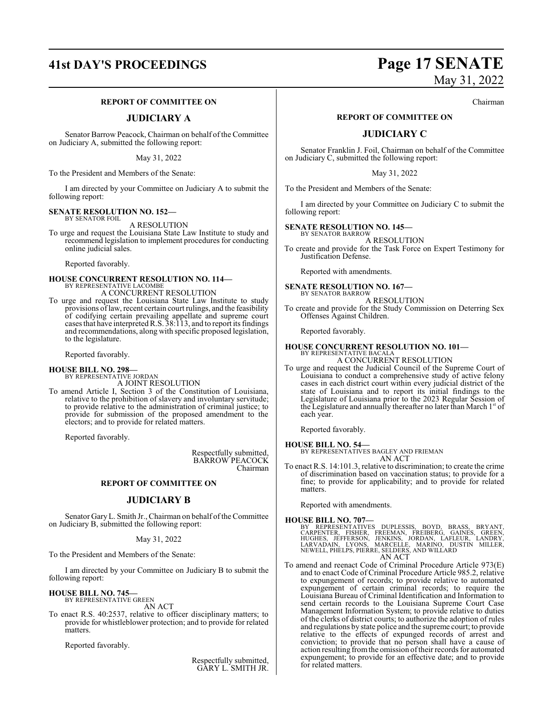## **41st DAY'S PROCEEDINGS Page 17 SENATE**

### **REPORT OF COMMITTEE ON**

### **JUDICIARY A**

Senator Barrow Peacock, Chairman on behalf of the Committee on Judiciary A, submitted the following report:

May 31, 2022

To the President and Members of the Senate:

I am directed by your Committee on Judiciary A to submit the following report:

#### **SENATE RESOLUTION NO. 152—** BY SENATOR FOIL

A RESOLUTION

To urge and request the Louisiana State Law Institute to study and recommend legislation to implement procedures for conducting online judicial sales.

Reported favorably.

# **HOUSE CONCURRENT RESOLUTION NO. 114—** BY REPRESENTATIVE LACOMBE

A CONCURRENT RESOLUTION

To urge and request the Louisiana State Law Institute to study provisions oflaw, recent certain court rulings, and the feasibility of codifying certain prevailing appellate and supreme court cases that have interpretedR.S. 38:113, and to report its findings and recommendations, along with specific proposed legislation, to the legislature.

Reported favorably.

### **HOUSE BILL NO. 298—**

BY REPRESENTATIVE JORDAN A JOINT RESOLUTION

To amend Article I, Section 3 of the Constitution of Louisiana, relative to the prohibition of slavery and involuntary servitude; to provide relative to the administration of criminal justice; to provide for submission of the proposed amendment to the electors; and to provide for related matters.

Reported favorably.

Respectfully submitted, BARROW PEACOCK Chairman

### **REPORT OF COMMITTEE ON**

### **JUDICIARY B**

Senator Gary L. Smith Jr., Chairman on behalf of the Committee on Judiciary B, submitted the following report:

### May 31, 2022

To the President and Members of the Senate:

I am directed by your Committee on Judiciary B to submit the following report:

#### **HOUSE BILL NO. 745—** BY REPRESENTATIVE GREEN

AN ACT

To enact R.S. 40:2537, relative to officer disciplinary matters; to provide for whistleblower protection; and to provide for related matters.

Reported favorably.

Respectfully submitted, GARY L. SMITH JR.

# May 31, 2022

Chairman

### **REPORT OF COMMITTEE ON**

### **JUDICIARY C**

Senator Franklin J. Foil, Chairman on behalf of the Committee on Judiciary C, submitted the following report:

May 31, 2022

To the President and Members of the Senate:

I am directed by your Committee on Judiciary C to submit the following report:

#### **SENATE RESOLUTION NO. 145—** BY SENATOR BARROW

A RESOLUTION

To create and provide for the Task Force on Expert Testimony for Justification Defense.

Reported with amendments.

#### **SENATE RESOLUTION NO. 167—** BY SENATOR BARROW

A RESOLUTION

To create and provide for the Study Commission on Deterring Sex Offenses Against Children.

Reported favorably.

### **HOUSE CONCURRENT RESOLUTION NO. 101—** BY REPRESENTATIVE BACALA

A CONCURRENT RESOLUTION

To urge and request the Judicial Council of the Supreme Court of Louisiana to conduct a comprehensive study of active felony cases in each district court within every judicial district of the state of Louisiana and to report its initial findings to the Legislature of Louisiana prior to the 2023 Regular Session of the Legislature and annually thereafter no later than March 1st of each year.

Reported favorably.

### **HOUSE BILL NO. 54—** BY REPRESENTATIVES BAGLEY AND FRIEMAN

AN ACT

To enact R.S. 14:101.3, relative to discrimination; to create the crime of discrimination based on vaccination status; to provide for a fine; to provide for applicability; and to provide for related matters.

Reported with amendments.

**HOUSE BILL NO. 707—**<br>BY REPRESENTATIVES DUPLESSIS, BOYD, BRASS, BRYANT,<br>CARPENTER, FISHER, FREEMAN, FREIBERG, GAINES, GREEN,<br>HUGHES, JEFFERSON, JENKINS, JORDAN, LAFLEUR, LANDRY,<br>LARVADAIN, LYONS, MARCELLE, MARINO, DUSTIN AN ACT

To amend and reenact Code of Criminal Procedure Article 973(E) and to enact Code of Criminal Procedure Article 985.2, relative to expungement of records; to provide relative to automated expungement of certain criminal records; to require the Louisiana Bureau of Criminal Identification and Information to send certain records to the Louisiana Supreme Court Case Management Information System; to provide relative to duties of the clerks of district courts; to authorize the adoption of rules and regulations by state police and the supreme court; to provide relative to the effects of expunged records of arrest and conviction; to provide that no person shall have a cause of action resulting fromthe omission oftheir records for automated expungement; to provide for an effective date; and to provide for related matters.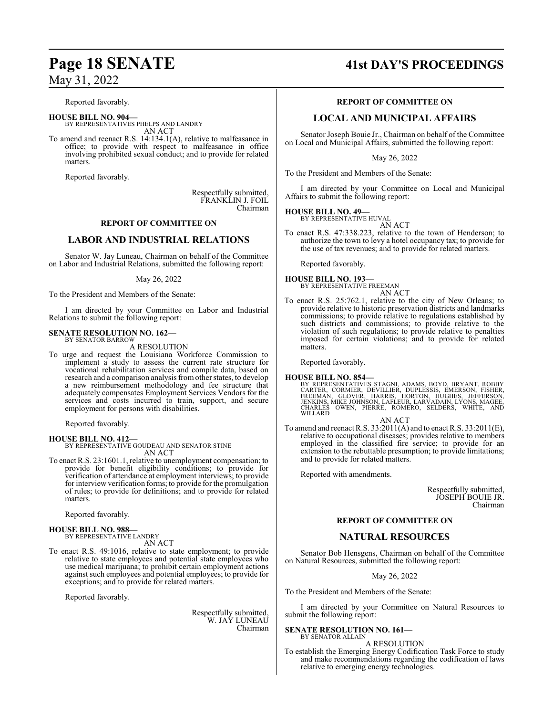# **Page 18 SENATE 41st DAY'S PROCEEDINGS**

### May 31, 2022

Reported favorably.

**HOUSE BILL NO. 904—** BY REPRESENTATIVES PHELPS AND LANDRY AN ACT

To amend and reenact R.S. 14:134.1(A), relative to malfeasance in office; to provide with respect to malfeasance in office involving prohibited sexual conduct; and to provide for related matters.

Reported favorably.

Respectfully submitted, FRANKLIN J. FOIL Chairman

### **REPORT OF COMMITTEE ON**

### **LABOR AND INDUSTRIAL RELATIONS**

Senator W. Jay Luneau, Chairman on behalf of the Committee on Labor and Industrial Relations, submitted the following report:

### May 26, 2022

To the President and Members of the Senate:

I am directed by your Committee on Labor and Industrial Relations to submit the following report:

#### **SENATE RESOLUTION NO. 162—** BY SENATOR BARROW

A RESOLUTION

To urge and request the Louisiana Workforce Commission to implement a study to assess the current rate structure for vocational rehabilitation services and compile data, based on research and a comparison analysis fromother states, to develop a new reimbursement methodology and fee structure that adequately compensates Employment Services Vendors for the services and costs incurred to train, support, and secure employment for persons with disabilities.

Reported favorably.

### **HOUSE BILL NO. 412—**

BY REPRESENTATIVE GOUDEAU AND SENATOR STINE AN ACT

To enact R.S. 23:1601.1, relative to unemployment compensation; to provide for benefit eligibility conditions; to provide for verification of attendance at employment interviews; to provide for interview verification forms; to provide for the promulgation of rules; to provide for definitions; and to provide for related matters.

Reported favorably.

### **HOUSE BILL NO. 988—**

BY REPRESENTATIVE LANDRY AN ACT

To enact R.S. 49:1016, relative to state employment; to provide relative to state employees and potential state employees who use medical marijuana; to prohibit certain employment actions against such employees and potential employees; to provide for exceptions; and to provide for related matters.

Reported favorably.

Respectfully submitted, W. JAY LUNEAU Chairman

### **REPORT OF COMMITTEE ON**

### **LOCAL AND MUNICIPAL AFFAIRS**

Senator Joseph Bouie Jr., Chairman on behalf of the Committee on Local and Municipal Affairs, submitted the following report:

May 26, 2022

To the President and Members of the Senate:

I am directed by your Committee on Local and Municipal Affairs to submit the following report:

### **HOUSE BILL NO. 49—**

BY REPRESENTATIVE HUVAL AN ACT

To enact R.S. 47:338.223, relative to the town of Henderson; to authorize the town to levy a hotel occupancy tax; to provide for the use of tax revenues; and to provide for related matters.

Reported favorably.

### **HOUSE BILL NO. 193—**

BY REPRESENTATIVE FREEMAN AN ACT

To enact R.S. 25:762.1, relative to the city of New Orleans; to provide relative to historic preservation districts and landmarks commissions; to provide relative to regulations established by such districts and commissions; to provide relative to the violation of such regulations; to provide relative to penalties imposed for certain violations; and to provide for related matters.

Reported favorably.

### **HOUSE BILL NO. 854—**

BY REPRESENTATIVES STAGNI, ADAMS, BOYD, BRYANT, ROBBY<br>CARTER, CORMIER, DEVILLIER, DUPLESSIS, EMERSON, FISHER,<br>FREEMAN, GLOVER, HARRIS, HORTON, HUGHES, JEFFERSON,<br>JENKINS, MIKE JOHNSON, LAFLEUR, LARVADAIN, LYONS, MAGEE,<br>CHA WILLARD

### AN ACT

To amend and reenact R.S. 33:2011(A) and to enact R.S. 33:2011(E), relative to occupational diseases; provides relative to members employed in the classified fire service; to provide for an extension to the rebuttable presumption; to provide limitations; and to provide for related matters.

Reported with amendments.

Respectfully submitted, JOSEPH BOUIE JR. Chairman

### **REPORT OF COMMITTEE ON**

### **NATURAL RESOURCES**

Senator Bob Hensgens, Chairman on behalf of the Committee on Natural Resources, submitted the following report:

May 26, 2022

To the President and Members of the Senate:

I am directed by your Committee on Natural Resources to submit the following report:

**SENATE RESOLUTION NO. 161—**

BY SENATOR ALLAIN A RESOLUTION

To establish the Emerging Energy Codification Task Force to study and make recommendations regarding the codification of laws relative to emerging energy technologies.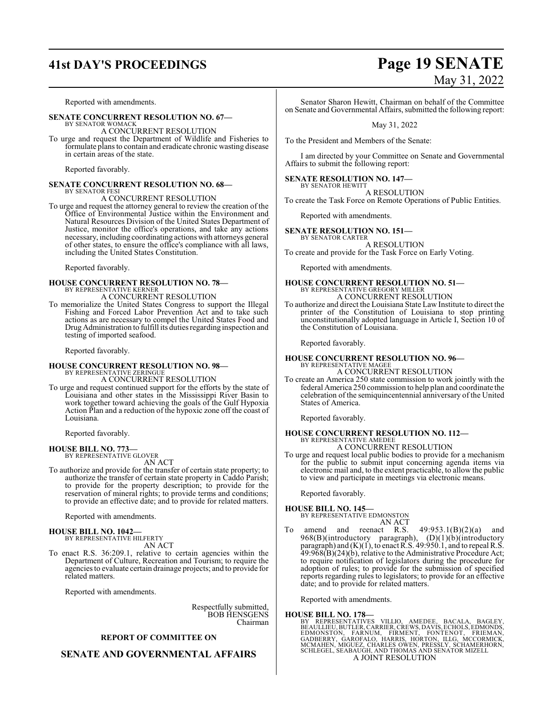## **41st DAY'S PROCEEDINGS Page 19 SENATE**

### Reported with amendments.

### **SENATE CONCURRENT RESOLUTION NO. 67—** BY SENATOR WOMACK

A CONCURRENT RESOLUTION

To urge and request the Department of Wildlife and Fisheries to formulate plans to contain and eradicate chronic wasting disease in certain areas of the state.

Reported favorably.

### **SENATE CONCURRENT RESOLUTION NO. 68—** BY SENATOR FESI

### A CONCURRENT RESOLUTION

To urge and request the attorney general to review the creation of the Office of Environmental Justice within the Environment and Natural Resources Division of the United States Department of Justice, monitor the office's operations, and take any actions necessary, including coordinating actions with attorneys general of other states, to ensure the office's compliance with all laws, including the United States Constitution.

Reported favorably.

### **HOUSE CONCURRENT RESOLUTION NO. 78—** BY REPRESENTATIVE KERNER

A CONCURRENT RESOLUTION To memorialize the United States Congress to support the Illegal Fishing and Forced Labor Prevention Act and to take such actions as are necessary to compel the United States Food and Drug Administration to fulfill its duties regarding inspection and testing of imported seafood.

Reported favorably.

# **HOUSE CONCURRENT RESOLUTION NO. 98—** BY REPRESENTATIVE ZERINGUE

A CONCURRENT RESOLUTION

To urge and request continued support for the efforts by the state of Louisiana and other states in the Mississippi River Basin to work together toward achieving the goals of the Gulf Hypoxia Action Plan and a reduction of the hypoxic zone off the coast of Louisiana.

Reported favorably.

#### **HOUSE BILL NO. 773—** BY REPRESENTATIVE GLOVER

AN ACT

To authorize and provide for the transfer of certain state property; to authorize the transfer of certain state property in Caddo Parish; to provide for the property description; to provide for the reservation of mineral rights; to provide terms and conditions; to provide an effective date; and to provide for related matters.

Reported with amendments.

### **HOUSE BILL NO. 1042—** BY REPRESENTATIVE HILFERTY

AN ACT

To enact R.S. 36:209.1, relative to certain agencies within the Department of Culture, Recreation and Tourism; to require the agencies to evaluate certain drainage projects; and to provide for related matters.

Reported with amendments.

Respectfully submitted, BOB HENSGENS Chairman

### **REPORT OF COMMITTEE ON**

### **SENATE AND GOVERNMENTAL AFFAIRS**

# May 31, 2022

Senator Sharon Hewitt, Chairman on behalf of the Committee on Senate and Governmental Affairs, submitted the following report:

May 31, 2022

To the President and Members of the Senate:

I am directed by your Committee on Senate and Governmental Affairs to submit the following report:

### **SENATE RESOLUTION NO. 147—**

BY SENATOR HEWITT A RESOLUTION To create the Task Force on Remote Operations of Public Entities.

Reported with amendments.

### **SENATE RESOLUTION NO. 151—** BY SENATOR CARTER

A RESOLUTION To create and provide for the Task Force on Early Voting.

Reported with amendments.

### **HOUSE CONCURRENT RESOLUTION NO. 51—** BY REPRESENTATIVE GREGORY MILLER

- A CONCURRENT RESOLUTION
- To authorize and direct the Louisiana State Law Institute to direct the printer of the Constitution of Louisiana to stop printing unconstitutionally adopted language in Article I, Section 10 of the Constitution of Louisiana.

Reported favorably.

### **HOUSE CONCURRENT RESOLUTION NO. 96—** BY REPRESENTATIVE MAGEE

A CONCURRENT RESOLUTION

To create an America 250 state commission to work jointly with the federal America 250 commission to help plan and coordinate the celebration of the semiquincentennial anniversary of the United States of America.

Reported favorably.

# **HOUSE CONCURRENT RESOLUTION NO. 112—** BY REPRESENTATIVE AMEDEE

### A CONCURRENT RESOLUTION

To urge and request local public bodies to provide for a mechanism for the public to submit input concerning agenda items via electronic mail and, to the extent practicable, to allow the public to view and participate in meetings via electronic means.

Reported favorably.

### **HOUSE BILL NO. 145—**

BY REPRESENTATIVE EDMONSTON

### AN ACT

To amend and reenact R.S.  $49:953.1(B)(2)(a)$  and 968(B)(introductory paragraph), (D)(1)(b)(introductory paragraph) and (K)(1), to enact R.S. 49:950.1, and to repeal R.S. 49:968(B)(24)(b), relative to the Administrative Procedure Act; to require notification of legislators during the procedure for adoption of rules; to provide for the submission of specified reports regarding rules to legislators; to provide for an effective date; and to provide for related matters.

Reported with amendments.

**HOUSE BILL NO. 178—**<br>BY REPRESENTATIVES VILLIO, AMEDEE, BACALA, BAGLEY, BEAULLIEU, BUTLER, CARRIER, CREWS, DAVIS, ECHOLS, EDMONDS,<br>EDMONSTON, FARNUM, FIRMENT, FONTENOT, FRIEMAN,<br>GADBERRY, GAROFALO, HARRIES, HORTON, ILLG, A JOINT RESOLUTION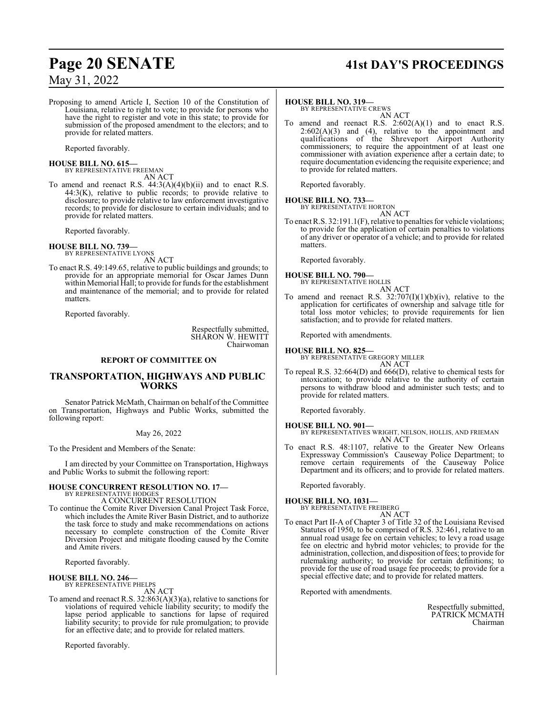### May 31, 2022

Proposing to amend Article I, Section 10 of the Constitution of Louisiana, relative to right to vote; to provide for persons who have the right to register and vote in this state; to provide for submission of the proposed amendment to the electors; and to provide for related matters.

Reported favorably.

# **HOUSE BILL NO. 615—** BY REPRESENTATIVE FREEMAN

AN ACT To amend and reenact R.S. 44:3(A)(4)(b)(ii) and to enact R.S.  $44:3(K)$ , relative to public records; to provide relative to disclosure; to provide relative to law enforcement investigative records; to provide for disclosure to certain individuals; and to provide for related matters.

Reported favorably.

**HOUSE BILL NO. 739—** BY REPRESENTATIVE LYONS

AN ACT

To enact R.S. 49:149.65, relative to public buildings and grounds; to provide for an appropriate memorial for Oscar James Dunn within Memorial Hall; to provide for funds for the establishment and maintenance of the memorial; and to provide for related matters.

Reported favorably.

Respectfully submitted, SHARON W. HEWITT Chairwoman

### **REPORT OF COMMITTEE ON**

### **TRANSPORTATION, HIGHWAYS AND PUBLIC WORKS**

Senator Patrick McMath, Chairman on behalf of the Committee on Transportation, Highways and Public Works, submitted the following report:

May 26, 2022

To the President and Members of the Senate:

I am directed by your Committee on Transportation, Highways and Public Works to submit the following report:

### **HOUSE CONCURRENT RESOLUTION NO. 17—** BY REPRESENTATIVE HODGES

A CONCURRENT RESOLUTION

To continue the Comite River Diversion Canal Project Task Force, which includes the Amite River Basin District, and to authorize the task force to study and make recommendations on actions necessary to complete construction of the Comite River Diversion Project and mitigate flooding caused by the Comite and Amite rivers.

Reported favorably.

#### **HOUSE BILL NO. 246—** BY REPRESENTATIVE PHELPS

AN ACT

To amend and reenact R.S. 32:863(A)(3)(a), relative to sanctions for violations of required vehicle liability security; to modify the lapse period applicable to sanctions for lapse of required liability security; to provide for rule promulgation; to provide for an effective date; and to provide for related matters.

Reported favorably.

# **Page 20 SENATE 41st DAY'S PROCEEDINGS**

### **HOUSE BILL NO. 319—**

BY REPRESENTATIVE CREWS AN ACT

amend and reenact R.S.  $2:602(A)(1)$  and to enact R.S.  $2:602(A)(3)$  and  $(4)$ , relative to the appointment and qualifications of the Shreveport Airport Authority commissioners; to require the appointment of at least one commissioner with aviation experience after a certain date; to require documentation evidencing the requisite experience; and to provide for related matters.

Reported favorably.

### **HOUSE BILL NO. 733—** BY REPRESENTATIVE HORTON

AN ACT To enact R.S. 32:191.1(F), relative to penalties for vehicle violations; to provide for the application of certain penalties to violations of any driver or operator of a vehicle; and to provide for related matters.

Reported favorably.

# **HOUSE BILL NO. 790—** BY REPRESENTATIVE HOLLIS

AN ACT

To amend and reenact R.S.  $32:707(I)(1)(b)(iv)$ , relative to the application for certificates of ownership and salvage title for total loss motor vehicles; to provide requirements for lien satisfaction; and to provide for related matters.

Reported with amendments.

### **HOUSE BILL NO. 825—**

BY REPRESENTATIVE GREGORY MILLER

AN ACT To repeal R.S. 32:664(D) and 666(D), relative to chemical tests for intoxication; to provide relative to the authority of certain persons to withdraw blood and administer such tests; and to provide for related matters.

Reported favorably.

**HOUSE BILL NO. 901—** BY REPRESENTATIVES WRIGHT, NELSON, HOLLIS, AND FRIEMAN AN ACT

To enact R.S. 48:1107, relative to the Greater New Orleans Expressway Commission's Causeway Police Department; to remove certain requirements of the Causeway Police Department and its officers; and to provide for related matters.

Reported favorably.

### **HOUSE BILL NO. 1031—** BY REPRESENTATIVE FREIBERG

AN ACT

To enact Part II-A of Chapter 3 of Title 32 of the Louisiana Revised Statutes of 1950, to be comprised of R.S. 32:461, relative to an annual road usage fee on certain vehicles; to levy a road usage fee on electric and hybrid motor vehicles; to provide for the administration, collection, and disposition offees; to provide for rulemaking authority; to provide for certain definitions; to provide for the use of road usage fee proceeds; to provide for a special effective date; and to provide for related matters.

Reported with amendments.

Respectfully submitted, PATRICK MCMATH Chairman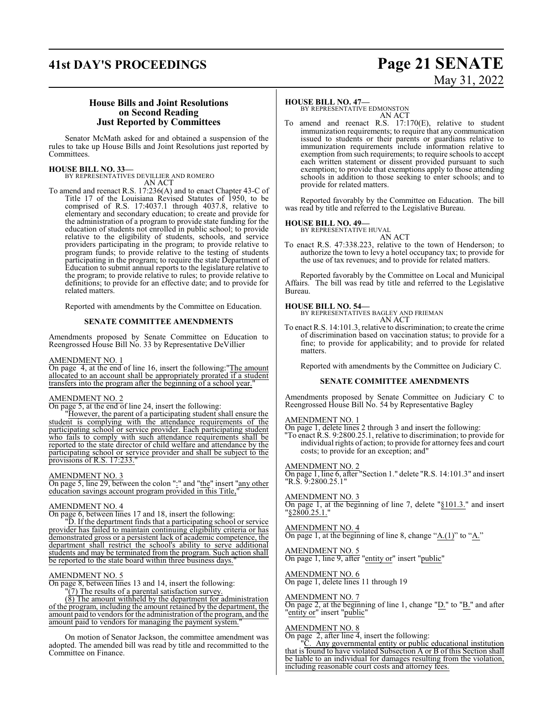## **41st DAY'S PROCEEDINGS Page 21 SENATE**

# May 31, 2022

### **House Bills and Joint Resolutions on Second Reading Just Reported by Committees**

Senator McMath asked for and obtained a suspension of the rules to take up House Bills and Joint Resolutions just reported by Committees.

### **HOUSE BILL NO. 33—**

BY REPRESENTATIVES DEVILLIER AND ROMERO AN ACT

To amend and reenact R.S. 17:236(A) and to enact Chapter 43-C of Title 17 of the Louisiana Revised Statutes of 1950, to be comprised of R.S. 17:4037.1 through 4037.8, relative to elementary and secondary education; to create and provide for the administration of a program to provide state funding for the education of students not enrolled in public school; to provide relative to the eligibility of students, schools, and service providers participating in the program; to provide relative to program funds; to provide relative to the testing of students participating in the program; to require the state Department of Education to submit annual reports to the legislature relative to the program; to provide relative to rules; to provide relative to definitions; to provide for an effective date; and to provide for related matters.

Reported with amendments by the Committee on Education.

### **SENATE COMMITTEE AMENDMENTS**

Amendments proposed by Senate Committee on Education to Reengrossed House Bill No. 33 by Representative DeVillier

### AMENDMENT NO. 1

On page 4, at the end of line 16, insert the following:"The amount allocated to an account shall be appropriately prorated if a student transfers into the program after the beginning of a school year."

### AMENDMENT NO. 2

On page 5, at the end of line 24, insert the following:

"However, the parent of a participating student shall ensure the student is complying with the attendance requirements of the participating school or service provider. Each participating student who fails to comply with such attendance requirements shall be reported to the state director of child welfare and attendance by the participating school or service provider and shall be subject to the provisions of R.S. 17:233.

### AMENDMENT NO. 3

On page 5, line 29, between the colon ":" and "the" insert "any other education savings account program provided in this Title,"

### AMENDMENT NO. 4

On page 6, between lines 17 and 18, insert the following:

"D. If the department finds that a participating school or service provider has failed to maintain continuing eligibility criteria or has demonstrated gross or a persistent lack of academic competence, the department shall restrict the school's ability to serve additional students and may be terminated from the program. Such action shall be reported to the state board within three business days.

### AMENDMENT NO. 5

On page 8, between lines 13 and 14, insert the following:

 $\sqrt{(7)}$  The results of a parental satisfaction survey.

(8) The amount withheld by the department for administration of the program, including the amount retained by the department, the amount paid to vendors for the administration of the program, and the amount paid to vendors for managing the payment system.

On motion of Senator Jackson, the committee amendment was adopted. The amended bill was read by title and recommitted to the Committee on Finance.

### **HOUSE BILL NO. 47—**

BY REPRESENTATIVE EDMONSTON AN ACT

To amend and reenact R.S. 17:170(E), relative to student immunization requirements; to require that any communication issued to students or their parents or guardians relative to immunization requirements include information relative to exemption from such requirements; to require schools to accept each written statement or dissent provided pursuant to such exemption; to provide that exemptions apply to those attending schools in addition to those seeking to enter schools; and to provide for related matters.

Reported favorably by the Committee on Education. The bill was read by title and referred to the Legislative Bureau.

**HOUSE BILL NO. 49—** BY REPRESENTATIVE HUVAL AN ACT

To enact R.S. 47:338.223, relative to the town of Henderson; to authorize the town to levy a hotel occupancy tax; to provide for the use of tax revenues; and to provide for related matters.

Reported favorably by the Committee on Local and Municipal Affairs. The bill was read by title and referred to the Legislative Bureau.

**HOUSE BILL NO. 54—** BY REPRESENTATIVES BAGLEY AND FRIEMAN AN ACT

To enact R.S. 14:101.3, relative to discrimination; to create the crime of discrimination based on vaccination status; to provide for a fine; to provide for applicability; and to provide for related matters.

Reported with amendments by the Committee on Judiciary C.

### **SENATE COMMITTEE AMENDMENTS**

Amendments proposed by Senate Committee on Judiciary C to Reengrossed House Bill No. 54 by Representative Bagley

### AMENDMENT NO. 1

On page 1, delete lines 2 through 3 and insert the following: To enact R.S. 9:2800.25.1, relative to discrimination; to provide for

individual rights of action; to provide for attorney fees and court costs; to provide for an exception; and"

### AMENDMENT NO. 2

On page 1, line 6, after "Section 1." delete "R.S. 14:101.3" and insert "R.S. 9:2800.25.1"

### AMENDMENT NO. 3

On page 1, at the beginning of line 7, delete "§101.3." and insert "§2800.25.1."

### AMENDMENT NO. 4

On page 1, at the beginning of line 8, change "A.(1)" to "A."

### AMENDMENT NO. 5

On page 1, line 9, after "entity or" insert "public"

### AMENDMENT NO. 6

On page 1, delete lines 11 through 19

### AMENDMENT NO. 7

On page 2, at the beginning of line 1, change " $D$ ." to " $B$ ." and after "entity or" insert "public"

### AMENDMENT NO. 8

On page 2, after line 4, insert the following:

"C. Any governmental entity or public educational institution that is found to have violated Subsection A or B of this Section shall be liable to an individual for damages resulting from the violation, including reasonable court costs and attorney fees.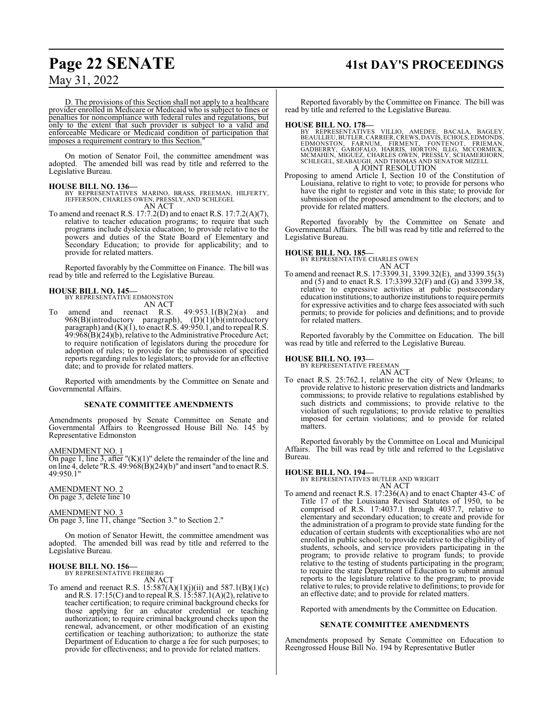## **Page 22 SENATE 41st DAY'S PROCEEDINGS**

May 31, 2022

D. The provisions of this Section shall not apply to a healthcare provider enrolled in Medicare or Medicaid who is subject to fines or penalties for noncompliance with federal rules and regulations, but only to the extent that such provider is subject to a valid and enforceable Medicare or Medicaid condition of participation that imposes a requirement contrary to this Section.

On motion of Senator Foil, the committee amendment was adopted. The amended bill was read by title and referred to the Legislative Bureau.

### **HOUSE BILL NO. 136—**

BY REPRESENTATIVES MARINO, BRASS, FREEMAN, HILFERTY, JEFFERSON, CHARLES OWEN, PRESSLY, AND SCHLEGEL AN ACT

To amend and reenact R.S. 17:7.2(D) and to enact R.S. 17:7.2(A)(7), relative to teacher education programs; to require that such programs include dyslexia education; to provide relative to the powers and duties of the State Board of Elementary and Secondary Education; to provide for applicability; and to provide for related matters.

Reported favorably by the Committee on Finance. The bill was read by title and referred to the Legislative Bureau.

# **HOUSE BILL NO. 145—** BY REPRESENTATIVE EDMONSTON

AN ACT

To amend and reenact R.S.  $49:953.1(B)(2)(a)$  and 968(B)(introductory paragraph), (D)(1)(b)(introductory paragraph) and (K)(1), to enact R.S. 49:950.1, and to repeal R.S. 49:968(B)(24)(b), relative to the Administrative Procedure Act; to require notification of legislators during the procedure for adoption of rules; to provide for the submission of specified reports regarding rules to legislators; to provide for an effective date; and to provide for related matters.

Reported with amendments by the Committee on Senate and Governmental Affairs.

### **SENATE COMMITTEE AMENDMENTS**

Amendments proposed by Senate Committee on Senate and Governmental Affairs to Reengrossed House Bill No. 145 by Representative Edmonston

### AMENDMENT NO. 1

On page 1, line 3, after " $(K)(1)$ " delete the remainder of the line and on line 4, delete  $\overline{R}$ .S. 49:968(B)(24)(b)" and insert "and to enact R.S. 49:950.1"

AMENDMENT NO. 2 On page 3, delete line 10

### AMENDMENT NO. 3

On page 3, line 11, change "Section 3." to Section 2."

On motion of Senator Hewitt, the committee amendment was adopted. The amended bill was read by title and referred to the Legislative Bureau.

### **HOUSE BILL NO. 156—** BY REPRESENTATIVE FREIBERG

AN ACT

To amend and reenact R.S.  $15:587(A)(1)(j)(ii)$  and  $587.1(B)(1)(c)$ and R.S. 17:15(C) and to repeal R.S. 15:587.1(A)(2), relative to teacher certification; to require criminal background checks for those applying for an educator credential or teaching authorization; to require criminal background checks upon the renewal, advancement, or other modification of an existing certification or teaching authorization; to authorize the state Department of Education to charge a fee for such purposes; to provide for effectiveness; and to provide for related matters.

Reported favorably by the Committee on Finance. The bill was read by title and referred to the Legislative Bureau.

### **HOUSE BILL NO. 178—**

BY REPRESENTATIVES VILLIO, AMEDEE, BACALA, BAGLEY,<br>BEAULLIEU,BUTLER,CARRIER,CREWS,DAVIS,ECHOLS,EDMONDS,<br>EDMONSTON, FARNUM, FIRMENT, FONTENOT, FRIEMAN,<br>GADBERRY, GAROFALO, HARRIS, HORTON, ILLG, MCCORMICK,<br>MCMAHEN, MIGUEZ, C A JOINT RESOLUTION

Proposing to amend Article I, Section 10 of the Constitution of Louisiana, relative to right to vote; to provide for persons who have the right to register and vote in this state; to provide for submission of the proposed amendment to the electors; and to provide for related matters.

Reported favorably by the Committee on Senate and Governmental Affairs. The bill was read by title and referred to the Legislative Bureau.

### **HOUSE BILL NO. 185—**

BY REPRESENTATIVE CHARLES OWEN AN ACT

To amend and reenact R.S. 17:3399.31, 3399.32(E), and 3399.35(3) and (5) and to enact R.S. 17:3399.32(F) and (G) and 3399.38, relative to expressive activities at public postsecondary education institutions; to authorize institutions to require permits for expressive activities and to charge fees associated with such permits; to provide for policies and definitions; and to provide for related matters.

Reported favorably by the Committee on Education. The bill was read by title and referred to the Legislative Bureau.

# **HOUSE BILL NO. 193—** BY REPRESENTATIVE FREEMAN

AN ACT To enact R.S. 25:762.1, relative to the city of New Orleans; to provide relative to historic preservation districts and landmarks commissions; to provide relative to regulations established by such districts and commissions; to provide relative to the violation of such regulations; to provide relative to penalties imposed for certain violations; and to provide for related matters.

Reported favorably by the Committee on Local and Municipal Affairs. The bill was read by title and referred to the Legislative Bureau.

### **HOUSE BILL NO. 194—**

BY REPRESENTATIVES BUTLER AND WRIGHT AN ACT

To amend and reenact R.S. 17:236(A) and to enact Chapter 43-C of Title 17 of the Louisiana Revised Statutes of 1950, to be comprised of R.S. 17:4037.1 through 4037.7, relative to elementary and secondary education; to create and provide for the administration of a program to provide state funding for the education of certain students with exceptionalities who are not enrolled in public school; to provide relative to the eligibility of students, schools, and service providers participating in the program; to provide relative to program funds; to provide relative to the testing of students participating in the program; to require the state Department of Education to submit annual reports to the legislature relative to the program; to provide relative to rules; to provide relative to definitions; to provide for an effective date; and to provide for related matters.

Reported with amendments by the Committee on Education.

### **SENATE COMMITTEE AMENDMENTS**

Amendments proposed by Senate Committee on Education to Reengrossed House Bill No. 194 by Representative Butler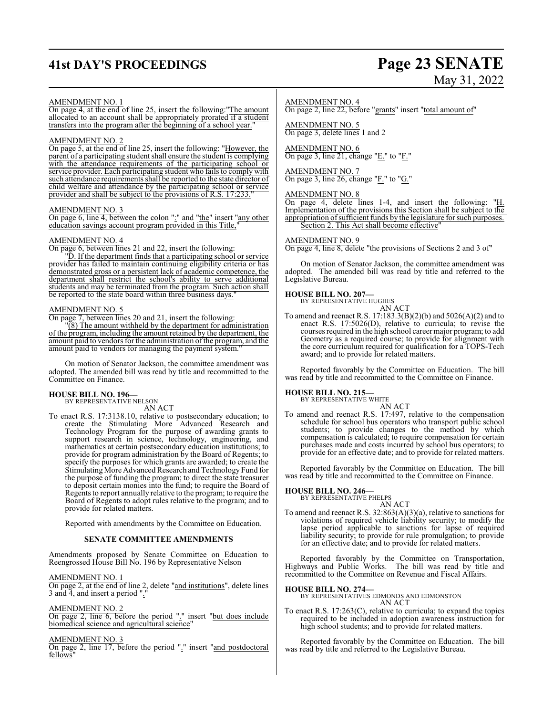# **41st DAY'S PROCEEDINGS Page 23 SENATE**

# May 31, 2022

### AMENDMENT NO. 1

On page 4, at the end of line 25, insert the following:"The amount allocated to an account shall be appropriately prorated if a student transfers into the program after the beginning of a school year."

### AMENDMENT NO. 2

On page 5, at the end of line 25, insert the following: "However, the parent of a participating student shall ensure the student is complying with the attendance requirements of the participating school or service provider. Each participating student who fails to comply with such attendance requirements shall be reported to the state director of child welfare and attendance by the participating school or service provider and shall be subject to the provisions of R.S. 17:233.

### AMENDMENT NO. 3

On page 6, line 4, between the colon ":" and "the" insert "any other education savings account program provided in this Title,"

### AMENDMENT NO. 4

On page 6, between lines 21 and 22, insert the following:

"D. If the department finds that a participating school or service provider has failed to maintain continuing eligibility criteria or has demonstrated gross or a persistent lack of academic competence, the department shall restrict the school's ability to serve additional students and may be terminated from the program. Such action shall be reported to the state board within three business days.

### AMENDMENT NO. 5

On page 7, between lines 20 and 21, insert the following:

"(8) The amount withheld by the department for administration of the program, including the amount retained by the department, the amount paid to vendors for the administration of the program, and the amount paid to vendors for managing the payment system.

On motion of Senator Jackson, the committee amendment was adopted. The amended bill was read by title and recommitted to the Committee on Finance.

### **HOUSE BILL NO. 196—** BY REPRESENTATIVE NELSON

AN ACT

To enact R.S. 17:3138.10, relative to postsecondary education; to create the Stimulating More Advanced Research and Technology Program for the purpose of awarding grants to support research in science, technology, engineering, and mathematics at certain postsecondary education institutions; to provide for program administration by the Board of Regents; to specify the purposes for which grants are awarded; to create the Stimulating More Advanced Research and Technology Fund for the purpose of funding the program; to direct the state treasurer to deposit certain monies into the fund; to require the Board of Regents to report annually relative to the program; to require the Board of Regents to adopt rules relative to the program; and to provide for related matters.

Reported with amendments by the Committee on Education.

### **SENATE COMMITTEE AMENDMENTS**

Amendments proposed by Senate Committee on Education to Reengrossed House Bill No. 196 by Representative Nelson

AMENDMENT NO. 1

On page 2, at the end of line 2, delete "and institutions", delete lines 3 and 4, and insert a period ".

AMENDMENT NO. 2

On page 2, line 6, before the period "." insert "but does include biomedical science and agricultural science"

AMENDMENT NO. 3

On page 2, line 17, before the period "." insert "and postdoctoral fellows"

### AMENDMENT NO. 4

On page 2, line 22, before "grants" insert "total amount of"

AMENDMENT NO. 5 On page 3, delete lines 1 and 2

AMENDMENT NO. 6 On page 3, line 21, change " $E$ ." to " $F$ ."

### AMENDMENT NO. 7

On page 3, line 26, change " $F.'$ " to " $G.'$ "

### AMENDMENT NO. 8

On page 4, delete lines 1-4, and insert the following: "H. Implementation of the provisions this Section shall be subject to the appropriation ofsufficient funds by the legislature for such purposes. Section 2. This Act shall become effective'

### AMENDMENT NO. 9

On page 4, line 8, delete "the provisions of Sections 2 and 3 of"

On motion of Senator Jackson, the committee amendment was adopted. The amended bill was read by title and referred to the Legislative Bureau.

### **HOUSE BILL NO. 207—**

BY REPRESENTATIVE HUGHES AN ACT

To amend and reenact R.S. 17:183.3(B)(2)(b) and 5026(A)(2) and to enact R.S. 17:5026(D), relative to curricula; to revise the courses required in the high school career major program; to add Geometry as a required course; to provide for alignment with the core curriculum required for qualification for a TOPS-Tech award; and to provide for related matters.

Reported favorably by the Committee on Education. The bill was read by title and recommitted to the Committee on Finance.

# **HOUSE BILL NO. 215—** BY REPRESENTATIVE WHITE

AN ACT To amend and reenact R.S. 17:497, relative to the compensation schedule for school bus operators who transport public school students; to provide changes to the method by which compensation is calculated; to require compensation for certain purchases made and costs incurred by school bus operators; to provide for an effective date; and to provide for related matters.

Reported favorably by the Committee on Education. The bill was read by title and recommitted to the Committee on Finance.

**HOUSE BILL NO. 246—** BY REPRESENTATIVE PHELPS AN ACT

To amend and reenact R.S. 32:863(A)(3)(a), relative to sanctions for violations of required vehicle liability security; to modify the lapse period applicable to sanctions for lapse of required liability security; to provide for rule promulgation; to provide for an effective date; and to provide for related matters.

Reported favorably by the Committee on Transportation, Highways and Public Works. The bill was read by title and recommitted to the Committee on Revenue and Fiscal Affairs.

### **HOUSE BILL NO. 274—**

BY REPRESENTATIVES EDMONDS AND EDMONSTON AN ACT

To enact R.S. 17:263(C), relative to curricula; to expand the topics required to be included in adoption awareness instruction for high school students; and to provide for related matters.

Reported favorably by the Committee on Education. The bill was read by title and referred to the Legislative Bureau.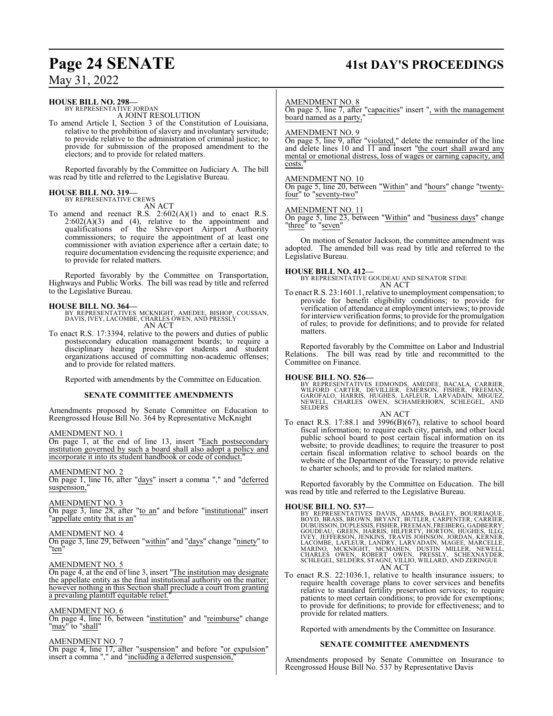# **Page 24 SENATE 41st DAY'S PROCEEDINGS**

### May 31, 2022

### **HOUSE BILL NO. 298—**

BY REPRESENTATIVE JORDAN A JOINT RESOLUTION

To amend Article I, Section 3 of the Constitution of Louisiana, relative to the prohibition of slavery and involuntary servitude; to provide relative to the administration of criminal justice; to provide for submission of the proposed amendment to the electors; and to provide for related matters.

Reported favorably by the Committee on Judiciary A. The bill was read by title and referred to the Legislative Bureau.

### **HOUSE BILL NO. 319—** BY REPRESENTATIVE CREWS

AN ACT

To amend and reenact R.S.  $2:602(A)(1)$  and to enact R.S.  $2:602(A)(3)$  and  $(4)$ , relative to the appointment and qualifications of the Shreveport Airport Authority commissioners; to require the appointment of at least one commissioner with aviation experience after a certain date; to require documentation evidencing the requisite experience; and to provide for related matters.

Reported favorably by the Committee on Transportation, Highways and Public Works. The bill was read by title and referred to the Legislative Bureau.

**HOUSE BILL NO. 364—** BY REPRESENTATIVES MCKNIGHT, AMEDEE, BISHOP, COUSSAN, DAVIS, IVEY, LACOMBE, CHARLES OWEN, AND PRESSLY AN ACT

To enact R.S. 17:3394, relative to the powers and duties of public postsecondary education management boards; to require a disciplinary hearing process for students and student organizations accused of committing non-academic offenses; and to provide for related matters.

Reported with amendments by the Committee on Education.

### **SENATE COMMITTEE AMENDMENTS**

Amendments proposed by Senate Committee on Education to Reengrossed House Bill No. 364 by Representative McKnight

### AMENDMENT NO. 1

On page 1, at the end of line 13, insert "Each postsecondary institution governed by such a board shall also adopt a policy and incorporate it into its student handbook or code of conduct.

### AMENDMENT NO. 2

On page 1, line 16, after "days" insert a comma "," and "deferred suspension,

AMENDMENT NO. 3

On page 3, line 28, after "to an" and before "institutional" insert "appellate entity that is an"

### AMENDMENT NO. 4

On page 3, line 29, between "within" and "days" change "ninety" to "ten"

### AMENDMENT NO. 5

On page 4, at the end of line 3, insert "The institution may designate the appellate entity as the final institutional authority on the matter; however nothing in this Section shall preclude a court from granting a prevailing plaintiff equitable relief.

### AMENDMENT NO. 6

On page 4, line 16, between "institution" and "reimburse" change "may" to "shall"

### AMENDMENT NO. 7

On page 4, line 17, after "suspension" and before "or expulsion" insert a comma "," and "including a deferred suspension,"

### AMENDMENT NO. 8

On page 5, line 7, after "capacities" insert ", with the management board named as a party,"

### AMENDMENT NO. 9

On page 5, line 9, after "violated," delete the remainder of the line and delete lines 10 and  $\overline{11}$  and insert "the court shall award any mental or emotional distress, loss of wages or earning capacity, and costs.

### AMENDMENT NO. 10

On page 5, line 20, between "Within" and "hours" change "twentyfour" to "seventy-two"

### AMENDMENT NO. 11

On page 5, line 23, between "Within" and "business days" change "three" to "seven"

On motion of Senator Jackson, the committee amendment was adopted. The amended bill was read by title and referred to the Legislative Bureau.

**HOUSE BILL NO. 412—** BY REPRESENTATIVE GOUDEAU AND SENATOR STINE AN ACT

To enact R.S. 23:1601.1, relative to unemployment compensation; to provide for benefit eligibility conditions; to provide for verification of attendance at employment interviews; to provide for interview verification forms; to provide for the promulgation of rules; to provide for definitions; and to provide for related matters.

Reported favorably by the Committee on Labor and Industrial Relations. The bill was read by title and recommitted to the Committee on Finance.

### **HOUSE BILL NO. 526—**

BY REPRESENTATIVES EDMONDS, AMEDEE, BACALA, CARRIER,<br>WILFORD CARTER, DEVILLIER, EMERSON, FISHER, FREEMAN,<br>GAROFALO, HARRIS, HUGHES, LAFLEUR, LARVADAIN, MIGUEZ,<br>NEWELL, CHARLES OWEN, SCHAMERHORN, SCHLEGEL, AND<br>SELDERS

### AN ACT

To enact R.S. 17:88.1 and 3996(B)(67), relative to school board fiscal information; to require each city, parish, and other local public school board to post certain fiscal information on its website; to provide deadlines; to require the treasurer to post certain fiscal information relative to school boards on the website of the Department of the Treasury; to provide relative to charter schools; and to provide for related matters.

Reported favorably by the Committee on Education. The bill was read by title and referred to the Legislative Bureau.

HOUSE BILL NO. 537—<br>BY REPRESENTATIVES DAVIS, ADAMS, BAGLEY, BOURRIAQUE,<br>BOYD, BRASS, BROWN, BRYANT, BUTLER, CARPENTER, CARRIER,<br>DUBUISSON, DUPLESSIS, FISHER, FREEMAN, FREIBERG, GADBERRY,<br>GOUDEAU, GREEN, HARRIS, HILFERTY, AN ACT

To enact R.S. 22:1036.1, relative to health insurance issuers; to require health coverage plans to cover services and benefits relative to standard fertility preservation services; to require patients to meet certain conditions; to provide for exemptions; to provide for definitions; to provide for effectiveness; and to provide for related matters.

Reported with amendments by the Committee on Insurance.

### **SENATE COMMITTEE AMENDMENTS**

Amendments proposed by Senate Committee on Insurance to Reengrossed House Bill No. 537 by Representative Davis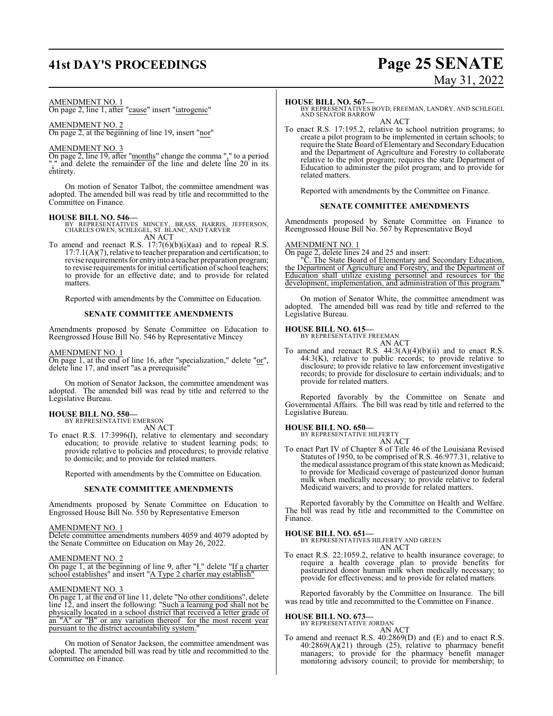# **41st DAY'S PROCEEDINGS Page 25 SENATE**

# May 31, 2022

### AMENDMENT NO. 1

On page 2, line 1, after "cause" insert "iatrogenic"

### AMENDMENT NO. 2

On page 2, at the beginning of line 19, insert "nor"

### AMENDMENT NO. 3

On page 2, line 19, after "months" change the comma "," to a period "." and delete the remainder of the line and delete line 20 in its entirety.

On motion of Senator Talbot, the committee amendment was adopted. The amended bill was read by title and recommitted to the Committee on Finance.

### **HOUSE BILL NO. 546—**

- BY REPRESENTATIVES MINCEY, BRASS, HARRIS, JEFFERSON, CHARLES OWEN, SCHLEGEL, ST. BLANC, AND TARVER AN ACT
- To amend and reenact R.S. 17:7(6)(b)(i)(aa) and to repeal R.S.  $17:7.1(A)(7)$ , relative to teacher preparation and certification; to revise requirements for entry into a teacher preparation program; to revise requirements for initial certification of school teachers; to provide for an effective date; and to provide for related matters.

Reported with amendments by the Committee on Education.

### **SENATE COMMITTEE AMENDMENTS**

Amendments proposed by Senate Committee on Education to Reengrossed House Bill No. 546 by Representative Mincey

### AMENDMENT NO. 1

On page 1, at the end of line 16, after "specialization," delete "or", delete line 17, and insert "as a prerequisite"

On motion of Senator Jackson, the committee amendment was adopted. The amended bill was read by title and referred to the Legislative Bureau.

## **HOUSE BILL NO. 550—** BY REPRESENTATIVE EMERSON

AN ACT

To enact R.S. 17:3996(I), relative to elementary and secondary education; to provide relative to student learning pods; to provide relative to policies and procedures; to provide relative to domicile; and to provide for related matters.

Reported with amendments by the Committee on Education.

### **SENATE COMMITTEE AMENDMENTS**

Amendments proposed by Senate Committee on Education to Engrossed House Bill No. 550 by Representative Emerson

### AMENDMENT NO. 1

Delete committee amendments numbers 4059 and 4079 adopted by the Senate Committee on Education on May 26, 2022.

### AMENDMENT NO. 2

On page 1, at the beginning of line 9, after " $I$ ." delete "If a charter school establishes" and insert "A Type 2 charter may establish"

### AMENDMENT NO. 3

On page 1, at the end of line 11, delete "No other conditions", delete line 12, and insert the following: "Such a learning pod shall not be physically located in a school district that received a letter grade of an "A" or "B" or any variation thereof for the most recent year pursuant to the district accountability system."

On motion of Senator Jackson, the committee amendment was adopted. The amended bill was read by title and recommitted to the Committee on Finance.

### **HOUSE BILL NO. 567—**

BY REPRESENTATIVES BOYD, FREEMAN, LANDRY, AND SCHLEGEL AND SENATOR BARROW

AN ACT

To enact R.S. 17:195.2, relative to school nutrition programs; to create a pilot program to be implemented in certain schools; to require the State Board of Elementary and Secondary Education and the Department of Agriculture and Forestry to collaborate relative to the pilot program; requires the state Department of Education to administer the pilot program; and to provide for related matters.

Reported with amendments by the Committee on Finance.

### **SENATE COMMITTEE AMENDMENTS**

Amendments proposed by Senate Committee on Finance to Reengrossed House Bill No. 567 by Representative Boyd

### AMENDMENT NO. 1

On page 2, delete lines 24 and 25 and insert:

"C. The State Board of Elementary and Secondary Education, the Department of Agriculture and Forestry, and the Department of Education shall utilize existing personnel and resources for the development, implementation, and administration of this program.

On motion of Senator White, the committee amendment was adopted. The amended bill was read by title and referred to the Legislative Bureau.

### **HOUSE BILL NO. 615—**

BY REPRESENTATIVE FREEMAN AN ACT

To amend and reenact R.S. 44:3(A)(4)(b)(ii) and to enact R.S. 44:3(K), relative to public records; to provide relative to disclosure; to provide relative to law enforcement investigative records; to provide for disclosure to certain individuals; and to provide for related matters.

Reported favorably by the Committee on Senate and Governmental Affairs. The bill was read by title and referred to the Legislative Bureau.

### **HOUSE BILL NO. 650—** BY REPRESENTATIVE HILFERTY

AN ACT

To enact Part IV of Chapter 8 of Title 46 of the Louisiana Revised Statutes of 1950, to be comprised of R.S. 46:977.31, relative to the medical assistance program of this state known as Medicaid; to provide for Medicaid coverage of pasteurized donor human milk when medically necessary; to provide relative to federal Medicaid waivers; and to provide for related matters.

Reported favorably by the Committee on Health and Welfare. The bill was read by title and recommitted to the Committee on Finance.

### **HOUSE BILL NO. 651—**

BY REPRESENTATIVES HILFERTY AND GREEN AN ACT

To enact R.S. 22:1059.2, relative to health insurance coverage; to require a health coverage plan to provide benefits for pasteurized donor human milk when medically necessary; to provide for effectiveness; and to provide for related matters.

Reported favorably by the Committee on Insurance. The bill was read by title and recommitted to the Committee on Finance.

# **HOUSE BILL NO. 673—** BY REPRESENTATIVE JORDAN

- AN ACT
- To amend and reenact R.S. 40:2869(D) and (E) and to enact R.S. 40:2869(A)(21) through (25), relative to pharmacy benefit managers; to provide for the pharmacy benefit manager monitoring advisory council; to provide for membership; to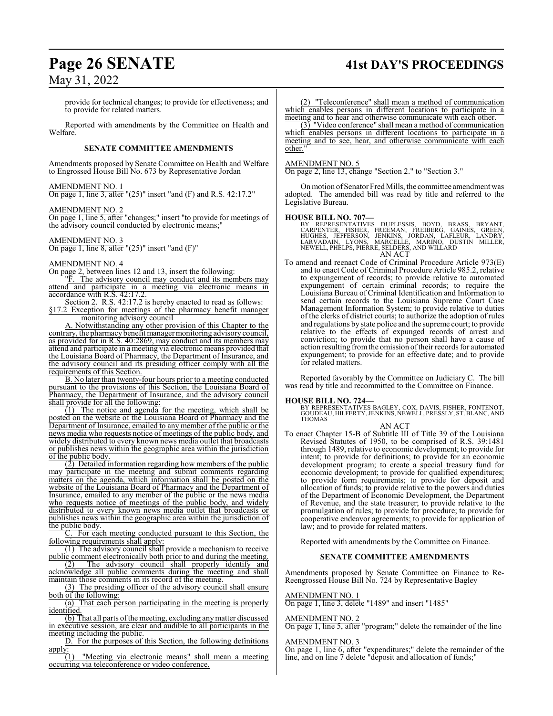### **Page 26 SENATE 41st DAY'S PROCEEDINGS**

### May 31, 2022

provide for technical changes; to provide for effectiveness; and to provide for related matters.

Reported with amendments by the Committee on Health and Welfare.

### **SENATE COMMITTEE AMENDMENTS**

Amendments proposed by Senate Committee on Health and Welfare to Engrossed House Bill No. 673 by Representative Jordan

### AMENDMENT NO. 1

On page 1, line 3, after "(25)" insert "and (F) and R.S. 42:17.2"

### AMENDMENT NO. 2

On page 1, line 5, after "changes;" insert "to provide for meetings of the advisory council conducted by electronic means;"

### AMENDMENT NO. 3

On page 1, line 8, after "(25)" insert "and (F)"

### AMENDMENT NO. 4

On page 2, between lines 12 and 13, insert the following:

"F. The advisory council may conduct and its members may attend and participate in a meeting via electronic means in accordance with R.S. 42:17.2.

Section 2. R.S. 42:17.2 is hereby enacted to read as follows: §17.2 Exception for meetings of the pharmacy benefit manager monitoring advisory council

A. Notwithstanding any other provision of this Chapter to the contrary, the pharmacy benefit manager monitoring advisory council, as provided for in R.S. 40:2869, may conduct and its members may attend and participate in a meeting via electronic means provided that the Louisiana Board of Pharmacy, the Department of Insurance, and the advisory council and its presiding officer comply with all the requirements of this Section.

B. No later than twenty-four hours prior to a meeting conducted pursuant to the provisions of this Section, the Louisiana Board of Pharmacy, the Department of Insurance, and the advisory council shall provide for all the following:

(1) The notice and agenda for the meeting, which shall be posted on the website of the Louisiana Board of Pharmacy and the Department of Insurance, emailed to any member of the public or the news media who requests notice of meetings of the public body, and widely distributed to every known news media outlet that broadcasts or publishes news within the geographic area within the jurisdiction of the public body.

(2) Detailed information regarding how members of the public may participate in the meeting and submit comments regarding matters on the agenda, which information shall be posted on the website of the Louisiana Board of Pharmacy and the Department of Insurance, emailed to any member of the public or the news media who requests notice of meetings of the public body, and widely distributed to every known news media outlet that broadcasts or publishes news within the geographic area within the jurisdiction of the public body.

C. For each meeting conducted pursuant to this Section, the following requirements shall apply:

(1) The advisory council shall provide a mechanism to receive public comment electronically both prior to and during the meeting.

(2) The advisory council shall properly identify and acknowledge all public comments during the meeting and shall maintain those comments in its record of the meeting.

(3) The presiding officer of the advisory council shall ensure both of the following:

(a) That each person participating in the meeting is properly identified.

(b) That all parts of the meeting, excluding any matter discussed in executive session, are clear and audible to all participants in the meeting including the public.

D. For the purposes of this Section, the following definitions  $\frac{\text{apply:}}{(1)}$ 

"Meeting via electronic means" shall mean a meeting occurring via teleconference or video conference.

(2) "Teleconference" shall mean a method of communication which enables persons in different locations to participate in a meeting and to hear and otherwise communicate with each other.

(3) "Video conference" shall mean a method of communication which enables persons in different locations to participate in a meeting and to see, hear, and otherwise communicate with each other.

### AMENDMENT NO. 5

On page 2, line 13, change "Section 2." to "Section 3."

On motion of Senator Fred Mills, the committee amendment was adopted. The amended bill was read by title and referred to the Legislative Bureau.

### **HOUSE BILL NO. 707—**

BY REPRESENTATIVES DUPLESSIS, BOYD, BRASS, BRYANT,<br>CARPENTER, FISHER, FREEMAN, FREIBERG, GAINES, GREEN,<br>HUGHES, JEFFERSON, JENKINS, JORDAN, LAFLEUR, LANDRY,<br>LARVADAIN, LYONS, MARCELLE, MARINO, DUSTIN MILLER,<br>NEWELL,PHELPS, AN ACT

To amend and reenact Code of Criminal Procedure Article 973(E) and to enact Code of Criminal Procedure Article 985.2, relative to expungement of records; to provide relative to automated expungement of certain criminal records; to require the Louisiana Bureau of Criminal Identification and Information to send certain records to the Louisiana Supreme Court Case Management Information System; to provide relative to duties of the clerks of district courts; to authorize the adoption of rules and regulations by state police and the supreme court; to provide relative to the effects of expunged records of arrest and conviction; to provide that no person shall have a cause of action resulting fromthe omission oftheir records for automated expungement; to provide for an effective date; and to provide for related matters.

Reported favorably by the Committee on Judiciary C. The bill was read by title and recommitted to the Committee on Finance.

### **HOUSE BILL NO. 724—**

BY REPRESENTATIVES BAGLEY, COX, DAVIS, FISHER, FONTENOT, GOUDEAU, HILFERTY,JENKINS, NEWELL, PRESSLY, ST.BLANC, AND THOMAS

### AN ACT

To enact Chapter 15-B of Subtitle III of Title 39 of the Louisiana Revised Statutes of 1950, to be comprised of R.S. 39:1481 through 1489, relative to economic development; to provide for intent; to provide for definitions; to provide for an economic development program; to create a special treasury fund for economic development; to provide for qualified expenditures; to provide form requirements; to provide for deposit and allocation of funds; to provide relative to the powers and duties of the Department of Economic Development, the Department of Revenue, and the state treasurer; to provide relative to the promulgation of rules; to provide for procedure; to provide for cooperative endeavor agreements; to provide for application of law; and to provide for related matters.

Reported with amendments by the Committee on Finance.

### **SENATE COMMITTEE AMENDMENTS**

Amendments proposed by Senate Committee on Finance to Re-Reengrossed House Bill No. 724 by Representative Bagley

### AMENDMENT NO. 1

On page 1, line 3, delete "1489" and insert "1485"

### AMENDMENT NO. 2

On page 1, line 5, after "program;" delete the remainder of the line

### AMENDMENT NO. 3

On page 1, line 6, after "expenditures;" delete the remainder of the line, and on line 7 delete "deposit and allocation of funds;"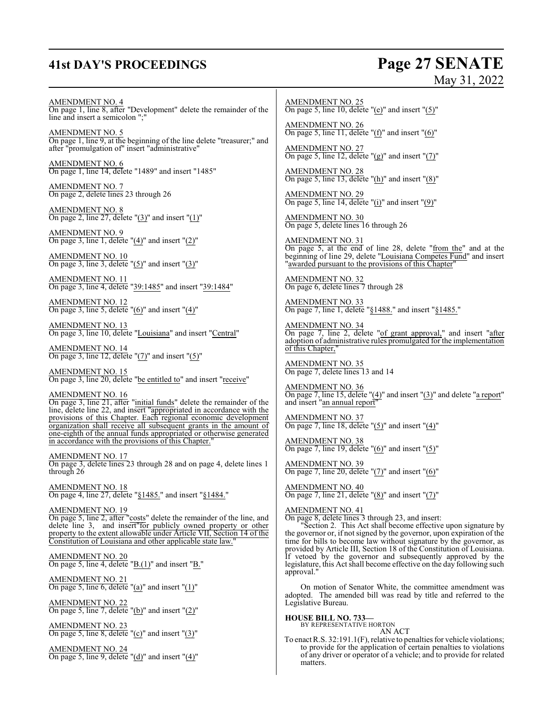# **41st DAY'S PROCEEDINGS Page 27 SENATE**

# May 31, 2022

AMENDMENT NO. 4

On page 1, line 8, after "Development" delete the remainder of the line and insert a semicolon ";"

AMENDMENT NO. 5 On page 1, line 9, at the beginning of the line delete "treasurer;" and after "promulgation of" insert "administrative"

AMENDMENT NO. 6 On page 1, line 14, delete "1489" and insert "1485"

AMENDMENT NO. 7 On page 2, delete lines 23 through 26

AMENDMENT NO. 8 On page 2, line 27, delete " $(3)$ " and insert " $(1)$ "

AMENDMENT NO. 9 On page 3, line 1, delete "(4)" and insert "(2)"

AMENDMENT NO. 10 On page 3, line 3, delete  $"(5)"$  and insert  $"(3)"$ 

AMENDMENT NO. 11 On page 3, line 4, delete "39:1485" and insert "39:1484"

AMENDMENT NO. 12 On page 3, line 5, delete  $"(6)"$  and insert  $"(4)"$ 

AMENDMENT NO. 13 On page 3, line 10, delete "Louisiana" and insert "Central"

AMENDMENT NO. 14 On page 3, line 12, delete " $(7)$ " and insert " $(5)$ "

AMENDMENT NO. 15 On page 3, line 20, delete "be entitled to" and insert "receive"

AMENDMENT NO. 16 On page 3, line 21, after "initial funds" delete the remainder of the line, delete line 22, and insert "appropriated in accordance with the provisions of this Chapter. Each regional economic development organization shall receive all subsequent grants in the amount of one-eighth of the annual funds appropriated or otherwise generated in accordance with the provisions of this Chapter.

AMENDMENT NO. 17 On page 3, delete lines 23 through 28 and on page 4, delete lines 1 through 26

AMENDMENT NO. 18 On page 4, line 27, delete "§1485." and insert "§1484."

AMENDMENT NO. 19 On page 5, line 2, after "costs" delete the remainder of the line, and delete line 3, and insert" for publicly owned property or other property to the extent allowable under Article VII, Section 14 of the Constitution of Louisiana and other applicable state law."

AMENDMENT NO. 20 On page 5, line 4, delete " $B(1)$ " and insert " $B$ ."

AMENDMENT NO. 21 On page 5, line 6, delete "(a)" and insert " $(1)$ "

AMENDMENT NO. 22 On page 5, line 7, delete "(b)" and insert "(2)"

AMENDMENT NO. 23 On page 5, line 8, delete " $(c)$ " and insert " $(3)$ "

AMENDMENT NO. 24 On page 5, line 9, delete " $(d)$ " and insert " $(4)$ "

AMENDMENT NO. 25 On page 5, line 10, delete "(e)" and insert " $(5)$ "

AMENDMENT NO. 26 On page 5, line 11, delete "(f)" and insert "(6)"

AMENDMENT NO. 27 On page 5, line 12, delete " $(g)$ " and insert " $(7)$ "

AMENDMENT NO. 28 On page 5, line 13, delete "(h)" and insert "(8)"

AMENDMENT NO. 29 On page 5, line 14, delete "(i)" and insert "(9)"

AMENDMENT NO. 30 On page 5, delete lines 16 through 26

AMENDMENT NO. 31 On page 5, at the end of line 28, delete "from the" and at the beginning of line 29, delete "Louisiana Competes Fund" and insert "awarded pursuant to the provisions of this Chapter"

AMENDMENT NO. 32 On page 6, delete lines 7 through 28

AMENDMENT NO. 33 On page 7, line 1, delete "§1488." and insert "§1485."

AMENDMENT NO. 34 On page 7, line 2, delete "of grant approval," and insert "after adoption of administrative rules promulgated for the implementation of this Chapter,

AMENDMENT NO. 35 On page 7, delete lines 13 and 14

AMENDMENT NO. 36 On page 7, line 15, delete " $(4)$ " and insert " $(3)$ " and delete "a report" and insert "an annual report"

AMENDMENT NO. 37 On page 7, line 18, delete " $(5)$ " and insert " $(4)$ "

AMENDMENT NO. 38 On page 7, line 19, delete " $(6)$ " and insert " $(5)$ "

AMENDMENT NO. 39 On page 7, line 20, delete " $(7)$ " and insert " $(6)$ "

AMENDMENT NO. 40 On page 7, line 21, delete "(8)" and insert "(7)"

AMENDMENT NO. 41

On page 8, delete lines 3 through 23, and insert:

"Section 2. This Act shall become effective upon signature by the governor or, if not signed by the governor, upon expiration of the time for bills to become law without signature by the governor, as provided by Article III, Section 18 of the Constitution of Louisiana. If vetoed by the governor and subsequently approved by the legislature, this Act shall become effective on the day following such approval."

On motion of Senator White, the committee amendment was adopted. The amended bill was read by title and referred to the Legislative Bureau.

**HOUSE BILL NO. 733—** BY REPRESENTATIVE HORTON

AN ACT

To enact R.S. 32:191.1(F), relative to penalties for vehicle violations; to provide for the application of certain penalties to violations of any driver or operator of a vehicle; and to provide for related matters.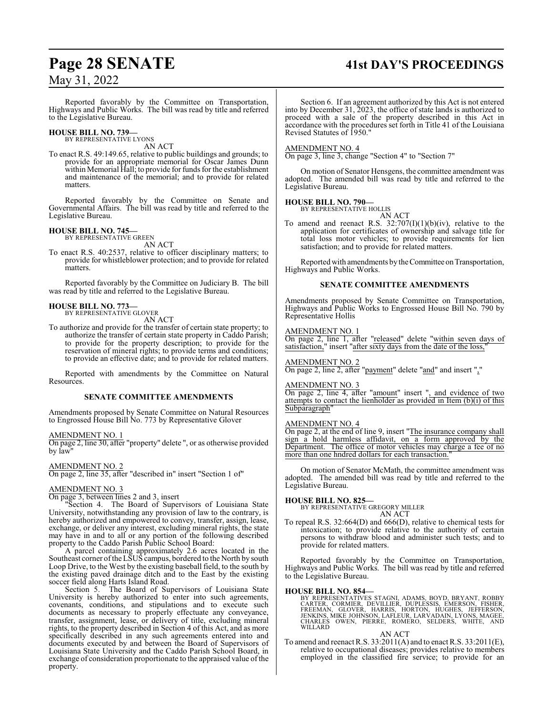# **Page 28 SENATE 41st DAY'S PROCEEDINGS**

### May 31, 2022

Reported favorably by the Committee on Transportation, Highways and Public Works. The bill was read by title and referred to the Legislative Bureau.

#### **HOUSE BILL NO. 739—** BY REPRESENTATIVE LYONS

AN ACT

To enact R.S. 49:149.65, relative to public buildings and grounds; to provide for an appropriate memorial for Oscar James Dunn within Memorial Hall; to provide for funds for the establishment and maintenance of the memorial; and to provide for related matters.

Reported favorably by the Committee on Senate and Governmental Affairs. The bill was read by title and referred to the Legislative Bureau.

### **HOUSE BILL NO. 745—**

BY REPRESENTATIVE GREEN AN ACT

To enact R.S. 40:2537, relative to officer disciplinary matters; to provide for whistleblower protection; and to provide for related matters.

Reported favorably by the Committee on Judiciary B. The bill was read by title and referred to the Legislative Bureau.

### **HOUSE BILL NO. 773—** BY REPRESENTATIVE GLOVER

AN ACT

To authorize and provide for the transfer of certain state property; to authorize the transfer of certain state property in Caddo Parish; to provide for the property description; to provide for the reservation of mineral rights; to provide terms and conditions; to provide an effective date; and to provide for related matters.

Reported with amendments by the Committee on Natural Resources.

### **SENATE COMMITTEE AMENDMENTS**

Amendments proposed by Senate Committee on Natural Resources to Engrossed House Bill No. 773 by Representative Glover

### AMENDMENT NO. 1

On page 2, line 30, after "property" delete ", or as otherwise provided by law"

AMENDMENT NO. 2 On page 2, line 35, after "described in" insert "Section 1 of"

### AMENDMENT NO. 3

On page 3, between lines 2 and 3, insert

"Section 4. The Board of Supervisors of Louisiana State University, notwithstanding any provision of law to the contrary, is hereby authorized and empowered to convey, transfer, assign, lease, exchange, or deliver any interest, excluding mineral rights, the state may have in and to all or any portion of the following described property to the Caddo Parish Public School Board:

A parcel containing approximately 2.6 acres located in the Southeast corner of the LSUS campus, bordered to the North by south Loop Drive, to the West by the existing baseball field, to the south by the existing paved drainage ditch and to the East by the existing soccer field along Harts Island Road.

Section 5. The Board of Supervisors of Louisiana State University is hereby authorized to enter into such agreements, covenants, conditions, and stipulations and to execute such documents as necessary to properly effectuate any conveyance, transfer, assignment, lease, or delivery of title, excluding mineral rights, to the property described in Section 4 of this Act, and as more specifically described in any such agreements entered into and documents executed by and between the Board of Supervisors of Louisiana State University and the Caddo Parish School Board, in exchange of consideration proportionate to the appraised value of the property.

Section 6. If an agreement authorized by this Act is not entered into by December 31, 2023, the office of state lands is authorized to proceed with a sale of the property described in this Act in accordance with the procedures set forth in Title 41 of the Louisiana Revised Statutes of 1950."

### AMENDMENT NO. 4

On page 3, line 3, change "Section 4" to "Section 7"

On motion of Senator Hensgens, the committee amendment was adopted. The amended bill was read by title and referred to the Legislative Bureau.

### **HOUSE BILL NO. 790—** BY REPRESENTATIVE HOLLIS

AN ACT

To amend and reenact R.S.  $32:707(I)(1)(b)(iv)$ , relative to the application for certificates of ownership and salvage title for total loss motor vehicles; to provide requirements for lien satisfaction; and to provide for related matters.

Reported with amendments by the Committee on Transportation, Highways and Public Works.

### **SENATE COMMITTEE AMENDMENTS**

Amendments proposed by Senate Committee on Transportation, Highways and Public Works to Engrossed House Bill No. 790 by Representative Hollis

### AMENDMENT NO. 1

On page 2, line 1, after "released" delete "within seven days of satisfaction," insert "after sixty days from the date of the loss,"

### AMENDMENT NO. 2

On page 2, line 2, after "payment" delete "and" and insert ","

### AMENDMENT NO. 3

On page 2, line 4, after "amount" insert ", and evidence of two attempts to contact the lienholder as provided in Item (b)(i) of this Subparagraph"

### AMENDMENT NO. 4

On page 2, at the end of line 9, insert "The insurance company shall sign a hold harmless affidavit, on  $\overline{a}$  form approved by the Department. The office of motor vehicles may charge a fee of no more than one hndred dollars for each transaction.

On motion of Senator McMath, the committee amendment was adopted. The amended bill was read by title and referred to the Legislative Bureau.

### **HOUSE BILL NO. 825—**

BY REPRESENTATIVE GREGORY MILLER AN ACT

To repeal R.S. 32:664(D) and 666(D), relative to chemical tests for intoxication; to provide relative to the authority of certain persons to withdraw blood and administer such tests; and to provide for related matters.

Reported favorably by the Committee on Transportation, Highways and Public Works. The bill was read by title and referred to the Legislative Bureau.

### **HOUSE BILL NO. 854—**

BY REPRESENTATIVES STAGNI, ADAMS, BOYD, BRYANT, ROBBY<br>CARTER, CORMIER, DEVILLIER, DUPLESSIS, EMERSON, FISHER,<br>FREEMAN, GLOVER, HARRIS, HORTON, HUGHES, JEFFERSON,<br>JENKINS, MIKE JOHNSON, LAFLEUR, LARVADAIN, LYONS, MAGEE,<br>CHA

### AN ACT

To amend and reenact R.S. 33:2011(A) and to enact R.S. 33:2011(E), relative to occupational diseases; provides relative to members employed in the classified fire service; to provide for an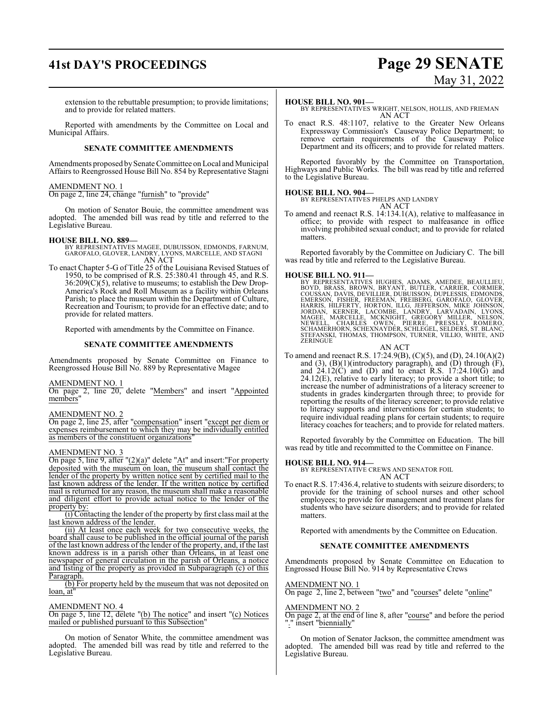# **41st DAY'S PROCEEDINGS Page 29 SENATE** May 31, 2022

extension to the rebuttable presumption; to provide limitations; and to provide for related matters.

Reported with amendments by the Committee on Local and Municipal Affairs.

### **SENATE COMMITTEE AMENDMENTS**

Amendments proposed by Senate Committee on Local and Municipal Affairs to Reengrossed House Bill No. 854 by Representative Stagni

### AMENDMENT NO. 1

On page 2, line 24, change "furnish" to "provide"

On motion of Senator Bouie, the committee amendment was adopted. The amended bill was read by title and referred to the Legislative Bureau.

### **HOUSE BILL NO. 889—**

BY REPRESENTATIVES MAGEE, DUBUISSON, EDMONDS, FARNUM, GAROFALO, GLOVER, LANDRY, LYONS, MARCELLE, AND STAGNI AN ACT

To enact Chapter 5-G of Title 25 of the Louisiana Revised Statues of 1950, to be comprised of R.S. 25:380.41 through 45, and R.S. 36:209(C)(5), relative to museums; to establish the Dew Drop-America's Rock and Roll Museum as a facility within Orleans Parish; to place the museum within the Department of Culture, Recreation and Tourism; to provide for an effective date; and to provide for related matters.

Reported with amendments by the Committee on Finance.

### **SENATE COMMITTEE AMENDMENTS**

Amendments proposed by Senate Committee on Finance to Reengrossed House Bill No. 889 by Representative Magee

### AMENDMENT NO. 1

On page 2, line 20, delete "Members" and insert "Appointed members"

### AMENDMENT NO. 2

On page 2, line 25, after "compensation" insert "except per diem or expenses reimbursement to which they may be individually entitled as members of the constituent organizations'

### AMENDMENT NO. 3

On page 5, line 9, after " $(2)(a)$ " delete " $At$ " and insert: "For property deposited with the museum on loan, the museum shall contact the lender of the property by written notice sent by certified mail to the last known address of the lender. If the written notice by certified mail is returned for any reason, the museum shall make a reasonable and diligent effort to provide actual notice to the lender of the property by:

(i) Contacting the lender of the property by first class mail at the last known address of the lender.

(ii) At least once each week for two consecutive weeks, the board shall cause to be published in the official journal of the parish of the last known address of the lender of the property, and, if the last known address is in a parish other than Orleans, in at least one newspaper of general circulation in the parish of Orleans, a notice and listing of the property as provided in Subparagraph (c) of this Paragraph.

(b) For property held by the museum that was not deposited on  $loan$ , at

### AMENDMENT NO. 4

On page 5, line 12, delete "(b) The notice" and insert "(c) Notices mailed or published pursuant to this Subsection"

On motion of Senator White, the committee amendment was adopted. The amended bill was read by title and referred to the Legislative Bureau.

### **HOUSE BILL NO. 901—**

BY REPRESENTATIVES WRIGHT, NELSON, HOLLIS, AND FRIEMAN AN ACT

To enact R.S. 48:1107, relative to the Greater New Orleans Expressway Commission's Causeway Police Department; to remove certain requirements of the Causeway Police Department and its officers; and to provide for related matters.

Reported favorably by the Committee on Transportation, Highways and Public Works. The bill was read by title and referred to the Legislative Bureau.

### **HOUSE BILL NO. 904—**

BY REPRESENTATIVES PHELPS AND LANDRY AN ACT

To amend and reenact R.S. 14:134.1(A), relative to malfeasance in office; to provide with respect to malfeasance in office involving prohibited sexual conduct; and to provide for related matters.

Reported favorably by the Committee on Judiciary C. The bill was read by title and referred to the Legislative Bureau.

HOUSE BILL NO. 911—<br>BY REPRESENTATIVES HUGHES, ADAMS, AMEDEE, BEAULLIEU,<br>BOYD, BRASS, BROWN, BRYANT, BUTLER, CARRIER, CORMIER,<br>COUSSAN, DAVIS, DEVILLIER, DUBUISSON, DUPLESSIS, EDMONDS,<br>EMERSON, HISHER, FREEMAN, FREIBERG, G

### AN ACT

To amend and reenact R.S. 17:24.9(B), (C)(5), and (D), 24.10(A)(2) and  $(3)$ ,  $(B)(1)$ (introductory paragraph), and  $(D)$  through  $(F)$ , and  $24.12(\text{C})$  and (D) and to enact R.S.  $17:24.10(\text{G})$  and 24.12(E), relative to early literacy; to provide a short title; to increase the number of administrations of a literacy screener to students in grades kindergarten through three; to provide for reporting the results of the literacy screener; to provide relative to literacy supports and interventions for certain students; to require individual reading plans for certain students; to require literacy coaches for teachers; and to provide for related matters.

Reported favorably by the Committee on Education. The bill was read by title and recommitted to the Committee on Finance.

**HOUSE BILL NO. 914—** BY REPRESENTATIVE CREWS AND SENATOR FOIL AN ACT

To enact R.S. 17:436.4, relative to students with seizure disorders; to provide for the training of school nurses and other school employees; to provide for management and treatment plans for students who have seizure disorders; and to provide for related matters.

Reported with amendments by the Committee on Education.

### **SENATE COMMITTEE AMENDMENTS**

Amendments proposed by Senate Committee on Education to Engrossed House Bill No. 914 by Representative Crews

#### AMENDMENT NO. 1

On page 2, line 2, between "two" and "courses" delete "online"

### AMENDMENT NO. 2

On page 2, at the end of line 8, after "course" and before the period "." insert "biennially"

On motion of Senator Jackson, the committee amendment was adopted. The amended bill was read by title and referred to the Legislative Bureau.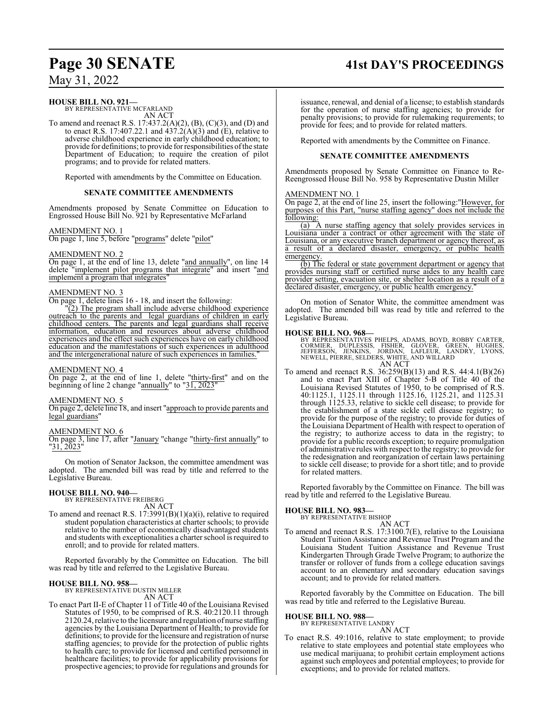### **Page 30 SENATE 41st DAY'S PROCEEDINGS**

May 31, 2022

### **HOUSE BILL NO. 921—**

BY REPRESENTATIVE MCFARLAND AN ACT

To amend and reenact R.S. 17:437.2(A)(2), (B), (C)(3), and (D) and to enact R.S. 17:407.22.1 and  $\overline{437.2(A)(3)}$  and  $\overline{(E)}$ , relative to adverse childhood experience in early childhood education; to provide for definitions; to provide for responsibilities ofthe state Department of Education; to require the creation of pilot programs; and to provide for related matters.

Reported with amendments by the Committee on Education.

### **SENATE COMMITTEE AMENDMENTS**

Amendments proposed by Senate Committee on Education to Engrossed House Bill No. 921 by Representative McFarland

### AMENDMENT NO. 1

On page 1, line 5, before "programs" delete "pilot"

### AMENDMENT NO. 2

On page 1, at the end of line 13, delete "and annually", on line 14 delete "implement pilot programs that integrate" and insert "and implement a program that integrates

### AMENDMENT NO. 3

On page 1, delete lines 16 - 18, and insert the following:

(2) The program shall include adverse childhood experience outreach to the parents and legal guardians of children in early childhood centers. The parents and legal guardians shall receive information, education and resources about adverse childhood experiences and the effect such experiences have on early childhood education and the manifestations of such experiences in adulthood and the intergenerational nature of such experiences in families."

### AMENDMENT NO. 4

On page 2, at the end of line 1, delete "thirty-first" and on the beginning of line 2 change "annually" to "31, 2023"

### AMENDMENT NO. 5

On page 2, delete line 18, and insert "approach to provide parents and legal guardians"

### AMENDMENT NO. 6

On page 3, line 17, after "January "change "thirty-first annually" to "31, 2023"

On motion of Senator Jackson, the committee amendment was adopted. The amended bill was read by title and referred to the Legislative Bureau.

# **HOUSE BILL NO. 940—** BY REPRESENTATIVE FREIBERG

AN ACT To amend and reenact R.S. 17:3991(B)(1)(a)(i), relative to required student population characteristics at charter schools; to provide relative to the number of economically disadvantaged students and students with exceptionalities a charter school is required to enroll; and to provide for related matters.

Reported favorably by the Committee on Education. The bill was read by title and referred to the Legislative Bureau.

**HOUSE BILL NO. 958—** BY REPRESENTATIVE DUSTIN MILLER

- AN ACT
- To enact Part II-E of Chapter 11 of Title 40 of the Louisiana Revised Statutes of 1950, to be comprised of R.S. 40:2120.11 through 2120.24, relative to the licensure and regulation of nurse staffing agencies by the Louisiana Department of Health; to provide for definitions; to provide for the licensure and registration of nurse staffing agencies; to provide for the protection of public rights to health care; to provide for licensed and certified personnel in healthcare facilities; to provide for applicability provisions for prospective agencies; to provide for regulations and grounds for

issuance, renewal, and denial of a license; to establish standards for the operation of nurse staffing agencies; to provide for penalty provisions; to provide for rulemaking requirements; to provide for fees; and to provide for related matters.

Reported with amendments by the Committee on Finance.

### **SENATE COMMITTEE AMENDMENTS**

Amendments proposed by Senate Committee on Finance to Re-Reengrossed House Bill No. 958 by Representative Dustin Miller

### AMENDMENT NO. 1

On page 2, at the end of line 25, insert the following:"However, for purposes of this Part, "nurse staffing agency" does not include the following:

(a) A nurse staffing agency that solely provides services in Louisiana under a contract or other agreement with the state of Louisiana, or any executive branch department or agency thereof, as a result of a declared disaster, emergency, or public health emergency

(b) The federal or state government department or agency that provides nursing staff or certified nurse aides to any health care provider setting, evacuation site, or shelter location as a result of a declared disaster, emergency, or public health emergency.

On motion of Senator White, the committee amendment was adopted. The amended bill was read by title and referred to the Legislative Bureau.

**HOUSE BILL NO. 968—**<br>BY REPRESENTATIVES PHELPS, ADAMS, BOYD, ROBBY CARTER,<br>CORMIER, DUPLESSIS, FISHER, GLOVER, GREEN, HUGHES,<br>JEFFERSON, JENKINS, JORDAN, LAFLEUR, LANDRY, LYONS,<br>NEWELL, PIERRE, SELDERS, WHITE, AND WILLARD

To amend and reenact R.S. 36:259(B)(13) and R.S. 44:4.1(B)(26) and to enact Part XIII of Chapter 5-B of Title 40 of the Louisiana Revised Statutes of 1950, to be comprised of R.S. 40:1125.1, 1125.11 through 1125.16, 1125.21, and 1125.31 through 1125.33, relative to sickle cell disease; to provide for the establishment of a state sickle cell disease registry; to provide for the purpose of the registry; to provide for duties of the Louisiana Department of Health with respect to operation of the registry; to authorize access to data in the registry; to provide for a public records exception; to require promulgation of administrative rules with respect to the registry; to provide for the redesignation and reorganization of certain laws pertaining to sickle cell disease; to provide for a short title; and to provide for related matters.

Reported favorably by the Committee on Finance. The bill was read by title and referred to the Legislative Bureau.

### **HOUSE BILL NO. 983—**

BY REPRESENTATIVE BISHOP

AN ACT To amend and reenact R.S. 17:3100.7(E), relative to the Louisiana Student Tuition Assistance and Revenue Trust Program and the Louisiana Student Tuition Assistance and Revenue Trust Kindergarten Through Grade Twelve Program; to authorize the transfer or rollover of funds from a college education savings account to an elementary and secondary education savings account; and to provide for related matters.

Reported favorably by the Committee on Education. The bill was read by title and referred to the Legislative Bureau.

# **HOUSE BILL NO. 988—** BY REPRESENTATIVE LANDRY

AN ACT

To enact R.S. 49:1016, relative to state employment; to provide relative to state employees and potential state employees who use medical marijuana; to prohibit certain employment actions against such employees and potential employees; to provide for exceptions; and to provide for related matters.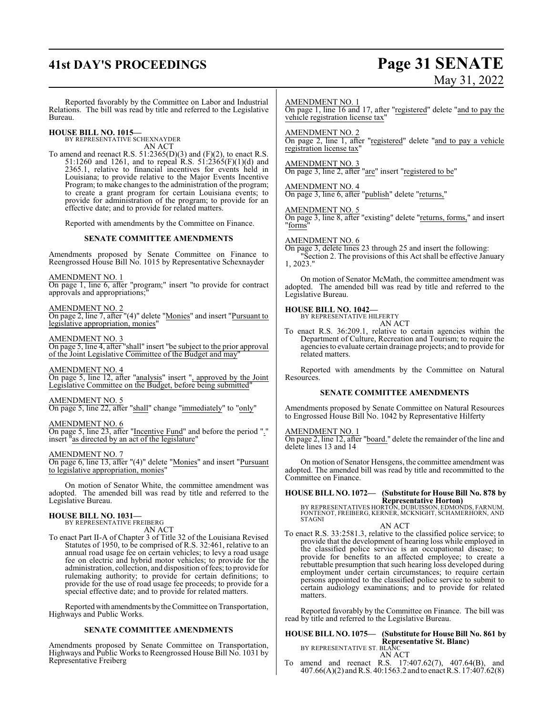# **41st DAY'S PROCEEDINGS Page 31 SENATE**

# May 31, 2022

Reported favorably by the Committee on Labor and Industrial BY REPRESENTATIVE SCHEXNAYDER AN ACT 51:1260 and 1261, and to repeal R.S. 51:2365(F)(1)(d) and 2365.1, relative to financial incentives for events held in Louisiana; to provide relative to the Major Events Incentive Program; to make changes to the administration of the program; to create a grant program for certain Louisiana events; to provide for administration of the program; to provide for an effective date; and to provide for related matters. Reported with amendments by the Committee on Finance. **SENATE COMMITTEE AMENDMENTS** On page 1, line 6, after "program;" insert "to provide for contract On page 2, line 7, after "(4)" delete "Monies" and insert "Pursuant to AMENDMENT NO. 3 Legislative Committee on the Budget, before being submitted" On page 5, line 23, after "Incentive Fund" and before the period "." AMENDMENT NO. 1 On page 1, line 16 and 17, after "registered" delete "and to pay the vehicle registration license tax" AMENDMENT NO. 2 registration license tax" AMENDMENT NO. 3 On page 3, line 2, after "are" insert "registered to be" AMENDMENT NO. 4 On page 3, line 6, after "publish" delete "returns," AMENDMENT NO. 5 On page 3, line 8, after "existing" delete "returns, forms," and insert "forms" AMENDMENT NO. 6 On page 3, delete lines 23 through 25 and insert the following: 1, 2023." Legislative Bureau. **HOUSE BILL NO. 1042—** BY REPRESENTATIVE HILFERTY AN ACT related matters. Resources. **SENATE COMMITTEE AMENDMENTS** to Engrossed House Bill No. 1042 by Representative Hilferty AMENDMENT NO. 1

delete lines 13 and 14

On motion of Senator Hensgens, the committee amendment was adopted. The amended bill was read by title and recommitted to the Committee on Finance.

### **HOUSE BILL NO. 1072— (Substitute for House Bill No. 878 by Representative Horton)**

BY REPRESENTATIVES HORTON, DUBUISSON, EDMONDS, FARNUM, FONTENOT, FREIBERG, KERNER, MCKNIGHT, SCHAMERHORN, AND STAGNI

AN ACT

To enact R.S. 33:2581.3, relative to the classified police service; to provide that the development of hearing loss while employed in the classified police service is an occupational disease; to provide for benefits to an affected employee; to create a rebuttable presumption that such hearing loss developed during employment under certain circumstances; to require certain persons appointed to the classified police service to submit to certain audiology examinations; and to provide for related matters.

Reported favorably by the Committee on Finance. The bill was read by title and referred to the Legislative Bureau.

#### **HOUSE BILL NO. 1075— (Substitute for House Bill No. 861 by Representative St. Blanc)** BY REPRESENTATIVE ST. BLANC

AN ACT

To amend and reenact R.S. 17:407.62(7), 407.64(B), and 407.66(A)(2) andR.S. 40:1563.2 and to enact R.S. 17:407.62(8)

Relations. The bill was read by title and referred to the Legislative Bureau.

**HOUSE BILL NO. 1015—**

To amend and reenact R.S.  $51:2365(D)(3)$  and  $(F)(2)$ , to enact R.S.

Amendments proposed by Senate Committee on Finance to Reengrossed House Bill No. 1015 by Representative Schexnayder

AMENDMENT NO. 1

approvals and appropriations;

AMENDMENT NO. 2

legislative appropriation, monies"

On page 5, line 4, after "shall" insert "be subject to the prior approval of the Joint Legislative Committee of the Budget and may"

AMENDMENT NO. 4 On page 5, line 12, after "analysis" insert ", approved by the Joint

AMENDMENT NO. 5 On page 5, line 22, after "shall" change "immediately" to "only"

AMENDMENT NO. 6

insert "as directed by an act of the legislature"

AMENDMENT NO. 7

On page 6, line 13, after "(4)" delete "Monies" and insert "Pursuant to legislative appropriation, monies"

On motion of Senator White, the committee amendment was adopted. The amended bill was read by title and referred to the Legislative Bureau.

### **HOUSE BILL NO. 1031—** BY REPRESENTATIVE FREIBERG

AN ACT

To enact Part II-A of Chapter 3 of Title 32 of the Louisiana Revised Statutes of 1950, to be comprised of R.S. 32:461, relative to an annual road usage fee on certain vehicles; to levy a road usage fee on electric and hybrid motor vehicles; to provide for the administration, collection, and disposition offees; to provide for rulemaking authority; to provide for certain definitions; to provide for the use of road usage fee proceeds; to provide for a special effective date; and to provide for related matters.

Reported with amendments by the Committee on Transportation, Highways and Public Works.

### **SENATE COMMITTEE AMENDMENTS**

Amendments proposed by Senate Committee on Transportation, Highways and Public Works to Reengrossed House Bill No. 1031 by Representative Freiberg

On page 2, line 1, after "registered" delete "and to pay a vehicle

"Section 2. The provisions of this Act shall be effective January

On motion of Senator McMath, the committee amendment was adopted. The amended bill was read by title and referred to the

To enact R.S. 36:209.1, relative to certain agencies within the Department of Culture, Recreation and Tourism; to require the agencies to evaluate certain drainage projects; and to provide for

Reported with amendments by the Committee on Natural

Amendments proposed by Senate Committee on Natural Resources

On page 2, line 12, after "board." delete the remainder of the line and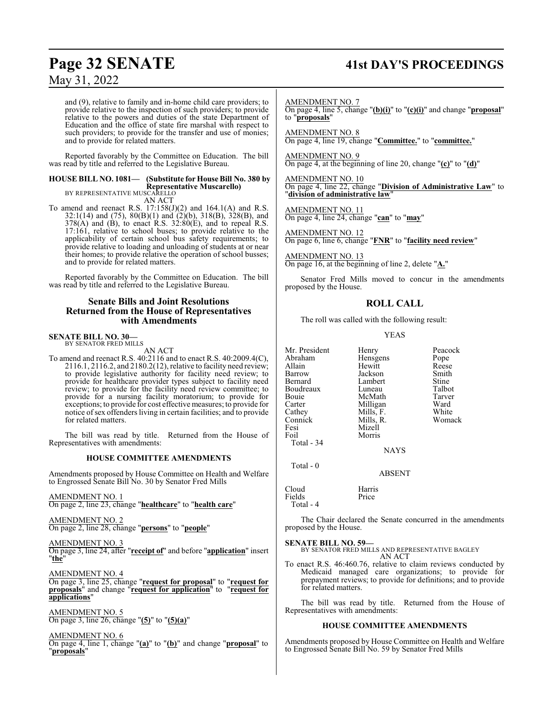### **Page 32 SENATE 41st DAY'S PROCEEDINGS**

### May 31, 2022

and (9), relative to family and in-home child care providers; to provide relative to the inspection of such providers; to provide relative to the powers and duties of the state Department of Education and the office of state fire marshal with respect to such providers; to provide for the transfer and use of monies; and to provide for related matters.

Reported favorably by the Committee on Education. The bill was read by title and referred to the Legislative Bureau.

### **HOUSE BILL NO. 1081— (Substitute for House Bill No. 380 by Representative Muscarello)** BY REPRESENTATIVE MUSCARELLO

AN ACT

To amend and reenact R.S. 17:158(J)(2) and 164.1(A) and R.S. 32:1(14) and (75), 80(B)(1) and (2)(b), 318(B), 328(B), and  $378(A)$  and (B), to enact R.S.  $32:80(E)$ , and to repeal R.S. 17:161, relative to school buses; to provide relative to the applicability of certain school bus safety requirements; to provide relative to loading and unloading of students at or near their homes; to provide relative the operation of school busses; and to provide for related matters.

Reported favorably by the Committee on Education. The bill was read by title and referred to the Legislative Bureau.

### **Senate Bills and Joint Resolutions Returned from the House of Representatives with Amendments**

### **SENATE BILL NO. 30—** BY SENATOR FRED MILLS

AN ACT

To amend and reenact R.S. 40:2116 and to enact R.S. 40:2009.4(C), 2116.1, 2116.2, and 2180.2(12), relative to facility need review; to provide legislative authority for facility need review; to provide for healthcare provider types subject to facility need review; to provide for the facility need review committee; to provide for a nursing facility moratorium; to provide for exceptions; to provide for cost effective measures; to provide for notice ofsex offenders living in certain facilities; and to provide for related matters.

The bill was read by title. Returned from the House of Representatives with amendments:

### **HOUSE COMMITTEE AMENDMENTS**

Amendments proposed by House Committee on Health and Welfare to Engrossed Senate Bill No. 30 by Senator Fred Mills

AMENDMENT NO. 1 On page 2, line 23, change "**healthcare**" to "**health care**"

AMENDMENT NO. 2 On page 2, line 28, change "**persons**" to "**people**"

AMENDMENT NO. 3

On page 3, line 24, after "**receipt of**" and before "**application**" insert "**the**"

AMENDMENT NO. 4

On page 3, line 25, change "**request for proposal**" to "**request for proposals**" and change "**request for application**" to "**request for applications**"

AMENDMENT NO. 5 On page 3, line 26, change "**(5)**" to "**(5)(a)**"

AMENDMENT NO. 6

On page 4, line 1, change "**(a)**" to "**(b)**" and change "**proposal**" to "**proposals**"

AMENDMENT NO. 7

On page 4, line 5, change "**(b)(i)**" to "**(c)(i)**" and change "**proposal**" to "**proposals**"

AMENDMENT NO. 8 On page 4, line 19, change "**Committee.**" to "**committee.**"

AMENDMENT NO. 9 On page 4, at the beginning of line 20, change "**(c)**" to "**(d)**"

AMENDMENT NO. 10 On page 4, line 22, change "**Division of Administrative Law**" to "**division of administrative law**"

AMENDMENT NO. 11

On page 4, line 24, change "**can**" to "**may**"

AMENDMENT NO. 12 On page 6, line 6, change "**FNR**" to "**facility need review**"

AMENDMENT NO. 13 On page 16, at the beginning of line 2, delete "**A.**"

Senator Fred Mills moved to concur in the amendments proposed by the House.

### **ROLL CALL**

The roll was called with the following result:

### YEAS

| Mr. President | Henry       | Peacock |
|---------------|-------------|---------|
| Abraham       | Hensgens    | Pope    |
| Allain        | Hewitt      | Reese   |
| Barrow        | Jackson     | Smith   |
| Bernard       | Lambert     | Stine   |
| Boudreaux     | Luneau      | Talbot  |
| Bouie         | McMath      | Tarver  |
| Carter        | Milligan    | Ward    |
| Cathey        | Mills, F.   | White   |
| Connick       | Mills, R.   | Womack  |
| Fesi          | Mizell      |         |
| Foil          | Morris      |         |
| Total - 34    |             |         |
|               | <b>NAYS</b> |         |
|               |             |         |

ABSENT

Total - 0

Cloud Harris Fields Total - 4

The Chair declared the Senate concurred in the amendments proposed by the House.

**SENATE BILL NO. 59—**

BY SENATOR FRED MILLS AND REPRESENTATIVE BAGLEY AN ACT

To enact R.S. 46:460.76, relative to claim reviews conducted by Medicaid managed care organizations; to provide for prepayment reviews; to provide for definitions; and to provide for related matters.

The bill was read by title. Returned from the House of Representatives with amendments:

### **HOUSE COMMITTEE AMENDMENTS**

Amendments proposed by House Committee on Health and Welfare to Engrossed Senate Bill No. 59 by Senator Fred Mills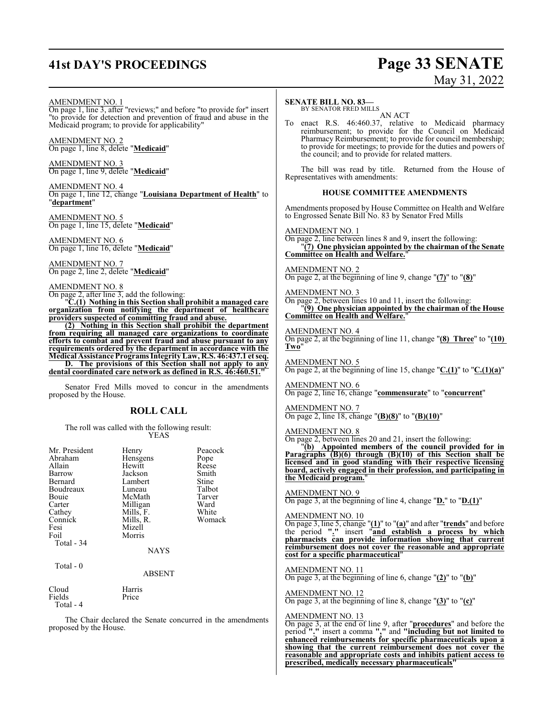# **41st DAY'S PROCEEDINGS Page 33 SENATE**

# May 31, 2022

### AMENDMENT NO. 1

On page 1, line 3, after "reviews;" and before "to provide for" insert "to provide for detection and prevention of fraud and abuse in the Medicaid program; to provide for applicability"

AMENDMENT NO. 2 On page 1, line 8, delete "**Medicaid**"

AMENDMENT NO. 3 On page 1, line 9, delete "**Medicaid**"

AMENDMENT NO. 4 On page 1, line 12, change "**Louisiana Department of Health**" to "**department**"

AMENDMENT NO. 5 On page 1, line 15, delete "**Medicaid**"

AMENDMENT NO. 6 On page 1, line 16, delete "**Medicaid**"

AMENDMENT NO. 7 On page 2, line 2, delete "**Medicaid**"

### AMENDMENT NO. 8

On page 2, after line 3, add the following:

"**C.(1) Nothing in this Section shall prohibit a managed care organization from notifying the department of healthcare providers suspected of committing fraud and abuse.**

**(2) Nothing in this Section shall prohibit the department from requiring all managed care organizations to coordinate efforts to combat and prevent fraud and abuse pursuant to any requirements ordered by the department in accordance with the Medical Assistance Programs IntegrityLaw, R.S. 46:437.1 et seq.**

**D. The provisions of this Section shall not apply to any** dental coordinated care network as defined in R.S. 46:460.51.

Senator Fred Mills moved to concur in the amendments proposed by the House.

### **ROLL CALL**

The roll was called with the following result: YEAS

| Mr. President<br>Abraham<br>Allain<br>Barrow<br>Bernard<br>Boudreaux<br>Bouie<br>Carter<br>Cathey<br>Connick<br>Fesi<br>Foil<br>Total - 34 | Henry<br>Hensgens<br>Hewitt<br>Jackson<br>Lambert<br>Luneau<br>McMath<br>Milligan<br>Mills, F.<br>Mills, R.<br>Mizell<br>Morris<br><b>NAYS</b> | Peacock<br>Pope<br>Reese<br>Smith<br>Stine<br>Talbot<br>Tarver<br>Ward<br>White<br>Womack |
|--------------------------------------------------------------------------------------------------------------------------------------------|------------------------------------------------------------------------------------------------------------------------------------------------|-------------------------------------------------------------------------------------------|
| Total $-0$                                                                                                                                 | <b>ABSENT</b>                                                                                                                                  |                                                                                           |
| Cloud                                                                                                                                      | Harris                                                                                                                                         |                                                                                           |

Fields Price Total - 4

The Chair declared the Senate concurred in the amendments proposed by the House.

### **SENATE BILL NO. 83—**

BY SENATOR FRED MILLS AN ACT

To enact R.S. 46:460.37, relative to Medicaid pharmacy reimbursement; to provide for the Council on Medicaid Pharmacy Reimbursement; to provide for council membership; to provide for meetings; to provide for the duties and powers of the council; and to provide for related matters.

The bill was read by title. Returned from the House of Representatives with amendments:

### **HOUSE COMMITTEE AMENDMENTS**

Amendments proposed by House Committee on Health and Welfare to Engrossed Senate Bill No. 83 by Senator Fred Mills

AMENDMENT NO. 1

On page 2, line between lines 8 and 9, insert the following: "**(7) One physician appointed by the chairman of the Senate Committee on Health and Welfare.**"

### AMENDMENT NO. 2

On page 2, at the beginning of line 9, change "**(7)**" to "**(8)**"

### AMENDMENT NO. 3

On page 2, between lines 10 and 11, insert the following: "**(9) One physician appointed by the chairman of the House Committee on Health and Welfare.**"

### AMENDMENT NO. 4

On page 2, at the beginning of line 11, change "**(8) Three**" to "**(10) Two**"

AMENDMENT NO. 5 On page 2, at the beginning of line 15, change "**C.(1)**" to "**C.(1)(a)**"

AMENDMENT NO. 6 On page 2, line 16, change "**commensurate**" to "**concurrent**"

AMENDMENT NO. 7 On page 2, line 18, change "**(B)(8)**" to "**(B)(10)**"

### AMENDMENT NO. 8

On page 2, between lines 20 and 21, insert the following:

"**(b) Appointed members of the council provided for in Paragraphs (B)(6) through (B)(10) of this Section shall be licensed and in good standing with their respective licensing board, actively engaged in their profession, and participating in the Medicaid program.**"

### AMENDMENT NO. 9

On page 3, at the beginning of line 4, change "**D.**" to "**D.(1)**"

### AMENDMENT NO. 10

On page 3, line 5, change "**(1)**" to "**(a)**" and after "**trends**" and before the period **"."** insert "**and establish a process by which pharmacists can provide information showing that current reimbursement does not cover the reasonable and appropriate cost for a specific pharmaceutical**"

### AMENDMENT NO. 11

On page 3, at the beginning of line 6, change "**(2)**" to "**(b)**"

AMENDMENT NO. 12 On page 3, at the beginning of line 8, change "**(3)**" to "**(c)**"

### AMENDMENT NO. 13

On page 3, at the end of line 9, after "**procedures**" and before the period **"."** insert a comma **","** and **"including but not limited to enhanced reimbursements for specific pharmaceuticals upon a showing that the current reimbursement does not cover the reasonable and appropriate costs and inhibits patient access to prescribed, medically necessary pharmaceuticals"**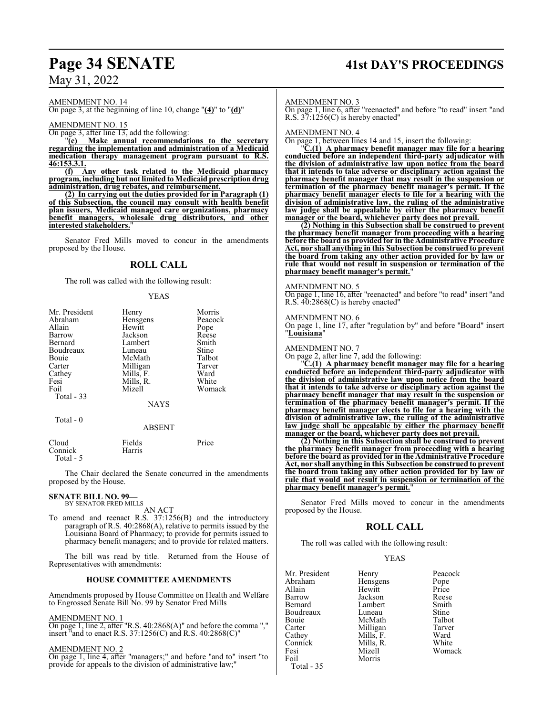# **Page 34 SENATE 41st DAY'S PROCEEDINGS**

May 31, 2022

AMENDMENT NO. 14

On page 3, at the beginning of line 10, change "**(4)**" to "**(d)**"

AMENDMENT NO. 15

 $\overline{\text{On page 3}}$ , after line 13, add the following:<br>"(e) Make annual recommendat

**Make annual recommendations to the secretary regarding the implementation and administration of a Medicaid medication therapy management program pursuant to R.S.**  $\frac{46:153.3.1}{(f)}$ 

**(f) Any other task related to the Medicaid pharmacy program, including but not limited toMedicaid prescription drug administration, drug rebates, and reimbursement.**

**(2) In carrying out the duties provided for in Paragraph (1) of this Subsection, the council may consult with health benefit plan issuers, Medicaid managed care organizations, pharmacy benefit managers, wholesale drug distributors, and other interested stakeholders.**"

Senator Fred Mills moved to concur in the amendments proposed by the House.

### **ROLL CALL**

The roll was called with the following result:

### YEAS

| Mr. President | Henry          | Morris  |
|---------------|----------------|---------|
| Abraham       | Hensgens       | Peacock |
| Allain        | Hewitt<br>Pope |         |
| Barrow        | Jackson        | Reese   |
| Bernard       | Lambert        | Smith   |
| Boudreaux     | Luneau         | Stine   |
| Bouie         | McMath         | Talbot  |
| Carter        | Milligan       | Tarver  |
| Cathey        | Mills, F.      | Ward    |
| Fesi          | Mills, R.      | White   |
| Foil          | Mizell         | Womack  |
| Total - 33    |                |         |
|               | <b>NAYS</b>    |         |
| Total - 0     |                |         |
|               | <b>ABSENT</b>  |         |
|               |                |         |

Cloud Fields Price

Connick Harris Total - 5

The Chair declared the Senate concurred in the amendments proposed by the House.

### **SENATE BILL NO. 99—** BY SENATOR FRED MILLS

AN ACT

To amend and reenact R.S. 37:1256(B) and the introductory paragraph of R.S. 40:2868(A), relative to permits issued by the Louisiana Board of Pharmacy; to provide for permits issued to pharmacy benefit managers; and to provide for related matters.

The bill was read by title. Returned from the House of Representatives with amendments:

### **HOUSE COMMITTEE AMENDMENTS**

Amendments proposed by House Committee on Health and Welfare to Engrossed Senate Bill No. 99 by Senator Fred Mills

### AMENDMENT NO. 1

On page 1, line 2, after "R.S. 40:2868(A)" and before the comma "," insert "and to enact R.S. 37:1256(C) and R.S. 40:2868(C)"

### AMENDMENT NO. 2

On page 1, line 4, after "managers;" and before "and to" insert "to provide for appeals to the division of administrative law;"

### AMENDMENT NO. 3

On page 1, line 6, after "reenacted" and before "to read" insert "and R.S.  $37:1256(C)$  is hereby enacted"

### AMENDMENT NO. 4

On page 1, between lines 14 and 15, insert the following:

"**C.(1) A pharmacy benefit manager may file for a hearing conducted before an independent third-party adjudicator with the division of administrative law upon notice from the board that it intends to take adverse or disciplinary action against the pharmacy benefit manager that may result in the suspension or termination of the pharmacy benefit manager's permit. If the pharmacy benefit manager elects to file for a hearing with the division of administrative law, the ruling of the administrative law judge shall be appealable by either the pharmacy benefit manager or the board, whichever party does not prevail.**

**(2) Nothing in this Subsection shall be construed to prevent the pharmacy benefit manager from proceeding with a hearing before the board as provided for in the Administrative Procedure Act, nor shall anything in this Subsection be construed to prevent the board from taking any other action provided for by law or rule that would not result in suspension or termination of the pharmacy benefit manager's permit.**"

### AMENDMENT NO. 5

On page 1, line 16, after "reenacted" and before "to read" insert "and R.S. 40:2868(C) is hereby enacted"

### AMENDMENT NO. 6

On page 1, line 17, after "regulation by" and before "Board" insert "**Louisiana**"

### AMENDMENT NO. 7

On page 2, after line 7, add the following:

"**C.(1) A pharmacy benefit manager may file for a hearing conducted before an independent third-party adjudicator with the division of administrative law upon notice from the board that it intends to take adverse or disciplinary action against the pharmacy benefit manager that may result in the suspension or termination of the pharmacy benefit manager's permit. If the pharmacy benefit manager elects to file for a hearing with the division of administrative law, the ruling of the administrative law judge shall be appealable by either the pharmacy benefit manager or the board, whichever party does not prevail.**

**(2) Nothing in this Subsection shall be construed to prevent the pharmacy benefit manager from proceeding with a hearing before the board as provided for in the Administrative Procedure Act, nor shall anything in this Subsection be construed to prevent the board from taking any other action provided for by law or rule that would not result in suspension or termination of the pharmacy benefit manager's permit.**"

Senator Fred Mills moved to concur in the amendments proposed by the House.

### **ROLL CALL**

The roll was called with the following result:

### YEAS

| Henry    | Peacock                            |
|----------|------------------------------------|
| Hensgens | Pope                               |
| Hewitt   | Price                              |
| Jackson  | Reese                              |
| Lambert  | Smith                              |
| Luneau   | <b>Stine</b>                       |
| McMath   | Talbot                             |
|          | Tarver                             |
|          | Ward                               |
|          | White                              |
| Mizell   | Womack                             |
| Morris   |                                    |
|          |                                    |
|          | Milligan<br>Mills, F.<br>Mills, R. |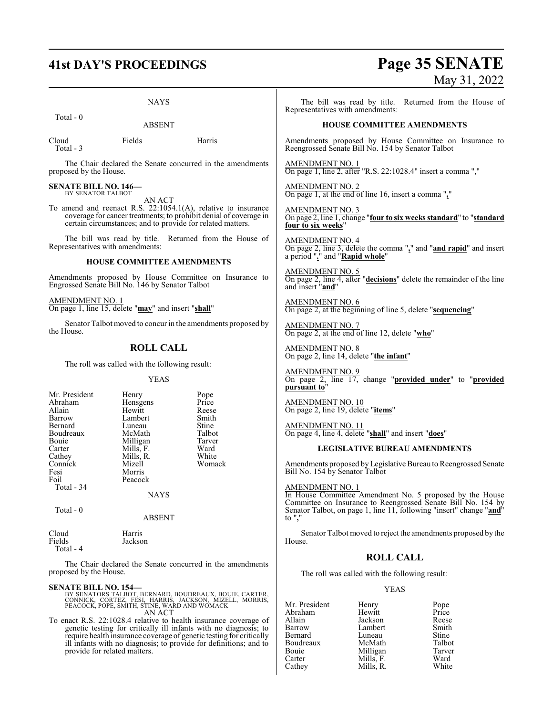# **41st DAY'S PROCEEDINGS Page 35 SENATE** May 31, 2022

| <b>NAYS</b>                                                                                                                                                                                                                                                                                                                |                                                     | The bill was read by title. Returned from the House of<br>Representatives with amendments:                                                                                                       |                                                                                                                                                  |                                                                                                               |                                                                       |  |
|----------------------------------------------------------------------------------------------------------------------------------------------------------------------------------------------------------------------------------------------------------------------------------------------------------------------------|-----------------------------------------------------|--------------------------------------------------------------------------------------------------------------------------------------------------------------------------------------------------|--------------------------------------------------------------------------------------------------------------------------------------------------|---------------------------------------------------------------------------------------------------------------|-----------------------------------------------------------------------|--|
| Total - 0<br><b>ABSENT</b>                                                                                                                                                                                                                                                                                                 |                                                     | <b>HOUSE COMMITTEE AMENDMENTS</b>                                                                                                                                                                |                                                                                                                                                  |                                                                                                               |                                                                       |  |
| Cloud<br>Total - 3                                                                                                                                                                                                                                                                                                         | Fields                                              | Harris                                                                                                                                                                                           |                                                                                                                                                  | Reengrossed Senate Bill No. 154 by Senator Talbot                                                             | Amendments proposed by House Committee on Insurance to                |  |
| proposed by the House.                                                                                                                                                                                                                                                                                                     |                                                     | The Chair declared the Senate concurred in the amendments                                                                                                                                        | AMENDMENT NO. 1<br>On page 1, line 2, after "R.S. 22:1028.4" insert a comma ","                                                                  |                                                                                                               |                                                                       |  |
| <b>SENATE BILL NO. 146-</b><br>BY SENATOR TALBOT                                                                                                                                                                                                                                                                           | AN ACT                                              |                                                                                                                                                                                                  | AMENDMENT NO. 2<br>On page 1, at the end of line 16, insert a comma $"\underline{}"$                                                             |                                                                                                               |                                                                       |  |
|                                                                                                                                                                                                                                                                                                                            |                                                     | To amend and reenact R.S. 22:1054.1(A), relative to insurance<br>coverage for cancer treatments; to prohibit denial of coverage in<br>certain circumstances; and to provide for related matters. |                                                                                                                                                  | AMENDMENT NO. 3<br>On page 2, line 1, change "four to six weeks standard" to "standard"<br>four to six weeks" |                                                                       |  |
| Representatives with amendments:                                                                                                                                                                                                                                                                                           |                                                     | The bill was read by title. Returned from the House of                                                                                                                                           | AMENDMENT NO. 4<br>On page 2, line 3, delete the comma " $_2$ " and " <b>and rapid</b> " and insert a period " $_2$ " and " <b>Rapid whole</b> " |                                                                                                               |                                                                       |  |
|                                                                                                                                                                                                                                                                                                                            | <b>HOUSE COMMITTEE AMENDMENTS</b>                   |                                                                                                                                                                                                  |                                                                                                                                                  |                                                                                                               |                                                                       |  |
|                                                                                                                                                                                                                                                                                                                            | Engrossed Senate Bill No. 146 by Senator Talbot     | Amendments proposed by House Committee on Insurance to                                                                                                                                           | <b>AMENDMENT NO. 5</b><br>and insert "and"                                                                                                       |                                                                                                               | On page 2, line 4, after "decisions" delete the remainder of the line |  |
| AMENDMENT NO. 1                                                                                                                                                                                                                                                                                                            | On page 1, line 15, delete "may" and insert "shall" |                                                                                                                                                                                                  | <b>AMENDMENT NO. 6</b>                                                                                                                           | On page 2, at the beginning of line 5, delete "sequencing"                                                    |                                                                       |  |
| the House.                                                                                                                                                                                                                                                                                                                 |                                                     | Senator Talbot moved to concur in the amendments proposed by                                                                                                                                     | <b>AMENDMENT NO. 7</b><br>On page 2, at the end of line 12, delete "who"                                                                         |                                                                                                               |                                                                       |  |
| <b>ROLL CALL</b>                                                                                                                                                                                                                                                                                                           |                                                     | <b>AMENDMENT NO. 8</b><br>On page 2, line 14, delete "the infant"                                                                                                                                |                                                                                                                                                  |                                                                                                               |                                                                       |  |
|                                                                                                                                                                                                                                                                                                                            | The roll was called with the following result:      |                                                                                                                                                                                                  | <b>AMENDMENT NO. 9</b>                                                                                                                           |                                                                                                               |                                                                       |  |
| <b>YEAS</b>                                                                                                                                                                                                                                                                                                                |                                                     | On page 2, line 17, change "provided under" to "provided<br>pursuant to"                                                                                                                         |                                                                                                                                                  |                                                                                                               |                                                                       |  |
| Mr. President<br>Abraham<br>Allain                                                                                                                                                                                                                                                                                         | Henry<br>Hensgens<br>Hewitt                         | Pope<br>Price<br>Reese                                                                                                                                                                           | AMENDMENT NO. 10<br>On page 2, line 19, delete " <b>items</b> "                                                                                  |                                                                                                               |                                                                       |  |
| Barrow<br>Bernard<br>Boudreaux                                                                                                                                                                                                                                                                                             | Lambert<br>Luneau<br>McMath                         | Smith<br>Stine<br>Talbot                                                                                                                                                                         | <u>AMENDMENT NO. 11</u>                                                                                                                          | On page 4, line 4, delete "shall" and insert "does"                                                           |                                                                       |  |
| Bouie<br>Carter                                                                                                                                                                                                                                                                                                            | Milligan<br>Mills, F.                               | Tarver<br>Ward                                                                                                                                                                                   |                                                                                                                                                  | <b>LEGISLATIVE BUREAU AMENDMENTS</b>                                                                          |                                                                       |  |
| Cathey<br>Connick                                                                                                                                                                                                                                                                                                          | Mills, R.<br>Mizell                                 | White<br>Womack                                                                                                                                                                                  |                                                                                                                                                  |                                                                                                               | Amendments proposed by Legislative Bureau to Reengrossed Senate       |  |
| Fesi<br>Foil                                                                                                                                                                                                                                                                                                               | Morris<br>Peacock                                   |                                                                                                                                                                                                  | Bill No. 154 by Senator Talbot                                                                                                                   |                                                                                                               |                                                                       |  |
| Total - 34                                                                                                                                                                                                                                                                                                                 | <b>NAYS</b>                                         |                                                                                                                                                                                                  | AMENDMENT NO. 1                                                                                                                                  |                                                                                                               | In House Committee Amendment No. 5 proposed by the House              |  |
| Total - 0<br><b>ABSENT</b>                                                                                                                                                                                                                                                                                                 |                                                     | Committee on Insurance to Reengrossed Senate Bill No. 154 by<br>Senator Talbot, on page 1, line 11, following "insert" change "and"<br>to $"$ ,"                                                 |                                                                                                                                                  |                                                                                                               |                                                                       |  |
| Cloud<br>Fields<br>Total - 4                                                                                                                                                                                                                                                                                               | Harris<br>Jackson                                   |                                                                                                                                                                                                  | House.                                                                                                                                           |                                                                                                               | Senator Talbot moved to reject the amendments proposed by the         |  |
|                                                                                                                                                                                                                                                                                                                            |                                                     |                                                                                                                                                                                                  |                                                                                                                                                  | <b>ROLL CALL</b>                                                                                              |                                                                       |  |
| The Chair declared the Senate concurred in the amendments<br>proposed by the House.                                                                                                                                                                                                                                        |                                                     | The roll was called with the following result:                                                                                                                                                   |                                                                                                                                                  |                                                                                                               |                                                                       |  |
| <b>SENATE BILL NO. 154-</b>                                                                                                                                                                                                                                                                                                |                                                     | BY SENATORS TALBOT, BERNARD, BOUDREAUX, BOUIE, CARTER, CONNICK, CORTEZ, FESI, HARRIS, JACKSON, MIZELL, MORRIS, PEACOCK, POPE, SMITH, STINE, WARD AND WOMACK                                      | Mr. President                                                                                                                                    | <b>YEAS</b><br>Henry                                                                                          | Pope                                                                  |  |
| AN ACT<br>To enact R.S. 22:1028.4 relative to health insurance coverage of<br>genetic testing for critically ill infants with no diagnosis; to<br>require health insurance coverage of genetic testing for critically<br>ill infants with no diagnosis; to provide for definitions; and to<br>provide for related matters. |                                                     |                                                                                                                                                                                                  | Abraham<br>Allain<br>Barrow<br>Bernard<br>Boudreaux<br>Bouie<br>Carter                                                                           | Hewitt<br>Jackson<br>Lambert<br>Luneau<br>McMath<br>Milligan<br>Mills, F.                                     | Price<br>Reese<br>Smith<br>Stine<br>Talbot<br>Tarver<br>Ward          |  |

Cathey Mills, R. White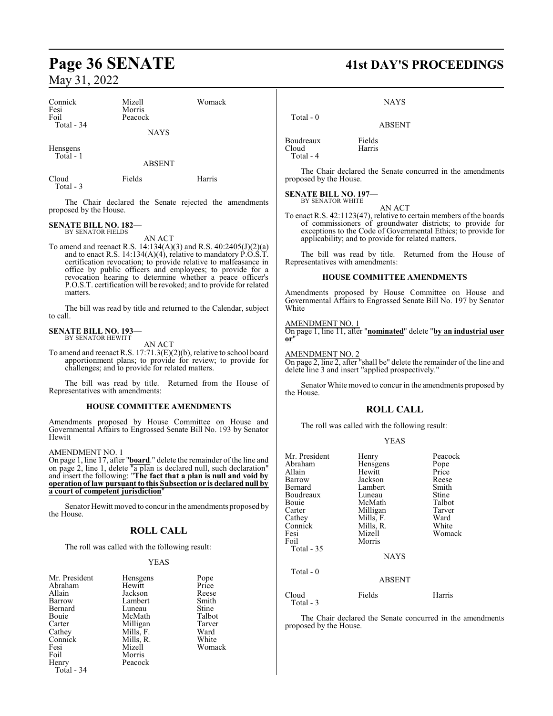# **Page 36 SENATE 41st DAY'S PROCEEDINGS**

Henry Peacock

Total - 34

May 31, 2022

| Connick<br>Fesi                                                                             | Mizell<br>Morris                                          | Womack                                                                                                                                                                                                                                                                                                     |                                                                                                | <b>NAYS</b>                                                                                                             |                                                                                                                                                                                                    |
|---------------------------------------------------------------------------------------------|-----------------------------------------------------------|------------------------------------------------------------------------------------------------------------------------------------------------------------------------------------------------------------------------------------------------------------------------------------------------------------|------------------------------------------------------------------------------------------------|-------------------------------------------------------------------------------------------------------------------------|----------------------------------------------------------------------------------------------------------------------------------------------------------------------------------------------------|
| Foil<br>Total - 34                                                                          | Peacock                                                   |                                                                                                                                                                                                                                                                                                            | Total - 0                                                                                      | <b>ABSENT</b>                                                                                                           |                                                                                                                                                                                                    |
|                                                                                             | <b>NAYS</b>                                               |                                                                                                                                                                                                                                                                                                            |                                                                                                |                                                                                                                         |                                                                                                                                                                                                    |
| Hensgens<br>Total - 1                                                                       |                                                           |                                                                                                                                                                                                                                                                                                            | Boudreaux<br>Cloud<br>Total - 4                                                                | Fields<br>Harris                                                                                                        |                                                                                                                                                                                                    |
| Cloud<br>Total - 3                                                                          | <b>ABSENT</b><br>Fields                                   | Harris                                                                                                                                                                                                                                                                                                     | proposed by the House.                                                                         |                                                                                                                         | The Chair declared the Senate concurred in the amendments                                                                                                                                          |
|                                                                                             |                                                           | The Chair declared the Senate rejected the amendments                                                                                                                                                                                                                                                      | <b>SENATE BILL NO. 197-</b><br><b>BY SENATOR WHITE</b>                                         | AN ACT                                                                                                                  |                                                                                                                                                                                                    |
| proposed by the House.<br><b>SENATE BILL NO. 182-</b><br><b>BY SENATOR FIELDS</b><br>AN ACT |                                                           |                                                                                                                                                                                                                                                                                                            |                                                                                                | applicability; and to provide for related matters.                                                                      | To enact R.S. 42:1123(47), relative to certain members of the boards<br>of commissioners of groundwater districts; to provide for<br>exceptions to the Code of Governmental Ethics; to provide for |
|                                                                                             |                                                           | To amend and reenact R.S. 14:134(A)(3) and R.S. 40:2405(J)(2)(a)<br>and to enact R.S. 14:134(A)(4), relative to mandatory $\angle$ O.S.T. certification revocation; to provide relative to malfeasance in                                                                                                  | Representatives with amendments:                                                               |                                                                                                                         | The bill was read by title. Returned from the House of                                                                                                                                             |
|                                                                                             |                                                           | office by public officers and employees; to provide for a<br>revocation hearing to determine whether a peace officer's<br>P.O.S.T. certification will be revoked; and to provide for related                                                                                                               |                                                                                                | <b>HOUSE COMMITTEE AMENDMENTS</b>                                                                                       |                                                                                                                                                                                                    |
| matters.                                                                                    |                                                           | The bill was read by title and returned to the Calendar, subject                                                                                                                                                                                                                                           | White                                                                                          | Amendments proposed by House Committee on House and<br>Governmental Affairs to Engrossed Senate Bill No. 197 by Senator |                                                                                                                                                                                                    |
| to call.<br><b>SENATE BILL NO. 193-</b><br>BY SENATOR HEWITT                                |                                                           |                                                                                                                                                                                                                                                                                                            | AMENDMENT NO. 1<br>On page 1, line 11, after "nominated" delete "by an industrial user<br>or'' |                                                                                                                         |                                                                                                                                                                                                    |
|                                                                                             | AN ACT<br>challenges; and to provide for related matters. | To amend and reenact R.S. $17:71.3(E)(2)(b)$ , relative to school board<br>apportionment plans; to provide for review; to provide for                                                                                                                                                                      | <b>AMENDMENT NO. 2</b>                                                                         | delete line 3 and insert "applied prospectively."                                                                       | On page 2, line 2, after "shall be" delete the remainder of the line and                                                                                                                           |
| Representatives with amendments:                                                            |                                                           | The bill was read by title. Returned from the House of                                                                                                                                                                                                                                                     | the House.                                                                                     |                                                                                                                         | Senator White moved to concur in the amendments proposed by                                                                                                                                        |
|                                                                                             | HOUSE COMMITTEE AMENDMENTS                                |                                                                                                                                                                                                                                                                                                            | <b>ROLL CALL</b>                                                                               |                                                                                                                         |                                                                                                                                                                                                    |
| Hewitt                                                                                      |                                                           | Amendments proposed by House Committee on House and<br>Governmental Affairs to Engrossed Senate Bill No. 193 by Senator                                                                                                                                                                                    |                                                                                                | The roll was called with the following result:<br><b>YEAS</b>                                                           |                                                                                                                                                                                                    |
| <b>AMENDMENT NO. 1</b>                                                                      | a court of competent jurisdiction"                        | On page 1, line 17, after " <b>board</b> ." delete the remainder of the line and<br>on page 2, line 1, delete " $a$ plan is declared null, such declaration"<br>and insert the following: "The fact that a plan is null and void by<br>operation of law pursuant to this Subsection or is declared null by | Mr. President<br>Abraham<br>Allain<br>Barrow<br>Bernard<br>Boudreaux                           | Henry<br>Hensgens<br>Hewitt<br>Jackson<br>Lambert<br>Luneau                                                             | Peacock<br>Pope<br>Price<br>Reese<br>Smith<br>Stine                                                                                                                                                |
| the House.                                                                                  |                                                           | Senator Hewitt moved to concur in the amendments proposed by                                                                                                                                                                                                                                               | Bouie<br>Carter<br>Cathey                                                                      | McMath<br>Milligan<br>Mills, F.                                                                                         | Talbot<br>Tarver<br>Ward                                                                                                                                                                           |
|                                                                                             | <b>ROLL CALL</b>                                          |                                                                                                                                                                                                                                                                                                            | Connick<br>Fesi<br>Foil                                                                        | Mills, R.<br>Mizell<br>Morris                                                                                           | White<br>Womack                                                                                                                                                                                    |
|                                                                                             | The roll was called with the following result:            |                                                                                                                                                                                                                                                                                                            | Total - 35                                                                                     |                                                                                                                         |                                                                                                                                                                                                    |
|                                                                                             | <b>YEAS</b>                                               |                                                                                                                                                                                                                                                                                                            |                                                                                                | <b>NAYS</b>                                                                                                             |                                                                                                                                                                                                    |
| Mr. President                                                                               | <b>Hensgens</b>                                           | Pope                                                                                                                                                                                                                                                                                                       | Total - 0                                                                                      |                                                                                                                         |                                                                                                                                                                                                    |
| Abraham                                                                                     | Hewitt                                                    | Price                                                                                                                                                                                                                                                                                                      |                                                                                                | <b>ABSENT</b>                                                                                                           |                                                                                                                                                                                                    |
| Allain<br>Barrow                                                                            | Jackson<br>Lambert                                        | Reese<br>Smith                                                                                                                                                                                                                                                                                             | Cloud<br>Total - 3                                                                             | Fields                                                                                                                  | Harris                                                                                                                                                                                             |
| Bernard                                                                                     | Luneau                                                    | Stine                                                                                                                                                                                                                                                                                                      |                                                                                                |                                                                                                                         |                                                                                                                                                                                                    |
| Bouie<br>Carter                                                                             | McMath<br>Milligan                                        | Talbot<br>Tarver                                                                                                                                                                                                                                                                                           |                                                                                                |                                                                                                                         | The Chair declared the Senate concurred in the amendments                                                                                                                                          |
| Cathey                                                                                      | Mills, F.                                                 | Ward                                                                                                                                                                                                                                                                                                       | proposed by the House.                                                                         |                                                                                                                         |                                                                                                                                                                                                    |
| Connick                                                                                     | Mills, R.                                                 | White                                                                                                                                                                                                                                                                                                      |                                                                                                |                                                                                                                         |                                                                                                                                                                                                    |
| Fesi<br>Foil                                                                                | Mizell<br>Morris                                          | Womack                                                                                                                                                                                                                                                                                                     |                                                                                                |                                                                                                                         |                                                                                                                                                                                                    |
| Henry                                                                                       | Peacock                                                   |                                                                                                                                                                                                                                                                                                            |                                                                                                |                                                                                                                         |                                                                                                                                                                                                    |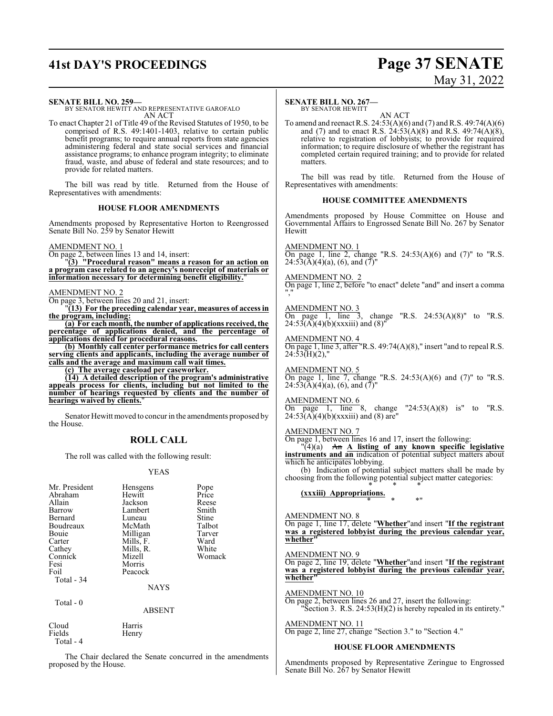# **41st DAY'S PROCEEDINGS Page 37 SENATE**

# May 31, 2022

#### **SENATE BILL NO. 259—**

BY SENATOR HEWITT AND REPRESENTATIVE GAROFALO AN ACT

To enact Chapter 21 of Title 49 of the Revised Statutes of 1950, to be comprised of R.S. 49:1401-1403, relative to certain public benefit programs; to require annual reports from state agencies administering federal and state social services and financial assistance programs; to enhance program integrity; to eliminate fraud, waste, and abuse of federal and state resources; and to provide for related matters.

The bill was read by title. Returned from the House of Representatives with amendments:

#### **HOUSE FLOOR AMENDMENTS**

Amendments proposed by Representative Horton to Reengrossed Senate Bill No. 259 by Senator Hewitt

#### AMENDMENT NO. 1

On page 2, between lines 13 and 14, insert:

"**(3) "Procedural reason" means a reason for an action on a program case related to an agency's nonreceipt of materials or information necessary for determining benefit eligibility.**"

#### AMENDMENT NO. 2

On page 3, between lines 20 and 21, insert:

"**(13) For the preceding calendar year, measures of access in the program, including:**

**(a) For each month, the number of applications received, the percentage of applications denied, and the percentage of applications denied for procedural reasons.**

**(b) Monthly call center performance metrics for call centers serving clients and applicants, including the average number of calls and the average and maximum call wait times.**

**(c) The average caseload per caseworker.**

**(14) A detailed description of the program's administrative appeals process for clients, including but not limited to the number of hearings requested by clients and the number of hearings waived by clients.**"

Senator Hewitt moved to concur in the amendments proposed by the House.

## **ROLL CALL**

The roll was called with the following result:

#### YEAS

| Mr. President | Hensgens    | Pope   |
|---------------|-------------|--------|
| Abraham       | Hewitt      | Price  |
| Allain        | Jackson     | Reese  |
| Barrow        | Lambert     | Smith  |
| Bernard       | Luneau      | Stine  |
| Boudreaux     | McMath      | Talbot |
| Bouie         | Milligan    | Tarver |
| Carter        | Mills, F.   | Ward   |
| Cathey        | Mills, R.   | White  |
| Connick       | Mizell      | Womack |
| Fesi          | Morris      |        |
| Foil          | Peacock     |        |
| Total - 34    |             |        |
|               | <b>NAYS</b> |        |
| Total $-0$    |             |        |
|               | ABSENT      |        |

Cloud Harris Fields Henry Total - 4

The Chair declared the Senate concurred in the amendments proposed by the House.

#### **SENATE BILL NO. 267—**

BY SENATOR HEWITT AN ACT

To amend and reenact R.S. 24:53(A)(6) and (7) and R.S. 49:74(A)(6) and (7) and to enact R.S.  $24:53(A)(8)$  and R.S.  $49:74(A)(8)$ , relative to registration of lobbyists; to provide for required information; to require disclosure of whether the registrant has completed certain required training; and to provide for related matters.

The bill was read by title. Returned from the House of Representatives with amendments:

#### **HOUSE COMMITTEE AMENDMENTS**

Amendments proposed by House Committee on House and Governmental Affairs to Engrossed Senate Bill No. 267 by Senator **Hewitt** 

AMENDMENT NO. 1 On page 1, line 2, change "R.S.  $24:53(A)(6)$  and  $(7)$ " to "R.S.  $24:53(A)(4)(a)$ , (6), and (7)

AMENDMENT NO. 2 On page 1, line 2, before "to enact" delete "and" and insert a comma ","

AMENDMENT NO. 3 On page 1, line 3, change "R.S.  $24:53(A)(8)$ " to "R.S.  $24:53(A)(4)(b)(xxxiii)$  and  $(8)''$ 

AMENDMENT NO. 4 On page 1, line 3, after "R.S. 49:74(A)(8)," insert "and to repeal R.S.  $24:53(H)(2)$ ,"

AMENDMENT NO. 5 On page 1, line 7, change "R.S.  $24:53(A)(6)$  and  $(7)$ " to "R.S.  $24:53(A)(4)(a)$ , (6), and  $(\bar{7})$ "

AMENDMENT NO. 6 change  $"24:53(A)(8)$  is" to "R.S.  $\overline{On}$  page 1, line 8, change<br>24:53(A)(4)(b)(xxxiii) and (8) are

AMENDMENT NO. 7

On page 1, between lines 16 and 17, insert the following:

"(4)(a) An **A listing of any known specific legislative instruments and an** indication of potential subject matters about which he anticipates lobbying.

(b) Indication of potential subject matters shall be made by choosing from the following potential subject matter categories: \* \* \*

#### **(xxxiii) Appropriations.** \* \* \*"

AMENDMENT NO. 8 On page 1, line 17, delete "**Whether**"and insert "**If the registrant was a registered lobbyist during the previous calendar year, whether"**

AMENDMENT NO. 9

On page 2, line 19, delete "**Whether**"and insert "**If the registrant was a registered lobbyist during the previous calendar year, whether"**

AMENDMENT NO. 10

On page 2, between lines 26 and 27, insert the following:

"Section 3. R.S. 24:53(H)(2) is hereby repealed in its entirety." AMENDMENT NO. 11

On page 2, line 27, change "Section 3." to "Section 4."

#### **HOUSE FLOOR AMENDMENTS**

Amendments proposed by Representative Zeringue to Engrossed Senate Bill No. 267 by Senator Hewitt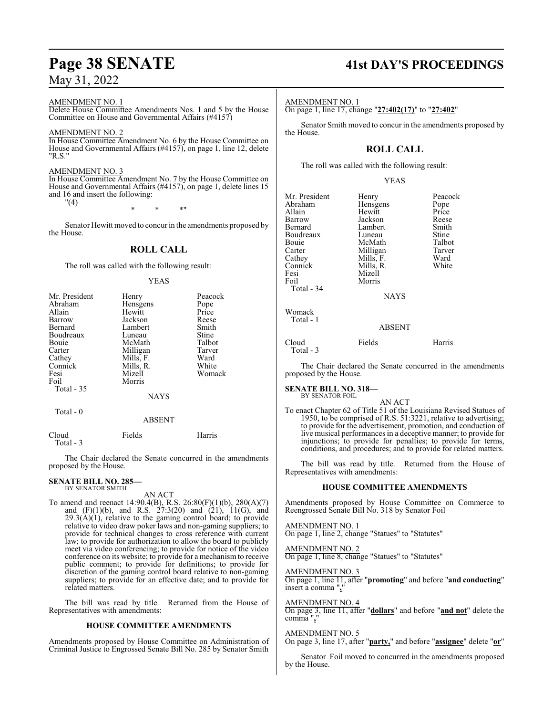#### AMENDMENT NO. 1

Delete House Committee Amendments Nos. 1 and 5 by the House Committee on House and Governmental Affairs (#4157)

#### AMENDMENT NO. 2

In House Committee Amendment No. 6 by the House Committee on House and Governmental Affairs (#4157), on page 1, line 12, delete "R.S."

#### AMENDMENT NO. 3

In House Committee Amendment No. 7 by the House Committee on House and Governmental Affairs (#4157), on page 1, delete lines 15 and 16 and insert the following: "(4)

\* \* \*"

Senator Hewitt moved to concur in the amendments proposed by the House.

## **ROLL CALL**

The roll was called with the following result:

#### YEAS

| Mr. President | Henry         | Peacock |
|---------------|---------------|---------|
| Abraham       | Hensgens      | Pope    |
| Allain        | Hewitt        | Price   |
| Barrow        | Jackson       | Reese   |
| Bernard       | Lambert       | Smith   |
| Boudreaux     | Luneau        | Stine   |
| Bouie         | McMath        | Talbot  |
| Carter        | Milligan      | Tarver  |
| Cathey        | Mills, F.     | Ward    |
| Connick       | Mills, R.     | White   |
| Fesi          | Mizell        | Womack  |
| Foil          | Morris        |         |
| Total - 35    |               |         |
|               | <b>NAYS</b>   |         |
| Total - 0     |               |         |
|               | <b>ABSENT</b> |         |
| Cloud         | Fields        | Harris  |

Total - 3

The Chair declared the Senate concurred in the amendments proposed by the House.

#### **SENATE BILL NO. 285—** BY SENATOR SMITH

AN ACT

To amend and reenact 14:90.4(B), R.S. 26:80(F)(1)(b), 280(A)(7) and  $(F)(1)(b)$ , and R.S.  $27:3(20)$  and  $(21)$ ,  $11(G)$ , and  $29.3(A)(1)$ , relative to the gaming control board; to provide relative to video draw poker laws and non-gaming suppliers; to provide for technical changes to cross reference with current law; to provide for authorization to allow the board to publicly meet via video conferencing; to provide for notice of the video conference on its website; to provide for a mechanismto receive public comment; to provide for definitions; to provide for discretion of the gaming control board relative to non-gaming suppliers; to provide for an effective date; and to provide for related matters.

The bill was read by title. Returned from the House of Representatives with amendments:

#### **HOUSE COMMITTEE AMENDMENTS**

Amendments proposed by House Committee on Administration of Criminal Justice to Engrossed Senate Bill No. 285 by Senator Smith

# **Page 38 SENATE 41st DAY'S PROCEEDINGS**

#### AMENDMENT NO. 1

On page 1, line 17, change "**27:402(17)**" to "**27:402**"

Senator Smith moved to concur in the amendments proposed by the House.

## **ROLL CALL**

The roll was called with the following result:

|--|

| Mr. President | Henry         | Peacock |
|---------------|---------------|---------|
| Abraham       | Hensgens      | Pope    |
| Allain        | Hewitt        | Price   |
| Barrow        | Jackson       | Reese   |
| Bernard       | Lambert       | Smith   |
| Boudreaux     | Luneau        | Stine   |
| Bouie         | McMath        | Talbot  |
| Carter        | Milligan      | Tarver  |
| Cathey        | Mills, F.     | Ward    |
| Connick       | Mills, R.     | White   |
| Fesi          | Mizell        |         |
| Foil          | Morris        |         |
| Total - 34    |               |         |
|               | <b>NAYS</b>   |         |
| Womack        |               |         |
| Total - 1     |               |         |
|               | <b>ABSENT</b> |         |
| Cloud         | Fields        | Harris  |
| Total - 3     |               |         |

The Chair declared the Senate concurred in the amendments proposed by the House.

#### **SENATE BILL NO. 318—** BY SENATOR FOIL

AN ACT

To enact Chapter 62 of Title 51 of the Louisiana Revised Statues of 1950, to be comprised of R.S. 51:3221, relative to advertising; to provide for the advertisement, promotion, and conduction of live musical performances in a deceptive manner; to provide for injunctions; to provide for penalties; to provide for terms, conditions, and procedures; and to provide for related matters.

The bill was read by title. Returned from the House of Representatives with amendments:

#### **HOUSE COMMITTEE AMENDMENTS**

Amendments proposed by House Committee on Commerce to Reengrossed Senate Bill No. 318 by Senator Foil

AMENDMENT NO. 1 On page 1, line 2, change "Statues" to "Statutes"

AMENDMENT NO. 2 On page 1, line 8, change "Statues" to "Statutes"

AMENDMENT NO. 3 On page 1, line 11, after "**promoting**" and before "**and conducting**" insert a comma "**,**"

AMENDMENT NO. 4

On page 3, line 11, after "**dollars**" and before "**and not**" delete the comma "**,**"

#### AMENDMENT NO. 5

On page 3, line 17, after "**party,**" and before "**assignee**" delete "**or**"

Senator Foil moved to concurred in the amendments proposed by the House.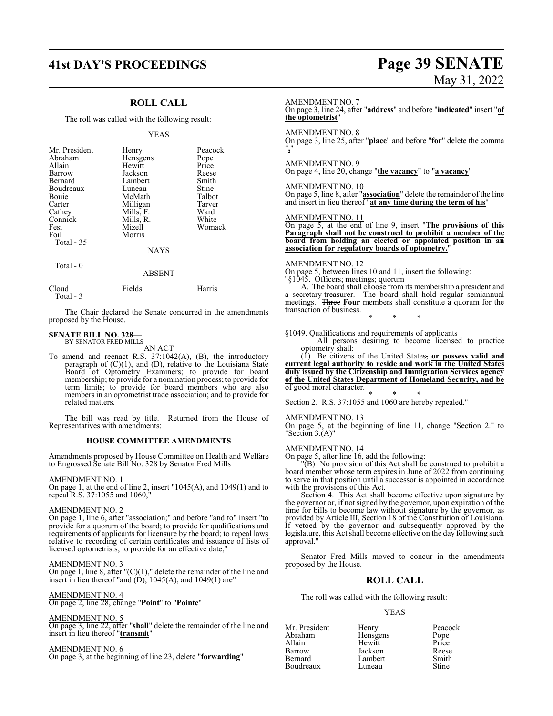# **41st DAY'S PROCEEDINGS Page 39 SENATE** May 31, 2022

|                                                                                                                                            | <b>ROLL CALL</b>                                                                                                                               |                                                                                                                                                                                                                                                                                                                                                                                             | <b>AMENDMENT NO. 7</b>                                                       |                                                                                                             |                                                                                                                                                                                                                                                                                                                                                                                                                               |
|--------------------------------------------------------------------------------------------------------------------------------------------|------------------------------------------------------------------------------------------------------------------------------------------------|---------------------------------------------------------------------------------------------------------------------------------------------------------------------------------------------------------------------------------------------------------------------------------------------------------------------------------------------------------------------------------------------|------------------------------------------------------------------------------|-------------------------------------------------------------------------------------------------------------|-------------------------------------------------------------------------------------------------------------------------------------------------------------------------------------------------------------------------------------------------------------------------------------------------------------------------------------------------------------------------------------------------------------------------------|
| The roll was called with the following result:                                                                                             |                                                                                                                                                | On page 3, line 24, after "address" and before "indicated" insert "of<br>the optometrist"                                                                                                                                                                                                                                                                                                   |                                                                              |                                                                                                             |                                                                                                                                                                                                                                                                                                                                                                                                                               |
|                                                                                                                                            | <b>YEAS</b>                                                                                                                                    |                                                                                                                                                                                                                                                                                                                                                                                             | <b>AMENDMENT NO. 8</b>                                                       |                                                                                                             | On page 3, line 25, after "place" and before "for" delete the comma                                                                                                                                                                                                                                                                                                                                                           |
| Mr. President<br>Abraham<br>Allain<br>Barrow<br>Bernard<br>Boudreaux<br>Bouie<br>Carter<br>Cathey<br>Connick<br>Fesi<br>Foil<br>Total - 35 | Henry<br>Hensgens<br>Hewitt<br>Jackson<br>Lambert<br>Luneau<br>McMath<br>Milligan<br>Mills, F.<br>Mills, R.<br>Mizell<br>Morris<br><b>NAYS</b> | Peacock<br>Pope<br>Price<br>Reese<br>Smith<br>Stine<br>Talbot<br>Tarver<br>Ward<br>White<br>Womack                                                                                                                                                                                                                                                                                          | <b>AMENDMENT NO. 9</b><br><b>AMENDMENT NO. 10</b><br><b>AMENDMENT NO. 11</b> | On page 4, line 20, change "the vacancy" to "a vacancy"<br>association for regulatory boards of optometry." | On page 5, line 8, after "association" delete the remainder of the line<br>and insert in lieu thereof "at any time during the term of his"<br>On page 5, at the end of line 9, insert "The provisions of this<br>Paragraph shall not be construed to prohibit a member of the<br>board from holding an elected or appointed position in an                                                                                    |
| Total - 0                                                                                                                                  | <b>ABSENT</b>                                                                                                                                  |                                                                                                                                                                                                                                                                                                                                                                                             | AMENDMENT NO. 12                                                             | On page 5, between lines 10 and 11, insert the following:                                                   |                                                                                                                                                                                                                                                                                                                                                                                                                               |
| Cloud<br>Total - 3                                                                                                                         | Fields                                                                                                                                         | Harris                                                                                                                                                                                                                                                                                                                                                                                      |                                                                              | "§1045. Officers; meetings; quorum                                                                          | A. The board shall choose from its membership a president and<br>a secretary-treasurer. The board shall hold regular semiannual<br>meetings. Three Four members shall constitute a quorum for the                                                                                                                                                                                                                             |
| proposed by the House.                                                                                                                     |                                                                                                                                                | The Chair declared the Senate concurred in the amendments                                                                                                                                                                                                                                                                                                                                   | transaction of business.                                                     |                                                                                                             |                                                                                                                                                                                                                                                                                                                                                                                                                               |
| <b>SENATE BILL NO. 328—</b><br>BY SENATOR FRED MILLS                                                                                       | AN ACT                                                                                                                                         |                                                                                                                                                                                                                                                                                                                                                                                             | optometry shall:                                                             | §1049. Qualifications and requirements of applicants                                                        | All persons desiring to become licensed to practice                                                                                                                                                                                                                                                                                                                                                                           |
| related matters.                                                                                                                           |                                                                                                                                                | To amend and reenact R.S. $37:1042(A)$ , (B), the introductory<br>paragraph of $(C)(1)$ , and $(D)$ , relative to the Louisiana State<br>Board of Optometry Examiners; to provide for board<br>membership; to provide for a nomination process; to provide for<br>term limits; to provide for board members who are also<br>members in an optometrist trade association; and to provide for | of good moral character.                                                     | Section 2. R.S. 37:1055 and 1060 are hereby repealed."                                                      | (1) Be citizens of the United States, or possess valid and<br>current legal authority to reside and work in the United States<br>duly issued by the Citizenship and Immigration Services agency<br>of the United States Department of Homeland Security, and be                                                                                                                                                               |
| Representatives with amendments:                                                                                                           |                                                                                                                                                | The bill was read by title. Returned from the House of                                                                                                                                                                                                                                                                                                                                      | <b>AMENDMENT NO. 13</b>                                                      |                                                                                                             | On page 5, at the beginning of line 11, change "Section 2." to                                                                                                                                                                                                                                                                                                                                                                |
|                                                                                                                                            | <b>HOUSE COMMITTEE AMENDMENTS</b>                                                                                                              |                                                                                                                                                                                                                                                                                                                                                                                             | "Section $3.(A)$ "                                                           |                                                                                                             |                                                                                                                                                                                                                                                                                                                                                                                                                               |
| AMENDMENT NO. 1                                                                                                                            | to Engrossed Senate Bill No. 328 by Senator Fred Mills                                                                                         | Amendments proposed by House Committee on Health and Welfare<br>On page 1, at the end of line 2, insert $"1045(A)$ , and $1049(1)$ and to                                                                                                                                                                                                                                                   | <b>AMENDMENT NO. 14</b><br>with the provisions of this Act.                  | On page 5, after line 16, add the following:                                                                | "(B) No provision of this Act shall be construed to prohibit a<br>board member whose term expires in June of 2022 from continuing<br>to serve in that position until a successor is appointed in accordance                                                                                                                                                                                                                   |
| repeal R.S. 37:1055 and 1060,"<br>AMENDMENT NO. 2                                                                                          | licensed optometrists; to provide for an effective date;"                                                                                      | On page 1, line 6, after "association;" and before "and to" insert "to<br>provide for a quorum of the board; to provide for qualifications and<br>requirements of applicants for licensure by the board; to repeal laws<br>relative to recording of certain certificates and issuance of lists of                                                                                           | approval."                                                                   |                                                                                                             | Section 4. This Act shall become effective upon signature by<br>the governor or, if not signed by the governor, upon expiration of the<br>time for bills to become law without signature by the governor, as<br>provided by Article III, Section 18 of the Constitution of Louisiana.<br>If vetoed by the governor and subsequently approved by the<br>legislature, this Act shall become effective on the day following such |
| AMENDMENT NO. 3                                                                                                                            | insert in lieu thereof "and (D), 1045(A), and 1049(1) are"                                                                                     | On page 1, line 8, after $(C)(1)$ ," delete the remainder of the line and                                                                                                                                                                                                                                                                                                                   | proposed by the House.                                                       | <b>ROLL CALL</b>                                                                                            | Senator Fred Mills moved to concur in the amendments                                                                                                                                                                                                                                                                                                                                                                          |
| <b>AMENDMENT NO. 4</b>                                                                                                                     |                                                                                                                                                |                                                                                                                                                                                                                                                                                                                                                                                             |                                                                              | The roll was called with the following result:                                                              |                                                                                                                                                                                                                                                                                                                                                                                                                               |
|                                                                                                                                            | On page 2, line 28, change "Point" to "Pointe"                                                                                                 |                                                                                                                                                                                                                                                                                                                                                                                             |                                                                              | <b>YEAS</b>                                                                                                 |                                                                                                                                                                                                                                                                                                                                                                                                                               |
| AMENDMENT NO. 5<br>insert in lieu thereof "transmit"                                                                                       |                                                                                                                                                | On page 3, line 22, after "shall" delete the remainder of the line and                                                                                                                                                                                                                                                                                                                      | Mr. President<br>Abraham<br>Allain                                           | Henry<br>Hensgens<br>Hewitt                                                                                 | Peacock<br>Pope<br>Price                                                                                                                                                                                                                                                                                                                                                                                                      |
| AMENDMENT NO. 6                                                                                                                            |                                                                                                                                                | On page 3, at the beginning of line 23, delete "forwarding"                                                                                                                                                                                                                                                                                                                                 | Barrow<br>Bernard                                                            | Jackson<br>Lambert                                                                                          | Reese<br>Smith                                                                                                                                                                                                                                                                                                                                                                                                                |

Boudreaux

Lambert Smith<br>
Luneau Stine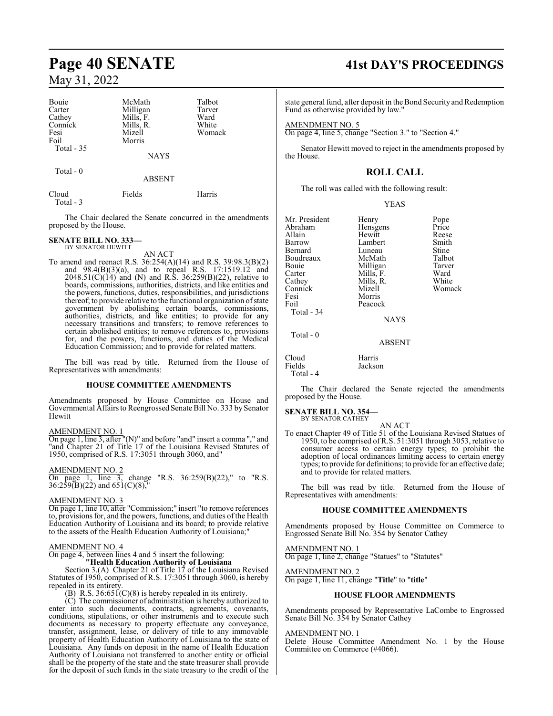| Bouie<br>Carter<br>Cathey<br>Connick<br>Fesi<br>Foil<br>Total $-35$ | McMath<br>Milligan<br>Mills, F.<br>Mills, R.<br>Mizell<br>Morris<br><b>NAYS</b> | Talbot<br>Tarver<br>Ward<br>White<br>Womack |
|---------------------------------------------------------------------|---------------------------------------------------------------------------------|---------------------------------------------|
| Total $-0$                                                          | <b>ABSENT</b>                                                                   |                                             |
| Cloud                                                               | Fields                                                                          | Harris                                      |

The Chair declared the Senate concurred in the amendments proposed by the House.

**SENATE BILL NO. 333—** BY SENATOR HEWITT

Total - 3

AN ACT

To amend and reenact R.S. 36:254(A)(14) and R.S. 39:98.3(B)(2) and 98.4(B)(3)(a), and to repeal R.S. 17:1519.12 and  $2048.51(C)(14)$  and (N) and R.S. 36:259(B)(22), relative to boards, commissions, authorities, districts, and like entities and the powers, functions, duties, responsibilities, and jurisdictions thereof; to provide relative to the functional organization ofstate government by abolishing certain boards, commissions, authorities, districts, and like entities; to provide for any necessary transitions and transfers; to remove references to certain abolished entities; to remove references to, provisions for, and the powers, functions, and duties of the Medical Education Commission; and to provide for related matters.

The bill was read by title. Returned from the House of Representatives with amendments:

#### **HOUSE COMMITTEE AMENDMENTS**

Amendments proposed by House Committee on House and Governmental Affairs to Reengrossed Senate Bill No. 333 by Senator Hewitt

#### AMENDMENT NO. 1

On page 1, line 3, after "(N)" and before "and" insert a comma "," and "and Chapter 21 of Title 17 of the Louisiana Revised Statutes of 1950, comprised of R.S. 17:3051 through 3060, and"

#### AMENDMENT NO. 2

On page 1, line 3, change "R.S. 36:259(B)(22)," to "R.S. 36:259(B)(22) and 651(C)(8),"

#### AMENDMENT NO. 3

On page 1, line 10, after "Commission;" insert "to remove references to, provisions for, and the powers, functions, and duties of the Health Education Authority of Louisiana and its board; to provide relative to the assets of the Health Education Authority of Louisiana;"

#### AMENDMENT NO. 4

On page 4, between lines 4 and 5 insert the following:

**"Health Education Authority of Louisiana**

Section 3.(A) Chapter 21 of Title 17 of the Louisiana Revised Statutes of 1950, comprised of R.S. 17:3051 through 3060, is hereby repealed in its entirety.

(B) R.S.  $36:651(C)(8)$  is hereby repealed in its entirety.

(C) The commissioner of administration is hereby authorized to enter into such documents, contracts, agreements, covenants, conditions, stipulations, or other instruments and to execute such documents as necessary to property effectuate any conveyance, transfer, assignment, lease, or delivery of title to any immovable property of Health Education Authority of Louisiana to the state of Louisiana. Any funds on deposit in the name of Health Education Authority of Louisiana not transferred to another entity or official shall be the property of the state and the state treasurer shall provide for the deposit of such funds in the state treasury to the credit of the

# **Page 40 SENATE 41st DAY'S PROCEEDINGS**

state general fund, after deposit in the Bond Security and Redemption Fund as otherwise provided by law."

AMENDMENT NO. 5

On page 4, line 5, change "Section 3." to "Section 4."

Senator Hewitt moved to reject in the amendments proposed by the House.

## **ROLL CALL**

The roll was called with the following result:

|  | v<br>I |
|--|--------|
|--|--------|

| Mr. President | Henry       | Pope   |
|---------------|-------------|--------|
| Abraham       | Hensgens    | Price  |
| Allain        | Hewitt      | Reese  |
| Barrow        | Lambert     | Smith  |
| Bernard       | Luneau      | Stine  |
| Boudreaux     | McMath      | Talbot |
| Bouie         | Milligan    | Tarver |
| Carter        | Mills, F.   | Ward   |
| Cathey        | Mills, R.   | White  |
| Connick       | Mizell      | Womack |
| Fesi          | Morris      |        |
| Foil          | Peacock     |        |
| Total - 34    |             |        |
|               | <b>NAYS</b> |        |
| Total - 0     |             |        |

ABSENT

Cloud Harris Fields Total - 4

The Chair declared the Senate rejected the amendments proposed by the House.

#### **SENATE BILL NO. 354—**

BY SENATOR CATHEY

AN ACT To enact Chapter 49 of Title 51 of the Louisiana Revised Statues of 1950, to be comprised of R.S. 51:3051 through 3053, relative to consumer access to certain energy types; to prohibit the adoption of local ordinances limiting access to certain energy types; to provide for definitions; to provide for an effective date; and to provide for related matters.

The bill was read by title. Returned from the House of Representatives with amendments:

#### **HOUSE COMMITTEE AMENDMENTS**

Amendments proposed by House Committee on Commerce to Engrossed Senate Bill No. 354 by Senator Cathey

AMENDMENT NO. 1 On page 1, line 2, change "Statues" to "Statutes"

AMENDMENT NO. 2 On page 1, line 11, change "**Title**" to "**title**"

#### **HOUSE FLOOR AMENDMENTS**

Amendments proposed by Representative LaCombe to Engrossed Senate Bill No. 354 by Senator Cathey

#### AMENDMENT NO. 1

Delete House Committee Amendment No. 1 by the House Committee on Commerce (#4066).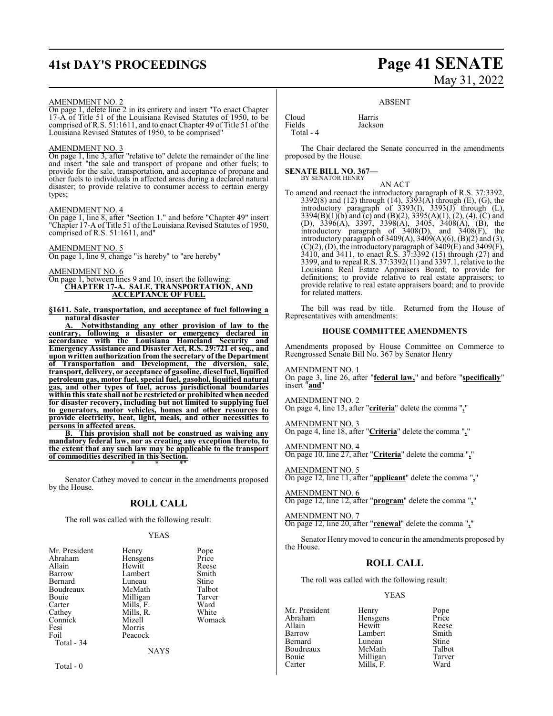# **41st DAY'S PROCEEDINGS Page 41 SENATE**

#### AMENDMENT NO. 2

On page 1, delete line 2 in its entirety and insert "To enact Chapter 17-A of Title 51 of the Louisiana Revised Statutes of 1950, to be comprised of R.S. 51:1611, and to enact Chapter 49 of Title 51 of the Louisiana Revised Statutes of 1950, to be comprised"

#### AMENDMENT NO. 3

On page 1, line 3, after "relative to" delete the remainder of the line and insert "the sale and transport of propane and other fuels; to provide for the sale, transportation, and acceptance of propane and other fuels to individuals in affected areas during a declared natural disaster; to provide relative to consumer access to certain energy types;

#### AMENDMENT NO. 4

On page 1, line 8, after "Section 1." and before "Chapter 49" insert "Chapter 17-A of Title 51 of the Louisiana Revised Statutes of 1950, comprised of R.S. 51:1611, and"

#### AMENDMENT NO. 5

On page 1, line 9, change "is hereby" to "are hereby"

#### AMENDMENT NO. 6

On page 1, between lines 9 and 10, insert the following: **CHAPTER 17-A. SALE, TRANSPORTATION, AND ACCEPTANCE OF FUEL**

**§1611. Sale, transportation, and acceptance of fuel following a natural disaster**

**A. Notwithstanding any other provision of law to the contrary, following a disaster or emergency declared in accordance with the Louisiana Homeland Security and Emergency Assistance and Disaster Act, R.S. 29:721 et seq., and upon written authorization from the secretary of the Department of Transportation and Development, the diversion, sale, transport, delivery, or acceptance of gasoline, diesel fuel, liquified petroleum gas, motor fuel, special fuel, gasohol, liquified natural gas, and other types of fuel, across jurisdictional boundaries within this state shall not be restrictedor prohibited when needed for disaster recovery, including but not limited to supplying fuel to generators, motor vehicles, homes and other resources to provide electricity, heat, light, meals, and other necessities to persons in affected areas.**

**B. This provision shall not be construed as waiving any mandatory federal law, nor as creating any exception thereto, to the extent that any such law may be applicable to the transport of commodities described in this Section.** \* \* \*"

Senator Cathey moved to concur in the amendments proposed by the House.

## **ROLL CALL**

The roll was called with the following result:

#### YEAS

| Mr. President | Henry       | Pope   |
|---------------|-------------|--------|
| Abraham       | Hensgens    | Price  |
| Allain        | Hewitt      | Reese  |
| Barrow        | Lambert     | Smith  |
| Bernard       | Luneau      | Stine  |
| Boudreaux     | McMath      | Talbot |
| Bouie         | Milligan    | Tarver |
| Carter        | Mills, F.   | Ward   |
| Cathey        | Mills, R.   | White  |
| Connick       | Mizell      | Womack |
| Fesi          | Morris      |        |
| Foil          | Peacock     |        |
| Total - 34    |             |        |
|               | <b>NAYS</b> |        |
|               |             |        |

# May 31, 2022

#### ABSENT

**Jackson** 

Cloud<br>Fields Harris<br>Jackso Total - 4

The Chair declared the Senate concurred in the amendments proposed by the House.

#### **SENATE BILL NO. 367—** BY SENATOR HENRY

AN ACT To amend and reenact the introductory paragraph of R.S. 37:3392, 3392(8) and (12) through (14), 3393(A) through (E), (G), the introductory paragraph of 3393(I), 3393(J) through (L), 3394(B)(1)(b) and (c) and (B)(2), 3395(A)(1), (2), (4), (C) and (D), 3396(A), 3397, 3398(A), 3405, 3408(A), (B), the introductory paragraph of 3408(D), and 3408(F), the introductory paragraph of  $3409(A)$ ,  $3409(A)(6)$ ,  $(B)(2)$  and  $(3)$ ,  $(C)(2)$ ,  $(D)$ , the introductory paragraph of 3409 $(E)$  and 3409 $(F)$ , 3410, and 3411, to enact R.S. 37:3392 (15) through (27) and 3399, and to repeal R.S. 37:3392(11) and 3397.1, relative to the Louisiana Real Estate Appraisers Board; to provide for definitions; to provide relative to real estate appraisers; to provide relative to real estate appraisers board; and to provide for related matters.

The bill was read by title. Returned from the House of Representatives with amendments:

#### **HOUSE COMMITTEE AMENDMENTS**

Amendments proposed by House Committee on Commerce to Reengrossed Senate Bill No. 367 by Senator Henry

AMENDMENT NO. 1 On page 3, line 26, after "**federal law,**" and before "**specifically**" insert "**and**"

AMENDMENT NO. 2 On page 4, line 13, after "**criteria**" delete the comma "**,**"

AMENDMENT NO. 3 On page 4, line 18, after "**Criteria**" delete the comma "**,**"

AMENDMENT NO. 4 On page 10, line 27, after "**Criteria**" delete the comma "**,**"

AMENDMENT NO. 5 On page 12, line 11, after "**applicant**" delete the comma "**,**"

AMENDMENT NO. 6 On page 12, line 12, after "**program**" delete the comma "**,**"

AMENDMENT NO. 7 On page 12, line 20, after "**renewal**" delete the comma "**,**"

Senator Henrymoved to concur in the amendments proposed by the House.

## **ROLL CALL**

The roll was called with the following result:

Mills, F.

#### YEAS

Mr. President Henry Pope<br>Abraham Hensgens Price Abraham Hensgens Price<br>Allain Hewitt Reese Allain Hewitt Reese Barrow Lambert Smith Boudreaux McMath Talbot<br>Bouie Milligan Tarver Bouie 1918 Milligan Tarve<br>Carter 1918 Mills F. Mard

Luneau Stine<br>
McMath Talbot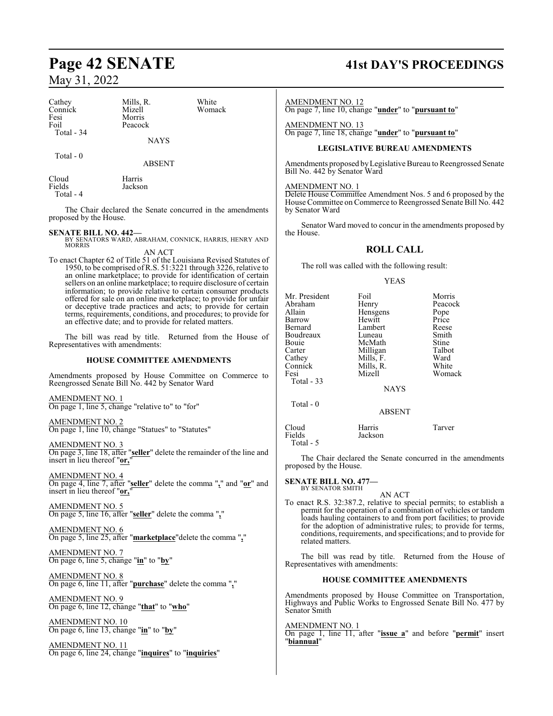| Cathey<br>Connick<br>Fesi<br>Foil<br>Total - 34 | Mills, R.<br>Mizell<br>Morris<br>Peacock<br><b>NAYS</b> | White<br>Womack |  |
|-------------------------------------------------|---------------------------------------------------------|-----------------|--|
| Total - 0                                       |                                                         |                 |  |

ABSENT

Cloud Harris<br>Fields Jackso Jackson Total - 4

The Chair declared the Senate concurred in the amendments proposed by the House.

**SENATE BILL NO. 442—** BY SENATORS WARD, ABRAHAM, CONNICK, HARRIS, HENRY AND MORRIS AN ACT

To enact Chapter 62 of Title 51 of the Louisiana Revised Statutes of 1950, to be comprised ofR.S. 51:3221 through 3226, relative to an online marketplace; to provide for identification of certain sellers on an online marketplace; to require disclosure of certain information; to provide relative to certain consumer products offered for sale on an online marketplace; to provide for unfair or deceptive trade practices and acts; to provide for certain terms, requirements, conditions, and procedures; to provide for an effective date; and to provide for related matters.

The bill was read by title. Returned from the House of Representatives with amendments:

#### **HOUSE COMMITTEE AMENDMENTS**

Amendments proposed by House Committee on Commerce to Reengrossed Senate Bill No. 442 by Senator Ward

AMENDMENT NO. 1 On page 1, line 5, change "relative to" to "for"

AMENDMENT NO. 2 On page 1, line 10, change "Statues" to "Statutes"

AMENDMENT NO. 3 On page 3, line 18, after "**seller**" delete the remainder of the line and insert in lieu thereof "or,"

AMENDMENT NO. 4 On page 4, line 7, after "**seller**" delete the comma "**,**" and "**or**" and insert in lieu thereof "**or,**"

AMENDMENT NO. 5 On page 5, line 16, after "**seller**" delete the comma "**,**"

AMENDMENT NO. 6 On page 5, line 25, after "**marketplace**"delete the comma "**,**"

AMENDMENT NO. 7 On page 6, line 5, change "**in**" to "**by**"

AMENDMENT NO. 8 On page 6, line 11, after "**purchase**" delete the comma "**,**"

AMENDMENT NO. 9 On page 6, line 12, change "**that**" to "**who**"

AMENDMENT NO. 10 On page 6, line 13, change "**in**" to "**by**"

AMENDMENT NO. 11 On page 6, line 24, change "**inquires**" to "**inquiries**"

# **Page 42 SENATE 41st DAY'S PROCEEDINGS**

AMENDMENT NO. 12

On page 7, line 10, change "**under**" to "**pursuant to**"

AMENDMENT NO. 13 On page 7, line 18, change "**under**" to "**pursuant to**"

#### **LEGISLATIVE BUREAU AMENDMENTS**

Amendments proposed byLegislative Bureau to Reengrossed Senate Bill No. 442 by Senator Ward

#### AMENDMENT NO. 1

Delete House Committee Amendment Nos. 5 and 6 proposed by the House Committee on Commerce to Reengrossed Senate Bill No. 442 by Senator Ward

Senator Ward moved to concur in the amendments proposed by the House.

## **ROLL CALL**

The roll was called with the following result:

#### YEAS

| Mr. President<br>Abraham<br>Allain<br>Barrow<br>Bernard<br>Boudreaux<br>Bouie<br>Carter<br>Cathey<br>Connick<br>Fesi<br>Total - 33 | Foil<br>Henry<br>Hensgens<br>Hewitt<br>Lambert<br>Luneau<br>McMath<br>Milligan<br>Mills, F.<br>Mills, R.<br>Mizell<br><b>NAYS</b> | Morris<br>Peacock<br>Pope<br>Price<br>Reese<br>Smith<br>Stine<br>Talbot<br>Ward<br>White<br>Womack |
|------------------------------------------------------------------------------------------------------------------------------------|-----------------------------------------------------------------------------------------------------------------------------------|----------------------------------------------------------------------------------------------------|
| Total $-0$                                                                                                                         | <b>ABSENT</b>                                                                                                                     |                                                                                                    |
| Cloud<br>Fields<br>Total - 5                                                                                                       | Harris<br>Jackson                                                                                                                 | Tarver                                                                                             |

The Chair declared the Senate concurred in the amendments proposed by the House.

#### **SENATE BILL NO. 477—** BY SENATOR SMITH

AN ACT To enact R.S. 32:387.2, relative to special permits; to establish a permit for the operation of a combination of vehicles or tandem loads hauling containers to and from port facilities; to provide for the adoption of administrative rules; to provide for terms, conditions, requirements, and specifications; and to provide for related matters.

The bill was read by title. Returned from the House of Representatives with amendments:

#### **HOUSE COMMITTEE AMENDMENTS**

Amendments proposed by House Committee on Transportation, Highways and Public Works to Engrossed Senate Bill No. 477 by Senator Smith

AMENDMENT NO. 1

On page 1, line 11, after "**issue a**" and before "**permit**" insert "**biannual**"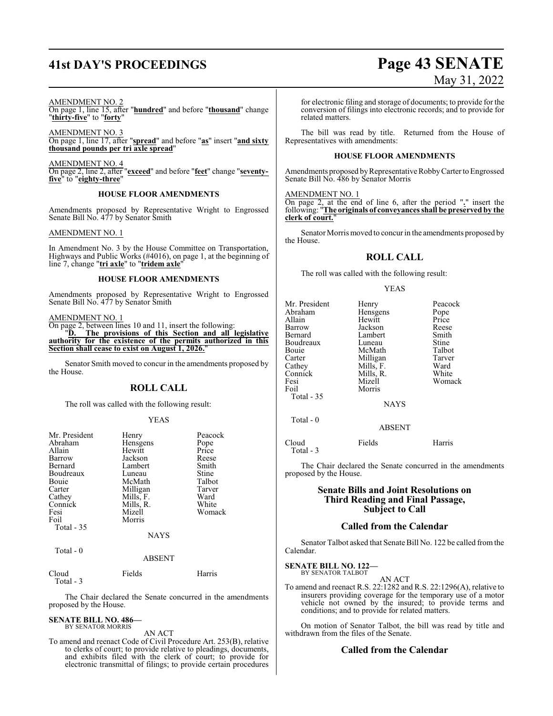# **41st DAY'S PROCEEDINGS Page 43 SENATE**

#### AMENDMENT NO. 2

On page 1, line 15, after "**hundred**" and before "**thousand**" change "**thirty-five**" to "**forty**"

AMENDMENT NO. 3 On page 1, line 17, after "**spread**" and before "**as**" insert "**and sixty thousand pounds per tri axle spread**"

AMENDMENT NO. 4 On page 2, line 2, after "**exceed**" and before "**feet**" change "**seventyfive**" to "**eighty-three**"

#### **HOUSE FLOOR AMENDMENTS**

Amendments proposed by Representative Wright to Engrossed Senate Bill No. 477 by Senator Smith

#### AMENDMENT NO. 1

In Amendment No. 3 by the House Committee on Transportation, Highways and Public Works (#4016), on page 1, at the beginning of line 7, change "**tri axle**" to "**tridem axle**"

#### **HOUSE FLOOR AMENDMENTS**

Amendments proposed by Representative Wright to Engrossed Senate Bill No. 477 by Senator Smith

#### AMENDMENT NO. 1

On page 2, between lines 10 and 11, insert the following:

"**D. The provisions of this Section and all legislative authority for the existence of the permits authorized in this Section shall cease to exist on August 1, 2026.**"

Senator Smith moved to concur in the amendments proposed by the House.

#### **ROLL CALL**

The roll was called with the following result:

#### YEAS

| Mr. President | Henry       | Peacock |
|---------------|-------------|---------|
| Abraham       | Hensgens    | Pope    |
| Allain        | Hewitt      | Price   |
| Barrow        | Jackson     | Reese   |
| Bernard       | Lambert     | Smith   |
| Boudreaux     | Luneau      | Stine   |
| Bouie         | McMath      | Talbot  |
| Carter        | Milligan    | Tarver  |
| Cathey        | Mills, F.   | Ward    |
| Connick       | Mills, R.   | White   |
| Fesi          | Mizell      | Womack  |
| Foil          | Morris      |         |
| Total $-35$   |             |         |
|               | <b>NAYS</b> |         |
| Total - 0     |             |         |
|               | ABSENT      |         |

| Cloud     | Fields | Harris |
|-----------|--------|--------|
| Total - 3 |        |        |

The Chair declared the Senate concurred in the amendments proposed by the House.

#### **SENATE BILL NO. 486—**

BY SENATOR MORRIS AN ACT

To amend and reenact Code of Civil Procedure Art. 253(B), relative to clerks of court; to provide relative to pleadings, documents, and exhibits filed with the clerk of court; to provide for electronic transmittal of filings; to provide certain procedures

for electronic filing and storage of documents; to provide for the conversion of filings into electronic records; and to provide for related matters.

The bill was read by title. Returned from the House of Representatives with amendments:

#### **HOUSE FLOOR AMENDMENTS**

Amendments proposed by Representative Robby Carter to Engrossed Senate Bill No. 486 by Senator Morris

#### AMENDMENT NO. 1

On page 2, at the end of line 6, after the period "**.**" insert the following: "**The originals of conveyances shall be preserved by the clerk of court.**"

Senator Morris moved to concur in the amendments proposed by the House.

#### **ROLL CALL**

The roll was called with the following result:

#### YEAS

|               | Peacock                                                          |
|---------------|------------------------------------------------------------------|
|               | Pope                                                             |
|               | Price                                                            |
|               | Reese                                                            |
| Lambert       | Smith                                                            |
| Luneau        | Stine                                                            |
| McMath        | Talbot                                                           |
| Milligan      | Tarver                                                           |
|               | Ward                                                             |
|               | White                                                            |
| Mizell        | Womack                                                           |
| Morris        |                                                                  |
|               |                                                                  |
| <b>NAYS</b>   |                                                                  |
|               |                                                                  |
| <b>ABSENT</b> |                                                                  |
|               | Henry<br>Hensgens<br>Hewitt<br>Jackson<br>Mills, F.<br>Mills, R. |

Cloud Fields Harris Total - 3

The Chair declared the Senate concurred in the amendments proposed by the House.

#### **Senate Bills and Joint Resolutions on Third Reading and Final Passage, Subject to Call**

#### **Called from the Calendar**

Senator Talbot asked that Senate Bill No. 122 be called fromthe Calendar.

**SENATE BILL NO. 122—** BY SENATOR TALBOT

#### AN ACT

To amend and reenact R.S. 22:1282 and R.S. 22:1296(A), relative to insurers providing coverage for the temporary use of a motor vehicle not owned by the insured; to provide terms and conditions; and to provide for related matters.

On motion of Senator Talbot, the bill was read by title and withdrawn from the files of the Senate.

#### **Called from the Calendar**

# May 31, 2022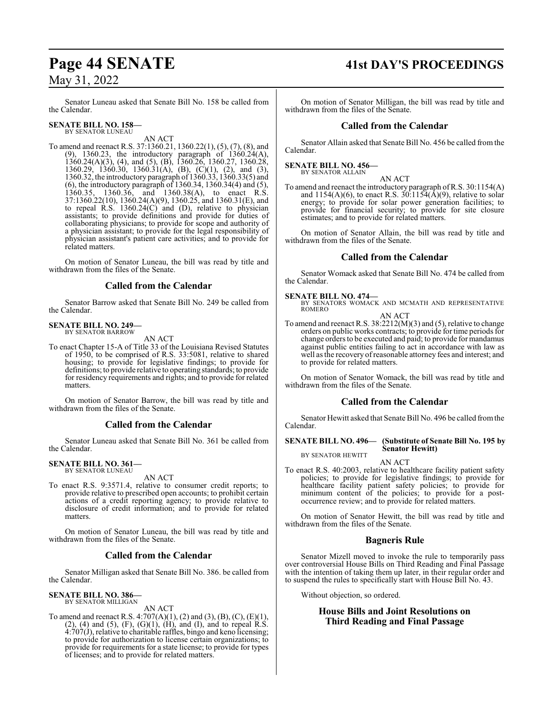Senator Luneau asked that Senate Bill No. 158 be called from the Calendar.

#### **SENATE BILL NO. 158—** BY SENATOR LUNEAU

AN ACT

To amend and reenact R.S. 37:1360.21, 1360.22(1), (5), (7), (8), and (9), 1360.23, the introductory paragraph of 1360.24(A), 1360.24(A)(3), (4), and (5), (B), 1360.26, 1360.27, 1360.28, 1360.29, 1360.30, 1360.31(A), (B), (C)(1), (2), and (3), 1360.32, the introductory paragraph of 1360.33, 1360.33(5) and (6), the introductory paragraph of 1360.34, 1360.34(4) and (5), 1360.35, 1360.36, and 1360.38(A), to enact R.S. 37:1360.22(10), 1360.24(A)(9), 1360.25, and 1360.31(E), and to repeal R.S. 1360.24(C) and (D), relative to physician assistants; to provide definitions and provide for duties of collaborating physicians; to provide for scope and authority of a physician assistant; to provide for the legal responsibility of physician assistant's patient care activities; and to provide for related matters.

On motion of Senator Luneau, the bill was read by title and withdrawn from the files of the Senate.

## **Called from the Calendar**

Senator Barrow asked that Senate Bill No. 249 be called from the Calendar.

# **SENATE BILL NO. 249—** BY SENATOR BARROW

AN ACT

To enact Chapter 15-A of Title 33 of the Louisiana Revised Statutes of 1950, to be comprised of R.S. 33:5081, relative to shared housing; to provide for legislative findings; to provide for definitions; to provide relative to operating standards; to provide for residency requirements and rights; and to provide for related matters.

On motion of Senator Barrow, the bill was read by title and withdrawn from the files of the Senate.

## **Called from the Calendar**

Senator Luneau asked that Senate Bill No. 361 be called from the Calendar.

#### **SENATE BILL NO. 361—** BY SENATOR LUNEAU

AN ACT

To enact R.S. 9:3571.4, relative to consumer credit reports; to provide relative to prescribed open accounts; to prohibit certain actions of a credit reporting agency; to provide relative to disclosure of credit information; and to provide for related matters.

On motion of Senator Luneau, the bill was read by title and withdrawn from the files of the Senate.

## **Called from the Calendar**

Senator Milligan asked that Senate Bill No. 386. be called from the Calendar.

# **SENATE BILL NO. 386—** BY SENATOR MILLIGAN

AN ACT

To amend and reenact R.S.  $4:707(A)(1)$ , (2) and (3), (B), (C), (E)(1),  $(2)$ ,  $(4)$  and  $(5)$ ,  $(F)$ ,  $(G)(1)$ ,  $(H)$ , and  $(I)$ , and to repeal R.S.  $4:707(J)$ , relative to charitable raffles, bingo and keno licensing; to provide for authorization to license certain organizations; to provide for requirements for a state license; to provide for types of licenses; and to provide for related matters.

# **Page 44 SENATE 41st DAY'S PROCEEDINGS**

On motion of Senator Milligan, the bill was read by title and withdrawn from the files of the Senate.

## **Called from the Calendar**

Senator Allain asked that Senate Bill No. 456 be called from the Calendar.

**SENATE BILL NO. 456—** BY SENATOR ALLAIN

#### AN ACT

To amend and reenact the introductory paragraph ofR.S. 30:1154(A) and  $1154(A)(6)$ , to enact R.S.  $30:1154(\text{\AA})(9)$ , relative to solar energy; to provide for solar power generation facilities; to provide for financial security; to provide for site closure estimates; and to provide for related matters.

On motion of Senator Allain, the bill was read by title and withdrawn from the files of the Senate.

## **Called from the Calendar**

Senator Womack asked that Senate Bill No. 474 be called from the Calendar.

**SENATE BILL NO. 474—** BY SENATORS WOMACK AND MCMATH AND REPRESENTATIVE ROMERO

#### AN ACT

To amend and reenact R.S. 38:2212(M)(3) and (5), relative to change orders on public works contracts; to provide for time periods for change orders to be executed and paid; to provide for mandamus against public entities failing to act in accordance with law as well as the recovery ofreasonable attorney fees and interest; and to provide for related matters.

On motion of Senator Womack, the bill was read by title and withdrawn from the files of the Senate.

## **Called from the Calendar**

Senator Hewitt asked that Senate Bill No. 496 be called fromthe Calendar.

#### **SENATE BILL NO. 496— (Substitute of Senate Bill No. 195 by Senator Hewitt)** BY SENATOR HEWITT

AN ACT

To enact R.S. 40:2003, relative to healthcare facility patient safety policies; to provide for legislative findings; to provide for healthcare facility patient safety policies; to provide for minimum content of the policies; to provide for a postoccurrence review; and to provide for related matters.

On motion of Senator Hewitt, the bill was read by title and withdrawn from the files of the Senate.

## **Bagneris Rule**

Senator Mizell moved to invoke the rule to temporarily pass over controversial House Bills on Third Reading and Final Passage with the intention of taking them up later, in their regular order and to suspend the rules to specifically start with House Bill No. 43.

Without objection, so ordered.

## **House Bills and Joint Resolutions on Third Reading and Final Passage**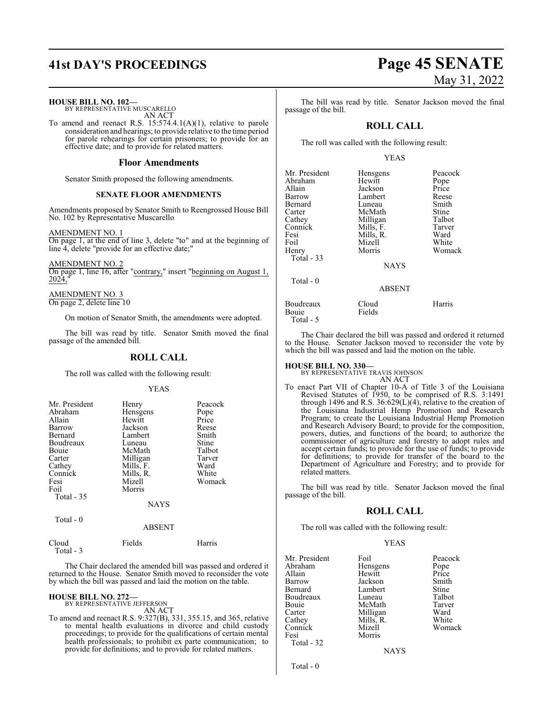**HOUSE BILL NO. 102—** BY REPRESENTATIVE MUSCARELLO

AN ACT To amend and reenact R.S. 15:574.4.1(A)(1), relative to parole consideration and hearings; to provide relative to the time period for parole rehearings for certain prisoners; to provide for an effective date; and to provide for related matters.

#### **Floor Amendments**

Senator Smith proposed the following amendments.

#### **SENATE FLOOR AMENDMENTS**

Amendments proposed by Senator Smith to Reengrossed House Bill No. 102 by Representative Muscarello

AMENDMENT NO. 1

On page 1, at the end of line 3, delete "to" and at the beginning of line 4, delete "provide for an effective date;"

AMENDMENT NO. 2 On page 1, line 16, after "contrary," insert "beginning on August 1, 2024,"

AMENDMENT NO. 3 On page 2, delete line 10

On motion of Senator Smith, the amendments were adopted.

The bill was read by title. Senator Smith moved the final passage of the amended bill.

#### **ROLL CALL**

The roll was called with the following result:

YEAS

| Mr. President | Henry     | Peacock |
|---------------|-----------|---------|
| Abraham       | Hensgens  | Pope    |
| Allain        | Hewitt    | Price   |
| Barrow        | Jackson   | Reese   |
| Bernard       | Lambert   | Smith   |
| Boudreaux     | Luneau    | Stine   |
| Bouie         | McMath    | Talbot  |
| Carter        | Milligan  | Tarver  |
| Cathey        | Mills, F. | Ward    |
| Connick       | Mills, R. | White   |
| Fesi          | Mizell    | Womack  |
| Foil          | Morris    |         |
| Total - 35    |           |         |
|               | NAYS      |         |

Total - 0

#### ABSENT

| Cloud     | Fields | Harris |
|-----------|--------|--------|
| Total - 3 |        |        |

The Chair declared the amended bill was passed and ordered it returned to the House. Senator Smith moved to reconsider the vote by which the bill was passed and laid the motion on the table.

**HOUSE BILL NO. 272—** BY REPRESENTATIVE JEFFERSON

AN ACT

To amend and reenact R.S. 9:327(B), 331, 355.15, and 365, relative to mental health evaluations in divorce and child custody proceedings; to provide for the qualifications of certain mental health professionals; to prohibit ex parte communication; to provide for definitions; and to provide for related matters.

# **41st DAY'S PROCEEDINGS Page 45 SENATE** May 31, 2022

The bill was read by title. Senator Jackson moved the final passage of the bill.

## **ROLL CALL**

The roll was called with the following result:

#### YEAS

| Mr. President | Hensgens      | Peacock |
|---------------|---------------|---------|
| Abraham       | Hewitt        | Pope    |
| Allain        | Jackson       | Price   |
| Barrow        | Lambert       | Reese   |
| Bernard       | Luneau        | Smith   |
| Carter        | McMath        | Stine   |
| Cathey        | Milligan      | Talbot  |
| Connick       | Mills, F.     | Tarver  |
| Fesi          | Mills, R.     | Ward    |
| Foil          | Mizell        | White   |
| Henry         | Morris        | Womack  |
| Total $-33$   |               |         |
|               | <b>NAYS</b>   |         |
| Total $-0$    |               |         |
|               | <b>ABSENT</b> |         |
| Boudreaux     | Cloud         | Harris  |
| Bouie         | Fields        |         |

The Chair declared the bill was passed and ordered it returned to the House. Senator Jackson moved to reconsider the vote by which the bill was passed and laid the motion on the table.

# **HOUSE BILL NO. 330—** BY REPRESENTATIVE TRAVIS JOHNSON

Total - 5

AN ACT

To enact Part VII of Chapter 10-A of Title 3 of the Louisiana Revised Statutes of 1950, to be comprised of R.S. 3:1491 through 1496 and R.S.  $36:629(L)(4)$ , relative to the creation of the Louisiana Industrial Hemp Promotion and Research Program; to create the Louisiana Industrial Hemp Promotion and Research Advisory Board; to provide for the composition, powers, duties, and functions of the board; to authorize the commissioner of agriculture and forestry to adopt rules and accept certain funds; to provide for the use of funds; to provide for definitions; to provide for transfer of the board to the Department of Agriculture and Forestry; and to provide for related matters.

The bill was read by title. Senator Jackson moved the final passage of the bill.

#### **ROLL CALL**

The roll was called with the following result:

| Mr. President | Foil      | Peacock |
|---------------|-----------|---------|
|               |           |         |
| Abraham       | Hensgens  | Pope    |
| Allain        | Hewitt    | Price   |
| Barrow        | Jackson   | Smith   |
| Bernard       | Lambert   | Stine   |
| Boudreaux     | Luneau    | Talbot  |
| Bouie         | McMath    | Tarver  |
| Carter        | Milligan  | Ward    |
| Cathey        | Mills, R. | White   |
| Connick       | Mizell    | Womack  |
| Fesi          | Morris    |         |
| Total - 32    |           |         |

**NAYS** 

Total - 0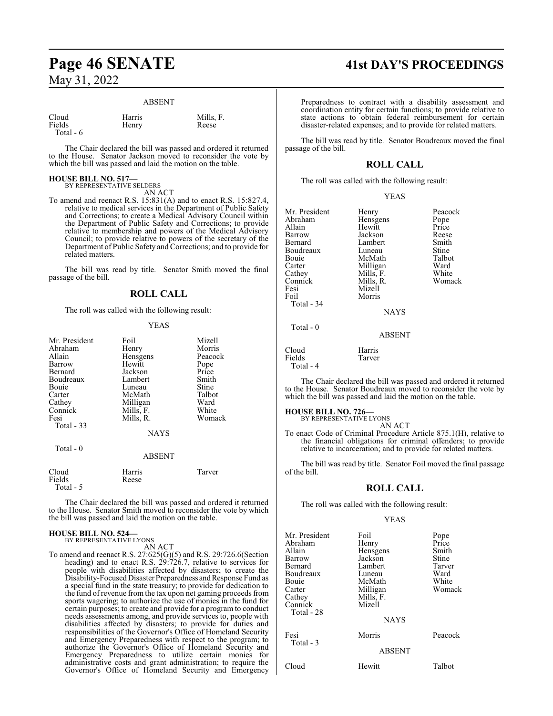#### ABSENT

| Cloud     | Harris | Mills, F. |
|-----------|--------|-----------|
| Fields    | Henry  | Reese     |
| Total - 6 |        |           |

The Chair declared the bill was passed and ordered it returned to the House. Senator Jackson moved to reconsider the vote by which the bill was passed and laid the motion on the table.

## **HOUSE BILL NO. 517—**

BY REPRESENTATIVE SELDERS AN ACT

To amend and reenact R.S. 15:831(A) and to enact R.S. 15:827.4, relative to medical services in the Department of Public Safety and Corrections; to create a Medical Advisory Council within the Department of Public Safety and Corrections; to provide relative to membership and powers of the Medical Advisory Council; to provide relative to powers of the secretary of the Department of Public Safety and Corrections; and to provide for related matters.

The bill was read by title. Senator Smith moved the final passage of the bill.

## **ROLL CALL**

The roll was called with the following result:

#### YEAS

| Mr. President | Foil          | Mizell        |
|---------------|---------------|---------------|
| Abraham       | Henry         | Morris        |
| Allain        | Hensgens      | Peacock       |
| Barrow        | Hewitt        |               |
| Bernard       | Jackson       | Pope<br>Price |
| Boudreaux     | Lambert       | Smith         |
| Bouie         | Luneau        | Stine         |
| Carter        | McMath        | Talbot        |
| Cathey        | Milligan      | Ward          |
| Connick       | Mills, F.     | White         |
| Fesi          | Mills, R.     | Womack        |
| Total - 33    |               |               |
|               | <b>NAYS</b>   |               |
| Total $-0$    |               |               |
|               | <b>ABSENT</b> |               |
|               |               |               |

The Chair declared the bill was passed and ordered it returned to the House. Senator Smith moved to reconsider the vote by which the bill was passed and laid the motion on the table.

#### **HOUSE BILL NO. 524—**

Fields Total - 5

> BY REPRESENTATIVE LYONS AN ACT

Cloud Harris Tarver

To amend and reenact R.S. 27:625(G)(5) and R.S. 29:726.6(Section heading) and to enact R.S. 29:726.7, relative to services for people with disabilities affected by disasters; to create the Disability-FocusedDisaster Preparedness andResponse Fund as a special fund in the state treasury; to provide for dedication to the fund ofrevenue fromthe tax upon net gaming proceeds from sports wagering; to authorize the use of monies in the fund for certain purposes; to create and provide for a program to conduct needs assessments among, and provide services to, people with disabilities affected by disasters; to provide for duties and responsibilities of the Governor's Office of Homeland Security and Emergency Preparedness with respect to the program; to authorize the Governor's Office of Homeland Security and Emergency Preparedness to utilize certain monies for administrative costs and grant administration; to require the Governor's Office of Homeland Security and Emergency

# **Page 46 SENATE 41st DAY'S PROCEEDINGS**

Preparedness to contract with a disability assessment and coordination entity for certain functions; to provide relative to state actions to obtain federal reimbursement for certain disaster-related expenses; and to provide for related matters.

The bill was read by title. Senator Boudreaux moved the final passage of the bill.

## **ROLL CALL**

YEAS

The roll was called with the following result:

| Mr. President<br>Abraham<br>Allain<br>Barrow<br>Bernard<br>Boudreaux<br>Bouie<br>Carter<br>Cathey<br>Connick<br>Fesi<br>Foil<br>Total - 34 | Henry<br>Hensgens<br>Hewitt<br>Jackson<br>Lambert<br>Luneau<br>McMath<br>Milligan<br>Mills, F.<br>Mills, R.<br>Mizell<br>Morris<br><b>NAYS</b> | Peacock<br>Pope<br>Price<br>Reese<br>Smith<br>Stine<br>Talbot<br>Ward<br>White<br>Womack |
|--------------------------------------------------------------------------------------------------------------------------------------------|------------------------------------------------------------------------------------------------------------------------------------------------|------------------------------------------------------------------------------------------|
| Total $-0$                                                                                                                                 | ABSENT                                                                                                                                         |                                                                                          |

Tarver

The Chair declared the bill was passed and ordered it returned to the House. Senator Boudreaux moved to reconsider the vote by which the bill was passed and laid the motion on the table.

#### **HOUSE BILL NO. 726—**

Cloud Harris<br>Fields Tarver

Total - 4

BY REPRESENTATIVE LYONS AN ACT

To enact Code of Criminal Procedure Article 875.1(H), relative to the financial obligations for criminal offenders; to provide relative to incarceration; and to provide for related matters.

The bill was read by title. Senator Foil moved the final passage of the bill.

#### **ROLL CALL**

The roll was called with the following result:

#### YEAS

| Mr. President<br>Abraham<br>Allain<br>Barrow<br>Bernard<br>Boudreaux<br>Bouie<br>Carter<br>Cathey | Foil<br>Henry<br>Hensgens<br>Jackson<br>Lambert<br>Luneau<br>McMath<br>Milligan<br>Mills, F. | Pope<br>Price<br>Smith<br>Stine<br>Tarver<br>Ward<br>White<br>Womack |
|---------------------------------------------------------------------------------------------------|----------------------------------------------------------------------------------------------|----------------------------------------------------------------------|
| Connick<br>Total - 28                                                                             | Mizell<br><b>NAYS</b>                                                                        |                                                                      |
| Fesi<br>Total - 3                                                                                 | Morris<br><b>ABSENT</b>                                                                      | Peacock                                                              |
| Cloud                                                                                             | Hewitt                                                                                       | Talbot                                                               |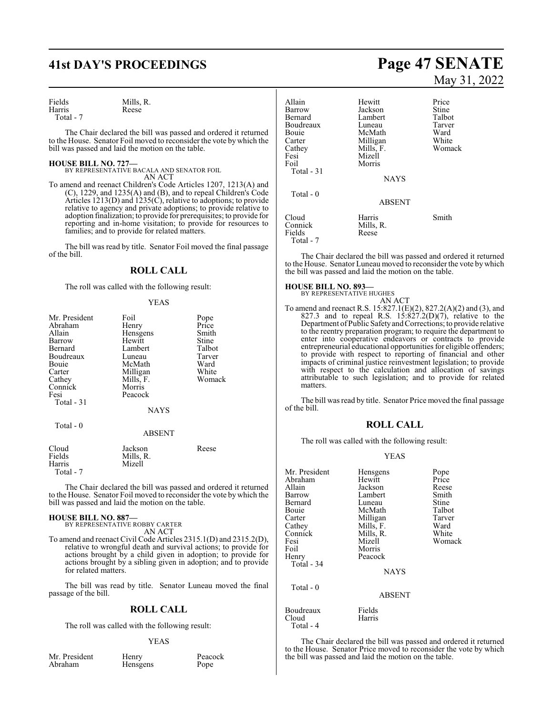# **41st DAY'S PROCEEDINGS Page 47 SENATE**

| Fields    | Mills, R. |  |
|-----------|-----------|--|
| Harris    | Reese     |  |
| Total - 7 |           |  |

The Chair declared the bill was passed and ordered it returned to the House. Senator Foil moved to reconsider the vote by which the bill was passed and laid the motion on the table.

**HOUSE BILL NO. 727—** BY REPRESENTATIVE BACALA AND SENATOR FOIL AN ACT

To amend and reenact Children's Code Articles 1207, 1213(A) and (C), 1229, and 1235(A) and (B), and to repeal Children's Code Articles  $1213(D)$  and  $1235(C)$ , relative to adoptions; to provide relative to agency and private adoptions; to provide relative to adoption finalization; to provide for prerequisites; to provide for reporting and in-home visitation; to provide for resources to families; and to provide for related matters.

The bill was read by title. Senator Foil moved the final passage of the bill.

### **ROLL CALL**

The roll was called with the following result:

#### YEAS

| Mr. President | Foil          | Pope   |
|---------------|---------------|--------|
| Abraham       | Henry         | Price  |
| Allain        | Hensgens      | Smith  |
| Barrow        | Hewitt        | Stine  |
| Bernard       | Lambert       | Talbot |
| Boudreaux     | Luneau        | Tarver |
| Bouie         | McMath        | Ward   |
| Carter        | Milligan      | White  |
| Cathey        | Mills, F.     | Womack |
| Connick       | Morris        |        |
| Fesi          | Peacock       |        |
| Total - 31    |               |        |
|               | <b>NAYS</b>   |        |
|               |               |        |
| Total - 0     |               |        |
|               | <b>ABSENT</b> |        |
| Cloud         | Jackson       | Reese  |
| Fields        | Mills, R.     |        |
| Harris        | Mizell        |        |
| Total - 7     |               |        |

The Chair declared the bill was passed and ordered it returned to the House. Senator Foil moved to reconsider the vote by which the bill was passed and laid the motion on the table.

#### **HOUSE BILL NO. 887—**

BY REPRESENTATIVE ROBBY CARTER AN ACT

To amend and reenact Civil Code Articles 2315.1(D) and 2315.2(D), relative to wrongful death and survival actions; to provide for actions brought by a child given in adoption; to provide for actions brought by a sibling given in adoption; and to provide for related matters.

The bill was read by title. Senator Luneau moved the final passage of the bill.

#### **ROLL CALL**

The roll was called with the following result:

#### YEAS

Mr. President Henry Peacock<br>Abraham Hensgens Pope

Hensgens

# May 31, 2022

| Allain<br>Barrow<br>Bernard<br>Boudreaux<br>Bouie<br>Carter<br>Cathey<br>Fesi<br>Foil | Hewitt<br>Jackson<br>Lambert<br>Luneau<br>McMath<br>Milligan<br>Mills, F.<br>Mizell<br>Morris | Price<br>Stine<br>Talbot<br>Tarver<br>Ward<br>White<br>Womack |
|---------------------------------------------------------------------------------------|-----------------------------------------------------------------------------------------------|---------------------------------------------------------------|
| Total $-31$                                                                           | <b>NAYS</b>                                                                                   |                                                               |
| Total $-0$                                                                            | <b>ABSENT</b>                                                                                 |                                                               |
| Cloud<br>Connick<br>Fields<br>Total - 7                                               | Harris<br>Mills, R.<br>Reese                                                                  | Smith                                                         |

The Chair declared the bill was passed and ordered it returned to the House. Senator Luneau moved to reconsider the vote bywhich the bill was passed and laid the motion on the table.

#### **HOUSE BILL NO. 893—**

BY REPRESENTATIVE HUGHES

AN ACT To amend and reenact R.S. 15:827.1(E)(2), 827.2(A)(2) and (3), and 827.3 and to repeal R.S.  $15:827.2(D)(7)$ , relative to the Department ofPublic SafetyandCorrections; to provide relative to the reentry preparation program; to require the department to enter into cooperative endeavors or contracts to provide entrepreneurial educational opportunities for eligible offenders; to provide with respect to reporting of financial and other impacts of criminal justice reinvestment legislation; to provide with respect to the calculation and allocation of savings attributable to such legislation; and to provide for related matters.

The bill was read by title. Senator Price moved the final passage of the bill.

#### **ROLL CALL**

The roll was called with the following result:

#### YEAS

| Mr. President<br>Abraham<br>Allain<br>Barrow<br>Bernard<br>Bouie<br>Carter<br>Cathey<br>Connick<br>Fesi<br>Foil<br>Henry<br>Total - 34<br>Total - 0 | Hensgens<br>Hewitt<br>Jackson<br>Lambert<br>Luneau<br>McMath<br>Milligan<br>Mills, F.<br>Mills, R.<br>Mizell<br>Morris<br>Peacock<br><b>NAYS</b> | Pope<br>Price<br>Reese<br>Smith<br>Stine<br>Talbot<br>Tarver<br>Ward<br>White<br>Womack |
|-----------------------------------------------------------------------------------------------------------------------------------------------------|--------------------------------------------------------------------------------------------------------------------------------------------------|-----------------------------------------------------------------------------------------|
|                                                                                                                                                     | <b>ABSENT</b>                                                                                                                                    |                                                                                         |
| Boudreaux<br>Cloud<br>Total - 4                                                                                                                     | Fields<br>Harris                                                                                                                                 |                                                                                         |

The Chair declared the bill was passed and ordered it returned to the House. Senator Price moved to reconsider the vote by which the bill was passed and laid the motion on the table.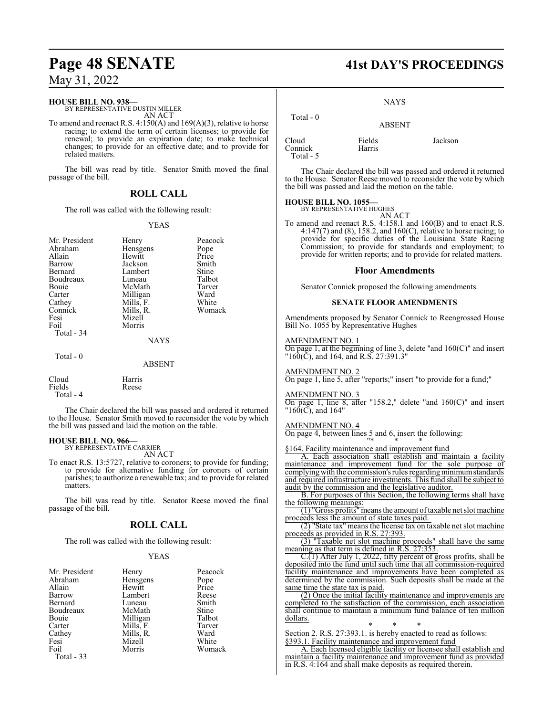#### **HOUSE BILL NO. 938—**

BY REPRESENTATIVE DUSTIN MILLER AN ACT

To amend and reenact R.S. 4:150(A) and 169(A)(3), relative to horse racing; to extend the term of certain licenses; to provide for renewal; to provide an expiration date; to make technical changes; to provide for an effective date; and to provide for related matters.

The bill was read by title. Senator Smith moved the final passage of the bill.

## **ROLL CALL**

The roll was called with the following result:

#### YEAS

| Mr. President<br>Abraham<br>Allain<br>Barrow<br>Bernard<br>Boudreaux<br>Bouie<br>Carter<br>Cathey<br>Connick<br>Fesi<br>Foil<br>Total - 34 | Henry<br>Hensgens<br>Hewitt<br>Jackson<br>Lambert<br>Luneau<br>McMath<br>Milligan<br>Mills, F.<br>Mills, R.<br>Mizell<br>Morris<br><b>NAYS</b> | Peacock<br>Pope<br>Price<br>Smith<br>Stine<br>Talbot<br>Tarver<br>Ward<br>White<br>Womack |
|--------------------------------------------------------------------------------------------------------------------------------------------|------------------------------------------------------------------------------------------------------------------------------------------------|-------------------------------------------------------------------------------------------|
| Total - 0                                                                                                                                  |                                                                                                                                                |                                                                                           |
|                                                                                                                                            | <b>ABSENT</b>                                                                                                                                  |                                                                                           |
| Cloud<br>Fields                                                                                                                            | Harris<br>Reese                                                                                                                                |                                                                                           |

Total - 4

The Chair declared the bill was passed and ordered it returned to the House. Senator Smith moved to reconsider the vote by which the bill was passed and laid the motion on the table.

#### **HOUSE BILL NO. 966—**

BY REPRESENTATIVE CARRIER AN ACT

To enact R.S. 13:5727, relative to coroners; to provide for funding; to provide for alternative funding for coroners of certain parishes; to authorize a renewable tax; and to provide for related matters.

The bill was read by title. Senator Reese moved the final passage of the bill.

#### **ROLL CALL**

The roll was called with the following result:

#### YEAS

| Mr. President | Henry     | Peacock       |
|---------------|-----------|---------------|
| Abraham       | Hensgens  |               |
| Allain        | Hewitt    | Pope<br>Price |
| Barrow        | Lambert   | Reese         |
| Bernard       | Luneau    | Smith         |
| Boudreaux     | McMath    | Stine         |
| Bouie         | Milligan  | Talbot        |
| Carter        | Mills, F. | Tarver        |
| Cathey        | Mills, R. | Ward          |
| Fesi          | Mizell    | White         |
| Foil          | Morris    | Womack        |
| Total $-33$   |           |               |

# **Page 48 SENATE 41st DAY'S PROCEEDINGS**

NAYS

| Total - 0                     | <b>ABSENT</b>    |         |
|-------------------------------|------------------|---------|
| Cloud<br>Connick<br>Total - 5 | Fields<br>Harris | Jackson |

The Chair declared the bill was passed and ordered it returned to the House. Senator Reese moved to reconsider the vote by which the bill was passed and laid the motion on the table.

#### **HOUSE BILL NO. 1055—** BY REPRESENTATIVE HUGHES

AN ACT

To amend and reenact R.S. 4:158.1 and 160(B) and to enact R.S. 4:147(7) and (8), 158.2, and 160(C), relative to horse racing; to provide for specific duties of the Louisiana State Racing Commission; to provide for standards and employment; to provide for written reports; and to provide for related matters.

#### **Floor Amendments**

Senator Connick proposed the following amendments.

#### **SENATE FLOOR AMENDMENTS**

Amendments proposed by Senator Connick to Reengrossed House Bill No. 1055 by Representative Hughes

#### AMENDMENT NO. 1

On page 1, at the beginning of line 3, delete "and  $160(C)$ " and insert  $"160(\bar{C})$ , and 164, and R.S. 27:391.3"

#### AMENDMENT NO. 2

On page 1, line 5, after "reports;" insert "to provide for a fund;"

#### AMENDMENT NO. 3

On page 1, line 8, after "158.2," delete "and 160(C)" and insert  $"160(\text{C})$ , and  $164"$ 

#### AMENDMENT NO. 4

On page 4, between lines 5 and 6, insert the following: "\* \* \*

§164. Facility maintenance and improvement fund

A. Each association shall establish and maintain a facility maintenance and improvement fund for the sole purpose of complying with the commission's rules regarding minimum standards and required infrastructure investments. This fund shall be subject to audit by the commission and the legislative auditor.

B. For purposes of this Section, the following terms shall have the following meanings:

(1) "Gross profits"meansthe amount oftaxable net slot machine proceeds less the amount of state taxes paid.

(2) "State tax" means the license tax on taxable net slot machine proceeds as provided in R.S. 27:393.

(3) "Taxable net slot machine proceeds" shall have the same meaning as that term is defined in R.S. 27:353.

 $C(1)$  After July 1, 2022, fifty percent of gross profits, shall be deposited into the fund until such time that all commission-required facility maintenance and improvements have been completed as determined by the commission. Such deposits shall be made at the same time the state tax is paid.

(2) Once the initial facility maintenance and improvements are completed to the satisfaction of the commission, each association shall continue to maintain a minimum fund balance of ten million dollars.

\* \* \* Section 2. R.S. 27:393.1. is hereby enacted to read as follows: §393.1. Facility maintenance and improvement fund

A. Each licensed eligible facility or licensee shall establish and maintain a facility maintenance and improvement fund as provided in R.S. 4:164 and shall make deposits as required therein.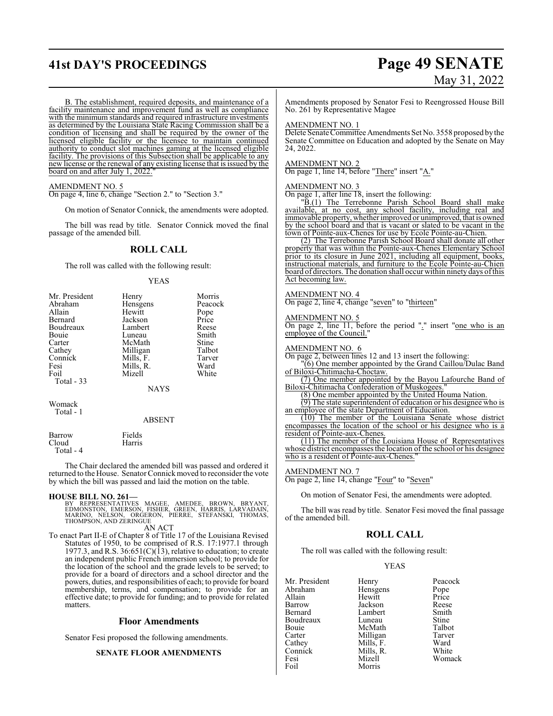# **41st DAY'S PROCEEDINGS Page 49 SENATE**

# May 31, 2022

B. The establishment, required deposits, and maintenance of a facility maintenance and improvement fund as well as compliance with the minimum standards and required infrastructure investments as determined by the Louisiana State Racing Commission shall be a condition of licensing and shall be required by the owner of the licensed eligible facility or the licensee to maintain continued authority to conduct slot machines gaming at the licensed eligible facility. The provisions of this Subsection shall be applicable to any new license or the renewal of any existing license that is issued by the board on and after July 1, 2022.

#### AMENDMENT NO. 5

On page 4, line 6, change "Section 2." to "Section 3."

On motion of Senator Connick, the amendments were adopted.

The bill was read by title. Senator Connick moved the final passage of the amended bill.

## **ROLL CALL**

The roll was called with the following result:

#### YEAS

| Mr. President                  | Henry            | Morris  |
|--------------------------------|------------------|---------|
| Abraham                        | Hensgens         | Peacock |
| Allain                         | Hewitt           | Pope    |
| Bernard                        | Jackson          | Price   |
| Boudreaux                      | Lambert          | Reese   |
| Bouie                          | Luneau           | Smith   |
| Carter                         | McMath           | Stine   |
| Cathey                         | Milligan         | Talbot  |
| Connick                        | Mills, F.        | Tarver  |
| Fesi                           | Mills, R.        | Ward    |
| Foil                           | Mizell           | White   |
| Total - 33                     |                  |         |
|                                | <b>NAYS</b>      |         |
| Womack<br>Total - 1            |                  |         |
|                                | <b>ABSENT</b>    |         |
| Barrow<br>Cloud<br>Total - $4$ | Fields<br>Harris |         |
|                                |                  |         |

The Chair declared the amended bill was passed and ordered it returned to the House. Senator Connick moved to reconsider the vote by which the bill was passed and laid the motion on the table.

#### **HOUSE BILL NO. 261—**

BY REPRESENTATIVES MAGEE, AMEDEE, BROWN, BRYANT,<br>EDMONSTON, EMERSON, FISHER, GREEN, HARRIS, LARVADAIN,<br>MARINO, NELSON, ORGERON, PIERRE, STEFANSKI, THOMAS,<br>THOMPSON,AND ZERINGUE AN ACT

To enact Part II-E of Chapter 8 of Title 17 of the Louisiana Revised Statutes of 1950, to be comprised of R.S. 17:1977.1 through 1977.3, and R.S.  $36:651(C)(13)$ , relative to education; to create an independent public French immersion school; to provide for the location of the school and the grade levels to be served; to provide for a board of directors and a school director and the powers, duties, and responsibilities of each; to provide for board membership, terms, and compensation; to provide for an effective date; to provide for funding; and to provide for related matters.

#### **Floor Amendments**

Senator Fesi proposed the following amendments.

#### **SENATE FLOOR AMENDMENTS**

Amendments proposed by Senator Fesi to Reengrossed House Bill No. 261 by Representative Magee

#### AMENDMENT NO. 1

Delete Senate Committee Amendments Set No. 3558 proposed by the Senate Committee on Education and adopted by the Senate on May 24, 2022.

#### AMENDMENT NO. 2

On page 1, line 14, before "There" insert "A."

#### AMENDMENT NO. 3

On page 1, after line 18, insert the following:

"B.(1) The Terrebonne Parish School Board shall make available, at no cost, any school facility, including real and immovable property, whether improved or unimproved, that is owned by the school board and that is vacant or slated to be vacant in the town of Pointe-aux-Chenes for use by Ecole Pointe-au-Chien.

(2) The Terrebonne Parish School Board shall donate all other property that was within the Pointe-aux-Chenes Elementary School prior to its closure in June 2021, including all equipment, books, instructional materials, and furniture to the Ecole Pointe-au-Chien board of directors. The donation shall occur within ninety days ofthis Act becoming law.

#### AMENDMENT NO. 4

On page 2, line 4, change "seven" to "thirteen"

#### AMENDMENT NO. 5

On page 2, line 11, before the period "." insert "one who is an employee of the Council."

#### AMENDMENT NO. 6

On page 2, between lines 12 and 13 insert the following:

"(6) One member appointed by the Grand Caillou/Dulac Band of Biloxi-Chitimacha-Choctaw.

(7) One member appointed by the Bayou Lafourche Band of Biloxi-Chitimacha Confederation of Muskogees

(8) One member appointed by the United Houma Nation.

(9) The state superintendent of education or his designee who is an employee of the state Department of Education.

(10) The member of the Louisiana Senate whose district encompasses the location of the school or his designee who is a resident of Pointe-aux-Chenes.

(11) The member of the Louisiana House of Representatives whose district encompasses the location of the school or his designee who is a resident of Pointe-aux-Chenes."

#### AMENDMENT NO. 7

On page 2, line 14, change "Four" to "Seven"

On motion of Senator Fesi, the amendments were adopted.

The bill was read by title. Senator Fesi moved the final passage of the amended bill.

#### **ROLL CALL**

The roll was called with the following result:

#### YEAS

| Mr. President | Henry     | Peacoo |
|---------------|-----------|--------|
| Abraham       | Hensgens  | Pope   |
| Allain        | Hewitt    | Price  |
| Barrow        | Jackson   | Reese  |
| Bernard       | Lambert   | Smith  |
| Boudreaux     | Luneau    | Stine  |
| Bouie         | McMath    | Talbot |
| Carter        | Milligan  | Tarver |
| Cathey        | Mills, F. | Ward   |
| Connick       | Mills, R. | White  |
| Fesi          | Mizell    | Woma   |
| Foil          | Morris    |        |

Peacock<br>Pope Reese Smith<br>Stine Talbot<br>Tarver White Womack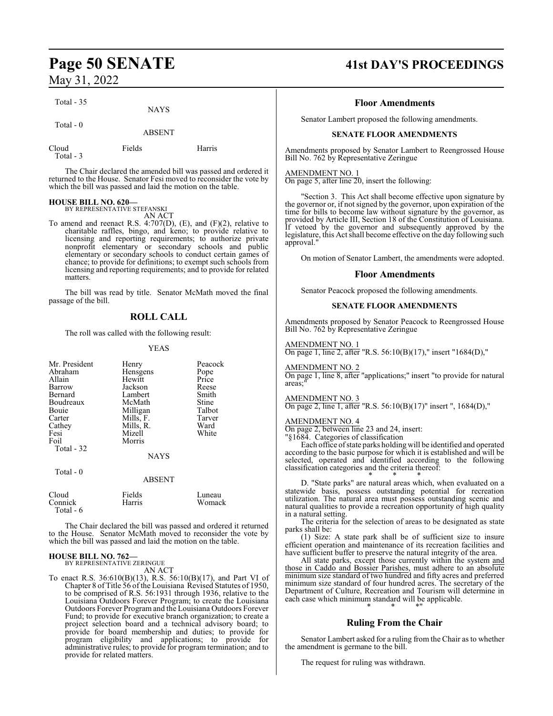Total - 35

Total - 0

ABSENT

| Cloud     | Fields | Harris |
|-----------|--------|--------|
| Total - 3 |        |        |

NAYS

The Chair declared the amended bill was passed and ordered it returned to the House. Senator Fesi moved to reconsider the vote by which the bill was passed and laid the motion on the table.

#### **HOUSE BILL NO. 620—** BY REPRESENTATIVE STEFANSKI

AN ACT

To amend and reenact R.S. 4:707(D), (E), and (F)(2), relative to charitable raffles, bingo, and keno; to provide relative to licensing and reporting requirements; to authorize private nonprofit elementary or secondary schools and public elementary or secondary schools to conduct certain games of chance; to provide for definitions; to exempt such schools from licensing and reporting requirements; and to provide for related matters.

The bill was read by title. Senator McMath moved the final passage of the bill.

## **ROLL CALL**

The roll was called with the following result:

#### YEAS

| Mr. President<br>Abraham<br>Allain<br>Barrow<br>Bernard<br>Boudreaux<br>Bouie<br>Carter<br>Cathey<br>Fesi<br>Foil | Henry<br>Hensgens<br>Hewitt<br>Jackson<br>Lambert<br>McMath<br>Milligan<br>Mills, F.<br>Mills, R.<br>Mizell<br>Morris | Peacock<br>Pope<br>Price<br>Reese<br>Smith<br>Stine<br>Talbot<br>Tarver<br>Ward<br>White |
|-------------------------------------------------------------------------------------------------------------------|-----------------------------------------------------------------------------------------------------------------------|------------------------------------------------------------------------------------------|
| Total $-0$                                                                                                        | <b>NAYS</b><br><b>ABSENT</b>                                                                                          |                                                                                          |
| Cloud<br>Connick<br>Total - 6                                                                                     | Fields<br>Harris                                                                                                      | Luneau<br>Womack                                                                         |

The Chair declared the bill was passed and ordered it returned to the House. Senator McMath moved to reconsider the vote by which the bill was passed and laid the motion on the table.

#### **HOUSE BILL NO. 762—** BY REPRESENTATIVE ZERINGUE

AN ACT

To enact R.S. 36:610(B)(13), R.S. 56:10(B)(17), and Part VI of Chapter 8 of Title 56 of the Louisiana Revised Statutes of 1950, to be comprised of R.S. 56:1931 through 1936, relative to the Louisiana Outdoors Forever Program; to create the Louisiana Outdoors Forever Program and the Louisiana Outdoors Forever Fund; to provide for executive branch organization; to create a project selection board and a technical advisory board; to provide for board membership and duties; to provide for program eligibility and applications; to provide for administrative rules; to provide for program termination; and to provide for related matters.

# **Page 50 SENATE 41st DAY'S PROCEEDINGS**

#### **Floor Amendments**

Senator Lambert proposed the following amendments.

#### **SENATE FLOOR AMENDMENTS**

Amendments proposed by Senator Lambert to Reengrossed House Bill No. 762 by Representative Zeringue

#### AMENDMENT NO. 1

On page 5, after line 20, insert the following:

"Section 3. This Act shall become effective upon signature by the governor or, if not signed by the governor, upon expiration of the time for bills to become law without signature by the governor, as provided by Article III, Section 18 of the Constitution of Louisiana. If vetoed by the governor and subsequently approved by the legislature, this Act shall become effective on the day following such approval."

On motion of Senator Lambert, the amendments were adopted.

#### **Floor Amendments**

Senator Peacock proposed the following amendments.

#### **SENATE FLOOR AMENDMENTS**

Amendments proposed by Senator Peacock to Reengrossed House Bill No. 762 by Representative Zeringue

#### AMENDMENT NO. 1

On page 1, line 2, after "R.S. 56:10(B)(17)," insert "1684(D),"

#### AMENDMENT NO. 2

On page 1, line 8, after "applications;" insert "to provide for natural areas:

#### AMENDMENT NO. 3

On page 2, line 1, after "R.S. 56:10(B)(17)" insert ", 1684(D),"

#### AMENDMENT NO. 4

On page 2, between line 23 and 24, insert:

"§1684. Categories of classification

Each office ofstate parks holding will be identified and operated according to the basic purpose for which it is established and will be selected, operated and identified according to the following classification categories and the criteria thereof:

\* \* \* D. "State parks" are natural areas which, when evaluated on a statewide basis, possess outstanding potential for recreation utilization. The natural area must possess outstanding scenic and natural qualities to provide a recreation opportunity of high quality in a natural setting.

The criteria for the selection of areas to be designated as state parks shall be:

(1) Size: A state park shall be of sufficient size to insure efficient operation and maintenance of its recreation facilities and have sufficient buffer to preserve the natural integrity of the area.

All state parks, except those currently within the system and those in Caddo and Bossier Parishes, must adhere to an absolute minimum size standard of two hundred and fifty acres and preferred minimum size standard of four hundred acres. The secretary of the Department of Culture, Recreation and Tourism will determine in each case which minimum standard will be applicable. \* \* \*"

## **Ruling From the Chair**

Senator Lambert asked for a ruling from the Chair as to whether the amendment is germane to the bill.

The request for ruling was withdrawn.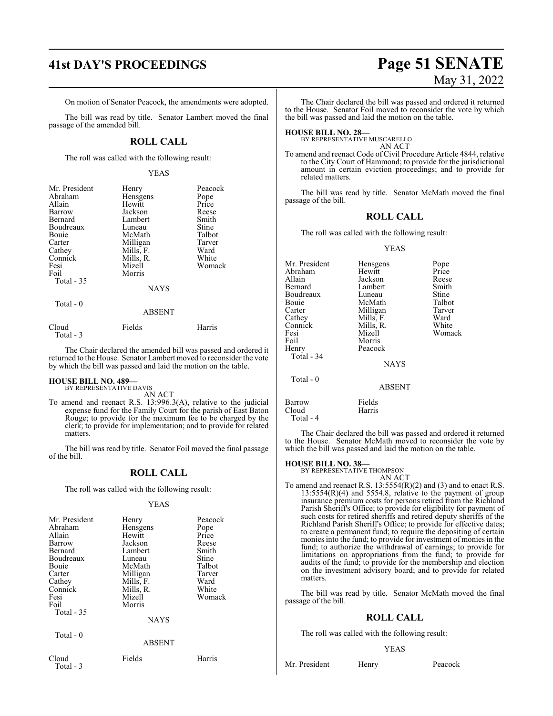On motion of Senator Peacock, the amendments were adopted.

The bill was read by title. Senator Lambert moved the final passage of the amended bill.

## **ROLL CALL**

The roll was called with the following result:

#### YEAS

| Mr. President     | Henry         | Peacock |
|-------------------|---------------|---------|
| Abraham           | Hensgens      | Pope    |
| Allain            | Hewitt        | Price   |
| Barrow            | Jackson       | Reese   |
| Bernard           | Lambert       | Smith   |
| Boudreaux         | Luneau        | Stine   |
| Bouie             | McMath        | Talbot  |
| Carter            | Milligan      | Tarver  |
| Cathey            | Mills, F.     | Ward    |
| Connick           | Mills, R.     | White   |
| Fesi              | Mizell        | Womack  |
| Foil              | Morris        |         |
| <b>Total - 35</b> |               |         |
|                   | <b>NAYS</b>   |         |
| Total $-0$        |               |         |
|                   | <b>ABSENT</b> |         |
| Cloud             | Fields        | Harris  |

The Chair declared the amended bill was passed and ordered it returned to the House. Senator Lambert moved to reconsider the vote by which the bill was passed and laid the motion on the table.

#### **HOUSE BILL NO. 489—** BY REPRESENTATIVE DAVIS

Total - 3

AN ACT

To amend and reenact R.S. 13:996.3(A), relative to the judicial expense fund for the Family Court for the parish of East Baton Rouge; to provide for the maximum fee to be charged by the clerk; to provide for implementation; and to provide for related matters.

The bill was read by title. Senator Foil moved the final passage of the bill.

## **ROLL CALL**

The roll was called with the following result:

#### YEAS

| Mr. President<br>Abraham<br>Allain<br><b>Barrow</b><br>Bernard<br>Boudreaux<br>Bouie<br>Carter<br>Cathey<br>Connick<br>Fesi<br>Foil | Henry<br>Hensgens<br>Hewitt<br>Jackson<br>Lambert<br>Luneau<br>McMath<br>Milligan<br>Mills, F.<br>Mills, R.<br>Mizell<br>Morris | Peacock<br>Pope<br>Price<br>Reese<br>Smith<br>Stine<br>Talbot<br>Tarver<br>Ward<br>White<br>Womack |
|-------------------------------------------------------------------------------------------------------------------------------------|---------------------------------------------------------------------------------------------------------------------------------|----------------------------------------------------------------------------------------------------|
| Total - 35<br>Total - 0                                                                                                             | <b>NAYS</b>                                                                                                                     |                                                                                                    |
|                                                                                                                                     | <b>ABSENT</b>                                                                                                                   |                                                                                                    |
| Cloud<br>Total - 3                                                                                                                  | Fields                                                                                                                          | Harris                                                                                             |

# **41st DAY'S PROCEEDINGS Page 51 SENATE** May 31, 2022

The Chair declared the bill was passed and ordered it returned to the House. Senator Foil moved to reconsider the vote by which the bill was passed and laid the motion on the table.

**HOUSE BILL NO. 28—** BY REPRESENTATIVE MUSCARELLO AN ACT

To amend and reenact Code of Civil Procedure Article 4844, relative to the City Court of Hammond; to provide for the jurisdictional amount in certain eviction proceedings; and to provide for related matters.

The bill was read by title. Senator McMath moved the final passage of the bill.

## **ROLL CALL**

The roll was called with the following result:

#### YEAS

| Mr. President | Hensgens      | Pope   |
|---------------|---------------|--------|
| Abraham       | Hewitt        | Price  |
| Allain        | Jackson       | Reese  |
| Bernard       | Lambert       | Smith  |
| Boudreaux     | Luneau        | Stine  |
| Bouie         | McMath        | Talbot |
| Carter        | Milligan      | Tarver |
| Cathey        | Mills, F.     | Ward   |
| Connick       | Mills, R.     | White  |
| Fesi          | Mizell        | Womack |
| Foil          | Morris        |        |
| Henry         | Peacock       |        |
| Total - 34    |               |        |
|               | <b>NAYS</b>   |        |
| Total $-0$    |               |        |
|               | <b>ABSENT</b> |        |
| <b>Barrow</b> | Fields        |        |
| Cloud         | Harris        |        |

Total - 4

The Chair declared the bill was passed and ordered it returned to the House. Senator McMath moved to reconsider the vote by which the bill was passed and laid the motion on the table.

#### **HOUSE BILL NO. 38—**

BY REPRESENTATIVE THOMPSON

- AN ACT
- To amend and reenact R.S. 13:5554(R)(2) and (3) and to enact R.S.  $13:5554(R)(4)$  and  $5554.8$ , relative to the payment of group insurance premium costs for persons retired from the Richland Parish Sheriff's Office; to provide for eligibility for payment of such costs for retired sheriffs and retired deputy sheriffs of the Richland Parish Sheriff's Office; to provide for effective dates; to create a permanent fund; to require the depositing of certain monies into the fund; to provide for investment of monies in the fund; to authorize the withdrawal of earnings; to provide for limitations on appropriations from the fund; to provide for audits of the fund; to provide for the membership and election on the investment advisory board; and to provide for related matters.

The bill was read by title. Senator McMath moved the final passage of the bill.

## **ROLL CALL**

The roll was called with the following result:

#### YEAS

Mr. President Henry Peacock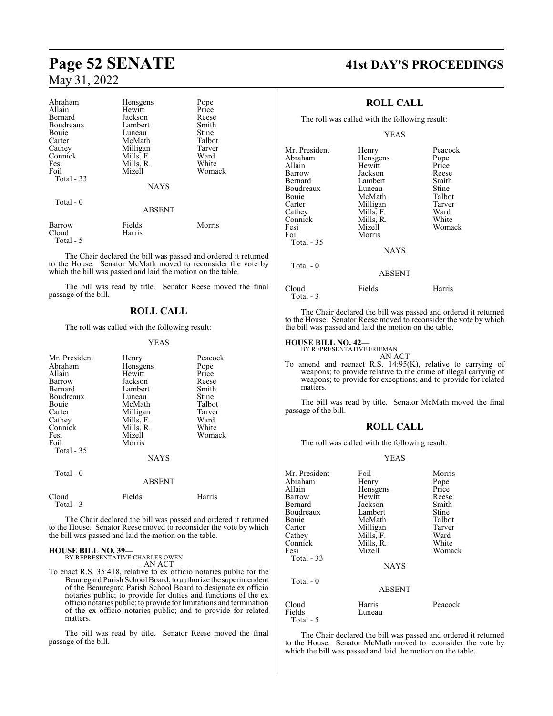# **Page 52 SENATE 41st DAY'S PROCEEDINGS**

# May 31, 2022

Total - 5

| Abraham     | Hensgens      | Pope   |
|-------------|---------------|--------|
| Allain      | Hewitt        | Price  |
| Bernard     | Jackson       | Reese  |
| Boudreaux   | Lambert       | Smith  |
| Bouie       | Luneau        | Stine  |
| Carter      | McMath        | Talbot |
| Cathey      | Milligan      | Tarver |
| Connick     | Mills, F.     | Ward   |
| Fesi        | Mills, R.     | White  |
| Foil        | Mizell        | Womack |
| Total $-33$ |               |        |
|             | <b>NAYS</b>   |        |
| Total - 0   |               |        |
|             | <b>ABSENT</b> |        |
| Barrow      | Fields        | Morris |
| Cloud       | Harris        |        |

The Chair declared the bill was passed and ordered it returned to the House. Senator McMath moved to reconsider the vote by which the bill was passed and laid the motion on the table.

The bill was read by title. Senator Reese moved the final passage of the bill.

### **ROLL CALL**

The roll was called with the following result:

#### YEAS

| Mr. President<br>Abraham<br>Allain<br>Barrow<br>Bernard<br>Boudreaux<br>Bouie<br>Carter<br>Cathey<br>Connick<br>Fesi<br>Foil<br>Total $-35$<br>Total - 0 | Henry<br>Hensgens<br>Hewitt<br>Jackson<br>Lambert<br>Luneau<br>McMath<br>Milligan<br>Mills, F.<br>Mills, R.<br>Mizell<br>Morris<br><b>NAYS</b> | Peacock<br>Pope<br>Price<br>Reese<br>Smith<br>Stine<br>Talbot<br>Tarver<br>Ward<br>White<br>Womack |
|----------------------------------------------------------------------------------------------------------------------------------------------------------|------------------------------------------------------------------------------------------------------------------------------------------------|----------------------------------------------------------------------------------------------------|
|                                                                                                                                                          | <b>ABSENT</b>                                                                                                                                  |                                                                                                    |
| Cloud<br>Total - 3                                                                                                                                       | Fields                                                                                                                                         | Harris                                                                                             |

The Chair declared the bill was passed and ordered it returned to the House. Senator Reese moved to reconsider the vote by which the bill was passed and laid the motion on the table.

#### **HOUSE BILL NO. 39—** BY REPRESENTATIVE CHARLES OWEN

AN ACT

To enact R.S. 35:418, relative to ex officio notaries public for the Beauregard Parish School Board; to authorize the superintendent of the Beauregard Parish School Board to designate ex officio notaries public; to provide for duties and functions of the ex officio notaries public; to provide for limitations and termination of the ex officio notaries public; and to provide for related matters.

The bill was read by title. Senator Reese moved the final passage of the bill.

#### **ROLL CALL**

The roll was called with the following result:

#### YEAS

| Mr. President<br>Abraham<br>Allain<br>Barrow<br>Bernard<br>Boudreaux<br>Bouie<br>Carter<br>Cathey<br>Connick<br>Fesi<br>Foil | Henry<br>Hensgens<br>Hewitt<br>Jackson<br>Lambert<br>Luneau<br>McMath<br>Milligan<br>Mills, F.<br>Mills, R.<br>Mizell<br>Morris | Peacock<br>Pope<br>Price<br>Reese<br>Smith<br>Stine<br>Talbot<br>Tarver<br>Ward<br>White<br>Womack |
|------------------------------------------------------------------------------------------------------------------------------|---------------------------------------------------------------------------------------------------------------------------------|----------------------------------------------------------------------------------------------------|
| Total - 35                                                                                                                   | <b>NAYS</b>                                                                                                                     |                                                                                                    |
| Total $-0$                                                                                                                   | <b>ABSENT</b>                                                                                                                   |                                                                                                    |

Cloud Fields Harris Total - 3

The Chair declared the bill was passed and ordered it returned to the House. Senator Reese moved to reconsider the vote by which the bill was passed and laid the motion on the table.

#### **HOUSE BILL NO. 42—**

matters.

BY REPRESENTATIVE FRIEMAN AN ACT

To amend and reenact R.S. 14:95(K), relative to carrying of weapons; to provide relative to the crime of illegal carrying of weapons; to provide for exceptions; and to provide for related

The bill was read by title. Senator McMath moved the final passage of the bill.

#### **ROLL CALL**

The roll was called with the following result:

#### YEAS

| Mr. President | Foil          | Morris  |
|---------------|---------------|---------|
| Abraham       | Henry         | Pope    |
| Allain        | Hensgens      | Price   |
| Barrow        | Hewitt        | Reese   |
| Bernard       | Jackson       | Smith   |
| Boudreaux     | Lambert       | Stine   |
| Bouie         | McMath        | Talbot  |
| Carter        | Milligan      | Tarver  |
| Cathey        | Mills, F.     | Ward    |
| Connick       | Mills, R.     | White   |
| Fesi          | Mizell        | Womack  |
| Total - 33    |               |         |
|               | <b>NAYS</b>   |         |
| Total - 0     |               |         |
|               | <b>ABSENT</b> |         |
| Cloud         | Harris        | Peacock |
| Fields        | Luneau        |         |
| Total - 5     |               |         |

The Chair declared the bill was passed and ordered it returned to the House. Senator McMath moved to reconsider the vote by which the bill was passed and laid the motion on the table.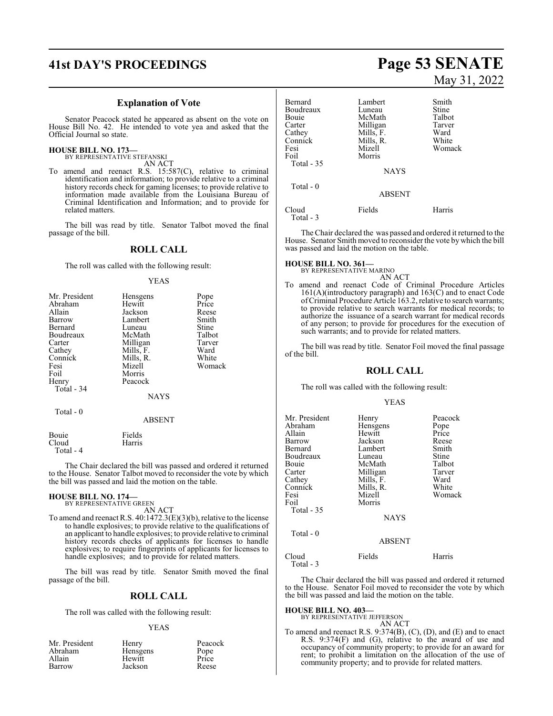# **41st DAY'S PROCEEDINGS Page 53 SENATE**

#### **Explanation of Vote**

Senator Peacock stated he appeared as absent on the vote on House Bill No. 42. He intended to vote yea and asked that the Official Journal so state.

#### **HOUSE BILL NO. 173—**

BY REPRESENTATIVE STEFANSKI AN ACT

To amend and reenact R.S. 15:587(C), relative to criminal identification and information; to provide relative to a criminal history records check for gaming licenses; to provide relative to information made available from the Louisiana Bureau of Criminal Identification and Information; and to provide for related matters.

The bill was read by title. Senator Talbot moved the final passage of the bill.

## **ROLL CALL**

The roll was called with the following result:

#### YEAS

| Mr. President | Hensgens      | Pope   |
|---------------|---------------|--------|
| Abraham       | Hewitt        | Price  |
| Allain        | Jackson       | Reese  |
| Barrow        | Lambert       | Smith  |
| Bernard       | Luneau        | Stine  |
| Boudreaux     | McMath        | Talbot |
| Carter        | Milligan      | Tarver |
| Cathey        | Mills, F.     | Ward   |
| Connick       | Mills, R.     | White  |
| Fesi          | Mizell        | Womack |
| Foil          | Morris        |        |
| Henry         | Peacock       |        |
| Total - 34    |               |        |
|               | <b>NAYS</b>   |        |
| Total $-0$    |               |        |
|               | <b>ABSENT</b> |        |
| Bouie         | Fields        |        |
| Cloud         | Harris        |        |

The Chair declared the bill was passed and ordered it returned to the House. Senator Talbot moved to reconsider the vote by which the bill was passed and laid the motion on the table.

#### **HOUSE BILL NO. 174—** BY REPRESENTATIVE GREEN

Total - 4

AN ACT

To amend and reenact R.S. 40:1472.3(E)(3)(b), relative to the license to handle explosives; to provide relative to the qualifications of an applicant to handle explosives; to provide relative to criminal history records checks of applicants for licenses to handle explosives; to require fingerprints of applicants for licenses to handle explosives; and to provide for related matters.

The bill was read by title. Senator Smith moved the final passage of the bill.

#### **ROLL CALL**

The roll was called with the following result:

#### YEAS

| Mr. President | Henry    | Peacock |
|---------------|----------|---------|
| Abraham       | Hensgens | Pope    |
| Allain        | Hewitt   | Price   |
| Barrow        | Jackson  | Reese   |
|               |          |         |

# May 31, 2022

| Bernard<br>Boudreaux<br>Bouie<br>Carter<br>Cathey<br>Connick<br>Fesi<br>Foil<br>Total - 35 | Lambert<br>Luneau<br>McMath<br>Milligan<br>Mills, F.<br>Mills, R.<br>Mizell<br>Morris<br><b>NAYS</b> | Smith<br>Stine<br>Talbot<br>Tarver<br>Ward<br>White<br>Womack |
|--------------------------------------------------------------------------------------------|------------------------------------------------------------------------------------------------------|---------------------------------------------------------------|
| Total $-0$                                                                                 | <b>ABSENT</b>                                                                                        |                                                               |
| Cloud<br>Total - 3                                                                         | Fields                                                                                               | Harris                                                        |

The Chair declared the was passed and ordered it returned to the House. Senator Smith moved to reconsider the vote by which the bill was passed and laid the motion on the table.

# **HOUSE BILL NO. 361—** BY REPRESENTATIVE MARINO

AN ACT

To amend and reenact Code of Criminal Procedure Articles 161(A)(introductory paragraph) and 163(C) and to enact Code ofCriminal Procedure Article 163.2, relative to search warrants; to provide relative to search warrants for medical records; to authorize the issuance of a search warrant for medical records of any person; to provide for procedures for the execution of such warrants; and to provide for related matters.

The bill was read by title. Senator Foil moved the final passage of the bill.

#### **ROLL CALL**

The roll was called with the following result:

#### YEAS

| Mr. President<br>Abraham<br>Allain<br>Barrow<br>Bernard<br>Boudreaux<br>Bouie<br>Carter<br>Cathey<br>Connick<br>Fesi<br>Foil<br>Total - 35 | Henry<br>Hensgens<br>Hewitt<br>Jackson<br>Lambert<br>Luneau<br>McMath<br>Milligan<br>Mills, F.<br>Mills, R.<br>Mizell<br>Morris<br><b>NAYS</b> | Peacock<br>Pope<br>Price<br>Reese<br>Smith<br>Stine<br>Talbot<br>Tarver<br>Ward<br>White<br>Womack |
|--------------------------------------------------------------------------------------------------------------------------------------------|------------------------------------------------------------------------------------------------------------------------------------------------|----------------------------------------------------------------------------------------------------|
| Total $-0$                                                                                                                                 | <b>ABSENT</b>                                                                                                                                  |                                                                                                    |
| Cloud<br>Total - 3                                                                                                                         | Fields                                                                                                                                         | Harris                                                                                             |

The Chair declared the bill was passed and ordered it returned to the House. Senator Foil moved to reconsider the vote by which the bill was passed and laid the motion on the table.

#### **HOUSE BILL NO. 403—**

BY REPRESENTATIVE JEFFERSON AN ACT

To amend and reenact R.S. 9:374(B), (C), (D), and (E) and to enact R.S. 9:374(F) and (G), relative to the award of use and occupancy of community property; to provide for an award for rent; to prohibit a limitation on the allocation of the use of community property; and to provide for related matters.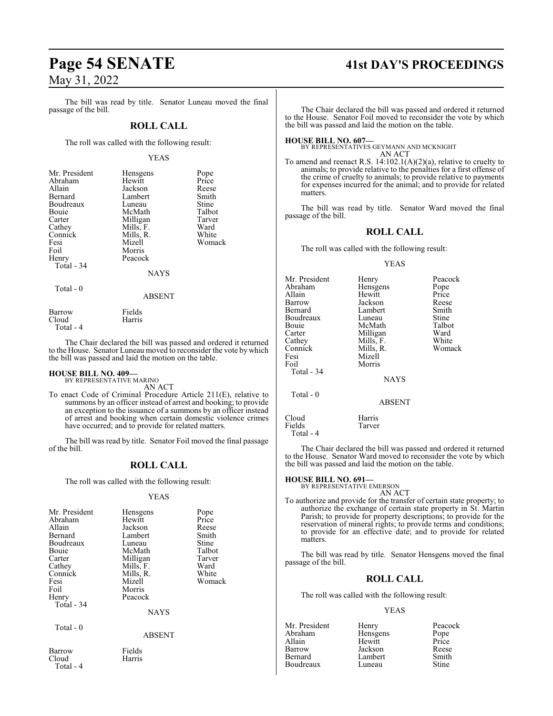The bill was read by title. Senator Luneau moved the final passage of the bill.

#### **ROLL CALL**

The roll was called with the following result:

#### YEAS

| Mr. President | Hensgens    | Pope   |
|---------------|-------------|--------|
| Abraham       | Hewitt      | Price  |
| Allain        | Jackson     | Reese  |
| Bernard       | Lambert     | Smith  |
| Boudreaux     | Luneau      | Stine  |
| Bouie         | McMath      | Talbot |
| Carter        | Milligan    | Tarver |
| Cathey        | Mills, F.   | Ward   |
| Connick       | Mills, R.   | White  |
| Fesi          | Mizell      | Womack |
| Foil          | Morris      |        |
| Henry         | Peacock     |        |
| Total - 34    |             |        |
|               | <b>NAYS</b> |        |
| Total $-0$    |             |        |
|               | ABSENT      |        |

| Barrow    | Fields |
|-----------|--------|
| Cloud     | Harris |
| Total - 4 |        |

The Chair declared the bill was passed and ordered it returned to the House. Senator Luneau moved to reconsider the vote by which the bill was passed and laid the motion on the table.

# **HOUSE BILL NO. 409—** BY REPRESENTATIVE MARINO

AN ACT

To enact Code of Criminal Procedure Article 211(E), relative to summons by an officer instead of arrest and booking; to provide an exception to the issuance of a summons by an officer instead of arrest and booking when certain domestic violence crimes have occurred; and to provide for related matters.

The bill was read by title. Senator Foil moved the final passage of the bill.

#### **ROLL CALL**

The roll was called with the following result:

#### YEAS

| Mr. President<br>Abraham<br>Allain<br>Bernard<br>Boudreaux<br>Bouie<br>Carter<br>Cathey<br>Connick<br>Fesi<br>Foil | Hensgens<br>Hewitt<br>Jackson<br>Lambert<br>Luneau<br>McMath<br>Milligan<br>Mills, F.<br>Mills, R.<br>Mizell<br>Morris | Pope<br>Price<br>Reese<br>Smith<br>Stine<br>Talbot<br>Tarver<br>Ward<br>White<br>Womack |
|--------------------------------------------------------------------------------------------------------------------|------------------------------------------------------------------------------------------------------------------------|-----------------------------------------------------------------------------------------|
| Henry<br>Total - 34                                                                                                | Peacock<br>NAYS                                                                                                        |                                                                                         |
| Total - 0                                                                                                          | <b>ABSENT</b>                                                                                                          |                                                                                         |
| Barrow<br>Cloud<br>Total - 4                                                                                       | Fields<br>Harris                                                                                                       |                                                                                         |

# **Page 54 SENATE 41st DAY'S PROCEEDINGS**

The Chair declared the bill was passed and ordered it returned to the House. Senator Foil moved to reconsider the vote by which the bill was passed and laid the motion on the table.

**HOUSE BILL NO. 607—** BY REPRESENTATIVES GEYMANN AND MCKNIGHT AN ACT

To amend and reenact R.S. 14:102.1(A)(2)(a), relative to cruelty to animals; to provide relative to the penalties for a first offense of the crime of cruelty to animals; to provide relative to payments for expenses incurred for the animal; and to provide for related matters.

The bill was read by title. Senator Ward moved the final passage of the bill.

### **ROLL CALL**

The roll was called with the following result:

#### YEAS

| Mr. President | Henry         | Peacock      |
|---------------|---------------|--------------|
| Abraham       | Hensgens      | Pope         |
| Allain        | Hewitt        | Price        |
| Barrow        | Jackson       | Reese        |
| Bernard       | Lambert       | Smith        |
| Boudreaux     | Luneau        | <b>Stine</b> |
| Bouie         | McMath        | Talbot       |
| Carter        | Milligan      | Ward         |
| Cathey        | Mills, F.     | White        |
| Connick       | Mills, R.     | Womack       |
| Fesi          | Mizell        |              |
| Foil          | Morris        |              |
| Total - 34    |               |              |
|               | <b>NAYS</b>   |              |
| Total - 0     |               |              |
|               | <b>ABSENT</b> |              |
| Cloud         | Harris        |              |
| Fields        | Tarver        |              |
| Total - 4     |               |              |

The Chair declared the bill was passed and ordered it returned to the House. Senator Ward moved to reconsider the vote by which the bill was passed and laid the motion on the table.

#### **HOUSE BILL NO. 691—**

BY REPRESENTATIVE EMERSON

AN ACT

To authorize and provide for the transfer of certain state property; to authorize the exchange of certain state property in St. Martin Parish; to provide for property descriptions; to provide for the reservation of mineral rights; to provide terms and conditions; to provide for an effective date; and to provide for related matters.

The bill was read by title. Senator Hensgens moved the final passage of the bill.

#### **ROLL CALL**

The roll was called with the following result:

#### YEAS

| Mr. President | Henry    | Peacock      |
|---------------|----------|--------------|
| Abraham       | Hensgens | Pope         |
| Allain        | Hewitt   | Price        |
| Barrow        | Jackson  | Reese        |
| Bernard       | Lambert  | Smith        |
| Boudreaux     | Luneau   | <b>Stine</b> |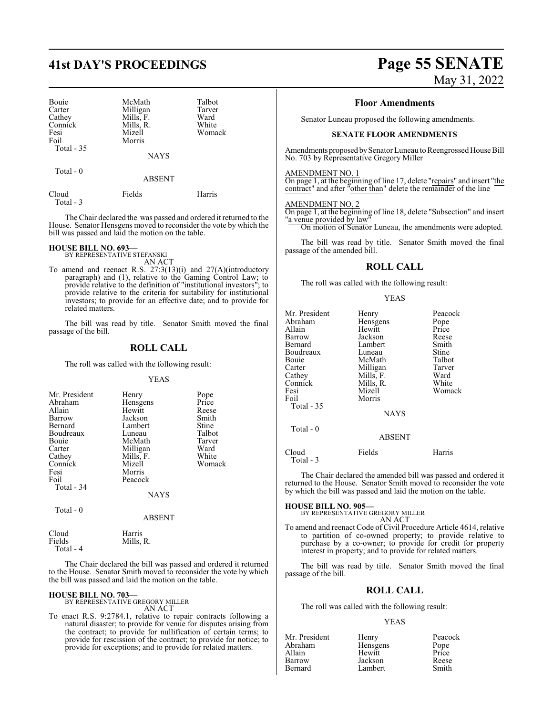| Bouie<br>Carter<br>Cathey<br>Connick<br>Fesi<br>Foil<br>Total $-35$ | McMath<br>Milligan<br>Mills, F.<br>Mills, R.<br>Mizell<br>Morris<br><b>NAYS</b> | Talbot<br>Tarver<br>Ward<br>White<br>Womack |
|---------------------------------------------------------------------|---------------------------------------------------------------------------------|---------------------------------------------|
| Total $-0$                                                          | <b>ABSENT</b>                                                                   |                                             |

| Cloud     | Fields | Harris |
|-----------|--------|--------|
| Total - 3 |        |        |

The Chair declared the was passed and ordered it returned to the House. Senator Hensgens moved to reconsider the vote by which the bill was passed and laid the motion on the table.

#### **HOUSE BILL NO. 693—**

BY REPRESENTATIVE STEFANSKI AN ACT

To amend and reenact R.S. 27:3(13)(i) and 27(A)(introductory paragraph) and (1), relative to the Gaming Control Law; to provide relative to the definition of "institutional investors"; to provide relative to the criteria for suitability for institutional investors; to provide for an effective date; and to provide for related matters.

The bill was read by title. Senator Smith moved the final passage of the bill.

## **ROLL CALL**

The roll was called with the following result:

#### YEAS

| Mr. President | Henry       |        |
|---------------|-------------|--------|
|               |             | Pope   |
| Abraham       | Hensgens    | Price  |
| Allain        | Hewitt      | Reese  |
| Barrow        | Jackson     | Smith  |
| Bernard       | Lambert     | Stine  |
| Boudreaux     | Luneau      | Talbot |
| Bouie         | McMath      | Tarver |
| Carter        | Milligan    | Ward   |
| Cathey        | Mills, F.   | White  |
| Connick       | Mizell      | Womack |
| Fesi          | Morris      |        |
| Foil          | Peacock     |        |
| Total - 34    |             |        |
|               | <b>NAYS</b> |        |
| Total - 0     |             |        |
|               | ABSENT      |        |

| Cloud     | Harris    |
|-----------|-----------|
| Fields    | Mills, R. |
| Total - 4 |           |

The Chair declared the bill was passed and ordered it returned to the House. Senator Smith moved to reconsider the vote by which the bill was passed and laid the motion on the table.

# **HOUSE BILL NO. 703—** BY REPRESENTATIVE GREGORY MILLER

AN ACT

To enact R.S. 9:2784.1, relative to repair contracts following a natural disaster; to provide for venue for disputes arising from the contract; to provide for nullification of certain terms; to provide for rescission of the contract; to provide for notice; to provide for exceptions; and to provide for related matters.

# **41st DAY'S PROCEEDINGS Page 55 SENATE** May 31, 2022

#### **Floor Amendments**

Senator Luneau proposed the following amendments.

#### **SENATE FLOOR AMENDMENTS**

Amendments proposed by Senator Luneau to Reengrossed House Bill No. 703 by Representative Gregory Miller

#### AMENDMENT NO. 1

On page 1, at the beginning of line 17, delete "repairs" and insert "the contract" and after "other than" delete the remainder of the line

#### AMENDMENT NO. 2

On page 1, at the beginning of line 18, delete "Subsection" and insert "a venue provided by law On motion of Senator Luneau, the amendments were adopted.

The bill was read by title. Senator Smith moved the final passage of the amended bill.

#### **ROLL CALL**

The roll was called with the following result:

#### YEAS

| Mr. President<br>Abraham<br>Allain<br>Barrow<br>Bernard<br>Boudreaux<br>Bouie<br>Carter<br>Cathey<br>Connick<br>Fesi<br>Foil<br>Total - 35 | Henry<br>Hensgens<br>Hewitt<br>Jackson<br>Lambert<br>Luneau<br>McMath<br>Milligan<br>Mills, F.<br>Mills, R.<br>Mizell<br>Morris | Peacock<br>Pope<br>Price<br>Reese<br>Smith<br>Stine<br>Talbot<br>Tarver<br>Ward<br>White |
|--------------------------------------------------------------------------------------------------------------------------------------------|---------------------------------------------------------------------------------------------------------------------------------|------------------------------------------------------------------------------------------|
|                                                                                                                                            | <b>NAYS</b>                                                                                                                     | Womack                                                                                   |
| Total - 0                                                                                                                                  | <b>ABSENT</b>                                                                                                                   |                                                                                          |
| Cloud                                                                                                                                      | Fields                                                                                                                          | Harris                                                                                   |

Total - 3

The Chair declared the amended bill was passed and ordered it returned to the House. Senator Smith moved to reconsider the vote by which the bill was passed and laid the motion on the table.

**HOUSE BILL NO. 905—** BY REPRESENTATIVE GREGORY MILLER AN ACT

To amend and reenact Code of Civil Procedure Article 4614, relative to partition of co-owned property; to provide relative to purchase by a co-owner; to provide for credit for property interest in property; and to provide for related matters.

The bill was read by title. Senator Smith moved the final passage of the bill.

#### **ROLL CALL**

The roll was called with the following result:

#### YEAS

| Henry    | Peacock       |
|----------|---------------|
| Hensgens | Pope<br>Price |
| Hewitt   |               |
| Jackson  | Reese         |
| Lambert  | Smith         |
|          |               |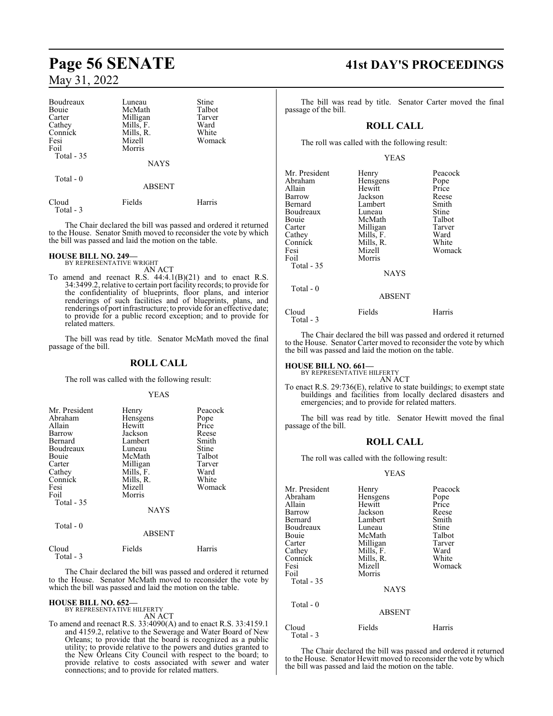| Boudreaux          | Luneau        | Stine  |
|--------------------|---------------|--------|
| Bouie              | McMath        | Talbot |
| Carter             | Milligan      | Tarver |
| Cathey             | Mills, F.     | Ward   |
| Connick            | Mills, R.     | White  |
| Fesi               | Mizell        | Womack |
| Foil               | Morris        |        |
| Total $-35$        |               |        |
|                    | <b>NAYS</b>   |        |
| Total - 0          |               |        |
|                    | <b>ABSENT</b> |        |
| Cloud<br>Total - 3 | Fields        | Harris |

The Chair declared the bill was passed and ordered it returned to the House. Senator Smith moved to reconsider the vote by which the bill was passed and laid the motion on the table.

# **HOUSE BILL NO. 249—** BY REPRESENTATIVE WRIGHT

AN ACT

To amend and reenact R.S.  $44:4.1(B)(21)$  and to enact R.S. 34:3499.2, relative to certain port facility records; to provide for the confidentiality of blueprints, floor plans, and interior renderings of such facilities and of blueprints, plans, and renderings of port infrastructure; to provide for an effective date; to provide for a public record exception; and to provide for related matters.

The bill was read by title. Senator McMath moved the final passage of the bill.

#### **ROLL CALL**

The roll was called with the following result:

#### YEAS

| Mr. President<br>Abraham<br>Allain<br>Barrow<br>Bernard<br>Boudreaux<br>Bouie<br>Carter<br>Cathey<br>Connick<br>Fesi<br>Foil<br>Total $-35$<br>Total - 0 | Henry<br>Hensgens<br>Hewitt<br>Jackson<br>Lambert<br>Luneau<br>McMath<br>Milligan<br>Mills, F.<br>Mills, R.<br>Mizell<br>Morris<br><b>NAYS</b> | Peacock<br>Pope<br>Price<br>Reese<br>Smith<br>Stine<br>Talbot<br>Tarver<br>Ward<br>White<br>Womack |
|----------------------------------------------------------------------------------------------------------------------------------------------------------|------------------------------------------------------------------------------------------------------------------------------------------------|----------------------------------------------------------------------------------------------------|
|                                                                                                                                                          | <b>ABSENT</b>                                                                                                                                  |                                                                                                    |
| Cloud<br>Total - 3                                                                                                                                       | Fields                                                                                                                                         | Harris                                                                                             |

The Chair declared the bill was passed and ordered it returned to the House. Senator McMath moved to reconsider the vote by which the bill was passed and laid the motion on the table.

#### **HOUSE BILL NO. 652—** BY REPRESENTATIVE HILFERTY

AN ACT

To amend and reenact R.S. 33:4090(A) and to enact R.S. 33:4159.1 and 4159.2, relative to the Sewerage and Water Board of New Orleans; to provide that the board is recognized as a public utility; to provide relative to the powers and duties granted to the New Orleans City Council with respect to the board; to provide relative to costs associated with sewer and water connections; and to provide for related matters.

# **Page 56 SENATE 41st DAY'S PROCEEDINGS**

The bill was read by title. Senator Carter moved the final passage of the bill.

## **ROLL CALL**

The roll was called with the following result:

#### YEAS

| Mr. President<br>Abraham<br>Allain<br>Barrow<br>Bernard<br>Boudreaux<br>Bouie<br>Carter<br>Cathey<br>Connick<br>Fesi<br>Foil<br>Total - 35 | Henry<br>Hensgens<br>Hewitt<br>Jackson<br>Lambert<br>Luneau<br>McMath<br>Milligan<br>Mills, F.<br>Mills, R.<br>Mizell<br>Morris<br><b>NAYS</b> | Peacock<br>Pope<br>Price<br>Reese<br>Smith<br>Stine<br>Talbot<br>Tarver<br>Ward<br>White<br>Womack |
|--------------------------------------------------------------------------------------------------------------------------------------------|------------------------------------------------------------------------------------------------------------------------------------------------|----------------------------------------------------------------------------------------------------|
| Total $-0$                                                                                                                                 | <b>ABSENT</b>                                                                                                                                  |                                                                                                    |
| Cloud<br>Total - 3                                                                                                                         | Fields                                                                                                                                         | Harris                                                                                             |

The Chair declared the bill was passed and ordered it returned to the House. Senator Carter moved to reconsider the vote by which the bill was passed and laid the motion on the table.

# **HOUSE BILL NO. 661—** BY REPRESENTATIVE HILFERTY

AN ACT

To enact R.S. 29:736(E), relative to state buildings; to exempt state buildings and facilities from locally declared disasters and emergencies; and to provide for related matters.

The bill was read by title. Senator Hewitt moved the final passage of the bill.

## **ROLL CALL**

The roll was called with the following result:

#### YEAS

| Mr. President      | Henry         | Peacock |
|--------------------|---------------|---------|
| Abraham            | Hensgens      | Pope    |
| Allain             | Hewitt        | Price   |
| Barrow             | Jackson       | Reese   |
| Bernard            | Lambert       | Smith   |
| Boudreaux          | Luneau        | Stine   |
| Bouie              | McMath        | Talbot  |
| Carter             | Milligan      | Tarver  |
| Cathey             | Mills, F.     | Ward    |
| Connick            | Mills, R.     | White   |
| Fesi               | Mizell        | Womack  |
| Foil               | Morris        |         |
| Total - 35         |               |         |
|                    | <b>NAYS</b>   |         |
| Total - 0          |               |         |
|                    | <b>ABSENT</b> |         |
|                    |               |         |
| Cloud<br>Total - 3 | Fields        | Harris  |
|                    |               |         |

The Chair declared the bill was passed and ordered it returned to the House. Senator Hewitt moved to reconsider the vote by which the bill was passed and laid the motion on the table.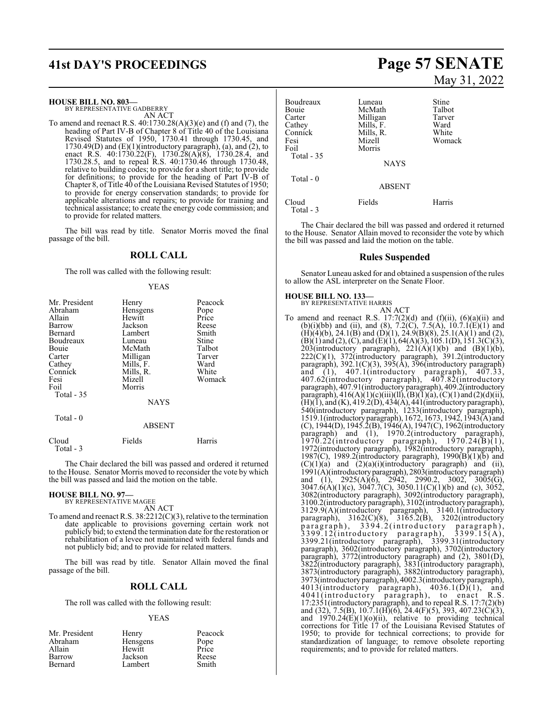# **41st DAY'S PROCEEDINGS Page 57 SENATE**

**HOUSE BILL NO. 803—**

BY REPRESENTATIVE GADBERRY AN ACT

To amend and reenact R.S. 40:1730.28(A)(3)(e) and (f) and (7), the heading of Part IV-B of Chapter 8 of Title 40 of the Louisiana Revised Statutes of 1950, 1730.41 through 1730.45, and  $1730.49(D)$  and  $(E)(1)(introductory paragraph)$ , (a), and (2), to enact R.S. 40:1730.22(F), 1730.28(A)(8), 1730.28.4, and 1730.28.5, and to repeal R.S. 40:1730.46 through 1730.48, relative to building codes; to provide for a short title; to provide for definitions; to provide for the heading of Part IV-B of Chapter 8, of Title 40 ofthe Louisiana Revised Statutes of 1950; to provide for energy conservation standards; to provide for applicable alterations and repairs; to provide for training and technical assistance; to create the energy code commission; and to provide for related matters.

The bill was read by title. Senator Morris moved the final passage of the bill.

## **ROLL CALL**

The roll was called with the following result:

#### YEAS

| Mr. President<br>Abraham<br>Allain<br>Barrow<br>Bernard<br>Boudreaux<br>Bouie<br>Carter<br>Cathey<br>Connick<br>Fesi<br>Foil<br>Total - 35 | Henry<br>Hensgens<br>Hewitt<br>Jackson<br>Lambert<br>Luneau<br>McMath<br>Milligan<br>Mills, F.<br>Mills, R.<br>Mizell<br>Morris<br><b>NAYS</b> | Peacock<br>Pope<br>Price<br>Reese<br>Smith<br>Stine<br>Talbot<br>Tarver<br>Ward<br>White<br>Womack |
|--------------------------------------------------------------------------------------------------------------------------------------------|------------------------------------------------------------------------------------------------------------------------------------------------|----------------------------------------------------------------------------------------------------|
| Total - 0                                                                                                                                  | <b>ABSENT</b>                                                                                                                                  |                                                                                                    |
| Cloud<br>Total - 3                                                                                                                         | Fields                                                                                                                                         | Harris                                                                                             |

The Chair declared the bill was passed and ordered it returned to the House. Senator Morris moved to reconsider the vote by which the bill was passed and laid the motion on the table.

#### **HOUSE BILL NO. 97—**

BY REPRESENTATIVE MAGEE AN ACT

To amend and reenact R.S. 38:2212(C)(3), relative to the termination date applicable to provisions governing certain work not publicly bid; to extend the termination date for the restoration or rehabilitation of a levee not maintained with federal funds and not publicly bid; and to provide for related matters.

The bill was read by title. Senator Allain moved the final passage of the bill.

## **ROLL CALL**

The roll was called with the following result:

#### YEAS

| Mr. President | Henry    | Peacock       |
|---------------|----------|---------------|
| Abraham       | Hensgens | Pope<br>Price |
| Allain        | Hewitt   |               |
| Barrow        | Jackson  | Reese         |
| Bernard       | Lambert  | Smith         |

# May 31, 2022

| Boudreaux<br>Bouie<br>Carter<br>Cathey<br>Connick<br>Fesi | Luneau<br>McMath<br>Milligan<br>Mills, F.<br>Mills, R.<br>Mizell | Stine<br>Talbot<br>Tarver<br>Ward<br>White<br>Womack |
|-----------------------------------------------------------|------------------------------------------------------------------|------------------------------------------------------|
| Foil<br>Total - 35                                        | Morris<br><b>NAYS</b>                                            |                                                      |
| Total $-0$                                                | <b>ABSENT</b>                                                    |                                                      |
| Cloud<br>Total - 3                                        | Fields                                                           | Harris                                               |

The Chair declared the bill was passed and ordered it returned to the House. Senator Allain moved to reconsider the vote by which the bill was passed and laid the motion on the table.

#### **Rules Suspended**

Senator Luneau asked for and obtained a suspension of the rules to allow the ASL interpreter on the Senate Floor.

#### **HOUSE BILL NO. 133—**

BY REPRESENTATIVE HARRIS AN ACT

To amend and reenact R.S.  $17:7(2)(d)$  and  $(f)(ii)$ ,  $(6)(a)(ii)$  and (b)(i)(bb) and (ii), and (8), 7.2(C), 7.5(A),  $10.7.1(E)(1)$  and  $(H)(4)(b)$ , 24.1 $(B)$  and  $(D)(1)$ , 24.9 $(B)(8)$ , 25.1 $(A)(1)$  and  $(2)$ ,  $(B)(1)$  and  $(2)$ ,  $(C)$ , and  $(E)(1)$ , 64 $(A)(3)$ , 105.1 $(D)$ , 151.3 $(C)(3)$ , 203(introductory paragraph),  $221(A)(1)(b)$  and  $(B)(1)(b)$ , 222(C)(1), 372(introductory paragraph), 391.2(introductory paragraph), 392.1(C)(3), 395(A), 396(introductory paragraph) and (1), 407.1(introductory paragraph), 407.33, 407.62(introductory paragraph), 407.82(introductory paragraph), 407.91(introductory paragraph), 409.2(introductory paragraph),  $416(A)(1)(c)(iii)(ll), (B)(1)(a), (C)(1)$  and  $(2)(d)(ii),$  $(H)(\bar{1})$ , and  $(K)$ , 419.2(D), 434(A), 441(introductory paragraph), 540(introductory paragraph), 1233(introductory paragraph), 1519.1(introductoryparagraph), 1672, 1673, 1942, 1943(A) and (C), 1944(D), 1945.2(B), 1946(A), 1947(C), 1962(introductory paragraph) and (1), 1970.2(introductory paragraph),  $1970.22$ (introductory paragraph),  $1970.24$ (B)(1), 1972(introductory paragraph), 1982(introductory paragraph), 1987(C), 1989.2(introductory paragraph), 1990(B)(1)(b) and  $(C)(1)(a)$  and  $(2)(a)(i)$ (introductory paragraph) and (ii), 1991(A)(introductoryparagraph), 2803(introductory paragraph) and (1), 2925(A)(6), 2942, 2990.2, 3002, 3005(G), 3047.6(A)(1)(c), 3047.7(C), 3050.11(C)(1)(b) and (c), 3052, 3082(introductory paragraph), 3092(introductory paragraph), 3100.2(introductory paragraph), 3102(introductory paragraph), 3129.9(A)(introductory paragraph), 3140.1(introductory paragraph), 3162(C)(8), 3165.2(B), 3202(introductory paragraph), 3394.2(introductory paragraph), 3399.12(introductory paragraph), 3399.15(A), 3399.21(introductory paragraph), 3399.31(introductory paragraph), 3602(introductory paragraph), 3702(introductory paragraph), 3772(introductory paragraph) and (2), 3801(D), 3822(introductory paragraph), 3831(introductory paragraph), 3873(introductory paragraph), 3882(introductory paragraph), 3973(introductory paragraph), 4002.3(introductory paragraph), 4013(introductory paragraph), 4036.1(D)(1), and 4041(introductory paragraph), to enact R.S. 17:2351(introductory paragraph), and to repeal R.S. 17:7(2)(b) and (32), 7.5(B), 10.7.1(H)(6), 24.4(F)(5), 393, 407.23(C)(3), and  $1970.24(E)(1)(o)(ii)$ , relative to providing technical corrections for Title 17 of the Louisiana Revised Statutes of 1950; to provide for technical corrections; to provide for standardization of language; to remove obsolete reporting requirements; and to provide for related matters.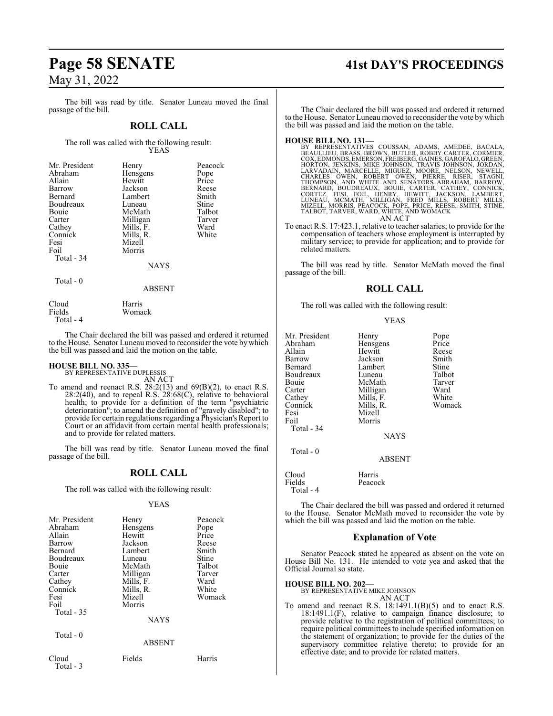# **Page 58 SENATE 41st DAY'S PROCEEDINGS** May 31, 2022

#### The bill was read by title. Senator Luneau moved the final passage of the bill.

#### **ROLL CALL**

The roll was called with the following result: YEAS

| Mr. President | Henry     | Peacock |
|---------------|-----------|---------|
| Abraham       | Hensgens  | Pope    |
| Allain        | Hewitt    | Price   |
| Barrow        | Jackson   | Reese   |
| Bernard       | Lambert   | Smith   |
| Boudreaux     | Luneau    | Stine   |
| Bouie         | McMath    | Talbot  |
| Carter        | Milligan  | Tarver  |
| Cathey        | Mills, F. | Ward    |
| Connick       | Mills, R. | White   |
| Fesi          | Mizell    |         |
| Foil          | Morris    |         |
| Total - 34    |           |         |
|               | $\cdots$  |         |

NAYS

#### Total - 0

ABSENT

Cloud Harris<br>Fields Woma Total - 4

Womack

The Chair declared the bill was passed and ordered it returned to the House. Senator Luneau moved to reconsider the vote by which the bill was passed and laid the motion on the table.

# **HOUSE BILL NO. 335—** BY REPRESENTATIVE DUPLESSIS

AN ACT

To amend and reenact R.S.  $28:2(13)$  and  $69(B)(2)$ , to enact R.S. 28:2(40), and to repeal R.S. 28:68(C), relative to behavioral health; to provide for a definition of the term "psychiatric deterioration"; to amend the definition of "gravely disabled"; to provide for certain regulations regarding a Physician's Report to Court or an affidavit from certain mental health professionals; and to provide for related matters.

The bill was read by title. Senator Luneau moved the final passage of the bill.

## **ROLL CALL**

The roll was called with the following result:

#### YEAS

| Mr. President<br>Abraham<br>Allain<br>Barrow<br>Bernard<br>Boudreaux<br>Bouie<br>Carter<br>Cathey<br>Connick<br>Fesi | Henry<br>Hensgens<br>Hewitt<br>Jackson<br>Lambert<br>Luneau<br>McMath<br>Milligan<br>Mills, F.<br>Mills, R.<br>Mizell | Peacock<br>Pope<br>Price<br>Reese<br>Smith<br>Stine<br>Talbot<br>Tarver<br>Ward<br>White<br>Womack |
|----------------------------------------------------------------------------------------------------------------------|-----------------------------------------------------------------------------------------------------------------------|----------------------------------------------------------------------------------------------------|
| Total - 35                                                                                                           | <b>NAYS</b>                                                                                                           |                                                                                                    |
| Total - 0                                                                                                            | <b>ABSENT</b>                                                                                                         |                                                                                                    |
| Cloud<br>Total - 3                                                                                                   | Fields                                                                                                                | Harris                                                                                             |

The Chair declared the bill was passed and ordered it returned to the House. Senator Luneau moved to reconsider the vote by which the bill was passed and laid the motion on the table.

#### **HOUSE BILL NO. 131—**

BY REPRESENTATIVES COUSSAN, ADAMS, AMEDEE, BACALA,<br>BEAULLIEU, BRASS, BROWN, BUTLER, ROBBY CARTER, CORMIER,<br>COX, EDMONDS, EMERSON, FREIBERG, GAINES, GAROFALO, GREEN,<br>HORTON, JENKINS, MIKE JOHNSON, TRAVIS JOHNSON, JORDAN,<br>LA AN ACT

To enact R.S. 17:423.1, relative to teacher salaries; to provide for the compensation of teachers whose employment is interrupted by military service; to provide for application; and to provide for related matters.

The bill was read by title. Senator McMath moved the final passage of the bill.

#### **ROLL CALL**

The roll was called with the following result:

|--|--|

| Mr. President<br>Abraham<br>Allain<br>Barrow<br>Bernard<br>Boudreaux<br>Bouie<br>Carter<br>Cathey<br>Connick<br>Fesi<br>Foil | Henry<br>Hensgens<br>Hewitt<br>Jackson<br>Lambert<br>Luneau<br>McMath<br>Milligan<br>Mills, F.<br>Mills, R.<br>Mizell<br>Morris | Pope<br>Price<br>Reese<br>Smith<br>Stine<br>Talbot<br>Tarver<br>Ward<br>White<br>Womack |
|------------------------------------------------------------------------------------------------------------------------------|---------------------------------------------------------------------------------------------------------------------------------|-----------------------------------------------------------------------------------------|
| Total - 34<br>Total - 0                                                                                                      | <b>NAYS</b><br><b>ABSENT</b>                                                                                                    |                                                                                         |

Cloud<br>
Fields Peacoo Peacock Total - 4

The Chair declared the bill was passed and ordered it returned to the House. Senator McMath moved to reconsider the vote by which the bill was passed and laid the motion on the table.

#### **Explanation of Vote**

Senator Peacock stated he appeared as absent on the vote on House Bill No. 131. He intended to vote yea and asked that the Official Journal so state.

#### **HOUSE BILL NO. 202—**

BY REPRESENTATIVE MIKE JOHNSON

- AN ACT
- To amend and reenact R.S.  $18:1491.1(B)(5)$  and to enact R.S. 18:1491.1(F), relative to campaign finance disclosure; to provide relative to the registration of political committees; to require political committees to include specified information on the statement of organization; to provide for the duties of the supervisory committee relative thereto; to provide for an effective date; and to provide for related matters.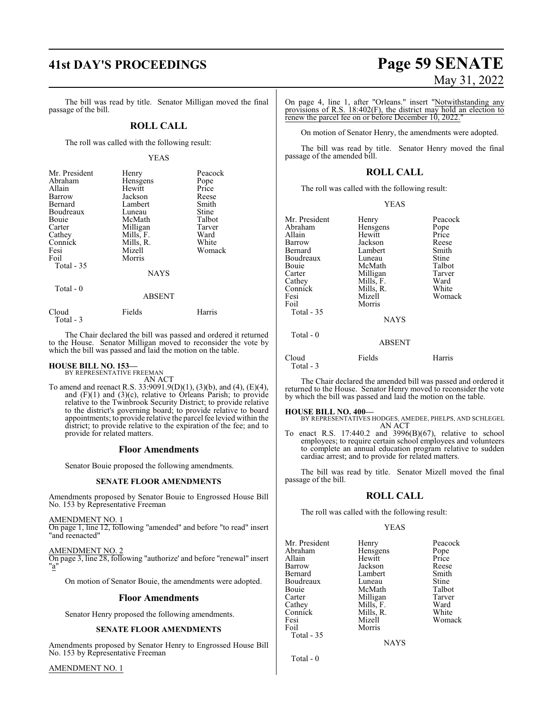# **41st DAY'S PROCEEDINGS Page 59 SENATE**

The bill was read by title. Senator Milligan moved the final passage of the bill.

#### **ROLL CALL**

The roll was called with the following result:

#### YEAS

| Mr. President      | Henry         | Peacock |
|--------------------|---------------|---------|
| Abraham            | Hensgens      | Pope    |
| Allain             | Hewitt        | Price   |
| Barrow             | Jackson       | Reese   |
| Bernard            | Lambert       | Smith   |
| Boudreaux          | Luneau        | Stine   |
| Bouie              | McMath        | Talbot  |
| Carter             | Milligan      | Tarver  |
| Cathey             | Mills, F.     | Ward    |
| Connick            | Mills, R.     | White   |
| Fesi               | Mizell        | Womack  |
| Foil               | Morris        |         |
| Total - 35         |               |         |
|                    | <b>NAYS</b>   |         |
| Total - 0          |               |         |
|                    | <b>ABSENT</b> |         |
| Cloud<br>Total - 3 | Fields        | Harris  |

The Chair declared the bill was passed and ordered it returned to the House. Senator Milligan moved to reconsider the vote by which the bill was passed and laid the motion on the table.

# **HOUSE BILL NO. 153—** BY REPRESENTATIVE FREEMAN

AN ACT

To amend and reenact R.S. 33:9091.9(D)(1), (3)(b), and (4), (E)(4), and (F)(1) and (3)(c), relative to Orleans Parish; to provide relative to the Twinbrook Security District; to provide relative to the district's governing board; to provide relative to board appointments; to provide relative the parcel fee levied within the district; to provide relative to the expiration of the fee; and to provide for related matters.

#### **Floor Amendments**

Senator Bouie proposed the following amendments.

#### **SENATE FLOOR AMENDMENTS**

Amendments proposed by Senator Bouie to Engrossed House Bill No. 153 by Representative Freeman

AMENDMENT NO. 1 On page 1, line 12, following "amended" and before "to read" insert "and reenacted"

AMENDMENT NO. 2

On page 3, line 28, following "authorize' and before "renewal" insert "a"

On motion of Senator Bouie, the amendments were adopted.

#### **Floor Amendments**

Senator Henry proposed the following amendments.

#### **SENATE FLOOR AMENDMENTS**

Amendments proposed by Senator Henry to Engrossed House Bill No. 153 by Representative Freeman

AMENDMENT NO. 1

# May 31, 2022

On page 4, line 1, after "Orleans." insert "Notwithstanding any provisions of R.S. 18:402(F), the district may hold an election to renew the parcel fee on or before December 10, 2022."

On motion of Senator Henry, the amendments were adopted.

The bill was read by title. Senator Henry moved the final passage of the amended bill.

#### **ROLL CALL**

The roll was called with the following result:

| v<br>I |
|--------|
|        |

| Mr. President      | Henry         | Peacock |
|--------------------|---------------|---------|
| Abraham            | Hensgens      | Pope    |
| Allain             | Hewitt        | Price   |
| Barrow             | Jackson       | Reese   |
| Bernard            | Lambert       | Smith   |
| Boudreaux          | Luneau        | Stine   |
| Bouie              | McMath        | Talbot  |
| Carter             | Milligan      | Tarver  |
| Cathey             | Mills, F.     | Ward    |
| Connick            | Mills, R.     | White   |
| Fesi               | Mizell        | Womack  |
| Foil               | Morris        |         |
| Total - 35         |               |         |
|                    | <b>NAYS</b>   |         |
| Total $-0$         |               |         |
|                    | <b>ABSENT</b> |         |
| Cloud<br>Total - 3 | Fields        | Harris  |

The Chair declared the amended bill was passed and ordered it returned to the House. Senator Henry moved to reconsider the vote by which the bill was passed and laid the motion on the table.

#### **HOUSE BILL NO. 400—**

BY REPRESENTATIVES HODGES, AMEDEE, PHELPS, AND SCHLEGEL AN ACT

To enact R.S. 17:440.2 and 3996(B)(67), relative to school employees; to require certain school employees and volunteers to complete an annual education program relative to sudden cardiac arrest; and to provide for related matters.

The bill was read by title. Senator Mizell moved the final passage of the bill.

#### **ROLL CALL**

The roll was called with the following result:

#### YEAS

|           | Peacock                                    |
|-----------|--------------------------------------------|
|           | Pope                                       |
| Hewitt    | Price                                      |
| Jackson   | Reese                                      |
| Lambert   | Smith                                      |
| Luneau    | Stine                                      |
| McMath    | Talbot                                     |
|           | Tarver                                     |
|           | Ward                                       |
| Mills, R. | White                                      |
| Mizell    | Womack                                     |
| Morris    |                                            |
|           |                                            |
| NAYS      |                                            |
|           | Henry<br>Hensgens<br>Milligan<br>Mills, F. |

Total - 0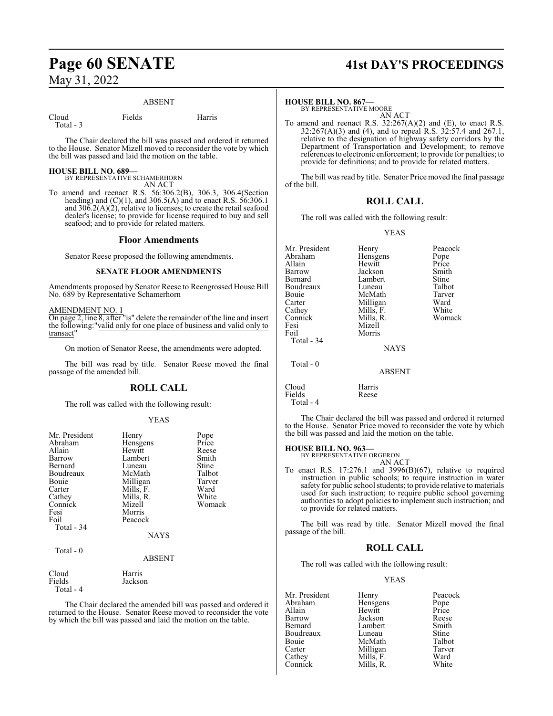# **Page 60 SENATE 41st DAY'S PROCEEDINGS** May 31, 2022

#### ABSENT

Cloud Fields Harris Total - 3

The Chair declared the bill was passed and ordered it returned to the House. Senator Mizell moved to reconsider the vote by which the bill was passed and laid the motion on the table.

#### **HOUSE BILL NO. 689—**

BY REPRESENTATIVE SCHAMERHORN AN ACT

To amend and reenact R.S. 56:306.2(B), 306.3, 306.4(Section heading) and  $(C)(1)$ , and  $306.5(A)$  and to enact R.S.  $56:306.1$ and  $306.2(A)(2)$ , relative to licenses; to create the retail seafood dealer's license; to provide for license required to buy and sell seafood; and to provide for related matters.

#### **Floor Amendments**

Senator Reese proposed the following amendments.

#### **SENATE FLOOR AMENDMENTS**

Amendments proposed by Senator Reese to Reengrossed House Bill No. 689 by Representative Schamerhorn

#### AMENDMENT NO. 1

On page 2, line 8, after "is" delete the remainder of the line and insert the following:"valid only for one place of business and valid only to transact"

On motion of Senator Reese, the amendments were adopted.

The bill was read by title. Senator Reese moved the final passage of the amended bill.

#### **ROLL CALL**

The roll was called with the following result:

#### YEAS

| Mr. President | Henry         | Pope   |
|---------------|---------------|--------|
| Abraham       | Hensgens      | Price  |
| Allain        | Hewitt        | Reese  |
| Barrow        | Lambert       | Smith  |
| Bernard       | Luneau        | Stine  |
| Boudreaux     | McMath        | Talbot |
| Bouie         | Milligan      | Tarver |
| Carter        | Mills, F.     | Ward   |
| Cathey        | Mills, R.     | White  |
| Connick       | Mizell        | Womack |
| Fesi          | Morris        |        |
| Foil          | Peacock       |        |
| Total - 34    |               |        |
|               | <b>NAYS</b>   |        |
| Total - 0     |               |        |
|               | <b>ABSENT</b> |        |
| Cloud         | Harris        |        |
| Fields        | Jackson       |        |
| Total - 4     |               |        |

The Chair declared the amended bill was passed and ordered it returned to the House. Senator Reese moved to reconsider the vote by which the bill was passed and laid the motion on the table.

#### **HOUSE BILL NO. 867—**

BY REPRESENTATIVE MOORE AN ACT

To amend and reenact R.S. 32:267(A)(2) and (E), to enact R.S. 32:267(A)(3) and (4), and to repeal R.S. 32:57.4 and 267.1, relative to the designation of highway safety corridors by the Department of Transportation and Development; to remove references to electronic enforcement; to provide for penalties; to provide for definitions; and to provide for related matters.

The bill was read by title. Senator Price moved the final passage of the bill.

## **ROLL CALL**

The roll was called with the following result:

#### YEAS

| Mr. President<br>Abraham<br>Allain<br>Barrow<br>Bernard<br>Boudreaux<br>Bouie<br>Carter<br>Cathey<br>Connick<br>Fesi<br>Foil<br>Total - 34 | Henry<br>Hensgens<br>Hewitt<br>Jackson<br>Lambert<br>Luneau<br>McMath<br>Milligan<br>Mills, F.<br>Mills, R.<br>Mizell<br>Morris<br><b>NAYS</b> | Peacock<br>Pope<br>Price<br>Smith<br>Stine<br>Talbot<br>Tarver<br>Ward<br>White<br>Womack |
|--------------------------------------------------------------------------------------------------------------------------------------------|------------------------------------------------------------------------------------------------------------------------------------------------|-------------------------------------------------------------------------------------------|
| Total $-0$                                                                                                                                 | <b>ABSENT</b>                                                                                                                                  |                                                                                           |
| Cloud<br>Fields                                                                                                                            | Harris<br>Reese                                                                                                                                |                                                                                           |

Total - 4

The Chair declared the bill was passed and ordered it returned to the House. Senator Price moved to reconsider the vote by which the bill was passed and laid the motion on the table.

#### **HOUSE BILL NO. 963—**

BY REPRESENTATIVE ORGERON AN ACT

To enact R.S. 17:276.1 and 3996(B)(67), relative to required instruction in public schools; to require instruction in water safety for public school students; to provide relative to materials used for such instruction; to require public school governing authorities to adopt policies to implement such instruction; and to provide for related matters.

The bill was read by title. Senator Mizell moved the final passage of the bill.

#### **ROLL CALL**

The roll was called with the following result:

#### YEAS

| Mr. President | Henry     | Peacock       |
|---------------|-----------|---------------|
| Abraham       | Hensgens  |               |
| Allain        | Hewitt    | Pope<br>Price |
| Barrow        | Jackson   | Reese         |
| Bernard       | Lambert   | Smith         |
| Boudreaux     | Luneau    | Stine         |
| Bouie         | McMath    | Talbot        |
| Carter        | Milligan  | Tarver        |
| Cathey        | Mills, F. | Ward          |
| Connick       | Mills, R. | White         |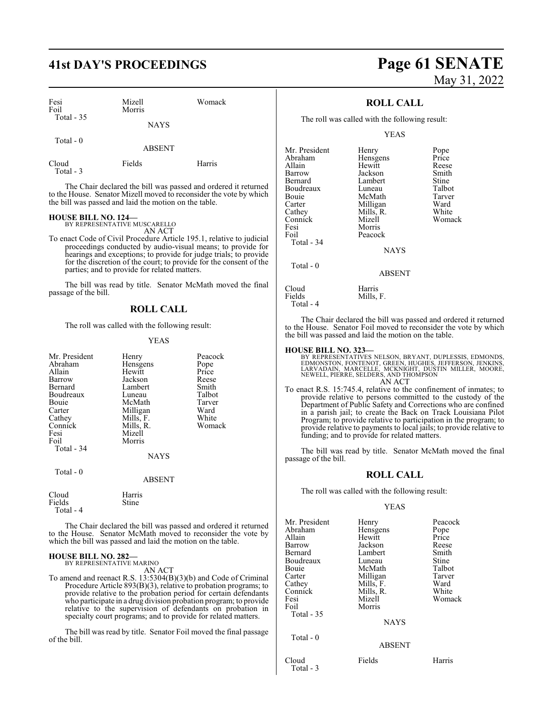| Fesi<br>Foil<br>Total $-35$ | Mizell<br>Morris | Womack |
|-----------------------------|------------------|--------|
|                             | <b>NAYS</b>      |        |
| Total $-0$                  | <b>ABSENT</b>    |        |
| Cloud<br>Total - 3          | Fields           | Harris |

The Chair declared the bill was passed and ordered it returned to the House. Senator Mizell moved to reconsider the vote by which the bill was passed and laid the motion on the table.

# **HOUSE BILL NO. 124—** BY REPRESENTATIVE MUSCARELLO

AN ACT

To enact Code of Civil Procedure Article 195.1, relative to judicial proceedings conducted by audio-visual means; to provide for hearings and exceptions; to provide for judge trials; to provide for the discretion of the court; to provide for the consent of the parties; and to provide for related matters.

The bill was read by title. Senator McMath moved the final passage of the bill.

#### **ROLL CALL**

The roll was called with the following result:

#### YEAS

| Mr. President<br>Abraham<br>Allain<br>Barrow<br>Bernard<br>Boudreaux<br>Bouie<br>Carter<br>Cathey<br>Connick<br>Fesi<br>Foil<br>Total - 34<br>Total - 0 | Henry<br>Hensgens<br>Hewitt<br>Jackson<br>Lambert<br>Luneau<br>McMath<br>Milligan<br>Mills, F.<br>Mills, R.<br>Mizell<br>Morris<br><b>NAYS</b> | Peacock<br>Pope<br>Price<br>Reese<br>Smith<br>Talbot<br>Tarver<br>Ward<br>White<br>Womack |
|---------------------------------------------------------------------------------------------------------------------------------------------------------|------------------------------------------------------------------------------------------------------------------------------------------------|-------------------------------------------------------------------------------------------|
|                                                                                                                                                         | <b>ABSENT</b>                                                                                                                                  |                                                                                           |
| Cloud<br>Fields<br>Total - 4                                                                                                                            | Harris<br>Stine                                                                                                                                |                                                                                           |

The Chair declared the bill was passed and ordered it returned to the House. Senator McMath moved to reconsider the vote by which the bill was passed and laid the motion on the table.

#### **HOUSE BILL NO. 282—** BY REPRESENTATIVE MARINO

AN ACT

To amend and reenact R.S. 13:5304(B)(3)(b) and Code of Criminal Procedure Article 893(B)(3), relative to probation programs; to provide relative to the probation period for certain defendants who participate in a drug division probation program; to provide relative to the supervision of defendants on probation in specialty court programs; and to provide for related matters.

The bill was read by title. Senator Foil moved the final passage of the bill.

# **41st DAY'S PROCEEDINGS Page 61 SENATE** May 31, 2022

## **ROLL CALL**

The roll was called with the following result:

YEAS

| Mr. President | Henry         | Pope   |
|---------------|---------------|--------|
| Abraham       | Hensgens      | Price  |
| Allain        | Hewitt        | Reese  |
|               |               |        |
| Barrow        | Jackson       | Smith  |
| Bernard       | Lambert       | Stine  |
| Boudreaux     | Luneau        | Talbot |
| Bouie         | McMath        | Tarver |
| Carter        | Milligan      | Ward   |
| Cathey        | Mills, R.     | White  |
| Connick       | Mizell        | Womack |
| Fesi          | Morris        |        |
| Foil          | Peacock       |        |
| Total - 34    |               |        |
|               | <b>NAYS</b>   |        |
| Total - 0     |               |        |
|               | <b>ABSENT</b> |        |
| Cloud         | Harris        |        |
| Fields        | Mills, F.     |        |
|               |               |        |

The Chair declared the bill was passed and ordered it returned to the House. Senator Foil moved to reconsider the vote by which the bill was passed and laid the motion on the table.

#### **HOUSE BILL NO. 323—**

Total - 4

BY REPRESENTATIVES NELSON, BRYANT, DUPLESSIS, EDMONDS,<br>EDMONSTON, FONTENOT, GREEN, HUGHES, JEFFERSON, JENKINS,<br>LARVADAIN, MARCELLE, MCKNIGHT, DUSTIN MILLER, MOORE,<br>NEWELL, PIERRE, SELDERS, AND THOMPSON AN ACT

To enact R.S. 15:745.4, relative to the confinement of inmates; to provide relative to persons committed to the custody of the Department of Public Safety and Corrections who are confined in a parish jail; to create the Back on Track Louisiana Pilot Program; to provide relative to participation in the program; to provide relative to payments to local jails; to provide relative to funding; and to provide for related matters.

The bill was read by title. Senator McMath moved the final passage of the bill.

## **ROLL CALL**

The roll was called with the following result:

#### YEAS

| Mr. President<br>Abraham<br>Allain<br>Barrow<br>Bernard<br>Boudreaux<br>Bouie<br>Carter | Henry<br>Hensgens<br>Hewitt<br>Jackson<br>Lambert<br>Luneau<br>McMath<br>Milligan | Peacock<br>Pope<br>Price<br>Reese<br>Smith<br>Stine<br>Talbot<br>Tarver |
|-----------------------------------------------------------------------------------------|-----------------------------------------------------------------------------------|-------------------------------------------------------------------------|
| Cathey<br>Connick<br>Fesi<br>Foil<br>Total - 35                                         | Mills, F.<br>Mills, R.<br>Mizell<br>Morris<br><b>NAYS</b>                         | Ward<br>White<br>Womack                                                 |
| Total - 0                                                                               | <b>ABSENT</b>                                                                     |                                                                         |
| Cloud<br>Total - 3                                                                      | Fields                                                                            | Harris                                                                  |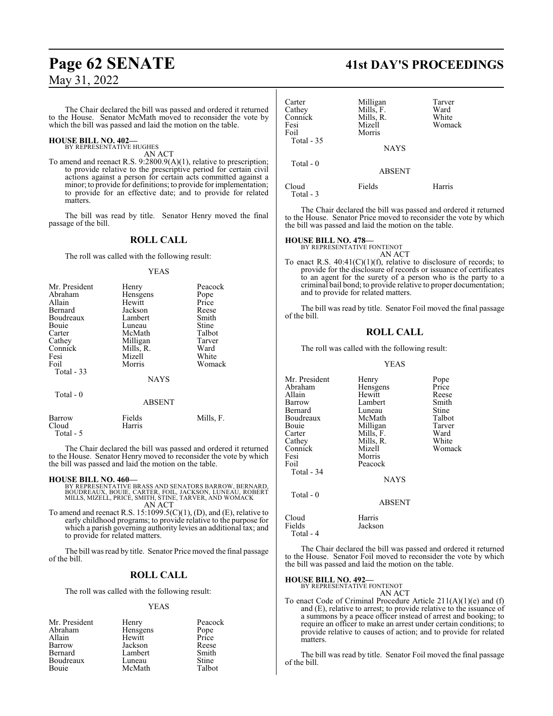# **Page 62 SENATE 41st DAY'S PROCEEDINGS** May 31, 2022

The Chair declared the bill was passed and ordered it returned to the House. Senator McMath moved to reconsider the vote by which the bill was passed and laid the motion on the table.

#### **HOUSE BILL NO. 402—** BY REPRESENTATIVE HUGHES

AN ACT

To amend and reenact R.S. 9:2800.9(A)(1), relative to prescription; to provide relative to the prescriptive period for certain civil actions against a person for certain acts committed against a minor; to provide for definitions; to provide for implementation; to provide for an effective date; and to provide for related matters.

The bill was read by title. Senator Henry moved the final passage of the bill.

#### **ROLL CALL**

The roll was called with the following result:

#### YEAS

| Mr. President | Henry       | Peacock |
|---------------|-------------|---------|
| Abraham       | Hensgens    | Pope    |
| Allain        | Hewitt      | Price   |
| Bernard       | Jackson     | Reese   |
| Boudreaux     | Lambert     | Smith   |
| Bouie         | Luneau      | Stine   |
| Carter        | McMath      | Talbot  |
| Cathey        | Milligan    | Tarver  |
| Connick       | Mills, R.   | Ward    |
| Fesi          | Mizell      | White   |
| Foil          | Morris      | Womack  |
| Total - 33    |             |         |
|               | <b>NAYS</b> |         |

Total - 0

ABSENT

| Barrow    | Fields | Mills, F. |
|-----------|--------|-----------|
| Cloud     | Harris |           |
| Total - 5 |        |           |

The Chair declared the bill was passed and ordered it returned to the House. Senator Henry moved to reconsider the vote by which the bill was passed and laid the motion on the table.

#### **HOUSE BILL NO. 460—**

- BY REPRESENTATIVE BRASS AND SENATORS BARROW, BERNARD,<br>BOUDREAUX, BOUIE, CARTER, FOIL, JACKSON, LUNEAU, ROBERT<br>MILLS, MIZELL, PRICE, SMITH, STINE, TARVER, AND WOMACK<br>AN ACT
- To amend and reenact R.S.  $15:1099.5(C)(1)$ , (D), and (E), relative to early childhood programs; to provide relative to the purpose for which a parish governing authority levies an additional tax; and to provide for related matters.

The bill was read by title. Senator Price moved the final passage of the bill.

#### **ROLL CALL**

The roll was called with the following result:

#### YEAS

| Mr. President | Henry    | Peacock |
|---------------|----------|---------|
| Abraham       | Hensgens | Pope    |
| Allain        | Hewitt   | Price   |
| Barrow        | Jackson  | Reese   |
| Bernard       | Lambert  | Smith   |
| Boudreaux     | Luneau   | Stine   |
| Bouie         | McMath   | Talbot  |

| Carter<br>Cathey<br>Connick | Milligan<br>Mills, F.<br>Mills, R. | Tarver<br>Ward<br>White |
|-----------------------------|------------------------------------|-------------------------|
| Fesi<br>Foil<br>Total $-35$ | Mizell<br>Morris<br><b>NAYS</b>    | Womack                  |
| Total $-0$                  | <b>ABSENT</b>                      |                         |
| Cloud<br>Total - 3          | Fields                             | Harris                  |

The Chair declared the bill was passed and ordered it returned to the House. Senator Price moved to reconsider the vote by which the bill was passed and laid the motion on the table.

#### **HOUSE BILL NO. 478—**

BY REPRESENTATIVE FONTENOT

AN ACT To enact R.S.  $40:41(C)(1)(f)$ , relative to disclosure of records; to provide for the disclosure of records or issuance of certificates to an agent for the surety of a person who is the party to a criminal bail bond; to provide relative to proper documentation; and to provide for related matters.

The bill was read by title. Senator Foil moved the final passage of the bill.

### **ROLL CALL**

The roll was called with the following result:

#### YEAS

| Mr. President | Henry         | Pope   |
|---------------|---------------|--------|
| Abraham       | Hensgens      | Price  |
| Allain        | Hewitt        | Reese  |
| Barrow        | Lambert       | Smith  |
| Bernard       | Luneau        | Stine  |
| Boudreaux     | McMath        | Talbot |
| Bouie         | Milligan      | Tarver |
| Carter        | Mills, F.     | Ward   |
| Cathey        | Mills, R.     | White  |
| Connick       | Mizell        | Womack |
| Fesi          | Morris        |        |
| Foil          | Peacock       |        |
| Total - 34    |               |        |
|               | <b>NAYS</b>   |        |
| Total $-0$    |               |        |
|               | <b>ABSENT</b> |        |
| Cloud         | Harris        |        |
| Fields        | Jackson       |        |
|               |               |        |

Total - 4

The Chair declared the bill was passed and ordered it returned to the House. Senator Foil moved to reconsider the vote by which the bill was passed and laid the motion on the table.

#### **HOUSE BILL NO. 492—**

BY REPRESENTATIVE FONTENOT AN ACT

To enact Code of Criminal Procedure Article 211(A)(1)(e) and (f) and (E), relative to arrest; to provide relative to the issuance of a summons by a peace officer instead of arrest and booking; to require an officer to make an arrest under certain conditions; to provide relative to causes of action; and to provide for related **matters** 

The bill was read by title. Senator Foil moved the final passage of the bill.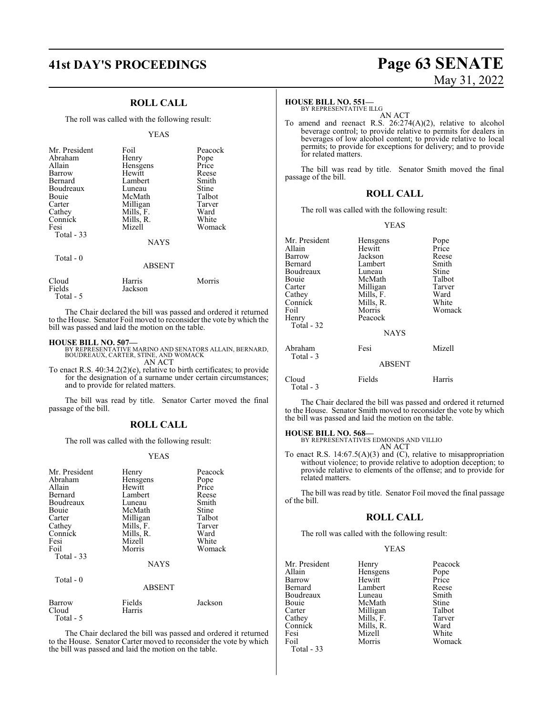## **ROLL CALL**

The roll was called with the following result:

#### YEAS

| Mr. President<br>Abraham<br>Allain<br>Barrow<br>Bernard<br>Boudreaux<br>Bouie<br>Carter<br>Cathey<br>Connick | Foil<br>Henry<br>Hensgens<br>Hewitt<br>Lambert<br>Luneau<br>McMath<br>Milligan<br>Mills, F.<br>Mills, R. | Peacock<br>Pope<br>Price<br>Reese<br>Smith<br>Stine<br>Talbot<br>Tarver<br>Ward<br>White |
|--------------------------------------------------------------------------------------------------------------|----------------------------------------------------------------------------------------------------------|------------------------------------------------------------------------------------------|
| Fesi<br>Total $-33$                                                                                          | Mizell                                                                                                   | Womack                                                                                   |
|                                                                                                              | <b>NAYS</b>                                                                                              |                                                                                          |
| Total $-0$                                                                                                   | ABSENT                                                                                                   |                                                                                          |
| $C1_{\alpha}$                                                                                                | U <sub>2</sub>                                                                                           | $M_{\alpha \cdots \alpha}$                                                               |

Cloud Harris Morris Fields Jackson Total - 5

The Chair declared the bill was passed and ordered it returned to the House. Senator Foil moved to reconsider the vote by which the bill was passed and laid the motion on the table.

#### **HOUSE BILL NO. 507—**

BY REPRESENTATIVE MARINO AND SENATORS ALLAIN, BERNARD, BOUDREAUX, CARTER, STINE, AND WOMACK AN ACT

To enact R.S. 40:34.2(2)(e), relative to birth certificates; to provide for the designation of a surname under certain circumstances; and to provide for related matters.

The bill was read by title. Senator Carter moved the final passage of the bill.

#### **ROLL CALL**

The roll was called with the following result:

#### YEAS

| Mr. President<br>Abraham<br>Allain<br>Bernard<br>Boudreaux<br>Bouie<br>Carter<br>Cathey<br>Connick<br>Fesi<br>Foil<br>Total - 33<br>Total - 0 | Henry<br>Hensgens<br>Hewitt<br>Lambert<br>Luneau<br>McMath<br>Milligan<br>Mills, F.<br>Mills, R.<br>Mizell<br>Morris<br><b>NAYS</b><br><b>ABSENT</b> | Peacock<br>Pope<br>Price<br>Reese<br>Smith<br>Stine<br>Talbot<br>Tarver<br>Ward<br>White<br>Womack |
|-----------------------------------------------------------------------------------------------------------------------------------------------|------------------------------------------------------------------------------------------------------------------------------------------------------|----------------------------------------------------------------------------------------------------|
| Barrow<br>Cloud<br>Total - 5                                                                                                                  | Fields<br>Harris                                                                                                                                     | Jackson                                                                                            |

The Chair declared the bill was passed and ordered it returned to the House. Senator Carter moved to reconsider the vote by which the bill was passed and laid the motion on the table.

# **41st DAY'S PROCEEDINGS Page 63 SENATE** May 31, 2022

#### **HOUSE BILL NO. 551—**

BY REPRESENTATIVE ILLG AN ACT

To amend and reenact R.S. 26:274(A)(2), relative to alcohol beverage control; to provide relative to permits for dealers in beverages of low alcohol content; to provide relative to local permits; to provide for exceptions for delivery; and to provide for related matters.

The bill was read by title. Senator Smith moved the final passage of the bill.

## **ROLL CALL**

The roll was called with the following result:

YEAS

| Mr. President<br>Allain<br>Barrow<br>Bernard<br>Boudreaux<br>Bouie<br>Carter<br>Cathey<br>Connick<br>Foil<br>Henry<br>Total - 32 | Hensgens<br>Hewitt<br>Jackson<br>Lambert<br>Luneau<br>McMath<br>Milligan<br>Mills, F.<br>Mills, R.<br>Morris<br>Peacock<br><b>NAYS</b> | Pope<br>Price<br>Reese<br>Smith<br>Stine<br>Talbot<br>Tarver<br>Ward<br>White<br>Womack |
|----------------------------------------------------------------------------------------------------------------------------------|----------------------------------------------------------------------------------------------------------------------------------------|-----------------------------------------------------------------------------------------|
| Abraham<br>Total - 3                                                                                                             | Fesi<br><b>ABSENT</b>                                                                                                                  | Mizell                                                                                  |
| Cloud<br>Total - 3                                                                                                               | Fields                                                                                                                                 | Harris                                                                                  |

The Chair declared the bill was passed and ordered it returned to the House. Senator Smith moved to reconsider the vote by which the bill was passed and laid the motion on the table.

**HOUSE BILL NO. 568—** BY REPRESENTATIVES EDMONDS AND VILLIO AN ACT

To enact R.S. 14:67.5(A)(3) and (C), relative to misappropriation without violence; to provide relative to adoption deception; to provide relative to elements of the offense; and to provide for related matters.

The bill was read by title. Senator Foil moved the final passage of the bill.

#### **ROLL CALL**

The roll was called with the following result:

#### YEAS

| Mr. President | Henry     | Peacock |
|---------------|-----------|---------|
| Allain        | Hensgens  | Pope    |
| Barrow        | Hewitt    | Price   |
| Bernard       | Lambert   | Reese   |
| Boudreaux     | Luneau    | Smith   |
| Bouie         | McMath    | Stine   |
| Carter        | Milligan  | Talbot  |
| Cathey        | Mills, F. | Tarver  |
| Connick       | Mills, R. | Ward    |
| Fesi          | Mizell    | White   |
| Foil          | Morris    | Womack  |
| Total $-33$   |           |         |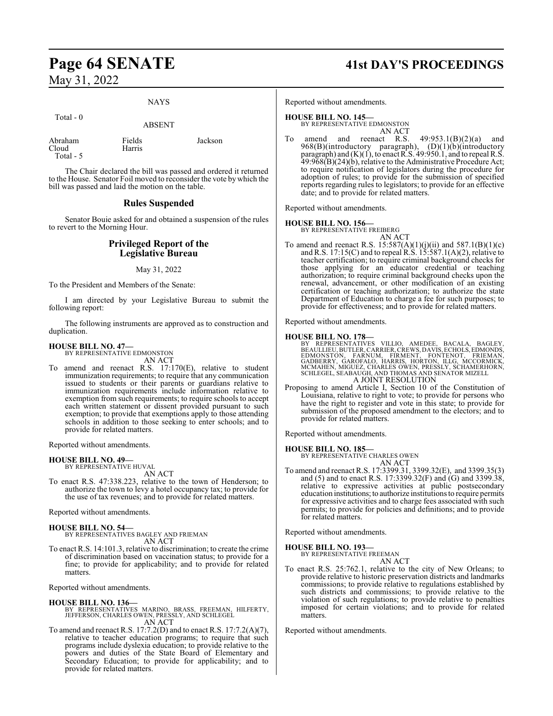#### NAYS

| Total $-0$                    | <b>ABSENT</b>    |         |
|-------------------------------|------------------|---------|
| Abraham<br>Cloud<br>Total - 5 | Fields<br>Harris | Jackson |

The Chair declared the bill was passed and ordered it returned to the House. Senator Foil moved to reconsider the vote by which the bill was passed and laid the motion on the table.

#### **Rules Suspended**

Senator Bouie asked for and obtained a suspension of the rules to revert to the Morning Hour.

#### **Privileged Report of the Legislative Bureau**

#### May 31, 2022

To the President and Members of the Senate:

I am directed by your Legislative Bureau to submit the following report:

The following instruments are approved as to construction and duplication.

#### **HOUSE BILL NO. 47—**

BY REPRESENTATIVE EDMONSTON AN ACT

To amend and reenact R.S. 17:170(E), relative to student immunization requirements; to require that any communication issued to students or their parents or guardians relative to immunization requirements include information relative to exemption from such requirements; to require schools to accept each written statement or dissent provided pursuant to such exemption; to provide that exemptions apply to those attending schools in addition to those seeking to enter schools; and to provide for related matters.

Reported without amendments.

**HOUSE BILL NO. 49—** BY REPRESENTATIVE HUVAL

AN ACT

To enact R.S. 47:338.223, relative to the town of Henderson; to authorize the town to levy a hotel occupancy tax; to provide for the use of tax revenues; and to provide for related matters.

Reported without amendments.

#### **HOUSE BILL NO. 54—**

BY REPRESENTATIVES BAGLEY AND FRIEMAN AN ACT

To enact R.S. 14:101.3, relative to discrimination; to create the crime of discrimination based on vaccination status; to provide for a fine; to provide for applicability; and to provide for related matters.

Reported without amendments.

- **HOUSE BILL NO. 136—** BY REPRESENTATIVES MARINO, BRASS, FREEMAN, HILFERTY, JEFFERSON, CHARLES OWEN, PRESSLY, AND SCHLEGEL AN ACT
- To amend and reenact R.S. 17:7.2(D) and to enact R.S. 17:7.2(A)(7), relative to teacher education programs; to require that such programs include dyslexia education; to provide relative to the powers and duties of the State Board of Elementary and Secondary Education; to provide for applicability; and to provide for related matters.

# **Page 64 SENATE 41st DAY'S PROCEEDINGS**

Reported without amendments.

#### **HOUSE BILL NO. 145—**

BY REPRESENTATIVE EDMONSTON AN ACT

To amend and reenact R.S.  $49:953.1(B)(2)(a)$  and 968(B)(introductory paragraph), (D)(1)(b)(introductory paragraph) and (K)(1), to enact R.S. 49:950.1, and to repeal R.S. 49:968(B)(24)(b), relative to the Administrative Procedure Act; to require notification of legislators during the procedure for adoption of rules; to provide for the submission of specified reports regarding rules to legislators; to provide for an effective date; and to provide for related matters.

Reported without amendments.

#### **HOUSE BILL NO. 156—**

BY REPRESENTATIVE FREIBERG AN ACT

To amend and reenact R.S.  $15:587(A)(1)(j)(ii)$  and  $587.1(B)(1)(c)$ and R.S. 17:15(C) and to repeal R.S. 15:587.1(A)(2), relative to teacher certification; to require criminal background checks for those applying for an educator credential or teaching authorization; to require criminal background checks upon the renewal, advancement, or other modification of an existing certification or teaching authorization; to authorize the state Department of Education to charge a fee for such purposes; to provide for effectiveness; and to provide for related matters.

Reported without amendments.

**HOUSE BILL NO. 178—** BY REPRESENTATIVES VILLIO, AMEDEE, BACALA, BAGLEY,<br>BEAULLIEU,BUTLER,CARRIER,CREWS,DAVIS,ECHOLS,EDMONDS,<br>EDMONSTON, FARNUM, FIRMENT, FONTENOT, FRIEMAN,<br>GADBERRY, GAROFALO, HARRIS, HORTON, ILLG, MCCORMICK,<br>MCMAHEN, MIGUEZ, C A JOINT RESOLUTION

Proposing to amend Article I, Section 10 of the Constitution of Louisiana, relative to right to vote; to provide for persons who have the right to register and vote in this state; to provide for submission of the proposed amendment to the electors; and to provide for related matters.

Reported without amendments.

**HOUSE BILL NO. 185—** BY REPRESENTATIVE CHARLES OWEN

AN ACT To amend and reenact R.S. 17:3399.31, 3399.32(E), and 3399.35(3) and (5) and to enact R.S. 17:3399.32(F) and (G) and 3399.38, relative to expressive activities at public postsecondary education institutions;to authorize institutions to require permits for expressive activities and to charge fees associated with such permits; to provide for policies and definitions; and to provide for related matters.

Reported without amendments.

# **HOUSE BILL NO. 193—** BY REPRESENTATIVE FREEMAN

AN ACT

To enact R.S. 25:762.1, relative to the city of New Orleans; to provide relative to historic preservation districts and landmarks commissions; to provide relative to regulations established by such districts and commissions; to provide relative to the violation of such regulations; to provide relative to penalties imposed for certain violations; and to provide for related matters.

Reported without amendments.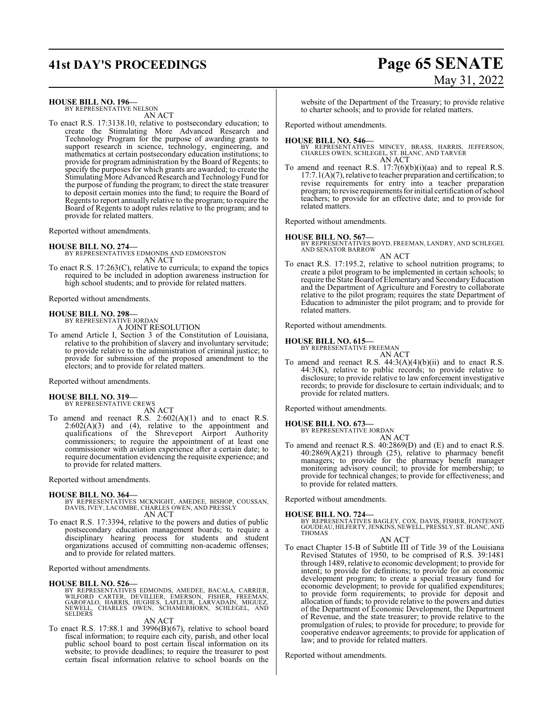# **41st DAY'S PROCEEDINGS Page 65 SENATE**

# May 31, 2022

#### **HOUSE BILL NO. 196—**

BY REPRESENTATIVE NELSON AN ACT

To enact R.S. 17:3138.10, relative to postsecondary education; to create the Stimulating More Advanced Research and Technology Program for the purpose of awarding grants to support research in science, technology, engineering, and mathematics at certain postsecondary education institutions; to provide for program administration by the Board of Regents; to specify the purposes for which grants are awarded; to create the Stimulating More Advanced Research and Technology Fund for the purpose of funding the program; to direct the state treasurer to deposit certain monies into the fund; to require the Board of Regents to report annually relative to the program; to require the Board of Regents to adopt rules relative to the program; and to provide for related matters.

Reported without amendments.

#### **HOUSE BILL NO. 274—**

BY REPRESENTATIVES EDMONDS AND EDMONSTON AN ACT

To enact R.S. 17:263(C), relative to curricula; to expand the topics required to be included in adoption awareness instruction for high school students; and to provide for related matters.

Reported without amendments.

#### **HOUSE BILL NO. 298—**

BY REPRESENTATIVE JORDAN A JOINT RESOLUTION

To amend Article I, Section 3 of the Constitution of Louisiana, relative to the prohibition of slavery and involuntary servitude; to provide relative to the administration of criminal justice; to provide for submission of the proposed amendment to the electors; and to provide for related matters.

Reported without amendments.

#### **HOUSE BILL NO. 319—** BY REPRESENTATIVE CREWS

AN ACT

To amend and reenact R.S. 2:602(A)(1) and to enact R.S.  $2:602(A)(3)$  and  $(4)$ , relative to the appointment and qualifications of the Shreveport Airport Authority commissioners; to require the appointment of at least one commissioner with aviation experience after a certain date; to require documentation evidencing the requisite experience; and to provide for related matters.

Reported without amendments.

#### **HOUSE BILL NO. 364—**

- BY REPRESENTATIVES MCKNIGHT, AMEDEE, BISHOP, COUSSAN, DAVIS, IVEY, LACOMBE, CHARLES OWEN, AND PRESSLY AN ACT
- To enact R.S. 17:3394, relative to the powers and duties of public postsecondary education management boards; to require a disciplinary hearing process for students and student organizations accused of committing non-academic offenses; and to provide for related matters.

Reported without amendments.

#### **HOUSE BILL NO. 526—**

BY REPRESENTATIVES EDMONDS, AMEDEE, BACALA, CARRIER,<br>WILFORD CARTER, DEVILLIER, EMERSON, FISHER, FREEMAN,<br>GAROFALO, HARRIS, HUGHES, LAFLEUR, LARVADAIN, MIGUEZ,<br>NEWELL, CHARLES OWEN, SCHAMERHORN, SCHLEGEL, AND<br>SELDERS

#### AN ACT

To enact R.S. 17:88.1 and 3996(B)(67), relative to school board fiscal information; to require each city, parish, and other local public school board to post certain fiscal information on its website; to provide deadlines; to require the treasurer to post certain fiscal information relative to school boards on the

website of the Department of the Treasury; to provide relative to charter schools; and to provide for related matters.

Reported without amendments.

#### **HOUSE BILL NO. 546—**

BY REPRESENTATIVES MINCEY, BRASS, HARRIS, JEFFERSON, CHARLES OWEN, SCHLEGEL, ST. BLANC, AND TARVER AN ACT

To amend and reenact R.S.  $17:7(6)(b)(i)(aa)$  and to repeal R.S. 17:7.1(A)(7), relative to teacher preparation and certification; to revise requirements for entry into a teacher preparation program; to revise requirements for initial certification of school teachers; to provide for an effective date; and to provide for related matters.

Reported without amendments.

## **HOUSE BILL NO. 567—**

BY REPRESENTATIVES BOYD, FREEMAN, LANDRY, AND SCHLEGEL AND SENATOR BARROW

AN ACT To enact R.S. 17:195.2, relative to school nutrition programs; to create a pilot program to be implemented in certain schools; to require the State Board of Elementary and SecondaryEducation and the Department of Agriculture and Forestry to collaborate relative to the pilot program; requires the state Department of Education to administer the pilot program; and to provide for related matters.

Reported without amendments.

#### **HOUSE BILL NO. 615—**

BY REPRESENTATIVE FREEMAN AN ACT

To amend and reenact R.S.  $44:3(A)(4)(b)(ii)$  and to enact R.S. 44:3(K), relative to public records; to provide relative to disclosure; to provide relative to law enforcement investigative records; to provide for disclosure to certain individuals; and to provide for related matters.

Reported without amendments.

#### **HOUSE BILL NO. 673—**

BY REPRESENTATIVE JORDAN AN ACT

To amend and reenact R.S. 40:2869(D) and (E) and to enact R.S. 40:2869(A)(21) through (25), relative to pharmacy benefit managers; to provide for the pharmacy benefit manager monitoring advisory council; to provide for membership; to provide for technical changes; to provide for effectiveness; and to provide for related matters.

Reported without amendments.

#### **HOUSE BILL NO. 724—**

BY REPRESENTATIVES BAGLEY, COX, DAVIS, FISHER, FONTENOT,<br>GOUDEAU,HILFERTY,JENKINS,NEWELL,PRESSLY,ST.BLANC,AND<br>THOMAS

AN ACT

To enact Chapter 15-B of Subtitle III of Title 39 of the Louisiana Revised Statutes of 1950, to be comprised of R.S. 39:1481 through 1489, relative to economic development; to provide for intent; to provide for definitions; to provide for an economic development program; to create a special treasury fund for economic development; to provide for qualified expenditures; to provide form requirements; to provide for deposit and allocation of funds; to provide relative to the powers and duties of the Department of Economic Development, the Department of Revenue, and the state treasurer; to provide relative to the promulgation of rules; to provide for procedure; to provide for cooperative endeavor agreements; to provide for application of law; and to provide for related matters.

Reported without amendments.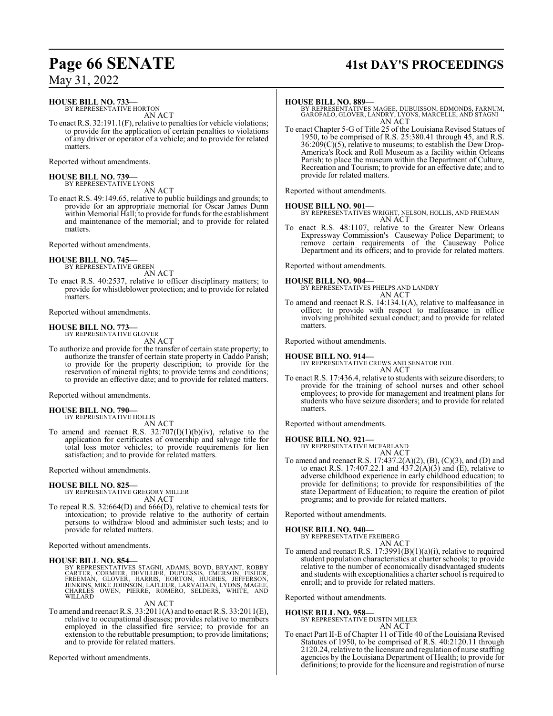# **Page 66 SENATE 41st DAY'S PROCEEDINGS**

May 31, 2022

**HOUSE BILL NO. 733—**

BY REPRESENTATIVE HORTON AN ACT

To enact R.S. 32:191.1(F), relative to penalties for vehicle violations; to provide for the application of certain penalties to violations of any driver or operator of a vehicle; and to provide for related matters.

Reported without amendments.

**HOUSE BILL NO. 739—** BY REPRESENTATIVE LYONS

AN ACT To enact R.S. 49:149.65, relative to public buildings and grounds; to provide for an appropriate memorial for Oscar James Dunn within Memorial Hall; to provide for funds for the establishment and maintenance of the memorial; and to provide for related matters.

Reported without amendments.

**HOUSE BILL NO. 745—** BY REPRESENTATIVE GREEN

AN ACT

To enact R.S. 40:2537, relative to officer disciplinary matters; to provide for whistleblower protection; and to provide for related matters.

Reported without amendments.

**HOUSE BILL NO. 773** BY REPRESENTATIVE GLOVER

AN ACT

To authorize and provide for the transfer of certain state property; to authorize the transfer of certain state property in Caddo Parish; to provide for the property description; to provide for the reservation of mineral rights; to provide terms and conditions; to provide an effective date; and to provide for related matters.

Reported without amendments.

**HOUSE BILL NO. 790—** BY REPRESENTATIVE HOLLIS

AN ACT

To amend and reenact R.S.  $32:707(I)(1)(b)(iv)$ , relative to the application for certificates of ownership and salvage title for total loss motor vehicles; to provide requirements for lien satisfaction; and to provide for related matters.

Reported without amendments.

# **HOUSE BILL NO. 825—** BY REPRESENTATIVE GREGORY MILLER

AN ACT

To repeal R.S. 32:664(D) and 666(D), relative to chemical tests for intoxication; to provide relative to the authority of certain persons to withdraw blood and administer such tests; and to provide for related matters.

Reported without amendments.

#### **HOUSE BILL NO. 854—**

BY REPRESENTATIVES STAGNI, ADAMS, BOYD, BRYANT, ROBBY<br>CARTER, CORMIER, DEVILLIER, DUPLESSIS, EMERSON, FISHER,<br>FREEMAN, GLOVER, HARRIS, HORTON, HUGHES, JEFFERSON,<br>JENKINS, MIKE JOHNSON, LAFLEUR, LARVADAIN, LYONS, MAGEE,<br>CHA

AN ACT

To amend and reenact R.S. 33:2011(A) and to enact R.S. 33:2011(E), relative to occupational diseases; provides relative to members employed in the classified fire service; to provide for an extension to the rebuttable presumption; to provide limitations; and to provide for related matters.

Reported without amendments.

#### **HOUSE BILL NO. 889—**

BY REPRESENTATIVES MAGEE, DUBUISSON, EDMONDS, FARNUM, GAROFALO, GLOVER, LANDRY, LYONS, MARCELLE, AND STAGNI AN ACT

To enact Chapter 5-G of Title 25 of the Louisiana Revised Statues of 1950, to be comprised of R.S. 25:380.41 through 45, and R.S. 36:209(C)(5), relative to museums; to establish the Dew Drop-America's Rock and Roll Museum as a facility within Orleans Parish; to place the museum within the Department of Culture, Recreation and Tourism; to provide for an effective date; and to provide for related matters.

Reported without amendments.

**HOUSE BILL NO. 901—** BY REPRESENTATIVES WRIGHT, NELSON, HOLLIS, AND FRIEMAN AN ACT

To enact R.S. 48:1107, relative to the Greater New Orleans Expressway Commission's Causeway Police Department; to remove certain requirements of the Causeway Police Department and its officers; and to provide for related matters.

Reported without amendments.

#### **HOUSE BILL NO. 904—**

BY REPRESENTATIVES PHELPS AND LANDRY AN ACT

To amend and reenact R.S. 14:134.1(A), relative to malfeasance in office; to provide with respect to malfeasance in office involving prohibited sexual conduct; and to provide for related matters.

Reported without amendments.

**HOUSE BILL NO. 914—** BY REPRESENTATIVE CREWS AND SENATOR FOIL AN ACT

To enact R.S. 17:436.4, relative to students with seizure disorders; to provide for the training of school nurses and other school employees; to provide for management and treatment plans for students who have seizure disorders; and to provide for related matters.

Reported without amendments.

## **HOUSE BILL NO. 921—**

BY REPRESENTATIVE MCFARLAND AN ACT

To amend and reenact R.S. 17:437.2(A)(2), (B), (C)(3), and (D) and to enact R.S. 17:407.22.1 and  $437.2(A)(3)$  and (E), relative to adverse childhood experience in early childhood education; to provide for definitions; to provide for responsibilities of the state Department of Education; to require the creation of pilot programs; and to provide for related matters.

Reported without amendments.

#### **HOUSE BILL NO. 940—**

BY REPRESENTATIVE FREIBERG AN ACT

To amend and reenact R.S. 17:3991(B)(1)(a)(i), relative to required student population characteristics at charter schools; to provide relative to the number of economically disadvantaged students and students with exceptionalities a charter school is required to enroll; and to provide for related matters.

Reported without amendments.

**HOUSE BILL NO. 958—**

BY REPRESENTATIVE DUSTIN MILLER

AN ACT

To enact Part II-E of Chapter 11 of Title 40 of the Louisiana Revised Statutes of 1950, to be comprised of R.S. 40:2120.11 through 2120.24, relative to the licensure and regulation of nurse staffing agencies by the Louisiana Department of Health; to provide for definitions; to provide for the licensure and registration of nurse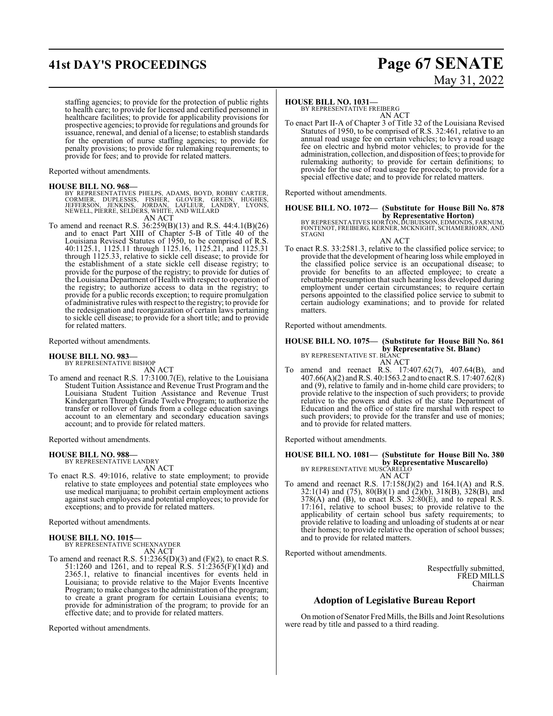# **41st DAY'S PROCEEDINGS Page 67 SENATE**

# May 31, 2022

staffing agencies; to provide for the protection of public rights to health care; to provide for licensed and certified personnel in healthcare facilities; to provide for applicability provisions for prospective agencies; to provide for regulations and grounds for issuance, renewal, and denial of a license; to establish standards for the operation of nurse staffing agencies; to provide for penalty provisions; to provide for rulemaking requirements; to provide for fees; and to provide for related matters.

Reported without amendments.

#### **HOUSE BILL NO. 968—**

BY REPRESENTATIVES PHELPS, ADAMS, BOYD, ROBBY CARTER,<br>CORMIER, DUPLESSIS, FISHER, GLOVER, GREEN, HUGHES,<br>JEFFERSON, JENKINS, JORDAN, LAFLEUR, LADDRY, LYONS,<br>NEWELL,PIERRE,SELDERS,WHITE,ANDWILLARD

- AN ACT
- To amend and reenact R.S. 36:259(B)(13) and R.S. 44:4.1(B)(26) and to enact Part XIII of Chapter 5-B of Title 40 of the Louisiana Revised Statutes of 1950, to be comprised of R.S. 40:1125.1, 1125.11 through 1125.16, 1125.21, and 1125.31 through 1125.33, relative to sickle cell disease; to provide for the establishment of a state sickle cell disease registry; to provide for the purpose of the registry; to provide for duties of the Louisiana Department of Health with respect to operation of the registry; to authorize access to data in the registry; to provide for a public records exception; to require promulgation of administrative rules with respect to the registry; to provide for the redesignation and reorganization of certain laws pertaining to sickle cell disease; to provide for a short title; and to provide for related matters.

Reported without amendments.

**HOUSE BILL NO. 983—** BY REPRESENTATIVE BISHOP

AN ACT

To amend and reenact R.S. 17:3100.7(E), relative to the Louisiana Student Tuition Assistance and Revenue Trust Program and the Louisiana Student Tuition Assistance and Revenue Trust Kindergarten Through Grade Twelve Program; to authorize the transfer or rollover of funds from a college education savings account to an elementary and secondary education savings account; and to provide for related matters.

Reported without amendments.

#### **HOUSE BILL NO. 988—** BY REPRESENTATIVE LANDRY

AN ACT

To enact R.S. 49:1016, relative to state employment; to provide relative to state employees and potential state employees who use medical marijuana; to prohibit certain employment actions against such employees and potential employees; to provide for exceptions; and to provide for related matters.

Reported without amendments.

# **HOUSE BILL NO. 1015—** BY REPRESENTATIVE SCHEXNAYDER

AN ACT

To amend and reenact R.S.  $51:2365(D)(3)$  and  $(F)(2)$ , to enact R.S. 51:1260 and 1261, and to repeal R.S. 51:2365(F)(1)(d) and 2365.1, relative to financial incentives for events held in Louisiana; to provide relative to the Major Events Incentive Program; to make changes to the administration of the program; to create a grant program for certain Louisiana events; to provide for administration of the program; to provide for an effective date; and to provide for related matters.

Reported without amendments.

#### **HOUSE BILL NO. 1031—**

BY REPRESENTATIVE FREIBERG AN ACT

To enact Part II-A of Chapter 3 of Title 32 of the Louisiana Revised Statutes of 1950, to be comprised of R.S. 32:461, relative to an annual road usage fee on certain vehicles; to levy a road usage fee on electric and hybrid motor vehicles; to provide for the administration, collection, and disposition offees; to provide for rulemaking authority; to provide for certain definitions; to provide for the use of road usage fee proceeds; to provide for a special effective date; and to provide for related matters.

Reported without amendments.

# **HOUSE BILL NO. 1072— (Substitute for House Bill No. 878**

**by Representative Horton)**<br>BY REPRESENTATIVES HORTON, DUBUISSON, EDMONDS, FARNUM,<br>FONTENOT, FREIBERG, KERNER, MCKNIGHT, SCHAMERHORN, AND<br>STAGNI

AN ACT

To enact R.S. 33:2581.3, relative to the classified police service; to provide that the development of hearing loss while employed in the classified police service is an occupational disease; to provide for benefits to an affected employee; to create a rebuttable presumption that such hearing loss developed during employment under certain circumstances; to require certain persons appointed to the classified police service to submit to certain audiology examinations; and to provide for related matters.

Reported without amendments.

**HOUSE BILL NO. 1075— (Substitute for House Bill No. 861 by Representative St. Blanc)** BY REPRESENTATIVE ST. BLANC AN ACT

To amend and reenact R.S. 17:407.62(7), 407.64(B), and 407.66(A)(2) andR.S. 40:1563.2 and to enact R.S. 17:407.62(8) and (9), relative to family and in-home child care providers; to provide relative to the inspection of such providers; to provide relative to the powers and duties of the state Department of Education and the office of state fire marshal with respect to such providers; to provide for the transfer and use of monies; and to provide for related matters.

Reported without amendments.

**HOUSE BILL NO. 1081— (Substitute for House Bill No. 380 by Representative Muscarello)** BY REPRESENTATIVE MUSCARELLO

- AN ACT
- To amend and reenact R.S. 17:158(J)(2) and 164.1(A) and R.S. 32:1(14) and (75), 80(B)(1) and (2)(b), 318(B), 328(B), and  $378(A)$  and (B), to enact R.S.  $32:80(E)$ , and to repeal R.S. 17:161, relative to school buses; to provide relative to the applicability of certain school bus safety requirements; to provide relative to loading and unloading of students at or near their homes; to provide relative the operation of school busses; and to provide for related matters.

Reported without amendments.

Respectfully submitted, FRED MILLS Chairman

## **Adoption of Legislative Bureau Report**

Onmotion of Senator Fred Mills, the Bills and Joint Resolutions were read by title and passed to a third reading.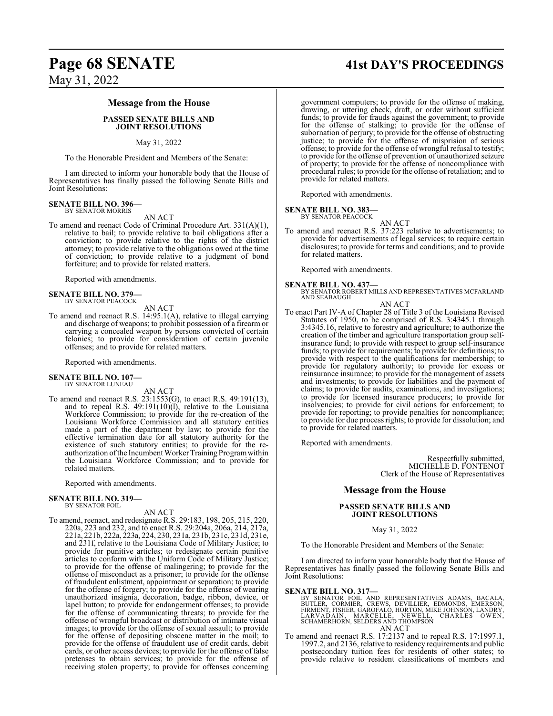#### **Message from the House**

#### **PASSED SENATE BILLS AND JOINT RESOLUTIONS**

#### May 31, 2022

To the Honorable President and Members of the Senate:

I am directed to inform your honorable body that the House of Representatives has finally passed the following Senate Bills and Joint Resolutions:

#### **SENATE BILL NO. 396—** BY SENATOR MORRIS

AN ACT

To amend and reenact Code of Criminal Procedure Art. 331(A)(1), relative to bail; to provide relative to bail obligations after a conviction; to provide relative to the rights of the district attorney; to provide relative to the obligations owed at the time of conviction; to provide relative to a judgment of bond forfeiture; and to provide for related matters.

Reported with amendments.

#### **SENATE BILL NO. 379—** BY SENATOR PEACOCK

AN ACT

To amend and reenact R.S. 14:95.1(A), relative to illegal carrying and discharge of weapons; to prohibit possession of a firearm or carrying a concealed weapon by persons convicted of certain felonies; to provide for consideration of certain juvenile offenses; and to provide for related matters.

Reported with amendments.

# **SENATE BILL NO. 107—** BY SENATOR LUNEAU

AN ACT

To amend and reenact R.S. 23:1553(G), to enact R.S. 49:191(13), and to repeal R.S.  $49:191(10)(1)$ , relative to the Louisiana Workforce Commission; to provide for the re-creation of the Louisiana Workforce Commission and all statutory entities made a part of the department by law; to provide for the effective termination date for all statutory authority for the existence of such statutory entities; to provide for the reauthorization of the Incumbent Worker Training Program within the Louisiana Workforce Commission; and to provide for related matters.

Reported with amendments.

#### **SENATE BILL NO. 319—** BY SENATOR FOIL

AN ACT

To amend, reenact, and redesignate R.S. 29:183, 198, 205, 215, 220, 220a, 223 and 232, and to enact R.S. 29:204a, 206a, 214, 217a, 221a, 221b, 222a, 223a, 224, 230, 231a, 231b, 231c, 231d, 231e, and 231f, relative to the Louisiana Code of Military Justice; to provide for punitive articles; to redesignate certain punitive articles to conform with the Uniform Code of Military Justice; to provide for the offense of malingering; to provide for the offense of misconduct as a prisoner; to provide for the offense of fraudulent enlistment, appointment or separation; to provide for the offense of forgery; to provide for the offense of wearing unauthorized insignia, decoration, badge, ribbon, device, or lapel button; to provide for endangerment offenses; to provide for the offense of communicating threats; to provide for the offense of wrongful broadcast or distribution of intimate visual images; to provide for the offense of sexual assault; to provide for the offense of depositing obscene matter in the mail; to provide for the offense of fraudulent use of credit cards, debit cards, or other access devices; to provide for the offense of false pretenses to obtain services; to provide for the offense of receiving stolen property; to provide for offenses concerning

# **Page 68 SENATE 41st DAY'S PROCEEDINGS**

government computers; to provide for the offense of making, drawing, or uttering check, draft, or order without sufficient funds; to provide for frauds against the government; to provide for the offense of stalking; to provide for the offense of subornation of perjury; to provide for the offense of obstructing justice; to provide for the offense of misprision of serious offense; to provide for the offense of wrongful refusal to testify; to provide for the offense of prevention of unauthorized seizure of property; to provide for the offense of noncompliance with procedural rules; to provide for the offense of retaliation; and to provide for related matters.

Reported with amendments.

#### **SENATE BILL NO. 383—**

BY SENATOR PEACOCK

- AN ACT
- To amend and reenact R.S. 37:223 relative to advertisements; to provide for advertisements of legal services; to require certain disclosures; to provide for terms and conditions; and to provide for related matters.

Reported with amendments.

**SENATE BILL NO. 437—** BY SENATOR ROBERT MILLS AND REPRESENTATIVES MCFARLAND AND SEABAUGH

#### AN ACT

To enact Part IV-A of Chapter 28 of Title 3 of the Louisiana Revised Statutes of 1950, to be comprised of R.S. 3:4345.1 through 3:4345.16, relative to forestry and agriculture; to authorize the creation of the timber and agriculture transportation group selfinsurance fund; to provide with respect to group self-insurance funds; to provide for requirements; to provide for definitions; to provide with respect to the qualifications for membership; to provide for regulatory authority; to provide for excess or reinsurance insurance; to provide for the management of assets and investments; to provide for liabilities and the payment of claims; to provide for audits, examinations, and investigations; to provide for licensed insurance producers; to provide for insolvencies; to provide for civil actions for enforcement; to provide for reporting; to provide penalties for noncompliance; to provide for due process rights; to provide for dissolution; and to provide for related matters.

Reported with amendments.

Respectfully submitted, MICHELLE D. FONTENOT Clerk of the House of Representatives

#### **Message from the House**

#### **PASSED SENATE BILLS AND JOINT RESOLUTIONS**

#### May 31, 2022

To the Honorable President and Members of the Senate:

I am directed to inform your honorable body that the House of Representatives has finally passed the following Senate Bills and Joint Resolutions:

#### **SENATE BILL NO. 317—**

- BY SENATOR FOIL AND REPRESENTATIVES ADAMS, BACALA,<br>BUTLER, CORMIER, CREWS, DEVILLIER, EDMONDS, EMERSON,<br>FIRMENT, FISHER, GAROFALÓ, HORTON, MIKE JOHNSÓN, LANDRY,<br>LARVADAIN, MARCELLE, NEWELL, CHARLES OWEN,<br>SCHAMERHORN, SELDE AN ACT
- To amend and reenact R.S. 17:2137 and to repeal R.S. 17:1997.1, 1997.2, and 2136, relative to residency requirements and public postsecondary tuition fees for residents of other states; to provide relative to resident classifications of members and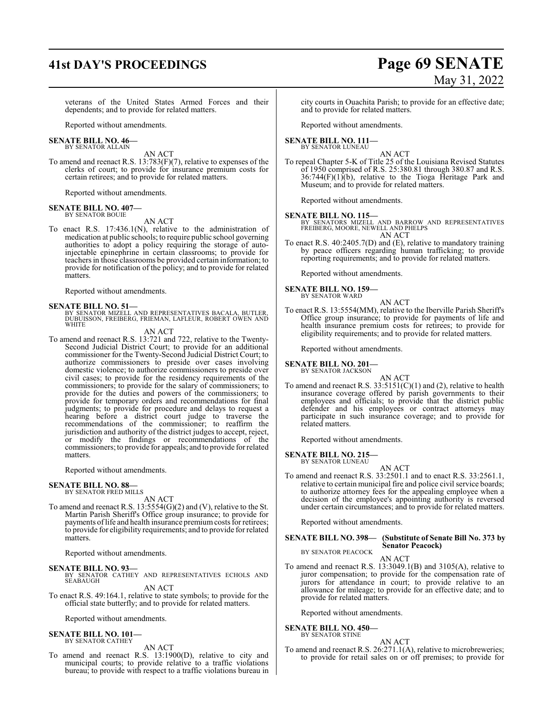# **41st DAY'S PROCEEDINGS Page 69 SENATE** May 31, 2022

veterans of the United States Armed Forces and their dependents; and to provide for related matters.

Reported without amendments.

#### **SENATE BILL NO. 46—** BY SENATOR ALLAIN

AN ACT

To amend and reenact R.S. 13:783(F)(7), relative to expenses of the clerks of court; to provide for insurance premium costs for certain retirees; and to provide for related matters.

Reported without amendments.

#### **SENATE BILL NO. 407—** BY SENATOR BOUIE

AN ACT

To enact R.S. 17:436.1(N), relative to the administration of medication at public schools; to require public school governing authorities to adopt a policy requiring the storage of autoinjectable epinephrine in certain classrooms; to provide for teachers in those classrooms be provided certain information; to provide for notification of the policy; and to provide for related matters.

Reported without amendments.

**SENATE BILL NO. 51—**<br>BY SENATOR MIZELL AND REPRESENTATIVES BACALA, BUTLER,<br>DUBUISSON, FREIBERG, FRIEMAN, LAFLEUR, ROBERT OWEN AND **WHITE** 

AN ACT

To amend and reenact R.S. 13:721 and 722, relative to the Twenty-Second Judicial District Court; to provide for an additional commissioner for the Twenty-Second Judicial District Court; to authorize commissioners to preside over cases involving domestic violence; to authorize commissioners to preside over civil cases; to provide for the residency requirements of the commissioners; to provide for the salary of commissioners; to provide for the duties and powers of the commissioners; to provide for temporary orders and recommendations for final judgments; to provide for procedure and delays to request a hearing before a district court judge to traverse the recommendations of the commissioner; to reaffirm the jurisdiction and authority of the district judges to accept, reject, or modify the findings or recommendations of the commissioners; to provide for appeals; and to provide for related matters.

Reported without amendments.

# **SENATE BILL NO. 88—** BY SENATOR FRED MILLS

AN ACT

To amend and reenact R.S. 13:5554(G)(2) and (V), relative to the St. Martin Parish Sheriff's Office group insurance; to provide for payments of life and health insurance premium costs for retirees; to provide for eligibility requirements; and to provide for related matters.

Reported without amendments.

#### **SENATE BILL NO. 93—**

BY SENATOR CATHEY AND REPRESENTATIVES ECHOLS AND SEABAUGH AN ACT

To enact R.S. 49:164.1, relative to state symbols; to provide for the official state butterfly; and to provide for related matters.

Reported without amendments.

#### **SENATE BILL NO. 101—** BY SENATOR CATHEY

AN ACT

To amend and reenact R.S. 13:1900(D), relative to city and municipal courts; to provide relative to a traffic violations bureau; to provide with respect to a traffic violations bureau in

city courts in Ouachita Parish; to provide for an effective date; and to provide for related matters.

Reported without amendments.

#### **SENATE BILL NO. 111—** BY SENATOR LUNEAU

AN ACT

To repeal Chapter 5-K of Title 25 of the Louisiana Revised Statutes of 1950 comprised of R.S. 25:380.81 through 380.87 and R.S.  $36:744(F)(1)(b)$ , relative to the Tioga Heritage Park and Museum; and to provide for related matters.

Reported without amendments.

**SENATE BILL NO. 115—**<br>BY SENATORS MIZELL AND BARROW AND REPRESENTATIVES<br>FREIBERG, MOORE, NEWELL AND PHELPS AN ACT

To enact R.S. 40:2405.7(D) and (E), relative to mandatory training by peace officers regarding human trafficking; to provide reporting requirements; and to provide for related matters.

Reported without amendments.

**SENATE BILL NO. 159—** BY SENATOR WARD

AN ACT

To enact R.S. 13:5554(MM), relative to the Iberville Parish Sheriff's Office group insurance; to provide for payments of life and health insurance premium costs for retirees; to provide for eligibility requirements; and to provide for related matters.

Reported without amendments.

#### **SENATE BILL NO. 201—** BY SENATOR JACKSON

AN ACT To amend and reenact R.S.  $33:5151(C)(1)$  and (2), relative to health insurance coverage offered by parish governments to their employees and officials; to provide that the district public defender and his employees or contract attorneys may participate in such insurance coverage; and to provide for related matters.

Reported without amendments.

#### **SENATE BILL NO. 215—** BY SENATOR LUNEAU

AN ACT To amend and reenact R.S. 33:2501.1 and to enact R.S. 33:2561.1, relative to certain municipal fire and police civil service boards; to authorize attorney fees for the appealing employee when a decision of the employee's appointing authority is reversed under certain circumstances; and to provide for related matters.

Reported without amendments.

#### **SENATE BILL NO. 398— (Substitute of Senate Bill No. 373 by Senator Peacock)** BY SENATOR PEACOCK

AN ACT

To amend and reenact R.S. 13:3049.1(B) and 3105(A), relative to juror compensation; to provide for the compensation rate of jurors for attendance in court; to provide relative to an allowance for mileage; to provide for an effective date; and to provide for related matters.

Reported without amendments.

#### **SENATE BILL NO. 450—**

BY SENATOR STINE

AN ACT To amend and reenact R.S. 26:271.1(A), relative to microbreweries; to provide for retail sales on or off premises; to provide for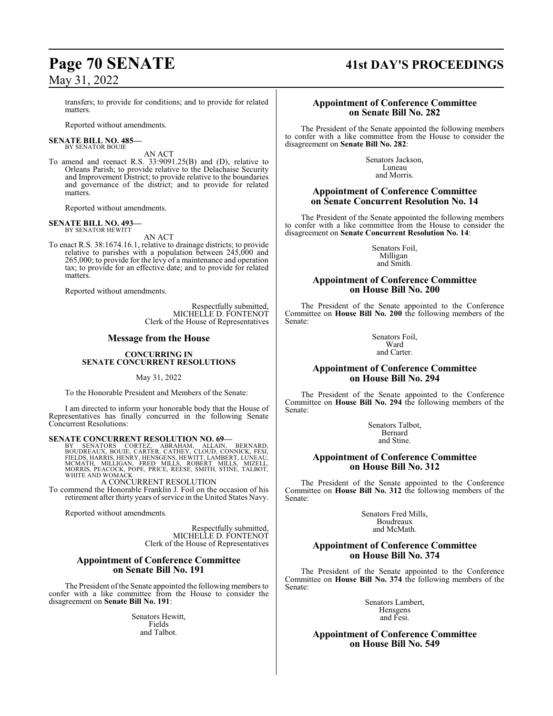transfers; to provide for conditions; and to provide for related matters.

Reported without amendments.

#### **SENATE BILL NO. 485—** BY SENATOR BOUIE

AN ACT

To amend and reenact R.S. 33:9091.25(B) and (D), relative to Orleans Parish; to provide relative to the Delachaise Security and Improvement District; to provide relative to the boundaries and governance of the district; and to provide for related matters.

Reported without amendments.

#### **SENATE BILL NO. 493—** BY SENATOR HEWITT

AN ACT

To enact R.S. 38:1674.16.1, relative to drainage districts; to provide relative to parishes with a population between 245,000 and 265,000; to provide for the levy of a maintenance and operation tax; to provide for an effective date; and to provide for related matters.

Reported without amendments.

Respectfully submitted, MICHELLE D. FONTENOT Clerk of the House of Representatives

#### **Message from the House**

#### **CONCURRING IN SENATE CONCURRENT RESOLUTIONS**

May 31, 2022

To the Honorable President and Members of the Senate:

I am directed to inform your honorable body that the House of Representatives has finally concurred in the following Senate Concurrent Resolutions:

## **SENATE CONCURRENT RESOLUTION NO. 69—**

BY SENATORS CORTEZ, ABRAHAM, ALLAIN, BERNARD,<br>BOUDREAUX,BOUIE,CARTER,CATHEY,CLOUD,CONNICK,FESI,<br>FIELDS,HARRIS,HENRY,HENSGENS,HEWITT,LAMBERT,LUNEAU,<br>MCMATH, MILLIGAN, FRED MILLS, ROBERT MILLS, MIZELL,<br>MORRIS,PEACOCK,POPE,PR

## A CONCURRENT RESOLUTION

To commend the Honorable Franklin J. Foil on the occasion of his retirement after thirty years of service in the United States Navy.

Reported without amendments.

Respectfully submitted, MICHELLE D. FONTENOT Clerk of the House of Representatives

#### **Appointment of Conference Committee on Senate Bill No. 191**

The President of the Senate appointed the following members to confer with a like committee from the House to consider the disagreement on **Senate Bill No. 191**:

> Senators Hewitt, Fields and Talbot.

# **Page 70 SENATE 41st DAY'S PROCEEDINGS**

#### **Appointment of Conference Committee on Senate Bill No. 282**

The President of the Senate appointed the following members to confer with a like committee from the House to consider the disagreement on **Senate Bill No. 282**:

> Senators Jackson, Luneau and Morris.

## **Appointment of Conference Committee on Senate Concurrent Resolution No. 14**

The President of the Senate appointed the following members to confer with a like committee from the House to consider the disagreement on **Senate Concurrent Resolution No. 14**:

> Senators Foil, Milligan and Smith.

#### **Appointment of Conference Committee on House Bill No. 200**

The President of the Senate appointed to the Conference Committee on **House Bill No. 200** the following members of the Senate:

> Senators Foil, Ward and Carter.

## **Appointment of Conference Committee on House Bill No. 294**

The President of the Senate appointed to the Conference Committee on **House Bill No. 294** the following members of the Senate:

> Senators Talbot, Bernard and Stine.

#### **Appointment of Conference Committee on House Bill No. 312**

The President of the Senate appointed to the Conference Committee on **House Bill No. 312** the following members of the Senate:

> Senators Fred Mills, Boudreaux and McMath.

## **Appointment of Conference Committee on House Bill No. 374**

The President of the Senate appointed to the Conference Committee on **House Bill No. 374** the following members of the Senate:

> Senators Lambert, Hensgens and Fesi.

**Appointment of Conference Committee on House Bill No. 549**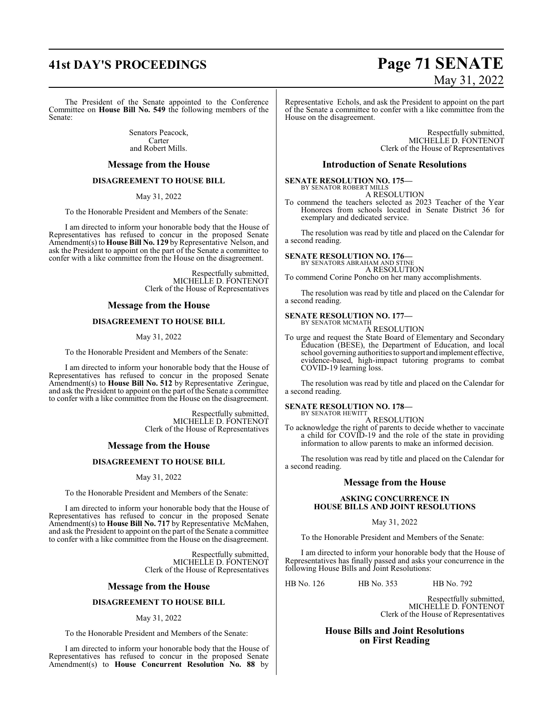#### The President of the Senate appointed to the Conference Committee on **House Bill No. 549** the following members of the Senate:

Senators Peacock, Carter and Robert Mills.

#### **Message from the House**

#### **DISAGREEMENT TO HOUSE BILL**

May 31, 2022

To the Honorable President and Members of the Senate:

I am directed to inform your honorable body that the House of Representatives has refused to concur in the proposed Senate Amendment(s) to **House Bill No. 129** by Representative Nelson, and ask the President to appoint on the part of the Senate a committee to confer with a like committee from the House on the disagreement.

> Respectfully submitted, MICHELLE D. FONTENOT Clerk of the House of Representatives

#### **Message from the House**

#### **DISAGREEMENT TO HOUSE BILL**

#### May 31, 2022

To the Honorable President and Members of the Senate:

I am directed to inform your honorable body that the House of Representatives has refused to concur in the proposed Senate Amendment(s) to **House Bill No. 512** by Representative Zeringue, and ask the President to appoint on the part of the Senate a committee to confer with a like committee from the House on the disagreement.

> Respectfully submitted, MICHELLE D. FONTENOT Clerk of the House of Representatives

#### **Message from the House**

#### **DISAGREEMENT TO HOUSE BILL**

#### May 31, 2022

To the Honorable President and Members of the Senate:

I am directed to inform your honorable body that the House of Representatives has refused to concur in the proposed Senate Amendment(s) to **House Bill No. 717** by Representative McMahen, and ask the President to appoint on the part of the Senate a committee to confer with a like committee from the House on the disagreement.

> Respectfully submitted, MICHELLE D. FONTENOT Clerk of the House of Representatives

#### **Message from the House**

#### **DISAGREEMENT TO HOUSE BILL**

#### May 31, 2022

To the Honorable President and Members of the Senate:

I am directed to inform your honorable body that the House of Representatives has refused to concur in the proposed Senate Amendment(s) to **House Concurrent Resolution No. 88** by

# **41st DAY'S PROCEEDINGS Page 71 SENATE** May 31, 2022

Representative Echols, and ask the President to appoint on the part of the Senate a committee to confer with a like committee from the House on the disagreement.

> Respectfully submitted, MICHELLE D. FONTENOT Clerk of the House of Representatives

#### **Introduction of Senate Resolutions**

**SENATE RESOLUTION NO. 175—**

BY SENATOR ROBERT MILLS A RESOLUTION

To commend the teachers selected as 2023 Teacher of the Year Honorees from schools located in Senate District 36 for exemplary and dedicated service.

The resolution was read by title and placed on the Calendar for a second reading.

# **SENATE RESOLUTION NO. 176—** BY SENATORS ABRAHAM AND STINE

A RESOLUTION

To commend Corine Poncho on her many accomplishments.

The resolution was read by title and placed on the Calendar for a second reading.

#### **SENATE RESOLUTION NO. 177—** BY SENATOR MCMATH

A RESOLUTION

To urge and request the State Board of Elementary and Secondary Education (BESE), the Department of Education, and local school governing authorities to support and implement effective, evidence-based, high-impact tutoring programs to combat COVID-19 learning loss.

The resolution was read by title and placed on the Calendar for a second reading.

# **SENATE RESOLUTION NO. 178—** BY SENATOR HEWITT

A RESOLUTION To acknowledge the right of parents to decide whether to vaccinate a child for COVID-19 and the role of the state in providing information to allow parents to make an informed decision.

The resolution was read by title and placed on the Calendar for a second reading.

#### **Message from the House**

#### **ASKING CONCURRENCE IN HOUSE BILLS AND JOINT RESOLUTIONS**

May 31, 2022

To the Honorable President and Members of the Senate:

I am directed to inform your honorable body that the House of Representatives has finally passed and asks your concurrence in the following House Bills and Joint Resolutions:

HB No. 126 HB No. 353 HB No. 792

Respectfully submitted, MICHELLE D. FONTENOT Clerk of the House of Representatives

#### **House Bills and Joint Resolutions on First Reading**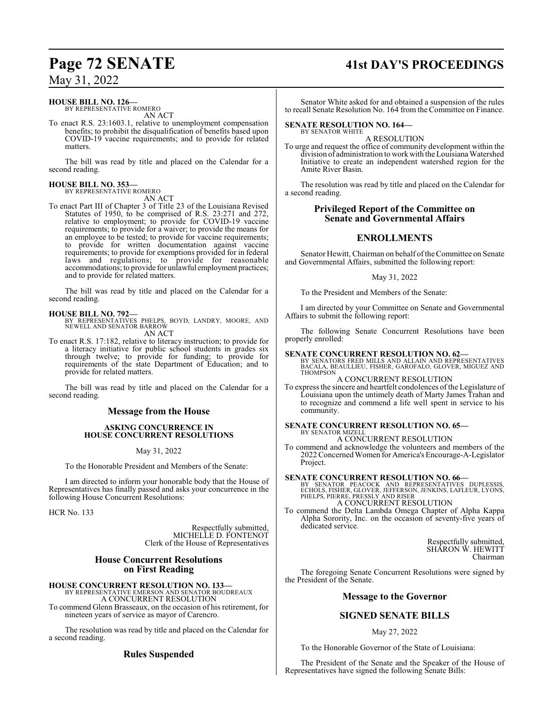#### **HOUSE BILL NO. 126—**

BY REPRESENTATIVE ROMERO AN ACT

To enact R.S. 23:1603.1, relative to unemployment compensation benefits; to prohibit the disqualification of benefits based upon COVID-19 vaccine requirements; and to provide for related matters.

The bill was read by title and placed on the Calendar for a second reading.

# **HOUSE BILL NO. 353—** BY REPRESENTATIVE ROMERO

AN ACT To enact Part III of Chapter 3 of Title 23 of the Louisiana Revised Statutes of 1950, to be comprised of R.S. 23:271 and 272, relative to employment; to provide for COVID-19 vaccine requirements; to provide for a waiver; to provide the means for an employee to be tested; to provide for vaccine requirements; to provide for written documentation against vaccine requirements; to provide for exemptions provided for in federal laws and regulations; to provide for reasonable accommodations; to provide for unlawful employment practices; and to provide for related matters.

The bill was read by title and placed on the Calendar for a second reading.

**HOUSE BILL NO. 792—** BY REPRESENTATIVES PHELPS, BOYD, LANDRY, MOORE, AND NEWELL AND SENATOR BARROW AN ACT

To enact R.S. 17:182, relative to literacy instruction; to provide for a literacy initiative for public school students in grades six through twelve; to provide for funding; to provide for requirements of the state Department of Education; and to provide for related matters.

The bill was read by title and placed on the Calendar for a second reading.

## **Message from the House**

#### **ASKING CONCURRENCE IN HOUSE CONCURRENT RESOLUTIONS**

May 31, 2022

To the Honorable President and Members of the Senate:

I am directed to inform your honorable body that the House of Representatives has finally passed and asks your concurrence in the following House Concurrent Resolutions:

HCR No. 133

Respectfully submitted, MICHELLE D. FONTENOT Clerk of the House of Representatives

## **House Concurrent Resolutions on First Reading**

# **HOUSE CONCURRENT RESOLUTION NO. 133—** BY REPRESENTATIVE EMERSON AND SENATOR BOUDREAUX

A CONCURRENT RESOLUTION To commend Glenn Brasseaux, on the occasion of his retirement, for

nineteen years of service as mayor of Carencro.

The resolution was read by title and placed on the Calendar for a second reading.

## **Rules Suspended**

# **Page 72 SENATE 41st DAY'S PROCEEDINGS**

Senator White asked for and obtained a suspension of the rules to recall Senate Resolution No. 164 from the Committee on Finance.

#### **SENATE RESOLUTION NO. 164—** BY SENATOR WHITE

A RESOLUTION

To urge and request the office of community development within the division of administration to workwith the Louisiana Watershed Initiative to create an independent watershed region for the Amite River Basin.

The resolution was read by title and placed on the Calendar for a second reading.

## **Privileged Report of the Committee on Senate and Governmental Affairs**

## **ENROLLMENTS**

Senator Hewitt, Chairman on behalf of the Committee on Senate and Governmental Affairs, submitted the following report:

#### May 31, 2022

To the President and Members of the Senate:

I am directed by your Committee on Senate and Governmental Affairs to submit the following report:

The following Senate Concurrent Resolutions have been properly enrolled:

**SENATE CONCURRENT RESOLUTION NO. 62—**<br>BY SENATORS FRED MILLS AND ALLAIN AND REPRESENTATIVES<br>BACALA, BEAULLIEU, FISHER, GAROFALO, GLOVER, MIGUEZ AND THOMPSON

A CONCURRENT RESOLUTION

To express the sincere and heartfelt condolences of the Legislature of Louisiana upon the untimely death of Marty James Trahan and to recognize and commend a life well spent in service to his community.

#### **SENATE CONCURRENT RESOLUTION NO. 65—** BY SENATOR MIZEL

A CONCURRENT RESOLUTION

To commend and acknowledge the volunteers and members of the 2022 ConcernedWomen for America's Encourage-A-Legislator Project.

**SENATE CONCURRENT RESOLUTION NO. 66—**<br>BY SENATOR PEACOCK AND REPRESENTATIVES DUPLESSIS,<br>ECHOLS, FISHER, GLOVER, JEFFERSON, JENKINS, LAFLEUR, LYONS, PHELPS, PIERRE, PRESSLY AND RISER A CONCURRENT RESOLUTION

To commend the Delta Lambda Omega Chapter of Alpha Kappa Alpha Sorority, Inc. on the occasion of seventy-five years of dedicated service.

> Respectfully submitted, SHARON W. HEWITT Chairman

The foregoing Senate Concurrent Resolutions were signed by the President of the Senate.

#### **Message to the Governor**

## **SIGNED SENATE BILLS**

#### May 27, 2022

To the Honorable Governor of the State of Louisiana:

The President of the Senate and the Speaker of the House of Representatives have signed the following Senate Bills: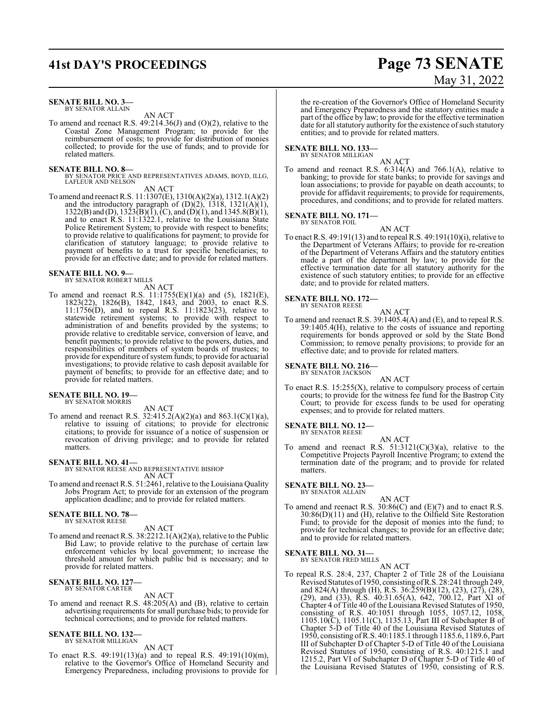# **41st DAY'S PROCEEDINGS Page 73 SENATE**

### **SENATE BILL NO. 3—** BY SENATOR ALLAIN

AN ACT

To amend and reenact R.S. 49:214.36(J) and (O)(2), relative to the Coastal Zone Management Program; to provide for the reimbursement of costs; to provide for distribution of monies collected; to provide for the use of funds; and to provide for related matters.

### **SENATE BILL NO. 8—**

BY SENATOR PRICE AND REPRESENTATIVES ADAMS, BOYD, ILLG, LAFLEUR AND NELSON

AN ACT

To amend and reenact R.S. 11:1307(E), 1310(A)(2)(a), 1312.1(A)(2) and the introductory paragraph of  $(D)(2)$ , 1318, 1321 $(A)(1)$ , 1322(B) and (D), 1323(B)(I), (C), and (D)(1), and 1345.8(B)(1), and to enact R.S. 11:1322.1, relative to the Louisiana State Police Retirement System; to provide with respect to benefits; to provide relative to qualifications for payment; to provide for clarification of statutory language; to provide relative to payment of benefits to a trust for specific beneficiaries; to provide for an effective date; and to provide for related matters.

### **SENATE BILL NO. 9—** BY SENATOR ROBERT MILLS

AN ACT

To amend and reenact R.S. 11:1755(E)(1)(a) and (5), 1821(E), 1823(22), 1826(B), 1842, 1843, and 2003, to enact R.S. 11:1756(D), and to repeal R.S. 11:1823(23), relative to statewide retirement systems; to provide with respect to administration of and benefits provided by the systems; to provide relative to creditable service, conversion of leave, and benefit payments; to provide relative to the powers, duties, and responsibilities of members of system boards of trustees; to provide for expenditure of system funds; to provide for actuarial investigations; to provide relative to cash deposit available for payment of benefits; to provide for an effective date; and to provide for related matters.

### **SENATE BILL NO. 19—** BY SENATOR MORRIS

AN ACT

To amend and reenact R.S. 32:415.2(A)(2)(a) and 863.1(C)(1)(a), relative to issuing of citations; to provide for electronic citations; to provide for issuance of a notice of suspension or revocation of driving privilege; and to provide for related matters.

### **SENATE BILL NO. 41—**

BY SENATOR REESE AND REPRESENTATIVE BISHOP AN ACT

To amend and reenact R.S. 51:2461, relative to the Louisiana Quality Jobs Program Act; to provide for an extension of the program application deadline; and to provide for related matters.

### **SENATE BILL NO. 78—** BY SENATOR REESE

AN ACT

To amend and reenact R.S. 38:2212.1(A)(2)(a), relative to the Public Bid Law; to provide relative to the purchase of certain law enforcement vehicles by local government; to increase the threshold amount for which public bid is necessary; and to provide for related matters.

### **SENATE BILL NO. 127—** BY SENATOR CARTER

AN ACT

To amend and reenact R.S. 48:205(A) and (B), relative to certain advertising requirements for small purchase bids; to provide for technical corrections; and to provide for related matters.

### **SENATE BILL NO. 132—** BY SENATOR MILLIGAN

AN ACT

To enact R.S. 49:191(13)(a) and to repeal R.S. 49:191(10)(m), relative to the Governor's Office of Homeland Security and Emergency Preparedness, including provisions to provide for

# May 31, 2022

the re-creation of the Governor's Office of Homeland Security and Emergency Preparedness and the statutory entities made a part of the office by law; to provide for the effective termination date for all statutory authority for the existence of such statutory entities; and to provide for related matters.

# **SENATE BILL NO. 133—** BY SENATOR MILLIGAN

AN ACT

To amend and reenact R.S. 6:314(A) and 766.1(A), relative to banking; to provide for state banks; to provide for savings and loan associations; to provide for payable on death accounts; to provide for affidavit requirements; to provide for requirements, procedures, and conditions; and to provide for related matters.

# **SENATE BILL NO. 171—**<br>BY SENATOR FOIL

AN ACT

To enact R.S. 49:191(13) and to repeal R.S. 49:191(10)(i), relative to the Department of Veterans Affairs; to provide for re-creation of the Department of Veterans Affairs and the statutory entities made a part of the department by law; to provide for the effective termination date for all statutory authority for the existence of such statutory entities; to provide for an effective date; and to provide for related matters.

### **SENATE BILL NO. 172—**

BY SENATOR REESE AN ACT

To amend and reenact R.S. 39:1405.4(A) and (E), and to repeal R.S. 39:1405.4(H), relative to the costs of issuance and reporting requirements for bonds approved or sold by the State Bond Commission; to remove penalty provisions; to provide for an effective date; and to provide for related matters.

### **SENATE BILL NO. 216—** BY SENATOR JACKSON

AN ACT

To enact R.S. 15:255(X), relative to compulsory process of certain courts; to provide for the witness fee fund for the Bastrop City Court; to provide for excess funds to be used for operating expenses; and to provide for related matters.

# **SENATE BILL NO. 12—** BY SENATOR REESE

AN ACT To amend and reenact R.S.  $51:3121(C)(3)(a)$ , relative to the Competitive Projects Payroll Incentive Program; to extend the termination date of the program; and to provide for related matters.

# **SENATE BILL NO. 23—**<br>BY SENATOR ALLAIN

- AN ACT
- To amend and reenact R.S. 30:86(C) and (E)(7) and to enact R.S. 30:86(D)(11) and (H), relative to the Oilfield Site Restoration Fund; to provide for the deposit of monies into the fund; to provide for technical changes; to provide for an effective date; and to provide for related matters.

### **SENATE BILL NO. 31—**

BY SENATOR FRED MILLS AN ACT

To repeal R.S. 28:4, 237, Chapter 2 of Title 28 of the Louisiana Revised Statutes of 1950, consisting ofR.S. 28:241 through 249, and 824(A) through (H), R.S. 36:259(B)(12), (23), (27), (28), (29), and (33), R.S. 40:31.65(A), 642, 700.12, Part XI of Chapter 4 of Title 40 of the Louisiana Revised Statutes of 1950, consisting of R.S. 40:1051 through 1055, 1057.12, 1058, 1105.10(C), 1105.11(C), 1135.13, Part III of Subchapter B of Chapter 5-D of Title 40 of the Louisiana Revised Statutes of 1950, consisting ofR.S. 40:1185.1 through 1185.6, 1189.6, Part III of Subchapter D of Chapter 5-D of Title 40 of the Louisiana Revised Statutes of 1950, consisting of R.S. 40:1215.1 and 1215.2, Part VI of Subchapter D of Chapter 5-D of Title 40 of the Louisiana Revised Statutes of 1950, consisting of R.S.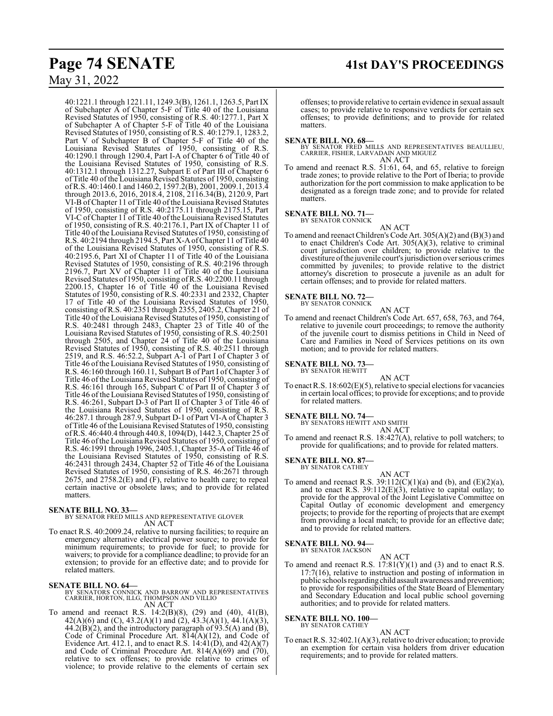40:1221.1 through 1221.11, 1249.3(B), 1261.1, 1263.5, Part IX of Subchapter A of Chapter 5-F of Title 40 of the Louisiana Revised Statutes of 1950, consisting of R.S. 40:1277.1, Part X of Subchapter A of Chapter 5-F of Title 40 of the Louisiana Revised Statutes of 1950, consisting of R.S. 40:1279.1, 1283.2, Part V of Subchapter B of Chapter 5-F of Title 40 of the Louisiana Revised Statutes of 1950, consisting of R.S. 40:1290.1 through 1290.4, Part I-A of Chapter 6 of Title 40 of the Louisiana Revised Statutes of 1950, consisting of R.S. 40:1312.1 through 1312.27, Subpart E of Part III of Chapter 6 of Title 40 of the Louisiana Revised Statutes of 1950, consisting of R.S. 40:1460.1 and 1460.2, 1597.2(B), 2001, 2009.1, 2013.4 through 2013.6, 2016, 2018.4, 2108, 2116.34(B), 2120.9, Part VI-B of Chapter 11 of Title 40 of the Louisiana Revised Statutes of 1950, consisting of R.S. 40:2175.11 through 2175.15, Part VI-C ofChapter 11 of Title 40 ofthe Louisiana Revised Statutes of 1950, consisting of R.S. 40:2176.1, Part IX of Chapter 11 of Title 40 of the Louisiana Revised Statutes of 1950, consisting of R.S. 40:2194 through 2194.5, Part X-AofChapter 11 ofTitle 40 of the Louisiana Revised Statutes of 1950, consisting of R.S. 40:2195.6, Part XI of Chapter 11 of Title 40 of the Louisiana Revised Statutes of 1950, consisting of R.S. 40:2196 through 2196.7, Part XV of Chapter 11 of Title 40 of the Louisiana Revised Statutes of 1950, consisting ofR.S. 40:2200.11 through 2200.15, Chapter 16 of Title 40 of the Louisiana Revised Statutes of 1950, consisting of R.S. 40:2331 and 2332, Chapter 17 of Title 40 of the Louisiana Revised Statutes of 1950, consisting of R.S. 40:2351 through 2355, 2405.2, Chapter 21 of Title 40 of the Louisiana Revised Statutes of 1950, consisting of R.S. 40:2481 through 2483, Chapter 23 of Title 40 of the Louisiana Revised Statutes of 1950, consisting of R.S. 40:2501 through 2505, and Chapter 24 of Title 40 of the Louisiana Revised Statutes of 1950, consisting of R.S. 40:2511 through 2519, and R.S. 46:52.2, Subpart A-1 of Part I of Chapter 3 of Title 46 of the Louisiana Revised Statutes of 1950, consisting of R.S. 46:160 through 160.11, Subpart B of Part I of Chapter 3 of Title 46 ofthe Louisiana Revised Statutes of 1950, consisting of R.S. 46:161 through 165, Subpart C of Part II of Chapter 3 of Title 46 of the Louisiana Revised Statutes of 1950, consisting of R.S. 46:261, Subpart D-3 of Part II of Chapter 3 of Title 46 of the Louisiana Revised Statutes of 1950, consisting of R.S. 46:287.1 through 287.9, Subpart D-1 of Part VI-A of Chapter 3 of Title 46 of the Louisiana Revised Statutes of 1950, consisting ofR.S. 46:440.4 through 440.8, 1094(D), 1442.3, Chapter 25 of Title 46 of the Louisiana Revised Statutes of 1950, consisting of R.S. 46:1991 through 1996, 2405.1, Chapter 35-A of Title 46 of the Louisiana Revised Statutes of 1950, consisting of R.S. 46:2431 through 2434, Chapter 52 of Title 46 of the Louisiana Revised Statutes of 1950, consisting of R.S. 46:2671 through 2675, and 2758.2(E) and (F), relative to health care; to repeal certain inactive or obsolete laws; and to provide for related matters.

## **SENATE BILL NO. 33—**

BY SENATOR FRED MILLS AND REPRESENTATIVE GLOVER AN ACT

To enact R.S. 40:2009.24, relative to nursing facilities; to require an emergency alternative electrical power source; to provide for minimum requirements; to provide for fuel; to provide for waivers; to provide for a compliance deadline; to provide for an extension; to provide for an effective date; and to provide for related matters.

**SENATE BILL NO. 64—**<br>BY SENATORS CONNICK AND BARROW AND REPRESENTATIVES<br>CARRIER, HORTON, ILLG, THOMPSON AND VILLIO AN ACT

To amend and reenact R.S. 14:2(B)(8), (29) and (40), 41(B), 42(A)(6) and (C), 43.2(A)(1) and (2), 43.3(A)(1), 44.1(A)(3),  $44.2(B)(2)$ , and the introductory paragraph of 93.5(A) and (B), Code of Criminal Procedure Art. 814(A)(12), and Code of Evidence Art. 412.1, and to enact R.S.  $14:41(D)$ , and  $42(A)(7)$ and Code of Criminal Procedure Art.  $814(A)(69)$  and  $(70)$ , relative to sex offenses; to provide relative to crimes of violence; to provide relative to the elements of certain sex

offenses; to provide relative to certain evidence in sexual assault cases; to provide relative to responsive verdicts for certain sex offenses; to provide definitions; and to provide for related matters.

### **SENATE BILL NO. 68—**

BY SENATOR FRED MILLS AND REPRESENTATIVES BEAULLIEU, CARRIER, FISHER, LARVADAIN AND MIGUEZ AN ACT

To amend and reenact R.S. 51:61, 64, and 65, relative to foreign trade zones; to provide relative to the Port of Iberia; to provide authorization for the port commission to make application to be designated as a foreign trade zone; and to provide for related matters.

**SENATE BILL NO. 71—** BY SENATOR CONNICK

AN ACT

To amend and reenact Children's Code Art. 305(A)(2) and (B)(3) and to enact Children's Code Art. 305(A)(3), relative to criminal court jurisdiction over children; to provide relative to the divestiture ofthe juvenile court's jurisdiction over serious crimes committed by juveniles; to provide relative to the district attorney's discretion to prosecute a juvenile as an adult for certain offenses; and to provide for related matters.

# **SENATE BILL NO. 72—**<br>BY SENATOR CONNICK

AN ACT

To amend and reenact Children's Code Art. 657, 658, 763, and 764, relative to juvenile court proceedings; to remove the authority of the juvenile court to dismiss petitions in Child in Need of Care and Families in Need of Services petitions on its own motion; and to provide for related matters.

**SENATE BILL NO. 73—**<br>BY SENATOR HEWITT

AN ACT

To enact R.S. 18:602(E)(5), relative to special elections for vacancies in certain local offices; to provide for exceptions; and to provide for related matters.

# **SENATE BILL NO. 74—**<br>BY SENATORS HEWITT AND SMITH

AN ACT

To amend and reenact R.S. 18:427(A), relative to poll watchers; to provide for qualifications; and to provide for related matters.

## **SENATE BILL NO. 87—**

BY SENATOR CATHEY

AN ACT To amend and reenact R.S.  $39:112(C)(1)(a)$  and (b), and (E)(2)(a), and to enact R.S. 39:112(E)(3), relative to capital outlay; to provide for the approval of the Joint Legislative Committee on Capital Outlay of economic development and emergency projects; to provide for the reporting of projects that are exempt from providing a local match; to provide for an effective date; and to provide for related matters.

## **SENATE BILL NO. 94—**

BY SENATOR JACKSON

AN ACT To amend and reenact R.S.  $17:81(Y)(1)$  and (3) and to enact R.S. 17:7(16), relative to instruction and posting of information in public schools regarding child assault awareness and prevention; to provide for responsibilities of the State Board of Elementary and Secondary Education and local public school governing authorities; and to provide for related matters.

### **SENATE BILL NO. 100—** BY SENATOR CATHEY

AN ACT

To enact R.S. 32:402.1(A)(3), relative to driver education; to provide an exemption for certain visa holders from driver education requirements; and to provide for related matters.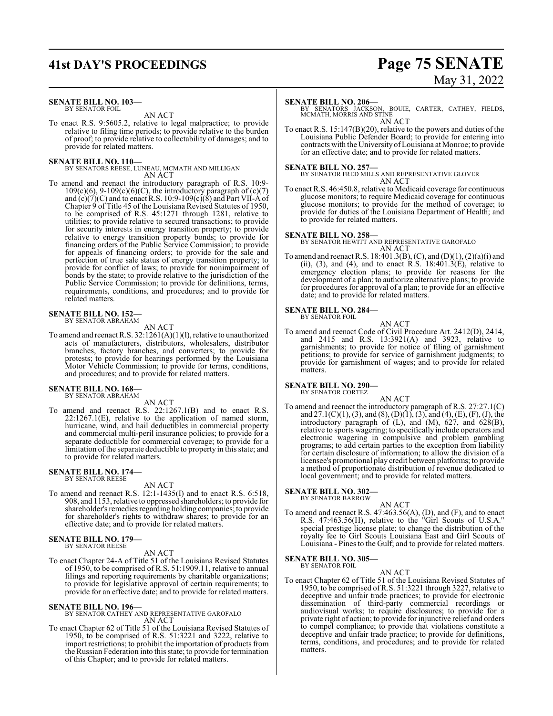# **41st DAY'S PROCEEDINGS Page 75 SENATE**

### **SENATE BILL NO. 103—** BY SENATOR FOIL

AN ACT

To enact R.S. 9:5605.2, relative to legal malpractice; to provide relative to filing time periods; to provide relative to the burden of proof; to provide relative to collectability of damages; and to provide for related matters.

### **SENATE BILL NO. 110—**

BY SENATORS REESE, LUNEAU, MCMATH AND MILLIGAN AN ACT

To amend and reenact the introductory paragraph of R.S. 10:9-  $109(c)(6)$ ,  $9-109(c)(6)(C)$ , the introductory paragraph of  $(c)(7)$ and  $(c)(7)(C)$  and to enact R.S. 10:9-109 $(c)(8)$  and Part VII-A of Chapter 9 of Title 45 of the Louisiana Revised Statutes of 1950, to be comprised of R.S. 45:1271 through 1281, relative to utilities; to provide relative to secured transactions; to provide for security interests in energy transition property; to provide relative to energy transition property bonds; to provide for financing orders of the Public Service Commission; to provide for appeals of financing orders; to provide for the sale and perfection of true sale status of energy transition property; to provide for conflict of laws; to provide for nonimpairment of bonds by the state; to provide relative to the jurisdiction of the Public Service Commission; to provide for definitions, terms, requirements, conditions, and procedures; and to provide for related matters.

### **SENATE BILL NO. 152—** BY SENATOR ABRAHAM

AN ACT

To amend and reenact R.S. 32:1261(A)(1)(l), relative to unauthorized acts of manufacturers, distributors, wholesalers, distributor branches, factory branches, and converters; to provide for protests; to provide for hearings performed by the Louisiana Motor Vehicle Commission; to provide for terms, conditions, and procedures; and to provide for related matters.

### **SENATE BILL NO. 168—** BY SENATOR ABRAHAM

AN ACT

To amend and reenact R.S. 22:1267.1(B) and to enact R.S. 22:1267.1(E), relative to the application of named storm, hurricane, wind, and hail deductibles in commercial property and commercial multi-peril insurance policies; to provide for a separate deductible for commercial coverage; to provide for a limitation ofthe separate deductible to property in this state; and to provide for related matters.

### **SENATE BILL NO. 174—** BY SENATOR REESE

AN ACT

To amend and reenact R.S. 12:1-1435(I) and to enact R.S. 6:518, 908, and 1153, relative to oppressed shareholders; to provide for shareholder's remedies regarding holding companies; to provide for shareholder's rights to withdraw shares; to provide for an effective date; and to provide for related matters.

# **SENATE BILL NO. 179—** BY SENATOR REESE

AN ACT

To enact Chapter 24-A of Title 51 of the Louisiana Revised Statutes of 1950, to be comprised of R.S. 51:1909.11, relative to annual filings and reporting requirements by charitable organizations; to provide for legislative approval of certain requirements; to provide for an effective date; and to provide for related matters.

**SENATE BILL NO. 196—** BY SENATOR CATHEY AND REPRESENTATIVE GAROFALO AN ACT

To enact Chapter 62 of Title 51 of the Louisiana Revised Statutes of 1950, to be comprised of R.S. 51:3221 and 3222, relative to import restrictions; to prohibit the importation of products from the Russian Federation into this state; to provide for termination of this Chapter; and to provide for related matters.

# May 31, 2022

## **SENATE BILL NO. 206—**

BY SENATORS JACKSON, BOUIE, CARTER, CATHEY, FIELDS, MCMATH, MORRIS AND STINE AN ACT

To enact R.S. 15:147(B)(20), relative to the powers and duties of the Louisiana Public Defender Board; to provide for entering into contracts with the University ofLouisiana at Monroe; to provide for an effective date; and to provide for related matters.

**SENATE BILL NO. 257—** BY SENATOR FRED MILLS AND REPRESENTATIVE GLOVER AN ACT

To enact R.S. 46:450.8, relative to Medicaid coverage for continuous glucose monitors; to require Medicaid coverage for continuous glucose monitors; to provide for the method of coverage; to provide for duties of the Louisiana Department of Health; and to provide for related matters.

**SENATE BILL NO. 258—** BY SENATOR HEWITT AND REPRESENTATIVE GAROFALO AN ACT

To amend and reenact R.S. 18:401.3(B), (C), and (D)(1), (2)(a)(i) and (ii), (3), and (4), and to enact R.S.  $18:401.3(E)$ , relative to emergency election plans; to provide for reasons for the development of a plan; to authorize alternative plans; to provide for procedures for approval of a plan; to provide for an effective date; and to provide for related matters.

### **SENATE BILL NO. 284—** BY SENATOR FOIL

AN ACT

To amend and reenact Code of Civil Procedure Art. 2412(D), 2414, and 2415 and R.S. 13:3921(A) and 3923, relative to garnishments; to provide for notice of filing of garnishment petitions; to provide for service of garnishment judgments; to provide for garnishment of wages; and to provide for related matters.

## **SENATE BILL NO. 290—**

AN ACT To amend and reenact the introductory paragraph of R.S. 27:27.1(C) and 27.1(C)(1), (3), and (8), (D)(1), (3), and (4), (E), (F), (J), the introductory paragraph of (L), and (M), 627, and 628(B), relative to sports wagering; to specifically include operators and electronic wagering in compulsive and problem gambling programs; to add certain parties to the exception from liability for certain disclosure of information; to allow the division of a licensee's promotional play credit between platforms; to provide a method of proportionate distribution of revenue dedicated to local government; and to provide for related matters.

### **SENATE BILL NO. 302—**

BY SENATOR BARROW

AN ACT To amend and reenact R.S. 47:463.56(A), (D), and (F), and to enact R.S. 47:463.56(H), relative to the "Girl Scouts of U.S.A." special prestige license plate; to change the distribution of the royalty fee to Girl Scouts Louisiana East and Girl Scouts of Louisiana - Pines to the Gulf; and to provide for related matters.

### **SENATE BILL NO. 305—** BY SENATOR FOIL

AN ACT

To enact Chapter 62 of Title 51 of the Louisiana Revised Statutes of 1950, to be comprised of R.S. 51:3221 through 3227, relative to deceptive and unfair trade practices; to provide for electronic dissemination of third-party commercial recordings or audiovisual works; to require disclosures; to provide for a private right of action; to provide for injunctive relief and orders to compel compliance; to provide that violations constitute a deceptive and unfair trade practice; to provide for definitions, terms, conditions, and procedures; and to provide for related matters.

BY SENATOR CORTEZ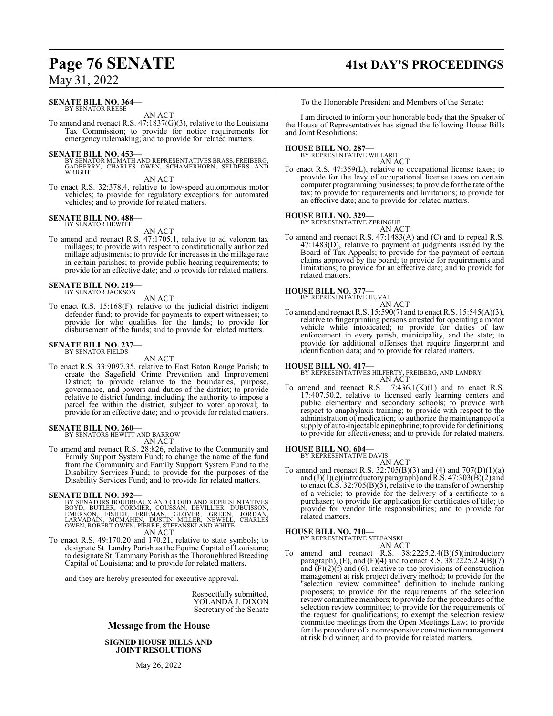### **SENATE BILL NO. 364—** BY SENATOR REESE

AN ACT

To amend and reenact R.S. 47:1837(G)(3), relative to the Louisiana Tax Commission; to provide for notice requirements for emergency rulemaking; and to provide for related matters.

### **SENATE BILL NO. 453—**

BY SENATOR MCMATH AND REPRESENTATIVES BRASS, FREIBERG, GADBERRY, CHARLES OWEN, SCHAMERHORN, SELDERS AND WRIGHT

AN ACT

To enact R.S. 32:378.4, relative to low-speed autonomous motor vehicles; to provide for regulatory exceptions for automated vehicles; and to provide for related matters.

### **SENATE BILL NO. 488—** BY SENATOR HEWITT

AN ACT

To amend and reenact R.S. 47:1705.1, relative to ad valorem tax millages; to provide with respect to constitutionally authorized millage adjustments; to provide for increases in the millage rate in certain parishes; to provide public hearing requirements; to provide for an effective date; and to provide for related matters.

**SENATE BILL NO. 219—** BY SENATOR JACKSON

## AN ACT

To enact R.S. 15:168(F), relative to the judicial district indigent defender fund; to provide for payments to expert witnesses; to provide for who qualifies for the funds; to provide for disbursement of the funds; and to provide for related matters.

### **SENATE BILL NO. 237—** BY SENATOR FIELDS

AN ACT

To enact R.S. 33:9097.35, relative to East Baton Rouge Parish; to create the Sagefield Crime Prevention and Improvement District; to provide relative to the boundaries, purpose, governance, and powers and duties of the district; to provide relative to district funding, including the authority to impose a parcel fee within the district, subject to voter approval; to provide for an effective date; and to provide for related matters.

# **SENATE BILL NO. 260—** BY SENATORS HEWITT AND BARROW

AN ACT

To amend and reenact R.S. 28:826, relative to the Community and Family Support System Fund; to change the name of the fund from the Community and Family Support System Fund to the Disability Services Fund; to provide for the purposes of the Disability Services Fund; and to provide for related matters.

### **SENATE BILL NO. 392—**

BY SENATORS BOUDREAUX AND CLOUD AND REPRESENTATIVES<br>BOYD, BUTLER, CORMIER, COUSSAN, DEVILLIER, DUBUISSON,<br>EMERSON, FISHER, FRIEMAN, GLOVER, GREEN, JORDAN,<br>LARVADAIN, MCMAHEN, DUSTIN MILLER, NEWELL, CHARLES<br>OWEN,ROBERT OWEN AN ACT

To enact R.S. 49:170.20 and 170.21, relative to state symbols; to designate St. Landry Parish as the Equine Capital of Louisiana; to designate St. Tammany Parish as the Thoroughbred Breeding Capital of Louisiana; and to provide for related matters.

and they are hereby presented for executive approval.

Respectfully submitted, YOLANDA J. DIXON Secretary of the Senate

### **Message from the House**

**SIGNED HOUSE BILLS AND JOINT RESOLUTIONS**

May 26, 2022

# **Page 76 SENATE 41st DAY'S PROCEEDINGS**

To the Honorable President and Members of the Senate:

I am directed to inform your honorable body that the Speaker of the House of Representatives has signed the following House Bills and Joint Resolutions:

# **HOUSE BILL NO. 287—** BY REPRESENTATIVE WILLARD

- AN ACT
- To enact R.S. 47:359(L), relative to occupational license taxes; to provide for the levy of occupational license taxes on certain computer programming businesses; to provide for the rate of the tax; to provide for requirements and limitations; to provide for an effective date; and to provide for related matters.

# **HOUSE BILL NO. 329—** BY REPRESENTATIVE ZERINGUE

AN ACT To amend and reenact R.S. 47:1483(A) and (C) and to repeal R.S. 47:1483(D), relative to payment of judgments issued by the Board of Tax Appeals; to provide for the payment of certain claims approved by the board; to provide for requirements and limitations; to provide for an effective date; and to provide for related matters.

### **HOUSE BILL NO. 377—**



To amend and reenact R.S. 15:590(7) and to enact R.S. 15:545(A)(3), relative to fingerprinting persons arrested for operating a motor vehicle while intoxicated; to provide for duties of law enforcement in every parish, municipality, and the state; to provide for additional offenses that require fingerprint and identification data; and to provide for related matters.

**HOUSE BILL NO. 417—** BY REPRESENTATIVES HILFERTY, FREIBERG, AND LANDRY AN ACT

To amend and reenact R.S.  $17:436.1(K)(1)$  and to enact R.S. 17:407.50.2, relative to licensed early learning centers and public elementary and secondary schools; to provide with respect to anaphylaxis training; to provide with respect to the administration of medication; to authorize the maintenance of a supply of auto-injectable epinephrine; to provide for definitions; to provide for effectiveness; and to provide for related matters.

### **HOUSE BILL NO. 604—**

BY REPRESENTATIVE DAVIS

AN ACT To amend and reenact R.S. 32:705(B)(3) and (4) and 707(D)(1)(a) and  $(J)(1)(c)$ (introductory paragraph) and R.S. 47:303(B)(2) and to enact R.S. 32:705(B)(5), relative to the transfer of ownership of a vehicle; to provide for the delivery of a certificate to a purchaser; to provide for application for certificates of title; to provide for vendor title responsibilities; and to provide for related matters.

### **HOUSE BILL NO. 710—**

BY REPRESENTATIVE STEFANSKI AN ACT

To amend and reenact R.S. 38:2225.2.4(B)(5)(introductory paragraph),  $(E)$ , and  $(F)(4)$  and to enact R.S. 38:2225.2.4(B)(7) and  $(F)(2)(f)$  and  $(6)$ , relative to the provisions of construction management at risk project delivery method; to provide for the "selection review committee" definition to include ranking proposers; to provide for the requirements of the selection review committee members; to provide for the procedures of the selection review committee; to provide for the requirements of the request for qualifications; to exempt the selection review committee meetings from the Open Meetings Law; to provide for the procedure of a nonresponsive construction management at risk bid winner; and to provide for related matters.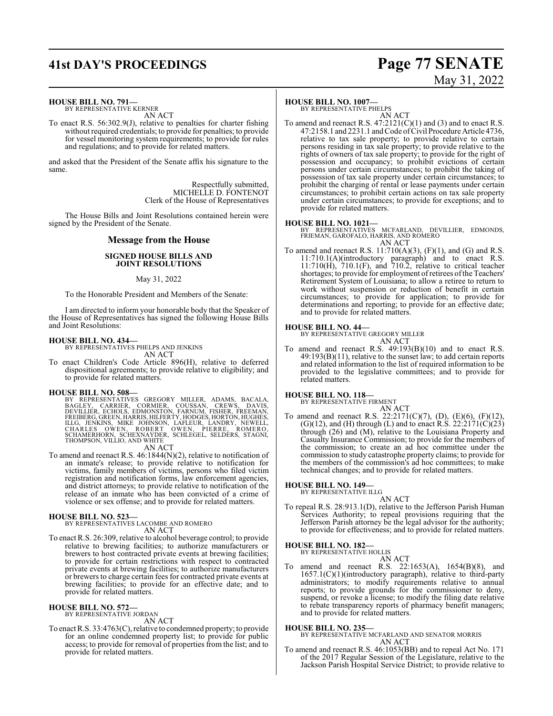# **41st DAY'S PROCEEDINGS Page 77 SENATE**

# May 31, 2022

**HOUSE BILL NO. 791—**

BY REPRESENTATIVE KERNER AN ACT

To enact R.S. 56:302.9(J), relative to penalties for charter fishing without required credentials; to provide for penalties; to provide for vessel monitoring system requirements; to provide for rules and regulations; and to provide for related matters.

and asked that the President of the Senate affix his signature to the same.

> Respectfully submitted, MICHELLE D. FONTENOT Clerk of the House of Representatives

The House Bills and Joint Resolutions contained herein were signed by the President of the Senate.

## **Message from the House**

### **SIGNED HOUSE BILLS AND JOINT RESOLUTIONS**

### May 31, 2022

To the Honorable President and Members of the Senate:

I am directed to inform your honorable body that the Speaker of the House of Representatives has signed the following House Bills and Joint Resolutions:

### **HOUSE BILL NO. 434—**

BY REPRESENTATIVES PHELPS AND JENKINS AN ACT

To enact Children's Code Article 896(H), relative to deferred dispositional agreements; to provide relative to eligibility; and to provide for related matters.

**HOUSE BILL NO. 508—**<br>BY REPRESENTATIVES GREGORY MILLER, ADAMS, BACALA,<br>BAGLEY, CARRIER, CORMIER, COUSSAN, CREWS, DAVIS,<br>DEVILLIER, ECHOLS, EDMONSTON, FARNUM, FISHER, FREEMAN,<br>FREBERG, GREEN, HARRIS, HILFERTY, HODGES, HORT

## AN ACT

To amend and reenact R.S. 46:1844(N)(2), relative to notification of an inmate's release; to provide relative to notification for victims, family members of victims, persons who filed victim registration and notification forms, law enforcement agencies, and district attorneys; to provide relative to notification of the release of an inmate who has been convicted of a crime of violence or sex offense; and to provide for related matters.

**HOUSE BILL NO. 523—** BY REPRESENTATIVES LACOMBE AND ROMERO AN ACT

To enact R.S. 26:309, relative to alcohol beverage control; to provide relative to brewing facilities; to authorize manufacturers or brewers to host contracted private events at brewing facilities; to provide for certain restrictions with respect to contracted private events at brewing facilities; to authorize manufacturers or brewers to charge certain fees for contracted private events at brewing facilities; to provide for an effective date; and to provide for related matters.

### **HOUSE BILL NO. 572—** BY REPRESENTATIVE JORDAN

AN ACT

To enact R.S. 33:4763(C), relative to condemned property; to provide for an online condemned property list; to provide for public access; to provide for removal of properties from the list; and to provide for related matters.

### **HOUSE BILL NO. 1007—**

BY REPRESENTATIVE PHELPS AN ACT

To amend and reenact R.S.  $47:2121(C)(1)$  and (3) and to enact R.S.  $47:2158.1$  and  $2231.1$  and Code of Civil Procedure Article 4736, relative to tax sale property; to provide relative to certain persons residing in tax sale property; to provide relative to the rights of owners of tax sale property; to provide for the right of possession and occupancy; to prohibit evictions of certain persons under certain circumstances; to prohibit the taking of possession of tax sale property under certain circumstances; to prohibit the charging of rental or lease payments under certain circumstances; to prohibit certain actions on tax sale property under certain circumstances; to provide for exceptions; and to provide for related matters.

## **HOUSE BILL NO. 1021—**

BY REPRESENTATIVES MCFARLAND, DEVILLIER, EDMONDS, FRIEMAN, GAROFALO, HARRIS, AND ROMERO AN ACT

To amend and reenact R.S.  $11:710(A)(3)$ ,  $(F)(1)$ , and  $(G)$  and R.S. 11:710.1(A)(introductory paragraph) and to enact R.S. 11:710(H), 710.1(F), and 710.2, relative to critical teacher shortages; to provide for employment of retirees of the Teachers' Retirement System of Louisiana; to allow a retiree to return to work without suspension or reduction of benefit in certain circumstances; to provide for application; to provide for determinations and reporting; to provide for an effective date; and to provide for related matters.

### **HOUSE BILL NO. 44—**

BY REPRESENTATIVE GREGORY MILLER

- AN ACT
- To amend and reenact R.S. 49:193(B)(10) and to enact R.S. 49:193(B)(11), relative to the sunset law; to add certain reports and related information to the list of required information to be provided to the legislative committees; and to provide for related matters.

# **HOUSE BILL NO. 118—** BY REPRESENTATIVE FIRMENT

AN ACT To amend and reenact R.S. 22:2171(C)(7), (D), (E)(6), (F)(12),  $(G)(12)$ , and  $(H)$  through  $(L)$  and to enact R.S. 22:2171 $(C)(23)$ through (26) and (M), relative to the Louisiana Property and Casualty Insurance Commission; to provide for the members of the commission; to create an ad hoc committee under the commission to study catastrophe property claims; to provide for the members of the commission's ad hoc committees; to make technical changes; and to provide for related matters.

# **HOUSE BILL NO. 149—** BY REPRESENTATIVE ILLG

AN ACT

To repeal R.S. 28:913.1(D), relative to the Jefferson Parish Human Services Authority; to repeal provisions requiring that the Jefferson Parish attorney be the legal advisor for the authority; to provide for effectiveness; and to provide for related matters.

# **HOUSE BILL NO. 182—** BY REPRESENTATIVE HOLLIS

AN ACT To amend and reenact R.S. 22:1653(A), 1654(B)(8), and 1657.1(C)(1)(introductory paragraph), relative to third-party administrators; to modify requirements relative to annual reports; to provide grounds for the commissioner to deny, suspend, or revoke a license; to modify the filing date relative to rebate transparency reports of pharmacy benefit managers; and to provide for related matters.

### **HOUSE BILL NO. 235—**

BY REPRESENTATIVE MCFARLAND AND SENATOR MORRIS AN ACT

To amend and reenact R.S. 46:1053(BB) and to repeal Act No. 171 of the 2017 Regular Session of the Legislature, relative to the Jackson Parish Hospital Service District; to provide relative to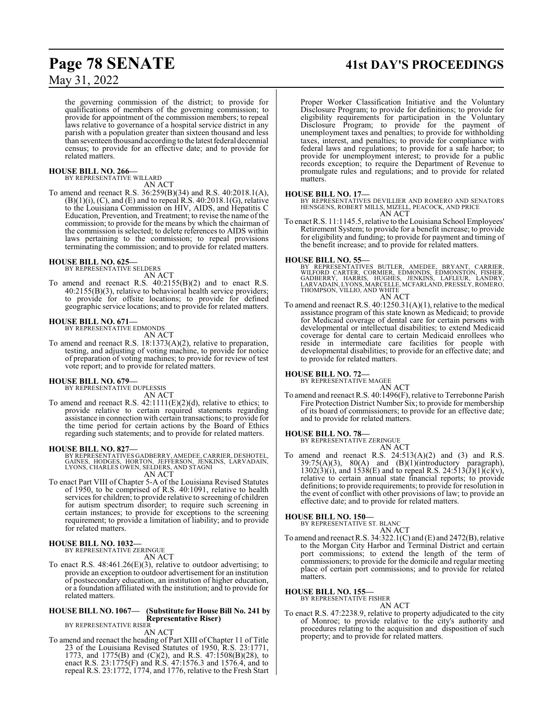the governing commission of the district; to provide for qualifications of members of the governing commission; to provide for appointment of the commission members; to repeal laws relative to governance of a hospital service district in any parish with a population greater than sixteen thousand and less than seventeen thousand according to the latest federal decennial census; to provide for an effective date; and to provide for related matters.

# **HOUSE BILL NO. 266—** BY REPRESENTATIVE WILLARD

AN ACT

To amend and reenact R.S. 36:259(B)(34) and R.S. 40:2018.1(A),  $(B)(1)(i)$ ,  $(C)$ , and  $(E)$  and to repeal R.S. 40:2018.1 $(G)$ , relative to the Louisiana Commission on HIV, AIDS, and Hepatitis C Education, Prevention, and Treatment; to revise the name of the commission; to provide for the means by which the chairman of the commission is selected; to delete references to AIDS within laws pertaining to the commission; to repeal provisions terminating the commission; and to provide for related matters.

# **HOUSE BILL NO. 625—** BY REPRESENTATIVE SELDERS

AN ACT

To amend and reenact R.S. 40:2155(B)(2) and to enact R.S. 40:2155(B)(3), relative to behavioral health service providers; to provide for offsite locations; to provide for defined geographic service locations; and to provide for related matters.

### **HOUSE BILL NO. 671—**

BY REPRESENTATIVE EDMONDS AN ACT

To amend and reenact R.S. 18:1373(A)(2), relative to preparation, testing, and adjusting of voting machine, to provide for notice of preparation of voting machines; to provide for review of test vote report; and to provide for related matters.

### **HOUSE BILL NO. 679—** BY REPRESENTATIVE DUPLESSIS

AN ACT

To amend and reenact R.S. 42:1111(E)(2)(d), relative to ethics; to provide relative to certain required statements regarding assistance in connection with certain transactions; to provide for the time period for certain actions by the Board of Ethics regarding such statements; and to provide for related matters.

### **HOUSE BILL NO. 827—**

BY REPRESENTATIVES GADBERRY, AMEDEE, CARRIER, DESHOTEL,<br>GAINES, HODGES, HORTON, JEFFERSON, JENKINS, LARVADAIN,<br>LYONS, CHARLES OWEN, SELDERS, AND STAGNI AN ACT

To enact Part VIII of Chapter 5-A of the Louisiana Revised Statutes of 1950, to be comprised of R.S. 40:1091, relative to health services for children; to provide relative to screening of children for autism spectrum disorder; to require such screening in certain instances; to provide for exceptions to the screening requirement; to provide a limitation of liability; and to provide for related matters.

### **HOUSE BILL NO. 1032—** BY REPRESENTATIVE ZERINGUE

AN ACT

To enact R.S. 48:461.26(E)(3), relative to outdoor advertising; to provide an exception to outdoor advertisement for an institution of postsecondary education, an institution of higher education, or a foundation affiliated with the institution; and to provide for related matters.

### **HOUSE BILL NO. 1067— (Substitute for House Bill No. 241 by Representative Riser)**

BY REPRESENTATIVE RISER AN ACT

To amend and reenact the heading of Part XIII of Chapter 11 of Title 23 of the Louisiana Revised Statutes of 1950, R.S. 23:1771, 1773, and 1775(B) and (C)(2), and R.S. 47:1508(B)(28), to enact R.S. 23:1775(F) and R.S. 47:1576.3 and 1576.4, and to repeal R.S. 23:1772, 1774, and 1776, relative to the Fresh Start

# **Page 78 SENATE 41st DAY'S PROCEEDINGS**

Proper Worker Classification Initiative and the Voluntary Disclosure Program; to provide for definitions; to provide for eligibility requirements for participation in the Voluntary Disclosure Program; to provide for the payment of unemployment taxes and penalties; to provide for withholding taxes, interest, and penalties; to provide for compliance with federal laws and regulations; to provide for a safe harbor; to provide for unemployment interest; to provide for a public records exception; to require the Department of Revenue to promulgate rules and regulations; and to provide for related matters.

**HOUSE BILL NO. 17—** BY REPRESENTATIVES DEVILLIER AND ROMERO AND SENATORS HENSGENS, ROBERT MILLS, MIZELL, PEACOCK, AND PRICE AN ACT

To enact R.S. 11:1145.5, relative to the Louisiana School Employees' Retirement System; to provide for a benefit increase; to provide for eligibility and funding; to provide for payment and timing of the benefit increase; and to provide for related matters.

### **HOUSE BILL NO. 55—**

BY REPRESENTATIVES BUTLER, AMEDEE, BRYANT, CARRIER,<br>WILFORD CARTER, CORMIER, EDMONDS, EDMONSTON, FISHER,<br>GADBERRY, HARRIS, HUGHES, JENKINS, LAFLEUR, LANDRY,<br>LARVADAIN,LYONS,MARCELLE,MCFARLAND,PRESSLY,ROMERO,<br>THOMPSON,VILLI AN ACT

To amend and reenact R.S. 40:1250.31(A)(1), relative to the medical assistance program of this state known as Medicaid; to provide for Medicaid coverage of dental care for certain persons with developmental or intellectual disabilities; to extend Medicaid coverage for dental care to certain Medicaid enrollees who reside in intermediate care facilities for people with developmental disabilities; to provide for an effective date; and to provide for related matters.

### **HOUSE BILL NO. 72—**

BY REPRESENTATIVE MAGEE

AN ACT To amend and reenact R.S. 40:1496(F), relative to Terrebonne Parish Fire Protection District Number Six; to provide for membership of its board of commissioners; to provide for an effective date; and to provide for related matters.

# **HOUSE BILL NO. 78—** BY REPRESENTATIVE ZERINGUE

AN ACT To amend and reenact R.S.  $24:513(A)(2)$  and  $(3)$  and R.S.  $39:75(A)(3)$ ,  $80(A)$  and  $(B)(1)(introductory)$  paragraph),  $1302(3)(i)$ , and  $1538(E)$  and to repeal R.S.  $24:513(J)(1)(c)(v)$ , relative to certain annual state financial reports; to provide definitions; to provide requirements; to provide for resolution in the event of conflict with other provisions of law; to provide an effective date; and to provide for related matters.

# **HOUSE BILL NO. 150—** BY REPRESENTATIVE ST. BLANC

AN ACT To amend and reenact R.S. 34:322.1(C) and (E) and 2472(B), relative to the Morgan City Harbor and Terminal District and certain port commissions; to extend the length of the term of commissioners; to provide for the domicile and regular meeting place of certain port commissions; and to provide for related matters.

## **HOUSE BILL NO. 155—**

BY REPRESENTATIVE FISHER

AN ACT To enact R.S. 47:2238.9, relative to property adjudicated to the city of Monroe; to provide relative to the city's authority and procedures relating to the acquisition and disposition of such property; and to provide for related matters.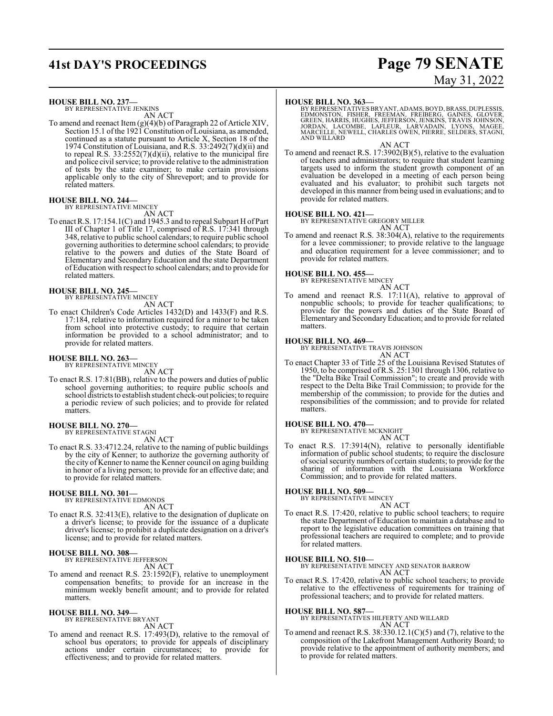# **41st DAY'S PROCEEDINGS Page 79 SENATE**

# May 31, 2022

**HOUSE BILL NO. 237—**

BY REPRESENTATIVE JENKINS AN ACT

To amend and reenact Item (g)(4)(b) of Paragraph 22 of Article XIV, Section 15.1 of the 1921 Constitution of Louisiana, as amended, continued as a statute pursuant to Article X, Section 18 of the 1974 Constitution of Louisiana, and R.S. 33:2492(7)(d)(ii) and to repeal R.S. 33:2552(7)(d)(ii), relative to the municipal fire and police civil service; to provide relative to the administration of tests by the state examiner; to make certain provisions applicable only to the city of Shreveport; and to provide for related matters.

### **HOUSE BILL NO. 244—** BY REPRESENTATIVE MINCEY

AN ACT

To enact R.S. 17:154.1(C) and 1945.3 and to repeal Subpart H of Part III of Chapter 1 of Title 17, comprised of R.S. 17:341 through 348, relative to public school calendars; to require public school governing authorities to determine school calendars; to provide relative to the powers and duties of the State Board of Elementary and Secondary Education and the state Department of Education with respect to school calendars; and to provide for related matters.

### **HOUSE BILL NO. 245—** BY REPRESENTATIVE MINCEY

AN ACT

To enact Children's Code Articles 1432(D) and 1433(F) and R.S. 17:184, relative to information required for a minor to be taken from school into protective custody; to require that certain information be provided to a school administrator; and to provide for related matters.

### **HOUSE BILL NO. 263—**

BY REPRESENTATIVE MINCEY AN ACT

To enact R.S. 17:81(BB), relative to the powers and duties of public school governing authorities; to require public schools and school districts to establish student check-out policies; to require a periodic review of such policies; and to provide for related matters.

# **HOUSE BILL NO. 270—** BY REPRESENTATIVE STAGNI

AN ACT

To enact R.S. 33:4712.24, relative to the naming of public buildings by the city of Kenner; to authorize the governing authority of the city of Kenner to name the Kenner council on aging building in honor of a living person; to provide for an effective date; and to provide for related matters.

### **HOUSE BILL NO. 301—**

BY REPRESENTATIVE EDMONDS AN ACT

To enact R.S. 32:413(E), relative to the designation of duplicate on a driver's license; to provide for the issuance of a duplicate driver's license; to prohibit a duplicate designation on a driver's license; and to provide for related matters.

### **HOUSE BILL NO. 308—**

BY REPRESENTATIVE JEFFERSON

- AN ACT
- To amend and reenact R.S. 23:1592(F), relative to unemployment compensation benefits; to provide for an increase in the minimum weekly benefit amount; and to provide for related matters.

### **HOUSE BILL NO. 349—**

BY REPRESENTATIVE BRYANT

- AN ACT
- To amend and reenact R.S. 17:493(D), relative to the removal of school bus operators; to provide for appeals of disciplinary actions under certain circumstances; to provide for effectiveness; and to provide for related matters.

### **HOUSE BILL NO. 363—**

BY REPRESENTATIVES BRYANT, ADAMS, BOYD, BRASS, DUPLESSIS,<br>EDMONSTON, FISHER, FREEMAN, FREIBERG, GAINES, GLOVER,<br>GREEN, HARRIS, HUGHES, JEFFERSON, JENKINS, TRAVIS JOHNSON,<br>JORDAN, LACOMBE, LAFLEUR, LARVADAIN, LYONS, MAGEE,<br> AND WILLARD

AN ACT

To amend and reenact R.S. 17:3902(B)(5), relative to the evaluation of teachers and administrators; to require that student learning targets used to inform the student growth component of an evaluation be developed in a meeting of each person being evaluated and his evaluator; to prohibit such targets not developed in this manner from being used in evaluations; and to provide for related matters.

**HOUSE BILL NO. 421—** BY REPRESENTATIVE GREGORY MILLER

AN ACT To amend and reenact R.S. 38:304(A), relative to the requirements for a levee commissioner; to provide relative to the language and education requirement for a levee commissioner; and to

## **HOUSE BILL NO. 455—**

provide for related matters.

BY REPRESENTATIVE MINCEY

AN ACT To amend and reenact R.S. 17:11(A), relative to approval of nonpublic schools; to provide for teacher qualifications; to provide for the powers and duties of the State Board of Elementary and SecondaryEducation; and to provide for related matters.

### **HOUSE BILL NO. 469—**

BY REPRESENTATIVE TRAVIS JOHNSON

AN ACT To enact Chapter 33 of Title 25 of the Louisiana Revised Statutes of 1950, to be comprised ofR.S. 25:1301 through 1306, relative to the "Delta Bike Trail Commission"; to create and provide with respect to the Delta Bike Trail Commission; to provide for the membership of the commission; to provide for the duties and responsibilities of the commission; and to provide for related matters.

### **HOUSE BILL NO. 470—**

- BY REPRESENTATIVE MCKNIGHT AN ACT
- To enact R.S. 17:3914(N), relative to personally identifiable information of public school students; to require the disclosure ofsocial security numbers of certain students; to provide for the sharing of information with the Louisiana Workforce Commission; and to provide for related matters.

### **HOUSE BILL NO. 509—**

BY REPRESENTATIVE MINCEY

- AN ACT
- To enact R.S. 17:420, relative to public school teachers; to require the state Department of Education to maintain a database and to report to the legislative education committees on training that professional teachers are required to complete; and to provide for related matters.

**HOUSE BILL NO. 510—** BY REPRESENTATIVE MINCEY AND SENATOR BARROW AN ACT

To enact R.S. 17:420, relative to public school teachers; to provide relative to the effectiveness of requirements for training of professional teachers; and to provide for related matters.

**HOUSE BILL NO. 587—** BY REPRESENTATIVES HILFERTY AND WILLARD AN ACT

To amend and reenact R.S. 38:330.12.1(C)(5) and (7), relative to the composition of the Lakefront Management Authority Board; to provide relative to the appointment of authority members; and to provide for related matters.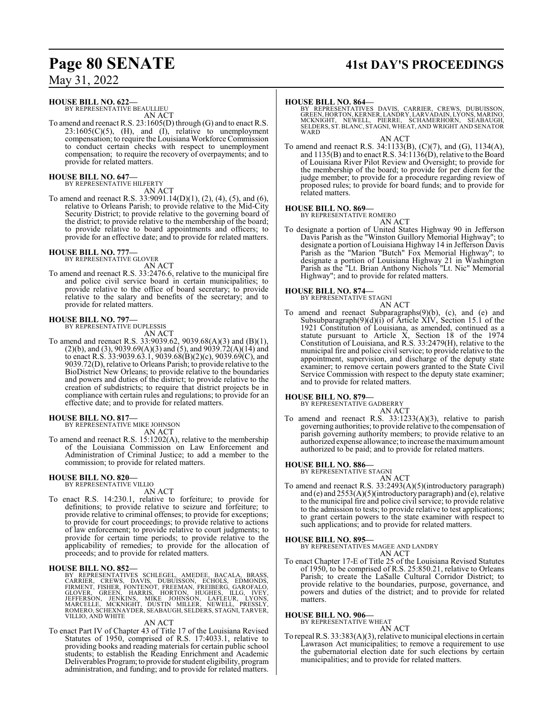### **HOUSE BILL NO. 622—**

BY REPRESENTATIVE BEAULLIEU AN ACT

To amend and reenact R.S. 23:1605(D) through (G) and to enact R.S.  $23:1605(C)(5)$ , (H), and (I), relative to unemployment compensation; to require the Louisiana Workforce Commission to conduct certain checks with respect to unemployment compensation; to require the recovery of overpayments; and to provide for related matters.

# **HOUSE BILL NO. 647—** BY REPRESENTATIVE HILFERTY

AN ACT

To amend and reenact R.S. 33:9091.14(D)(1), (2), (4), (5), and (6), relative to Orleans Parish; to provide relative to the Mid-City Security District; to provide relative to the governing board of the district; to provide relative to the membership of the board; to provide relative to board appointments and officers; to provide for an effective date; and to provide for related matters.

**HOUSE BILL NO. 777—** BY REPRESENTATIVE GLOVER

AN ACT To amend and reenact R.S. 33:2476.6, relative to the municipal fire and police civil service board in certain municipalities; to provide relative to the office of board secretary; to provide relative to the salary and benefits of the secretary; and to provide for related matters.

### **HOUSE BILL NO. 797—** BY REPRESENTATIVE DUPLESSIS

AN ACT

To amend and reenact R.S. 33:9039.62, 9039.68(A)(3) and (B)(1), (2)(b), and (3), 9039.69(A)(3) and (5), and 9039.72(A)(14) and to enact R.S.  $33:9039.63.1$ ,  $9039.68(B)(2)(c)$ ,  $9039.69(C)$ , and 9039.72(D), relative to Orleans Parish; to provide relative to the BioDistrict New Orleans; to provide relative to the boundaries and powers and duties of the district; to provide relative to the creation of subdistricts; to require that district projects be in compliance with certain rules and regulations; to provide for an effective date; and to provide for related matters.

## **HOUSE BILL NO. 817—**

BY REPRESENTATIVE MIKE JOHNSON AN ACT

To amend and reenact R.S. 15:1202(A), relative to the membership of the Louisiana Commission on Law Enforcement and Administration of Criminal Justice; to add a member to the commission; to provide for related matters.

### **HOUSE BILL NO. 820—** BY REPRESENTATIVE VILLIO

AN ACT

To enact R.S. 14:230.1, relative to forfeiture; to provide for definitions; to provide relative to seizure and forfeiture; to provide relative to criminal offenses; to provide for exceptions; to provide for court proceedings; to provide relative to actions of law enforcement; to provide relative to court judgments; to provide for certain time periods; to provide relative to the applicability of remedies; to provide for the allocation of proceeds; and to provide for related matters.

## **HOUSE BILL NO. 852—**

BY REPRESENTATIVES SCHLEGEL, AMEDEE, BACALA, BRASS, CARRIER, CREWS, DAVIS, DUBUISSON, ECHOLS, EDMONDS,<br>FIRMENT, CREWS, DAVIS, DUBUISSON, ECHOLS, EDMONDS,<br>FIRMENT, FISHER, FONTENOT, FREEMAN, FREIBERG, GAROFALO,<br>GLOVER, GREE

### AN ACT

To enact Part IV of Chapter 43 of Title 17 of the Louisiana Revised Statutes of 1950, comprised of R.S. 17:4033.1, relative to providing books and reading materials for certain public school students; to establish the Reading Enrichment and Academic Deliverables Program; to provide forstudent eligibility, program administration, and funding; and to provide for related matters.

# **Page 80 SENATE 41st DAY'S PROCEEDINGS**

### **HOUSE BILL NO. 864—**

BY REPRESENTATIVES DAVIS, CARRIER, CREWS, DUBUISSON,<br>GREEN,HORTON,KERNER,LANDRY,LARVADAIN,LYONS,MARINO,<br>MCKNIGHT, NEWELL, PIERRE, SCHAMERHORN, SEABAUGH,<br>SELDERS,ST.BLANC,STAGNI,WHEAT,ANDWRIGHT AND SENATOR WARD

### AN ACT

To amend and reenact R.S. 34:1133(B), (C)(7), and (G), 1134(A), and 1135(B) and to enact R.S. 34:1136(D), relative to the Board of Louisiana River Pilot Review and Oversight; to provide for the membership of the board; to provide for per diem for the judge member; to provide for a procedure regarding review of proposed rules; to provide for board funds; and to provide for related matters.

### **HOUSE BILL NO. 869—**

BY REPRESENTATIVE ROMERO

AN ACT

To designate a portion of United States Highway 90 in Jefferson Davis Parish as the "Winston Guillory Memorial Highway"; to designate a portion of Louisiana Highway 14 in Jefferson Davis Parish as the "Marion "Butch" Fox Memorial Highway"; to designate a portion of Louisiana Highway 21 in Washington Parish as the "Lt. Brian Anthony Nichols "Lt. Nic" Memorial Highway"; and to provide for related matters.

### **HOUSE BILL NO. 874—**

BY REPRESENTATIVE STAGNI AN ACT

To amend and reenact Subparagraphs(9)(b), (c), and (e) and Subsubparagraph(9)(d)(i) of Article XIV, Section 15.1 of the 1921 Constitution of Louisiana, as amended, continued as a statute pursuant to Article X, Section 18 of the 1974 Constitution of Louisiana, and R.S. 33:2479(H), relative to the municipal fire and police civil service; to provide relative to the appointment, supervision, and discharge of the deputy state examiner; to remove certain powers granted to the State Civil Service Commission with respect to the deputy state examiner; and to provide for related matters.

## **HOUSE BILL NO. 879—**

BY REPRESENTATIVE GADBERRY AN ACT

To amend and reenact R.S. 33:1233(A)(3), relative to parish governing authorities; to provide relative to the compensation of parish governing authority members; to provide relative to an authorized expense allowance; to increase the maximumamount authorized to be paid; and to provide for related matters.

### **HOUSE BILL NO. 886—**

BY REPRESENTATIVE STAGNI

## AN ACT

To amend and reenact R.S. 33:2493(A)(5)(introductory paragraph) and (e) and 2553(A)(5)(introductory paragraph) and (e), relative to the municipal fire and police civil service; to provide relative to the admission to tests; to provide relative to test applications; to grant certain powers to the state examiner with respect to such applications; and to provide for related matters.

### **HOUSE BILL NO. 895—**

BY REPRESENTATIVES MAGEE AND LANDRY AN ACT

To enact Chapter 17-E of Title 25 of the Louisiana Revised Statutes of 1950, to be comprised of R.S. 25:850.21, relative to Orleans Parish; to create the LaSalle Cultural Corridor District; to provide relative to the boundaries, purpose, governance, and powers and duties of the district; and to provide for related matters.

### **HOUSE BILL NO. 906—** BY REPRESENTATIVE WHEAT

AN ACT To repeal R.S. 33:383(A)(3), relative to municipal elections in certain Lawrason Act municipalities; to remove a requirement to use the gubernatorial election date for such elections by certain municipalities; and to provide for related matters.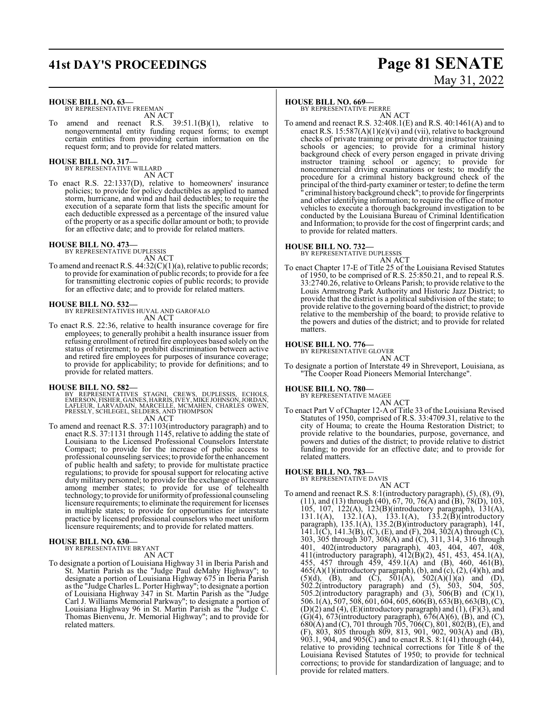### **HOUSE BILL NO. 63—**

BY REPRESENTATIVE FREEMAN AN ACT

amend and reenact R.S.  $39:51.1(B)(1)$ , relative to nongovernmental entity funding request forms; to exempt certain entities from providing certain information on the request form; and to provide for related matters.

**HOUSE BILL NO. 317—** BY REPRESENTATIVE WILLARD

AN ACT

To enact R.S. 22:1337(D), relative to homeowners' insurance policies; to provide for policy deductibles as applied to named storm, hurricane, and wind and hail deductibles; to require the execution of a separate form that lists the specific amount for each deductible expressed as a percentage of the insured value of the property or as a specific dollar amount or both; to provide for an effective date; and to provide for related matters.

### **HOUSE BILL NO. 473—** BY REPRESENTATIVE DUPLESSIS

AN ACT

To amend and reenact R.S.  $44:32(C)(1)(a)$ , relative to public records; to provide for examination of public records; to provide for a fee for transmitting electronic copies of public records; to provide for an effective date; and to provide for related matters.

# **HOUSE BILL NO. 532—** BY REPRESENTATIVES HUVAL AND GAROFALO

AN ACT

To enact R.S. 22:36, relative to health insurance coverage for fire employees; to generally prohibit a health insurance issuer from refusing enrollment of retired fire employees based solely on the status of retirement; to prohibit discrimination between active and retired fire employees for purposes of insurance coverage; to provide for applicability; to provide for definitions; and to provide for related matters.

### **HOUSE BILL NO. 582—**

BY REPRESENTATIVES STAGNI, CREWS, DUPLESSIS, ECHOLS,<br>EMERSON,FISHER,GAINES,HARRIS,IVEY,MIKEJOHNSON,JORDAN,<br>LAFLEUR, LARVADAIN,MARCELLE,MCMAHEN,CHARLES OWEN,<br>PRESSLY,SCHLEGEL,SELDERS,AND THOMPSON<br>AN ACT

To amend and reenact R.S. 37:1103(introductory paragraph) and to enact R.S. 37:1131 through 1145, relative to adding the state of Louisiana to the Licensed Professional Counselors Interstate Compact; to provide for the increase of public access to professional counseling services; to provide forthe enhancement of public health and safety; to provide for multistate practice regulations; to provide for spousal support for relocating active duty military personnel; to provide for the exchange of licensure among member states; to provide for use of telehealth technology; to provide for uniformityof professional counseling licensure requirements; to eliminate the requirement for licenses in multiple states; to provide for opportunities for interstate practice by licensed professional counselors who meet uniform licensure requirements; and to provide for related matters.

### **HOUSE BILL NO. 630—** BY REPRESENTATIVE BRYANT

AN ACT

To designate a portion of Louisiana Highway 31 in Iberia Parish and St. Martin Parish as the "Judge Paul deMahy Highway"; to designate a portion of Louisiana Highway 675 in Iberia Parish as the "Judge Charles L. Porter Highway"; to designate a portion of Louisiana Highway 347 in St. Martin Parish as the "Judge Carl J. Williams Memorial Parkway"; to designate a portion of Louisiana Highway 96 in St. Martin Parish as the "Judge C. Thomas Bienvenu, Jr. Memorial Highway"; and to provide for related matters.

### **HOUSE BILL NO. 669—**

BY REPRESENTATIVE PIERRE AN ACT

To amend and reenact R.S. 32:408.1(E) and R.S. 40:1461(A) and to enact R.S.  $15:587(A)(1)(e)(vi)$  and (vii), relative to background checks of private training or private driving instructor training schools or agencies; to provide for a criminal history background check of every person engaged in private driving instructor training school or agency; to provide for noncommercial driving examinations or tests; to modify the procedure for a criminal history background check of the principal of the third-party examiner or tester; to define the term criminal history background check"; to provide for fingerprints and other identifying information; to require the office of motor vehicles to execute a thorough background investigation to be conducted by the Louisiana Bureau of Criminal Identification and Information; to provide for the cost of fingerprint cards; and to provide for related matters.

# **HOUSE BILL NO. 732—** BY REPRESENTATIVE DUPLESSIS

AN ACT

To enact Chapter 17-E of Title 25 of the Louisiana Revised Statutes of 1950, to be comprised of R.S. 25:850.21, and to repeal R.S. 33:2740.26, relative to Orleans Parish; to provide relative to the Louis Armstrong Park Authority and Historic Jazz District; to provide that the district is a political subdivision of the state; to provide relative to the governing board ofthe district; to provide relative to the membership of the board; to provide relative to the powers and duties of the district; and to provide for related matters.

### **HOUSE BILL NO. 776—**

BY REPRESENTATIVE GLOVER

- AN ACT To designate a portion of Interstate 49 in Shreveport, Louisiana, as
- "The Cooper Road Pioneers Memorial Interchange".

### **HOUSE BILL NO. 780—**

BY REPRESENTATIVE MAGEE

- AN ACT
- To enact Part V of Chapter 12-A of Title 33 of the Louisiana Revised Statutes of 1950, comprised of R.S. 33:4709.31, relative to the city of Houma; to create the Houma Restoration District; to provide relative to the boundaries, purpose, governance, and powers and duties of the district; to provide relative to district funding; to provide for an effective date; and to provide for related matters.

# **HOUSE BILL NO. 783—** BY REPRESENTATIVE DAVIS

AN ACT To amend and reenact R.S. 8:1(introductory paragraph), (5), (8), (9), (11), and (13) through (40), 67, 70, 76(A) and (B), 78(D), 103, 105, 107, 122(A), 123(B)(introductory paragraph), 131(A), 131.1(A),  $132.1(A)$ ,  $133.1(A)$ ,  $133.2(B)$ (introductory paragraph), 135.1(A), 135.2(B)(introductory paragraph), 141, 141.1(C), 141.3(B), (C), (E), and (F), 204, 302(A) through (C), 303, 305 through 307, 308(A) and (C), 311, 314, 316 through 401, 402(introductory paragraph), 403, 404, 407, 408, 411(introductory paragraph), 412(B)(2), 451, 453, 454.1(A), 455, 457 through 459, 459.1(A) and (B), 460, 461(B),  $465(A)(1)$ (introductory paragraph), (b), and (c), (2), (4)(h), and  $(5)(d)$ ,  $(B)$ , and  $(C)$ ,  $501(A)$ ,  $502(A)(1)(a)$  and  $(D)$ , 502.2(introductory paragraph) and (5), 503, 504, 505, 505.2(introductory paragraph) and  $(3)$ , 506 $(B)$  and  $(C)(1)$ , 506.1(A), 507, 508, 601, 604, 605, 606(B), 653(B), 663(B), (C),  $(D)(2)$  and  $(4)$ ,  $(E)$ (introductory paragraph) and  $(1)$ ,  $(F)(3)$ , and  $(G)(4)$ , 673(introductory paragraph), 676(A)(6), (B), and (C),  $680(A)$  and (C), 701 through 705, 706(C), 801, 802(B), (E), and (F), 803, 805 through 809, 813, 901, 902, 903(A) and (B), 903.1, 904, and 905 $\overline{C}$ ) and to enact R.S. 8:1(41) through (44), relative to providing technical corrections for Title 8 of the Louisiana Revised Statutes of 1950; to provide for technical corrections; to provide for standardization of language; and to provide for related matters.

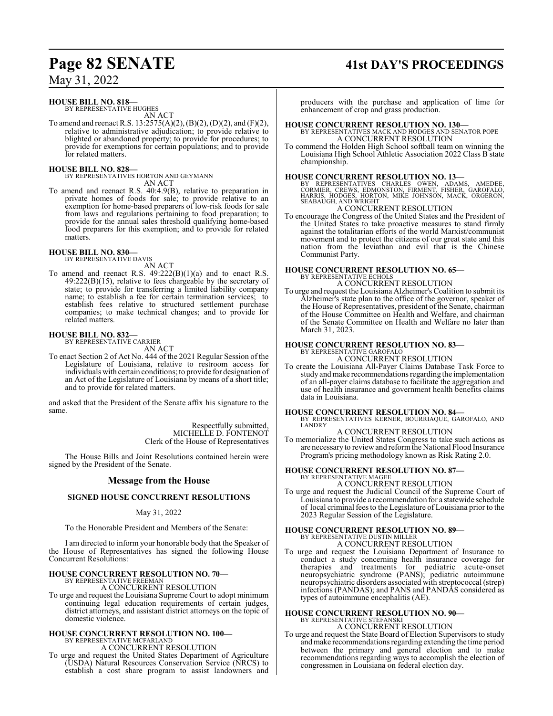## **HOUSE BILL NO. 818—**

BY REPRESENTATIVE HUGHES AN ACT

To amend and reenact R.S. 13:2575(A)(2), (B)(2), (D)(2), and (F)(2), relative to administrative adjudication; to provide relative to blighted or abandoned property; to provide for procedures; to provide for exemptions for certain populations; and to provide for related matters.

### **HOUSE BILL NO. 828—**

BY REPRESENTATIVES HORTON AND GEYMANN AN ACT

To amend and reenact R.S. 40:4.9(B), relative to preparation in private homes of foods for sale; to provide relative to an exemption for home-based preparers of low-risk foods for sale from laws and regulations pertaining to food preparation; to provide for the annual sales threshold qualifying home-based food preparers for this exemption; and to provide for related matters.

### **HOUSE BILL NO. 830—** BY REPRESENTATIVE DAVIS

AN ACT

To amend and reenact R.S. 49:222(B)(1)(a) and to enact R.S. 49:222(B)(15), relative to fees chargeable by the secretary of state; to provide for transferring a limited liability company name; to establish a fee for certain termination services; to establish fees relative to structured settlement purchase companies; to make technical changes; and to provide for related matters.

### **HOUSE BILL NO. 832—** BY REPRESENTATIVE CARRIER

AN ACT

To enact Section 2 of Act No. 444 of the 2021 Regular Session of the Legislature of Louisiana, relative to restroom access for individuals with certain conditions; to provide for designation of an Act of the Legislature of Louisiana by means of a short title; and to provide for related matters.

and asked that the President of the Senate affix his signature to the same.

> Respectfully submitted, MICHELLE D. FONTENOT Clerk of the House of Representatives

The House Bills and Joint Resolutions contained herein were signed by the President of the Senate.

## **Message from the House**

## **SIGNED HOUSE CONCURRENT RESOLUTIONS**

## May 31, 2022

To the Honorable President and Members of the Senate:

I am directed to inform your honorable body that the Speaker of the House of Representatives has signed the following House Concurrent Resolutions:

### **HOUSE CONCURRENT RESOLUTION NO. 70—** BY REPRESENTATIVE FREEMAN

A CONCURRENT RESOLUTION

To urge and request the Louisiana Supreme Court to adopt minimum continuing legal education requirements of certain judges, district attorneys, and assistant district attorneys on the topic of domestic violence.

## **HOUSE CONCURRENT RESOLUTION NO. 100—** BY REPRESENTATIVE MCFARLAND A CONCURRENT RESOLUTION

To urge and request the United States Department of Agriculture (USDA) Natural Resources Conservation Service (NRCS) to establish a cost share program to assist landowners and

# **Page 82 SENATE 41st DAY'S PROCEEDINGS**

producers with the purchase and application of lime for enhancement of crop and grass production.

## **HOUSE CONCURRENT RESOLUTION NO. 130—**

BY REPRESENTATIVES MACK AND HODGES AND SENATOR POPE A CONCURRENT RESOLUTION

To commend the Holden High School softball team on winning the Louisiana High School Athletic Association 2022 Class B state championship.

**HOUSE CONCURRENT RESOLUTION NO. 13—**<br>BY REPRESENTATIVES CHARLES OWEN, ADAMS, AMEDEE,<br>CORMIER, CREWS, EDMONSTON, FIRMENT, FISHER, GAROFALO,<br>HARRIS, HODGES, HORTON, MIKE JOHNSON, MACK, ORGERON,<br>SEABAUGH, AND WRIGHT

## A CONCURRENT RESOLUTION

To encourage the Congress of the United States and the President of the United States to take proactive measures to stand firmly against the totalitarian efforts of the world Marxist/communist movement and to protect the citizens of our great state and this nation from the leviathan and evil that is the Chinese Communist Party.

## **HOUSE CONCURRENT RESOLUTION NO. 65—**

BY REPRESENTATIVE ECHOLS A CONCURRENT RESOLUTION

To urge and request the Louisiana Alzheimer's Coalition to submit its Alzheimer's state plan to the office of the governor, speaker of the House of Representatives, president of the Senate, chairman of the House Committee on Health and Welfare, and chairman of the Senate Committee on Health and Welfare no later than March 31, 2023.

# **HOUSE CONCURRENT RESOLUTION NO. 83<br>BY REPRESENTATIVE GAROFALO<br>A CONCURRENT RESOLUTION**

To create the Louisiana All-Payer Claims Database Task Force to study and make recommendations regarding the implementation of an all-payer claims database to facilitate the aggregation and use of health insurance and government health benefits claims data in Louisiana.

## **HOUSE CONCURRENT RESOLUTION NO. 84—**

BY REPRESENTATIVES KERNER, BOURRIAQUE, GAROFALO, AND LANDRY

# A CONCURRENT RESOLUTION

To memorialize the United States Congress to take such actions as are necessaryto reviewand reformthe National Flood Insurance Program's pricing methodology known as Risk Rating 2.0.

# **HOUSE CONCURRENT RESOLUTION NO. 87—** BY REPRESENTATIVE MAGEE

A CONCURRENT RESOLUTION

To urge and request the Judicial Council of the Supreme Court of Louisiana to provide a recommendation for a statewide schedule of local criminal fees to the Legislature of Louisiana prior to the 2023 Regular Session of the Legislature.

### **HOUSE CONCURRENT RESOLUTION NO. 89—** BY REPRESENTATIVE DUSTIN MILLER A CONCURRENT RESOLUTION

To urge and request the Louisiana Department of Insurance to conduct a study concerning health insurance coverage for therapies and treatments for pediatric acute-onset neuropsychiatric syndrome (PANS); pediatric autoimmune neuropsychiatric disorders associated with streptococcal (strep) infections (PANDAS); and PANS and PANDAS considered as types of autoimmune encephalitis (AE).

# **HOUSE CONCURRENT RESOLUTION NO. 90—**

BY REPRESENTATIVE STEFANSKI A CONCURRENT RESOLUTION

To urge and request the State Board of Election Supervisors to study andmake recommendations regarding extending the time period between the primary and general election and to make recommendations regarding ways to accomplish the election of congressmen in Louisiana on federal election day.